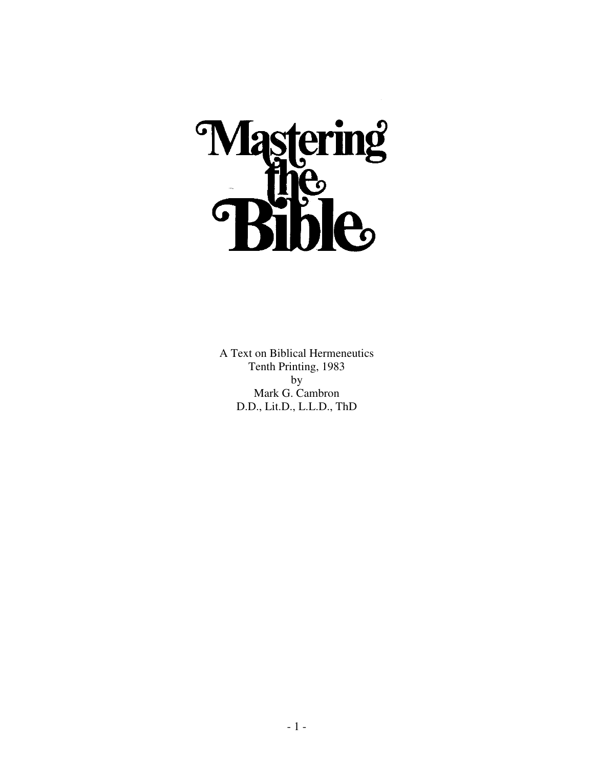

A Text on Biblical Hermeneutics Tenth Printing, 1983 by Mark G. Cambron D.D., Lit.D., L.L.D., ThD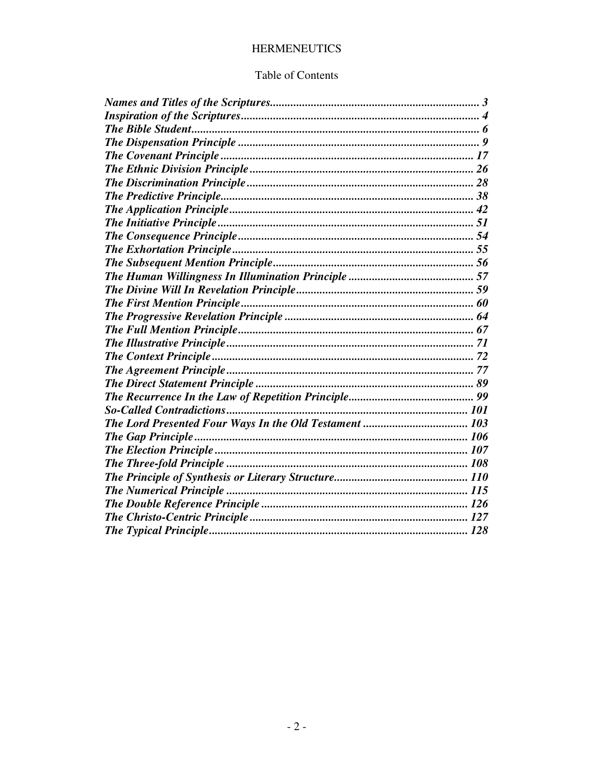# **HERMENEUTICS**

## Table of Contents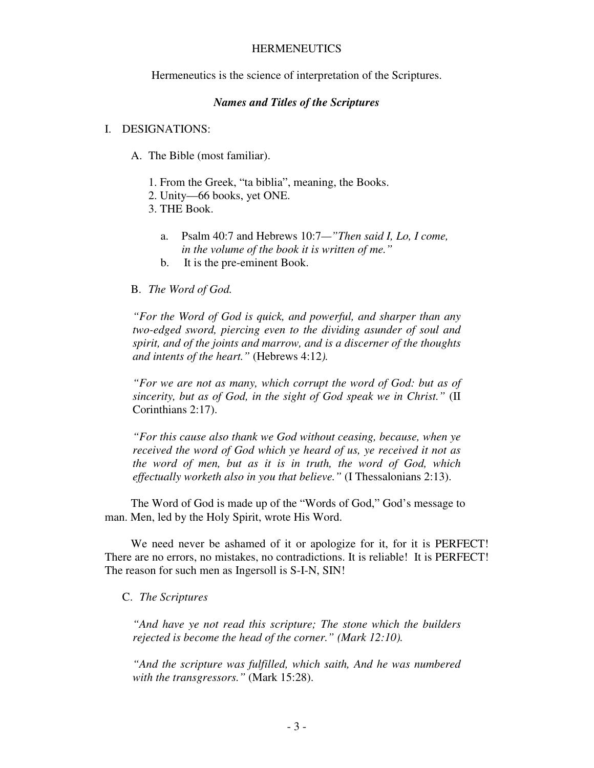### **HERMENEUTICS**

Hermeneutics is the science of interpretation of the Scriptures.

### *Names and Titles of the Scriptures*

### I. DESIGNATIONS:

- A. The Bible (most familiar).
	- 1. From the Greek, "ta biblia", meaning, the Books.
	- 2. Unity—66 books, yet ONE.
	- 3. THE Book.
		- a. Psalm 40:7 and Hebrews 10:7*—"Then said I, Lo, I come, in the volume of the book it is written of me."*
		- b. It is the pre-eminent Book.

### B. *The Word of God.*

*"For the Word of God is quick, and powerful, and sharper than any two-edged sword, piercing even to the dividing asunder of soul and spirit, and of the joints and marrow, and is a discerner of the thoughts and intents of the heart."* (Hebrews 4:12*).* 

*"For we are not as many, which corrupt the word of God: but as of sincerity, but as of God, in the sight of God speak we in Christ."* (II Corinthians 2:17).

*"For this cause also thank we God without ceasing, because, when ye received the word of God which ye heard of us, ye received it not as the word of men, but as it is in truth, the word of God, which effectually worketh also in you that believe."* (I Thessalonians 2:13).

 The Word of God is made up of the "Words of God," God's message to man. Men, led by the Holy Spirit, wrote His Word.

 We need never be ashamed of it or apologize for it, for it is PERFECT! There are no errors, no mistakes, no contradictions. It is reliable! It is PERFECT! The reason for such men as Ingersoll is S-I-N, SIN!

## C. *The Scriptures*

*"And have ye not read this scripture; The stone which the builders rejected is become the head of the corner." (Mark 12:10).* 

*"And the scripture was fulfilled, which saith, And he was numbered with the transgressors."* (Mark 15:28).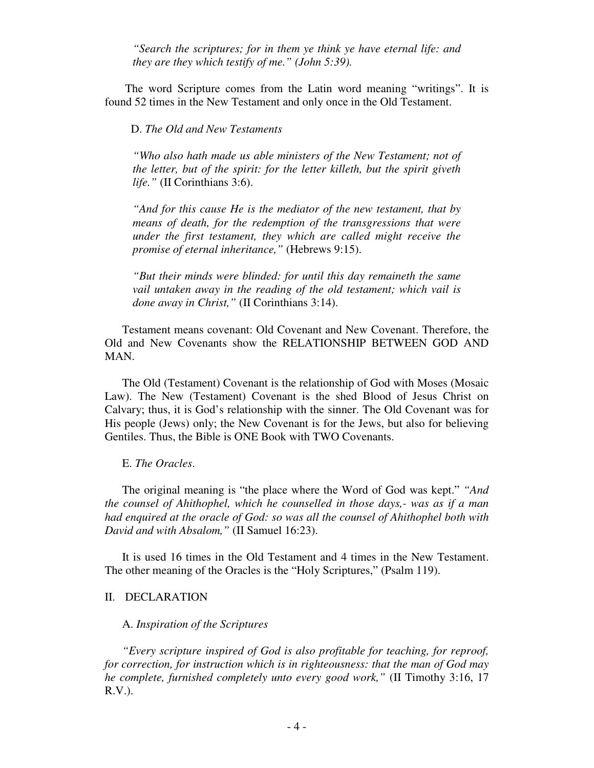*"Search the scriptures; for in them ye think ye have eternal life: and they are they which testify of me." (John 5:39).* 

 The word Scripture comes from the Latin word meaning "writings". It is found 52 times in the New Testament and only once in the Old Testament.

D. *The Old and New Testaments* 

*"Who also hath made us able ministers of the New Testament; not of the letter, but of the spirit: for the letter killeth, but the spirit giveth life."* (II Corinthians 3:6).

*"And for this cause He is the mediator of the new testament, that by means of death, for the redemption of the transgressions that were under the first testament, they which are called might receive the promise of eternal inheritance,"* (Hebrews 9:15).

*"But their minds were blinded: for until this day remaineth the same vail untaken away in the reading of the old testament; which vail is done away in Christ,"* (II Corinthians 3:14).

 Testament means covenant: Old Covenant and New Covenant. Therefore, the Old and New Covenants show the RELATIONSHIP BETWEEN GOD AND MAN.

 The Old (Testament) Covenant is the relationship of God with Moses (Mosaic Law). The New (Testament) Covenant is the shed Blood of Jesus Christ on Calvary; thus, it is God's relationship with the sinner. The Old Covenant was for His people (Jews) only; the New Covenant is for the Jews, but also for believing Gentiles. Thus, the Bible is ONE Book with TWO Covenants.

#### E. *The Oracles*.

 The original meaning is "the place where the Word of God was kept." *"And the counsel of Ahithophel, which he counselled in those days,- was as if a man had enquired at the oracle of God: so was all the counsel of Ahithophel both with David and with Absalom,"* (II Samuel 16:23).

 It is used 16 times in the Old Testament and 4 times in the New Testament. The other meaning of the Oracles is the "Holy Scriptures," (Psalm 119).

### II. DECLARATION

### A. *Inspiration of the Scriptures*

*"Every scripture inspired of God is also profitable for teaching, for reproof, for correction, for instruction which is in righteousness: that the man of God may he complete, furnished completely unto every good work,"* (II Timothy 3:16, 17 R.V.).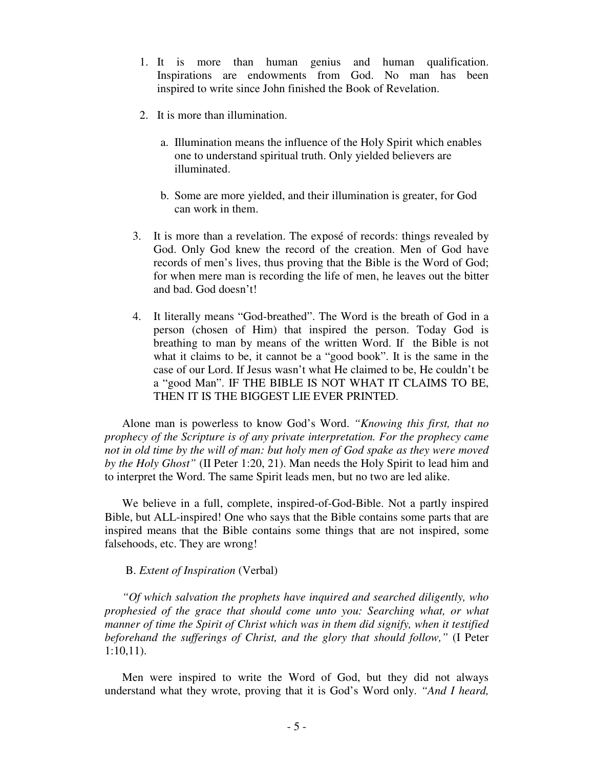- 1. It is more than human genius and human qualification. Inspirations are endowments from God. No man has been inspired to write since John finished the Book of Revelation.
- 2. It is more than illumination.
	- a. Illumination means the influence of the Holy Spirit which enables one to understand spiritual truth. Only yielded believers are illuminated.
	- b. Some are more yielded, and their illumination is greater, for God can work in them.
- 3. It is more than a revelation. The exposé of records: things revealed by God. Only God knew the record of the creation. Men of God have records of men's lives, thus proving that the Bible is the Word of God; for when mere man is recording the life of men, he leaves out the bitter and bad. God doesn't!
- 4. It literally means "God-breathed". The Word is the breath of God in a person (chosen of Him) that inspired the person. Today God is breathing to man by means of the written Word. If the Bible is not what it claims to be, it cannot be a "good book". It is the same in the case of our Lord. If Jesus wasn't what He claimed to be, He couldn't be a "good Man". IF THE BIBLE IS NOT WHAT IT CLAIMS TO BE, THEN IT IS THE BIGGEST LIE EVER PRINTED.

 Alone man is powerless to know God's Word. *"Knowing this first, that no prophecy of the Scripture is of any private interpretation. For the prophecy came not in old time by the will of man: but holy men of God spake as they were moved by the Holy Ghost"* (II Peter 1:20, 21). Man needs the Holy Spirit to lead him and to interpret the Word. The same Spirit leads men, but no two are led alike.

 We believe in a full, complete, inspired-of-God-Bible. Not a partly inspired Bible, but ALL-inspired! One who says that the Bible contains some parts that are inspired means that the Bible contains some things that are not inspired, some falsehoods, etc. They are wrong!

## B. *Extent of Inspiration* (Verbal)

*"Of which salvation the prophets have inquired and searched diligently, who prophesied of the grace that should come unto you: Searching what, or what manner of time the Spirit of Christ which was in them did signify, when it testified beforehand the sufferings of Christ, and the glory that should follow,"* (I Peter 1:10,11).

 Men were inspired to write the Word of God, but they did not always understand what they wrote, proving that it is God's Word only. *"And I heard,*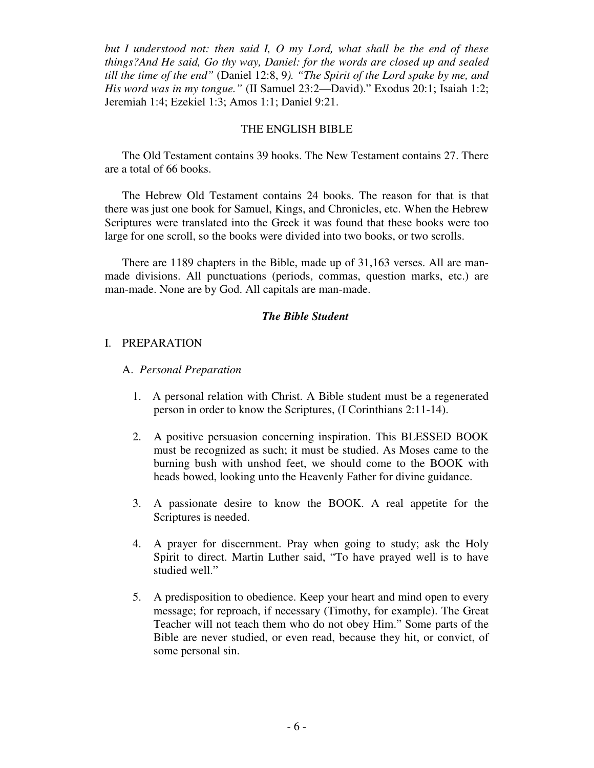*but I understood not: then said I, O my Lord, what shall be the end of these things?And He said, Go thy way, Daniel: for the words are closed up and sealed till the time of the end"* (Daniel 12:8, 9*). "The Spirit of the Lord spake by me, and His word was in my tongue."* (II Samuel 23:2—David)." Exodus 20:1; Isaiah 1:2; Jeremiah 1:4; Ezekiel 1:3; Amos 1:1; Daniel 9:21.

### THE ENGLISH BIBLE

 The Old Testament contains 39 hooks. The New Testament contains 27. There are a total of 66 books.

 The Hebrew Old Testament contains 24 books. The reason for that is that there was just one book for Samuel, Kings, and Chronicles, etc. When the Hebrew Scriptures were translated into the Greek it was found that these books were too large for one scroll, so the books were divided into two books, or two scrolls.

There are 1189 chapters in the Bible, made up of 31,163 verses. All are manmade divisions. All punctuations (periods, commas, question marks, etc.) are man-made. None are by God. All capitals are man-made.

## *The Bible Student*

### I. PREPARATION

- A. *Personal Preparation*
	- 1. A personal relation with Christ. A Bible student must be a regenerated person in order to know the Scriptures, (I Corinthians 2:11-14).
	- 2. A positive persuasion concerning inspiration. This BLESSED BOOK must be recognized as such; it must be studied. As Moses came to the burning bush with unshod feet, we should come to the BOOK with heads bowed, looking unto the Heavenly Father for divine guidance.
	- 3. A passionate desire to know the BOOK. A real appetite for the Scriptures is needed.
	- 4. A prayer for discernment. Pray when going to study; ask the Holy Spirit to direct. Martin Luther said, "To have prayed well is to have studied well."
	- 5. A predisposition to obedience. Keep your heart and mind open to every message; for reproach, if necessary (Timothy, for example). The Great Teacher will not teach them who do not obey Him." Some parts of the Bible are never studied, or even read, because they hit, or convict, of some personal sin.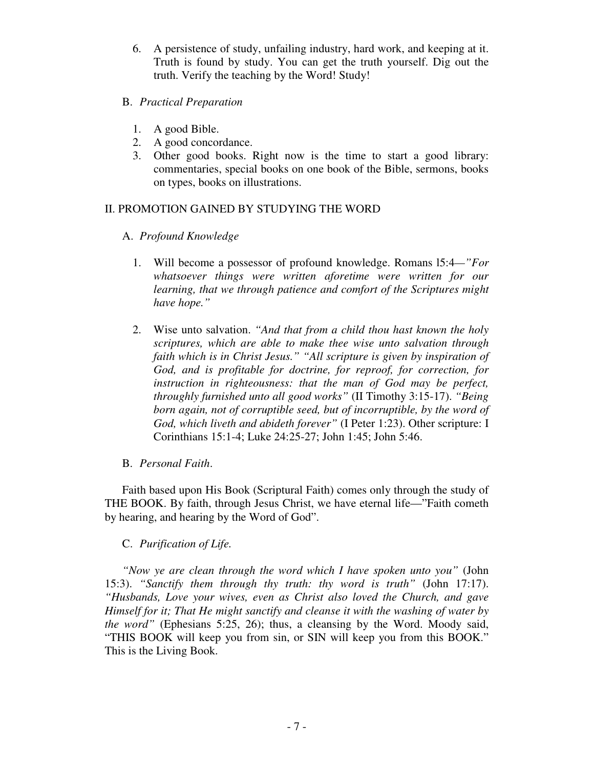6. A persistence of study, unfailing industry, hard work, and keeping at it. Truth is found by study. You can get the truth yourself. Dig out the truth. Verify the teaching by the Word! Study!

## B. *Practical Preparation*

- 1. A good Bible.
- 2. A good concordance.
- 3. Other good books. Right now is the time to start a good library: commentaries, special books on one book of the Bible, sermons, books on types, books on illustrations.

# II. PROMOTION GAINED BY STUDYING THE WORD

- A. *Profound Knowledge*
	- 1. Will become a possessor of profound knowledge. Romans l5:4*—"For whatsoever things were written aforetime were written for our learning, that we through patience and comfort of the Scriptures might have hope."*
	- 2. Wise unto salvation. *"And that from a child thou hast known the holy scriptures, which are able to make thee wise unto salvation through faith which is in Christ Jesus." "All scripture is given by inspiration of God, and is profitable for doctrine, for reproof, for correction, for instruction in righteousness: that the man of God may be perfect, throughly furnished unto all good works"* (II Timothy 3:15-17). *"Being born again, not of corruptible seed, but of incorruptible, by the word of God, which liveth and abideth forever"* (I Peter 1:23). Other scripture: I Corinthians 15:1-4; Luke 24:25-27; John 1:45; John 5:46.

# B. *Personal Faith*.

Faith based upon His Book (Scriptural Faith) comes only through the study of THE BOOK. By faith, through Jesus Christ, we have eternal life—"Faith cometh by hearing, and hearing by the Word of God".

# C. *Purification of Life.*

*"Now ye are clean through the word which I have spoken unto you"* (John 15:3). *"Sanctify them through thy truth: thy word is truth"* (John 17:17). *"Husbands, Love your wives, even as Christ also loved the Church, and gave Himself for it; That He might sanctify and cleanse it with the washing of water by the word"* (Ephesians 5:25, 26); thus, a cleansing by the Word. Moody said, "THIS BOOK will keep you from sin, or SIN will keep you from this BOOK." This is the Living Book.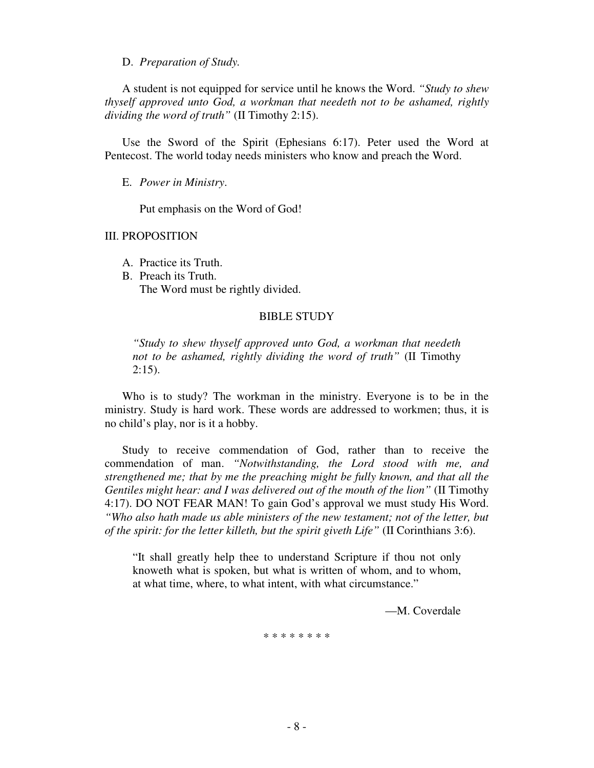D. *Preparation of Study.*

 A student is not equipped for service until he knows the Word. *"Study to shew thyself approved unto God, a workman that needeth not to be ashamed, rightly dividing the word of truth"* (II Timothy 2:15).

 Use the Sword of the Spirit (Ephesians 6:17). Peter used the Word at Pentecost. The world today needs ministers who know and preach the Word.

E. *Power in Ministry*.

Put emphasis on the Word of God!

III. PROPOSITION

- A. Practice its Truth.
- B. Preach its Truth. The Word must be rightly divided.

#### BIBLE STUDY

*"Study to shew thyself approved unto God, a workman that needeth not to be ashamed, rightly dividing the word of truth"* (II Timothy  $2:15$ ).

 Who is to study? The workman in the ministry. Everyone is to be in the ministry. Study is hard work. These words are addressed to workmen; thus, it is no child's play, nor is it a hobby.

 Study to receive commendation of God, rather than to receive the commendation of man. *"Notwithstanding, the Lord stood with me, and strengthened me; that by me the preaching might be fully known, and that all the Gentiles might hear: and I was delivered out of the mouth of the lion"* (II Timothy 4:17). DO NOT FEAR MAN! To gain God's approval we must study His Word. *"Who also hath made us able ministers of the new testament; not of the letter, but of the spirit: for the letter killeth, but the spirit giveth Life"* (II Corinthians 3:6).

"It shall greatly help thee to understand Scripture if thou not only knoweth what is spoken, but what is written of whom, and to whom, at what time, where, to what intent, with what circumstance."

—M. Coverdale

\* \* \* \* \* \* \* \*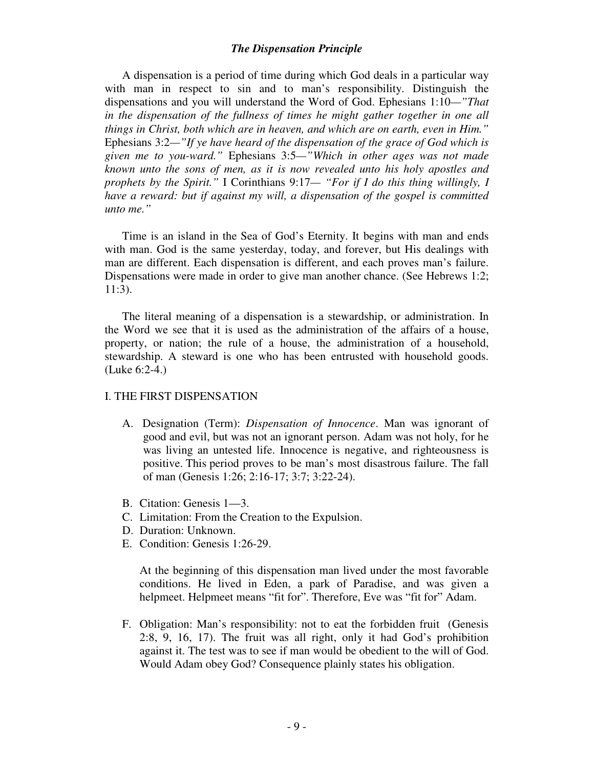## *The Dispensation Principle*

 A dispensation is a period of time during which God deals in a particular way with man in respect to sin and to man's responsibility. Distinguish the dispensations and you will understand the Word of God. Ephesians 1:10*—"That in the dispensation of the fullness of times he might gather together in one all things in Christ, both which are in heaven, and which are on earth, even in Him."* Ephesians 3:2*—"If ye have heard of the dispensation of the grace of God which is given me to you-ward."* Ephesians 3:5*—"Which in other ages was not made known unto the sons of men, as it is now revealed unto his holy apostles and prophets by the Spirit."* I Corinthians 9:17*— "For if I do this thing willingly, I have a reward: but if against my will, a dispensation of the gospel is committed unto me."* 

 Time is an island in the Sea of God's Eternity. It begins with man and ends with man. God is the same yesterday, today, and forever, but His dealings with man are different. Each dispensation is different, and each proves man's failure. Dispensations were made in order to give man another chance. (See Hebrews 1:2; 11:3).

 The literal meaning of a dispensation is a stewardship, or administration. In the Word we see that it is used as the administration of the affairs of a house, property, or nation; the rule of a house, the administration of a household, stewardship. A steward is one who has been entrusted with household goods. (Luke 6:2-4.)

## I. THE FIRST DISPENSATION

- A. Designation (Term): *Dispensation of Innocence*. Man was ignorant of good and evil, but was not an ignorant person. Adam was not holy, for he was living an untested life. Innocence is negative, and righteousness is positive. This period proves to be man's most disastrous failure. The fall of man (Genesis 1:26; 2:16-17; 3:7; 3:22-24).
- B. Citation: Genesis 1—3.
- C. Limitation: From the Creation to the Expulsion.
- D. Duration: Unknown.
- E. Condition: Genesis 1:26-29.

At the beginning of this dispensation man lived under the most favorable conditions. He lived in Eden, a park of Paradise, and was given a helpmeet. Helpmeet means "fit for". Therefore, Eve was "fit for" Adam.

F. Obligation: Man's responsibility: not to eat the forbidden fruit (Genesis 2:8, 9, 16, 17). The fruit was all right, only it had God's prohibition against it. The test was to see if man would be obedient to the will of God. Would Adam obey God? Consequence plainly states his obligation.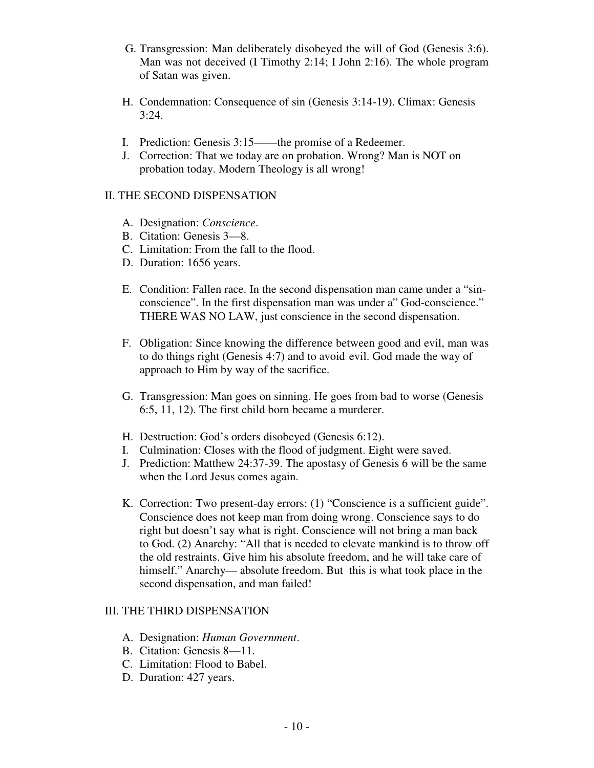- G. Transgression: Man deliberately disobeyed the will of God (Genesis 3:6). Man was not deceived (I Timothy 2:14; I John 2:16). The whole program of Satan was given.
- H. Condemnation: Consequence of sin (Genesis 3:14-19). Climax: Genesis  $3:24.$
- I. Prediction: Genesis 3:15——the promise of a Redeemer.
- J. Correction: That we today are on probation. Wrong? Man is NOT on probation today. Modern Theology is all wrong!

## II. THE SECOND DISPENSATION

- A. Designation: *Conscience*.
- B. Citation: Genesis 3—8.
- C. Limitation: From the fall to the flood.
- D. Duration: 1656 years.
- E. Condition: Fallen race. In the second dispensation man came under a "sin conscience". In the first dispensation man was under a" God-conscience." THERE WAS NO LAW, just conscience in the second dispensation.
- F. Obligation: Since knowing the difference between good and evil, man was to do things right (Genesis 4:7) and to avoid evil. God made the way of approach to Him by way of the sacrifice.
- G. Transgression: Man goes on sinning. He goes from bad to worse (Genesis 6:5, 11, 12). The first child born became a murderer.
- H. Destruction: God's orders disobeyed (Genesis 6:12).
- I. Culmination: Closes with the flood of judgment. Eight were saved.
- J. Prediction: Matthew 24:37-39. The apostasy of Genesis 6 will be the same when the Lord Jesus comes again.
- K. Correction: Two present-day errors: (1) "Conscience is a sufficient guide". Conscience does not keep man from doing wrong. Conscience says to do right but doesn't say what is right. Conscience will not bring a man back to God. (2) Anarchy: "All that is needed to elevate mankind is to throw off the old restraints. Give him his absolute freedom, and he will take care of himself." Anarchy— absolute freedom. But this is what took place in the second dispensation, and man failed!

# III. THE THIRD DISPENSATION

- A. Designation: *Human Government*.
- B. Citation: Genesis 8—11.
- C. Limitation: Flood to Babel.
- D. Duration: 427 years.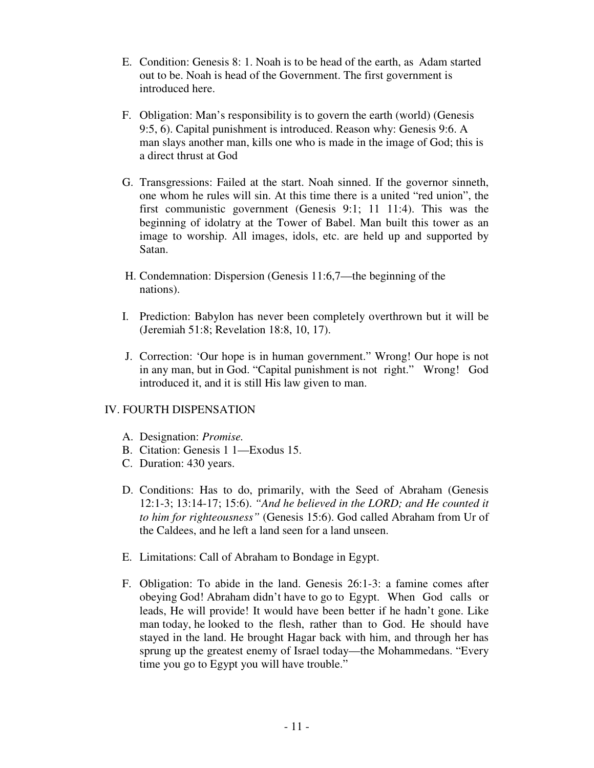- E. Condition: Genesis 8: 1. Noah is to be head of the earth, as Adam started out to be. Noah is head of the Government. The first government is introduced here.
- F. Obligation: Man's responsibility is to govern the earth (world) (Genesis 9:5, 6). Capital punishment is introduced. Reason why: Genesis 9:6. A man slays another man, kills one who is made in the image of God; this is a direct thrust at God
- G. Transgressions: Failed at the start. Noah sinned. If the governor sinneth, one whom he rules will sin. At this time there is a united "red union", the first communistic government (Genesis 9:1; 11 11:4). This was the beginning of idolatry at the Tower of Babel. Man built this tower as an image to worship. All images, idols, etc. are held up and supported by Satan.
- H. Condemnation: Dispersion (Genesis 11:6,7—the beginning of the nations).
- I. Prediction: Babylon has never been completely overthrown but it will be (Jeremiah 51:8; Revelation 18:8, 10, 17).
- J. Correction: 'Our hope is in human government." Wrong! Our hope is not in any man, but in God. "Capital punishment is not right." Wrong! God introduced it, and it is still His law given to man.

# IV. FOURTH DISPENSATION

- A. Designation: *Promise.*
- B. Citation: Genesis 1 1—Exodus 15.
- C. Duration: 430 years.
- D. Conditions: Has to do, primarily, with the Seed of Abraham (Genesis 12:1-3; 13:14-17; 15:6). *"And he believed in the LORD; and He counted it to him for righteousness"* (Genesis 15:6). God called Abraham from Ur of the Caldees, and he left a land seen for a land unseen.
- E. Limitations: Call of Abraham to Bondage in Egypt.
- F. Obligation: To abide in the land. Genesis 26:1-3: a famine comes after obeying God! Abraham didn't have to go to Egypt. When God calls or leads, He will provide! It would have been better if he hadn't gone. Like man today, he looked to the flesh, rather than to God. He should have stayed in the land. He brought Hagar back with him, and through her has sprung up the greatest enemy of Israel today—the Mohammedans. "Every time you go to Egypt you will have trouble."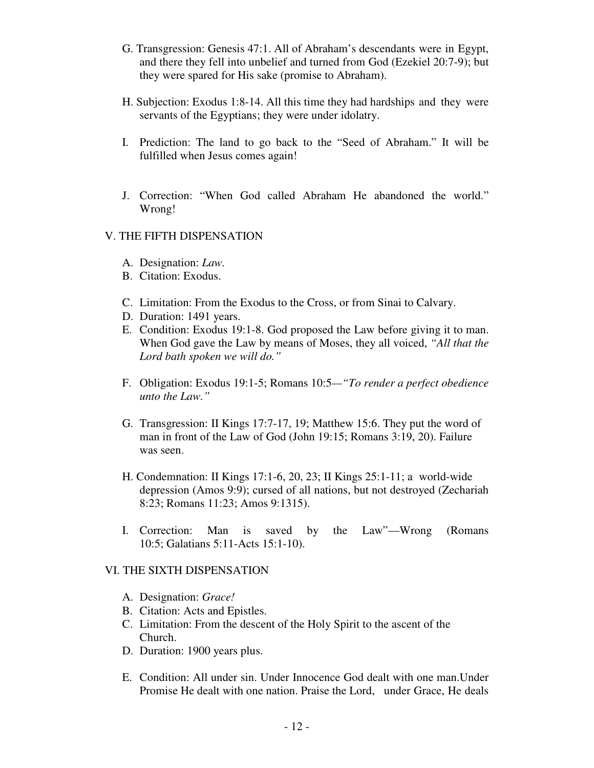- G. Transgression: Genesis 47:1. All of Abraham's descendants were in Egypt, and there they fell into unbelief and turned from God (Ezekiel 20:7-9); but they were spared for His sake (promise to Abraham).
- H. Subjection: Exodus 1:8-14. All this time they had hardships and they were servants of the Egyptians; they were under idolatry.
- I. Prediction: The land to go back to the "Seed of Abraham." It will be fulfilled when Jesus comes again!
- J. Correction: "When God called Abraham He abandoned the world." Wrong!

## V. THE FIFTH DISPENSATION

- A. Designation: *Law.*
- B. Citation: Exodus.
- C. Limitation: From the Exodus to the Cross, or from Sinai to Calvary.
- D. Duration: 1491 years.
- E. Condition: Exodus 19:1-8. God proposed the Law before giving it to man. When God gave the Law by means of Moses, they all voiced, *"All that the Lord bath spoken we will do."*
- F. Obligation: Exodus 19:1-5; Romans 10:5*—"To render a perfect obedience unto the Law."*
- G. Transgression: II Kings 17:7-17, 19; Matthew 15:6. They put the word of man in front of the Law of God (John 19:15; Romans 3:19, 20). Failure was seen.
- H. Condemnation: II Kings 17:1-6, 20, 23; II Kings 25:1-11; a world-wide depression (Amos 9:9); cursed of all nations, but not destroyed (Zechariah 8:23; Romans 11:23; Amos 9:1315).
- I. Correction: Man is saved by the Law"—Wrong (Romans 10:5; Galatians 5:11-Acts 15:1-10).

# VI. THE SIXTH DISPENSATION

- A. Designation: *Grace!*
- B. Citation: Acts and Epistles.
- C. Limitation: From the descent of the Holy Spirit to the ascent of the Church.
- D. Duration: 1900 years plus.
- E. Condition: All under sin. Under Innocence God dealt with one man.Under Promise He dealt with one nation. Praise the Lord, under Grace, He deals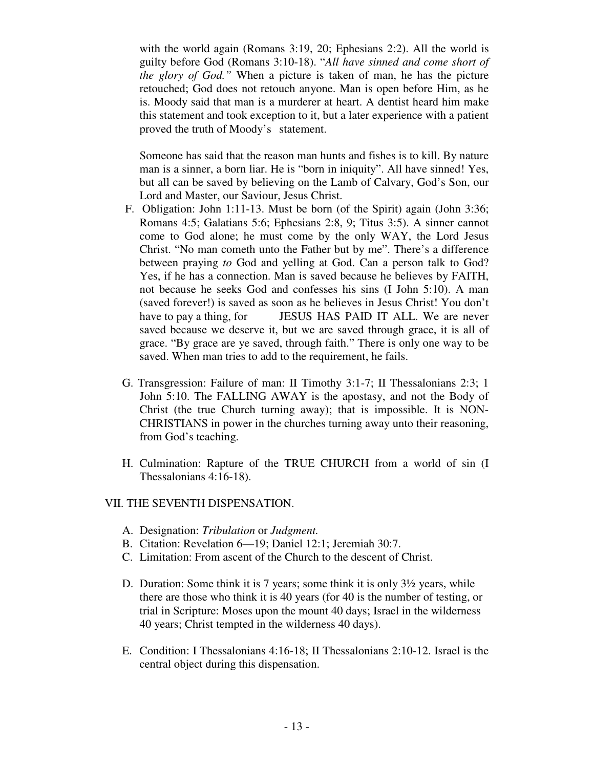with the world again (Romans 3:19, 20; Ephesians 2:2). All the world is guilty before God (Romans 3:10-18). "*All have sinned and come short of the glory of God."* When a picture is taken of man, he has the picture retouched; God does not retouch anyone. Man is open before Him, as he is. Moody said that man is a murderer at heart. A dentist heard him make this statement and took exception to it, but a later experience with a patient proved the truth of Moody's statement.

 Someone has said that the reason man hunts and fishes is to kill. By nature man is a sinner, a born liar. He is "born in iniquity". All have sinned! Yes, but all can be saved by believing on the Lamb of Calvary, God's Son, our Lord and Master, our Saviour, Jesus Christ.

- F. Obligation: John 1:11-13. Must be born (of the Spirit) again (John 3:36; Romans 4:5; Galatians 5:6; Ephesians 2:8, 9; Titus 3:5). A sinner cannot come to God alone; he must come by the only WAY, the Lord Jesus Christ. "No man cometh unto the Father but by me". There's a difference between praying *to* God and yelling at God. Can a person talk to God? Yes, if he has a connection. Man is saved because he believes by FAITH, not because he seeks God and confesses his sins (I John 5:10). A man (saved forever!) is saved as soon as he believes in Jesus Christ! You don't have to pay a thing, for **JESUS HAS PAID IT ALL.** We are never saved because we deserve it, but we are saved through grace, it is all of grace. "By grace are ye saved, through faith." There is only one way to be saved. When man tries to add to the requirement, he fails.
- G. Transgression: Failure of man: II Timothy 3:1-7; II Thessalonians 2:3; 1 John 5:10. The FALLING AWAY is the apostasy, and not the Body of Christ (the true Church turning away); that is impossible. It is NON-CHRISTIANS in power in the churches turning away unto their reasoning, from God's teaching.
- H. Culmination: Rapture of the TRUE CHURCH from a world of sin (I Thessalonians 4:16-18).

## VII. THE SEVENTH DISPENSATION.

- A. Designation: *Tribulation* or *Judgment.*
- B. Citation: Revelation 6—19; Daniel 12:1; Jeremiah 30:7.
- C. Limitation: From ascent of the Church to the descent of Christ.
- D. Duration: Some think it is 7 years; some think it is only 3½ years, while there are those who think it is 40 years (for 40 is the number of testing, or trial in Scripture: Moses upon the mount 40 days; Israel in the wilderness 40 years; Christ tempted in the wilderness 40 days).
- E. Condition: I Thessalonians 4:16-18; II Thessalonians 2:10-12. Israel is the central object during this dispensation.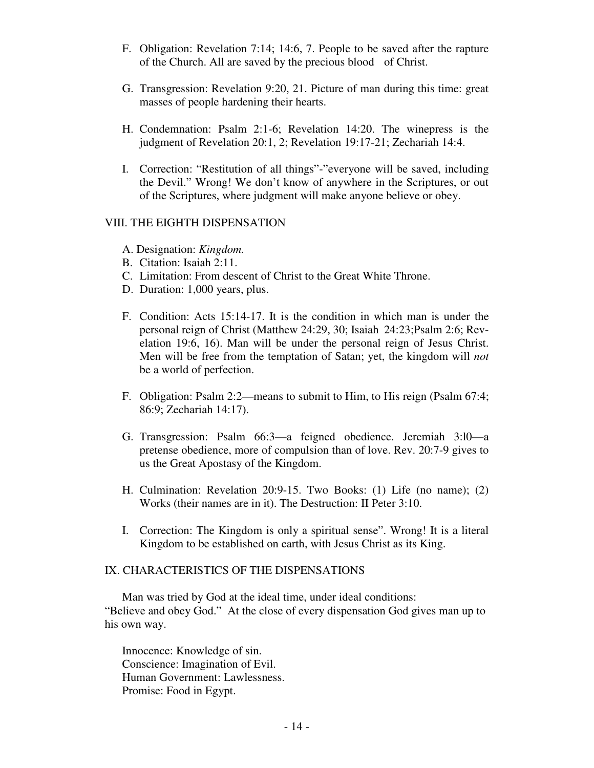- F. Obligation: Revelation 7:14; 14:6, 7. People to be saved after the rapture of the Church. All are saved by the precious blood of Christ.
- G. Transgression: Revelation 9:20, 21. Picture of man during this time: great masses of people hardening their hearts.
- H. Condemnation: Psalm 2:1-6; Revelation 14:20. The winepress is the judgment of Revelation 20:1, 2; Revelation 19:17-21; Zechariah 14:4.
- I. Correction: "Restitution of all things"-"everyone will be saved, including the Devil." Wrong! We don't know of anywhere in the Scriptures, or out of the Scriptures, where judgment will make anyone believe or obey.

## VIII. THE EIGHTH DISPENSATION

- A. Designation: *Kingdom.*
- B. Citation: Isaiah 2:11.
- C. Limitation: From descent of Christ to the Great White Throne.
- D. Duration: 1,000 years, plus.
- F. Condition: Acts 15:14-17. It is the condition in which man is under the personal reign of Christ (Matthew 24:29, 30; Isaiah 24:23;Psalm 2:6; Revelation 19:6, 16). Man will be under the personal reign of Jesus Christ. Men will be free from the temptation of Satan; yet, the kingdom will *not*  be a world of perfection.
- F. Obligation: Psalm 2:2—means to submit to Him, to His reign (Psalm 67:4; 86:9; Zechariah 14:17).
- G. Transgression: Psalm 66:3—a feigned obedience. Jeremiah 3:l0—a pretense obedience, more of compulsion than of love. Rev. 20:7-9 gives to us the Great Apostasy of the Kingdom.
- H. Culmination: Revelation 20:9-15. Two Books: (1) Life (no name); (2) Works (their names are in it). The Destruction: II Peter 3:10.
- I. Correction: The Kingdom is only a spiritual sense". Wrong! It is a literal Kingdom to be established on earth, with Jesus Christ as its King.

# IX. CHARACTERISTICS OF THE DISPENSATIONS

 Man was tried by God at the ideal time, under ideal conditions: "Believe and obey God." At the close of every dispensation God gives man up to his own way.

Innocence: Knowledge of sin. Conscience: Imagination of Evil. Human Government: Lawlessness. Promise: Food in Egypt.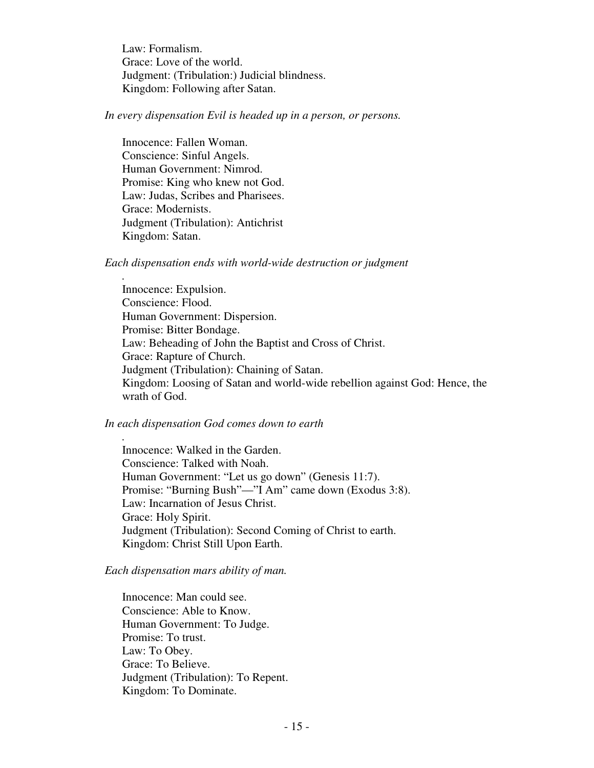Law: Formalism. Grace: Love of the world. Judgment: (Tribulation:) Judicial blindness. Kingdom: Following after Satan.

*In every dispensation Evil is headed up in a person, or persons.* 

Innocence: Fallen Woman. Conscience: Sinful Angels. Human Government: Nimrod. Promise: King who knew not God. Law: Judas, Scribes and Pharisees. Grace: Modernists. Judgment (Tribulation): Antichrist Kingdom: Satan.

*.* 

*.* 

*Each dispensation ends with world-wide destruction or judgment* 

Innocence: Expulsion. Conscience: Flood. Human Government: Dispersion. Promise: Bitter Bondage. Law: Beheading of John the Baptist and Cross of Christ. Grace: Rapture of Church. Judgment (Tribulation): Chaining of Satan. Kingdom: Loosing of Satan and world-wide rebellion against God: Hence, the wrath of God.

## *In each dispensation God comes down to earth*

Innocence: Walked in the Garden. Conscience: Talked with Noah. Human Government: "Let us go down" (Genesis 11:7). Promise: "Burning Bush"—"I Am" came down (Exodus 3:8). Law: Incarnation of Jesus Christ. Grace: Holy Spirit. Judgment (Tribulation): Second Coming of Christ to earth. Kingdom: Christ Still Upon Earth.

### *Each dispensation mars ability of man.*

Innocence: Man could see. Conscience: Able to Know. Human Government: To Judge. Promise: To trust. Law: To Obey. Grace: To Believe. Judgment (Tribulation): To Repent. Kingdom: To Dominate.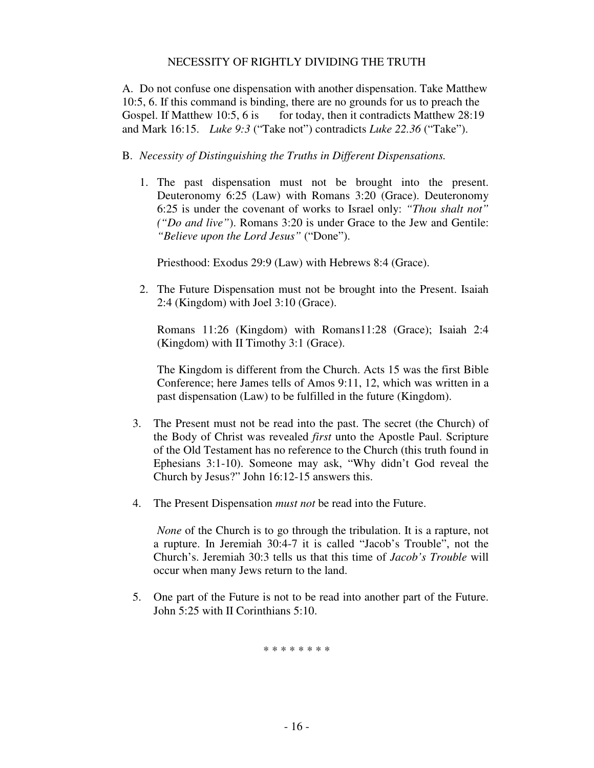## NECESSITY OF RIGHTLY DIVIDING THE TRUTH

A. Do not confuse one dispensation with another dispensation. Take Matthew 10:5, 6. If this command is binding, there are no grounds for us to preach the Gospel. If Matthew 10:5, 6 is for today, then it contradicts Matthew  $28:19$ and Mark 16:15. *Luke 9:3* ("Take not") contradicts *Luke 22.36* ("Take").

- B. *Necessity of Distinguishing the Truths in Different Dispensations.* 
	- 1. The past dispensation must not be brought into the present. Deuteronomy 6:25 (Law) with Romans 3:20 (Grace). Deuteronomy 6:25 is under the covenant of works to Israel only: *"Thou shalt not" ("Do and live"*). Romans 3:20 is under Grace to the Jew and Gentile: *"Believe upon the Lord Jesus"* ("Done").

Priesthood: Exodus 29:9 (Law) with Hebrews 8:4 (Grace).

2. The Future Dispensation must not be brought into the Present. Isaiah 2:4 (Kingdom) with Joel 3:10 (Grace).

 Romans 11:26 (Kingdom) with Romans11:28 (Grace); Isaiah 2:4 (Kingdom) with II Timothy 3:1 (Grace).

The Kingdom is different from the Church. Acts 15 was the first Bible Conference; here James tells of Amos 9:11, 12, which was written in a past dispensation (Law) to be fulfilled in the future (Kingdom).

- 3. The Present must not be read into the past. The secret (the Church) of the Body of Christ was revealed *first* unto the Apostle Paul. Scripture of the Old Testament has no reference to the Church (this truth found in Ephesians 3:1-10). Someone may ask, "Why didn't God reveal the Church by Jesus?" John 16:12-15 answers this.
- 4. The Present Dispensation *must not* be read into the Future.

*None* of the Church is to go through the tribulation. It is a rapture, not a rupture. In Jeremiah 30:4-7 it is called "Jacob's Trouble", not the Church's. Jeremiah 30:3 tells us that this time of *Jacob's Trouble* will occur when many Jews return to the land.

5. One part of the Future is not to be read into another part of the Future. John 5:25 with II Corinthians 5:10.

\* \* \* \* \* \* \* \*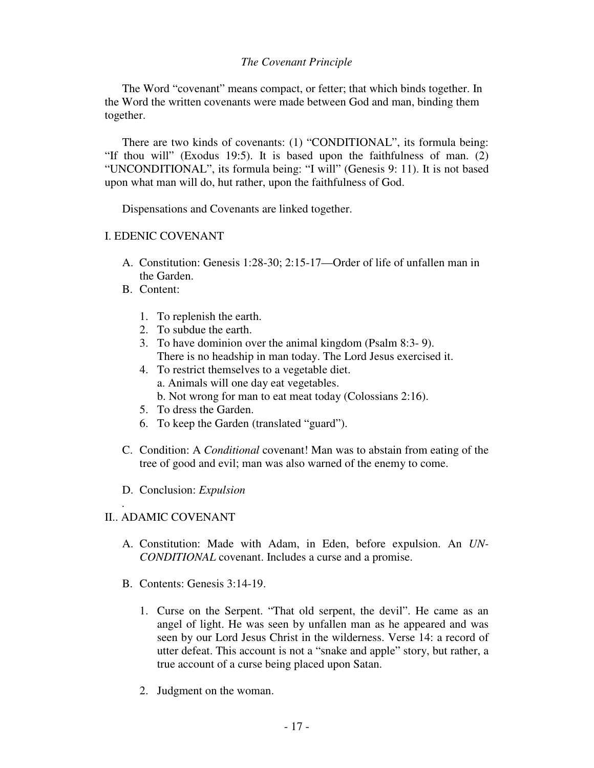## *The Covenant Principle*

 The Word "covenant" means compact, or fetter; that which binds together. In the Word the written covenants were made between God and man, binding them together.

 There are two kinds of covenants: (1) "CONDITIONAL", its formula being: "If thou will" (Exodus 19:5). It is based upon the faithfulness of man. (2) "UNCONDITIONAL", its formula being: "I will" (Genesis 9: 11). It is not based upon what man will do, hut rather, upon the faithfulness of God.

Dispensations and Covenants are linked together.

## I. EDENIC COVENANT

- A. Constitution: Genesis 1:28-30; 2:15-17—Order of life of unfallen man in the Garden.
- B. Content:
	- 1. To replenish the earth.
	- 2. To subdue the earth.
	- 3. To have dominion over the animal kingdom (Psalm 8:3- 9). There is no headship in man today. The Lord Jesus exercised it.
	- 4. To restrict themselves to a vegetable diet. a. Animals will one day eat vegetables.
		- b. Not wrong for man to eat meat today (Colossians 2:16).
	- 5. To dress the Garden.
	- 6. To keep the Garden (translated "guard").
- C. Condition: A *Conditional* covenant! Man was to abstain from eating of the tree of good and evil; man was also warned of the enemy to come.
- D. Conclusion: *Expulsion*

## II.. ADAMIC COVENANT

*.* 

- A. Constitution: Made with Adam, in Eden, before expulsion. An *UN-CONDITIONAL* covenant. Includes a curse and a promise.
- B. Contents: Genesis 3:14-19.
	- 1. Curse on the Serpent. "That old serpent, the devil". He came as an angel of light. He was seen by unfallen man as he appeared and was seen by our Lord Jesus Christ in the wilderness. Verse 14: a record of utter defeat. This account is not a "snake and apple" story, but rather, a true account of a curse being placed upon Satan.
	- 2. Judgment on the woman.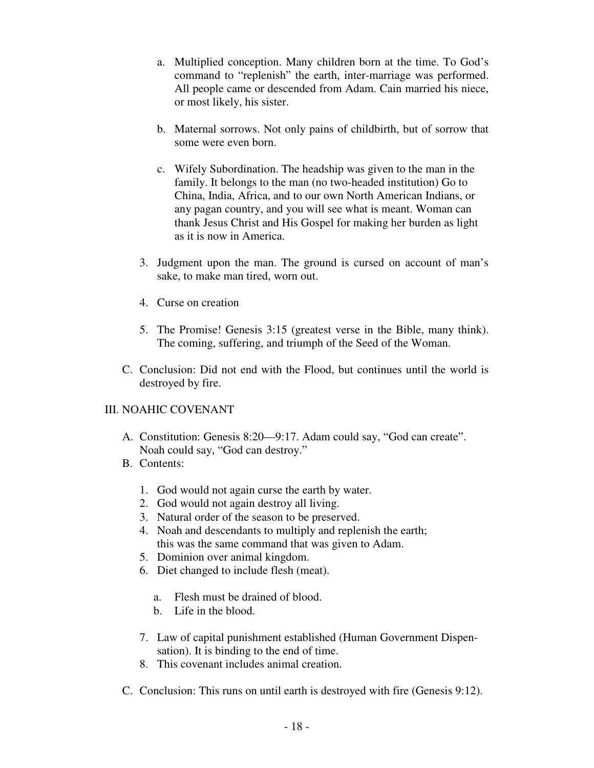- a. Multiplied conception. Many children born at the time. To God's command to "replenish" the earth, inter-marriage was performed. All people came or descended from Adam. Cain married his niece, or most likely, his sister.
- b. Maternal sorrows. Not only pains of childbirth, but of sorrow that some were even born.
- c. Wifely Subordination. The headship was given to the man in the family. It belongs to the man (no two-headed institution) Go to China, India, Africa, and to our own North American Indians, or any pagan country, and you will see what is meant. Woman can thank Jesus Christ and His Gospel for making her burden as light as it is now in America.
- 3. Judgment upon the man. The ground is cursed on account of man's sake, to make man tired, worn out.
- 4. Curse on creation
- 5. The Promise! Genesis 3:15 (greatest verse in the Bible, many think). The coming, suffering, and triumph of the Seed of the Woman.
- C. Conclusion: Did not end with the Flood, but continues until the world is destroyed by fire.

# III. NOAHIC COVENANT

- A. Constitution: Genesis 8:20—9:17. Adam could say, "God can create". Noah could say, "God can destroy."
- B. Contents:
	- 1. God would not again curse the earth by water.
	- 2. God would not again destroy all living.
	- 3. Natural order of the season to be preserved.
	- 4. Noah and descendants to multiply and replenish the earth; this was the same command that was given to Adam.
	- 5. Dominion over animal kingdom.
	- 6. Diet changed to include flesh (meat).
		- a. Flesh must be drained of blood.
		- b. Life in the blood.
	- 7. Law of capital punishment established (Human Government Dispen sation). It is binding to the end of time.
	- 8. This covenant includes animal creation.
- C. Conclusion: This runs on until earth is destroyed with fire (Genesis 9:12).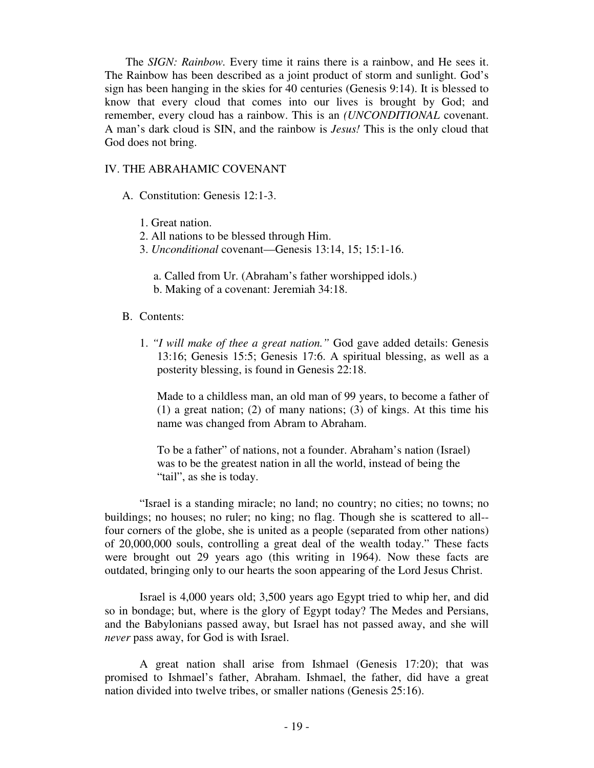The *SIGN: Rainbow.* Every time it rains there is a rainbow, and He sees it. The Rainbow has been described as a joint product of storm and sunlight. God's sign has been hanging in the skies for 40 centuries (Genesis 9:14). It is blessed to know that every cloud that comes into our lives is brought by God; and remember, every cloud has a rainbow. This is an *(UNCONDITIONAL* covenant. A man's dark cloud is SIN, and the rainbow is *Jesus!* This is the only cloud that God does not bring.

### IV. THE ABRAHAMIC COVENANT

- A. Constitution: Genesis 12:1-3.
	- 1. Great nation.
	- 2. All nations to be blessed through Him.
	- 3. *Unconditional* covenant—Genesis 13:14, 15; 15:1-16.
		- a. Called from Ur. (Abraham's father worshipped idols.) b. Making of a covenant: Jeremiah 34:18.
- B. Contents:
	- 1. *"I will make of thee a great nation."* God gave added details: Genesis 13:16; Genesis 15:5; Genesis 17:6. A spiritual blessing, as well as a posterity blessing, is found in Genesis 22:18.

Made to a childless man, an old man of 99 years, to become a father of (1) a great nation; (2) of many nations; (3) of kings. At this time his name was changed from Abram to Abraham.

 To be a father" of nations, not a founder. Abraham's nation (Israel) was to be the greatest nation in all the world, instead of being the "tail", as she is today.

 "Israel is a standing miracle; no land; no country; no cities; no towns; no buildings; no houses; no ruler; no king; no flag. Though she is scattered to all- four corners of the globe, she is united as a people (separated from other nations) of 20,000,000 souls, controlling a great deal of the wealth today." These facts were brought out 29 years ago (this writing in 1964). Now these facts are outdated, bringing only to our hearts the soon appearing of the Lord Jesus Christ.

 Israel is 4,000 years old; 3,500 years ago Egypt tried to whip her, and did so in bondage; but, where is the glory of Egypt today? The Medes and Persians, and the Babylonians passed away, but Israel has not passed away, and she will *never* pass away, for God is with Israel.

 A great nation shall arise from Ishmael (Genesis 17:20); that was promised to Ishmael's father, Abraham. Ishmael, the father, did have a great nation divided into twelve tribes, or smaller nations (Genesis 25:16).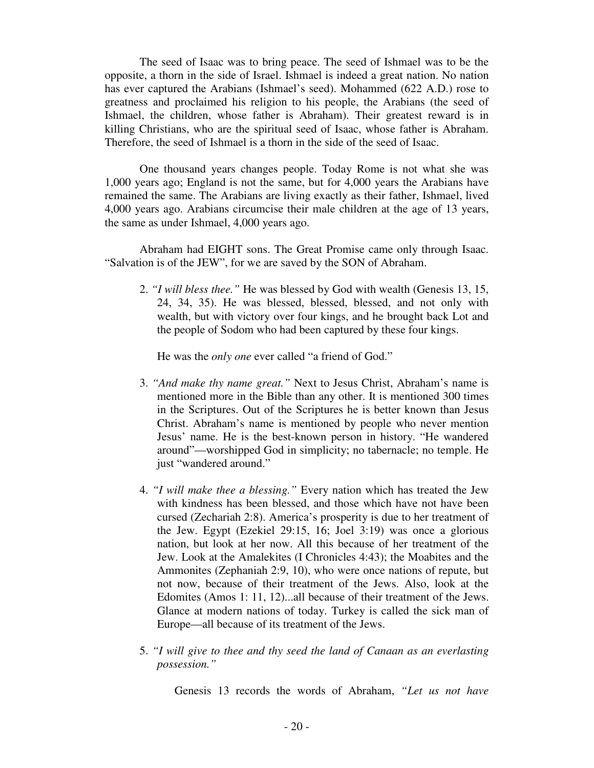The seed of Isaac was to bring peace. The seed of Ishmael was to be the opposite, a thorn in the side of Israel. Ishmael is indeed a great nation. No nation has ever captured the Arabians (Ishmael's seed). Mohammed (622 A.D.) rose to greatness and proclaimed his religion to his people, the Arabians (the seed of Ishmael, the children, whose father is Abraham). Their greatest reward is in killing Christians, who are the spiritual seed of Isaac, whose father is Abraham. Therefore, the seed of Ishmael is a thorn in the side of the seed of Isaac.

 One thousand years changes people. Today Rome is not what she was 1,000 years ago; England is not the same, but for 4,000 years the Arabians have remained the same. The Arabians are living exactly as their father, Ishmael, lived 4,000 years ago. Arabians circumcise their male children at the age of 13 years, the same as under Ishmael, 4,000 years ago.

 Abraham had EIGHT sons. The Great Promise came only through Isaac. "Salvation is of the JEW", for we are saved by the SON of Abraham.

2. *"I will bless thee."* He was blessed by God with wealth (Genesis 13, 15, 24, 34, 35). He was blessed, blessed, blessed, and not only with wealth, but with victory over four kings, and he brought back Lot and the people of Sodom who had been captured by these four kings.

He was the *only one* ever called "a friend of God."

- 3. *"And make thy name great."* Next to Jesus Christ, Abraham's name is mentioned more in the Bible than any other. It is mentioned 300 times in the Scriptures. Out of the Scriptures he is better known than Jesus Christ. Abraham's name is mentioned by people who never mention Jesus' name. He is the best-known person in history. "He wandered around"—worshipped God in simplicity; no tabernacle; no temple. He just "wandered around."
- 4. *"I will make thee a blessing."* Every nation which has treated the Jew with kindness has been blessed, and those which have not have been cursed (Zechariah 2:8). America's prosperity is due to her treatment of the Jew. Egypt (Ezekiel 29:15, 16; Joel 3:19) was once a glorious nation, but look at her now. All this because of her treatment of the Jew. Look at the Amalekites (I Chronicles 4:43); the Moabites and the Ammonites (Zephaniah 2:9, 10), who were once nations of repute, but not now, because of their treatment of the Jews. Also, look at the Edomites (Amos 1: 11, 12)...all because of their treatment of the Jews. Glance at modern nations of today. Turkey is called the sick man of Europe—all because of its treatment of the Jews.
- 5. *"I will give to thee and thy seed the land of Canaan as an everlasting possession."*

Genesis 13 records the words of Abraham, *"Let us not have*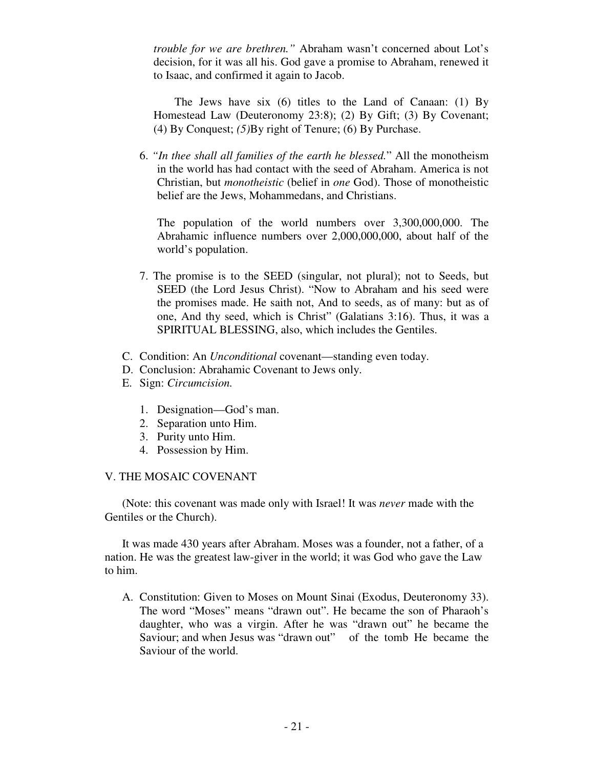*trouble for we are brethren."* Abraham wasn't concerned about Lot's decision, for it was all his. God gave a promise to Abraham, renewed it to Isaac, and confirmed it again to Jacob.

 The Jews have six (6) titles to the Land of Canaan: (1) By Homestead Law (Deuteronomy 23:8); (2) By Gift; (3) By Covenant; (4) By Conquest; *(5)*By right of Tenure; (6) By Purchase.

6. *"In thee shall all families of the earth he blessed.*" All the monotheism in the world has had contact with the seed of Abraham. America is not Christian, but *monotheistic* (belief in *one* God). Those of monotheistic belief are the Jews, Mohammedans, and Christians.

The population of the world numbers over 3,300,000,000. The Abrahamic influence numbers over 2,000,000,000, about half of the world's population.

- 7. The promise is to the SEED (singular, not plural); not to Seeds, but SEED (the Lord Jesus Christ). "Now to Abraham and his seed were the promises made. He saith not, And to seeds, as of many: but as of one, And thy seed, which is Christ" (Galatians 3:16). Thus, it was a SPIRITUAL BLESSING, also, which includes the Gentiles.
- C. Condition: An *Unconditional* covenant—standing even today.
- D. Conclusion: Abrahamic Covenant to Jews only.
- E. Sign: *Circumcision.* 
	- 1. Designation—God's man.
	- 2. Separation unto Him.
	- 3. Purity unto Him.
	- 4. Possession by Him.

### V. THE MOSAIC COVENANT

 (Note: this covenant was made only with Israel! It was *never* made with the Gentiles or the Church).

 It was made 430 years after Abraham. Moses was a founder, not a father, of a nation. He was the greatest law-giver in the world; it was God who gave the Law to him.

A. Constitution: Given to Moses on Mount Sinai (Exodus, Deuteronomy 33). The word "Moses" means "drawn out". He became the son of Pharaoh's daughter, who was a virgin. After he was "drawn out" he became the Saviour; and when Jesus was "drawn out" of the tomb He became the Saviour of the world.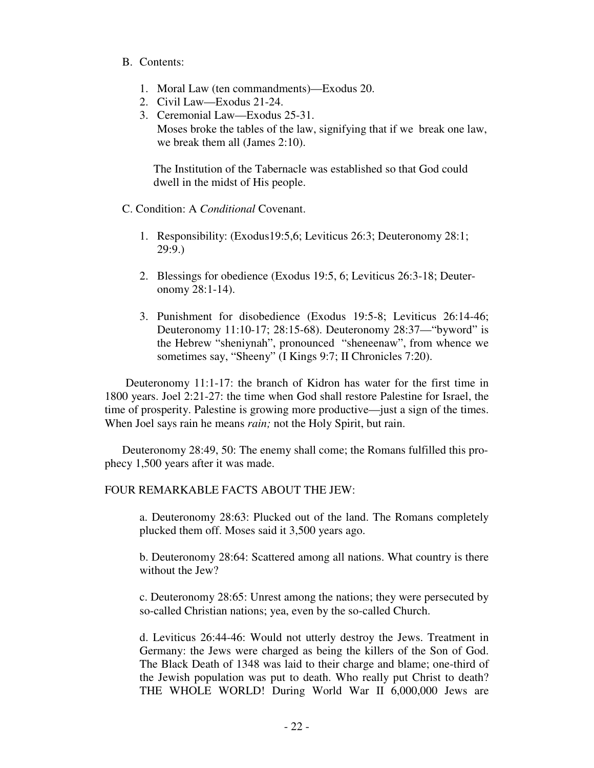### B. Contents:

- 1. Moral Law (ten commandments)—Exodus 20.
- 2. Civil Law—Exodus 21-24.
- 3. Ceremonial Law—Exodus 25-31. Moses broke the tables of the law, signifying that if we break one law, we break them all (James 2:10).

The Institution of the Tabernacle was established so that God could dwell in the midst of His people.

C. Condition: A *Conditional* Covenant.

- 1. Responsibility: (Exodus19:5,6; Leviticus 26:3; Deuteronomy 28:1; 29:9.)
- 2. Blessings for obedience (Exodus 19:5, 6; Leviticus 26:3-18; Deuter onomy 28:1-14).
- 3. Punishment for disobedience (Exodus 19:5-8; Leviticus 26:14-46; Deuteronomy 11:10-17; 28:15-68). Deuteronomy 28:37—"byword" is the Hebrew "sheniynah", pronounced "sheneenaw", from whence we sometimes say, "Sheeny" (I Kings 9:7; II Chronicles 7:20).

Deuteronomy 11:1-17: the branch of Kidron has water for the first time in 1800 years. Joel 2:21-27: the time when God shall restore Palestine for Israel, the time of prosperity. Palestine is growing more productive—just a sign of the times. When Joel says rain he means *rain;* not the Holy Spirit, but rain.

 Deuteronomy 28:49, 50: The enemy shall come; the Romans fulfilled this prophecy 1,500 years after it was made.

## FOUR REMARKABLE FACTS ABOUT THE JEW:

a. Deuteronomy 28:63: Plucked out of the land. The Romans completely plucked them off. Moses said it 3,500 years ago.

b. Deuteronomy 28:64: Scattered among all nations. What country is there without the Jew?

c. Deuteronomy 28:65: Unrest among the nations; they were persecuted by so-called Christian nations; yea, even by the so-called Church.

d. Leviticus 26:44-46: Would not utterly destroy the Jews. Treatment in Germany: the Jews were charged as being the killers of the Son of God. The Black Death of 1348 was laid to their charge and blame; one-third of the Jewish population was put to death. Who really put Christ to death? THE WHOLE WORLD! During World War II 6,000,000 Jews are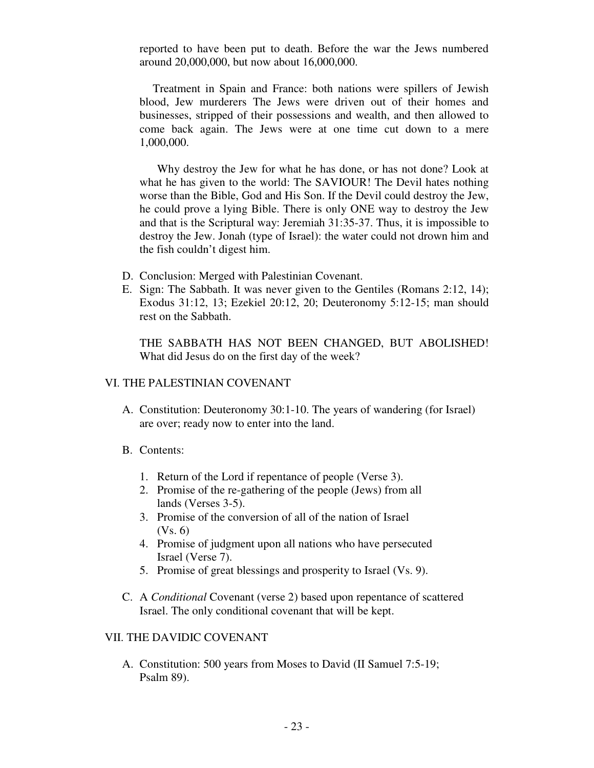reported to have been put to death. Before the war the Jews numbered around 20,000,000, but now about 16,000,000.

 Treatment in Spain and France: both nations were spillers of Jewish blood, Jew murderers The Jews were driven out of their homes and businesses, stripped of their possessions and wealth, and then allowed to come back again. The Jews were at one time cut down to a mere 1,000,000.

 Why destroy the Jew for what he has done, or has not done? Look at what he has given to the world: The SAVIOUR! The Devil hates nothing worse than the Bible, God and His Son. If the Devil could destroy the Jew, he could prove a lying Bible. There is only ONE way to destroy the Jew and that is the Scriptural way: Jeremiah 31:35-37. Thus, it is impossible to destroy the Jew. Jonah (type of Israel): the water could not drown him and the fish couldn't digest him.

- D. Conclusion: Merged with Palestinian Covenant.
- E. Sign: The Sabbath. It was never given to the Gentiles (Romans 2:12, 14); Exodus 31:12, 13; Ezekiel 20:12, 20; Deuteronomy 5:12-15; man should rest on the Sabbath.

THE SABBATH HAS NOT BEEN CHANGED, BUT ABOLISHED! What did Jesus do on the first day of the week?

### VI. THE PALESTINIAN COVENANT

- A. Constitution: Deuteronomy 30:1-10. The years of wandering (for Israel) are over; ready now to enter into the land.
- B. Contents:
	- 1. Return of the Lord if repentance of people (Verse 3).
	- 2. Promise of the re-gathering of the people (Jews) from all lands (Verses 3-5).
	- 3. Promise of the conversion of all of the nation of Israel (Vs. 6)
	- 4. Promise of judgment upon all nations who have persecuted Israel (Verse 7).
	- 5.Promise of great blessings and prosperity to Israel (Vs. 9).
- C. A *Conditional* Covenant (verse 2) based upon repentance of scattered Israel. The only conditional covenant that will be kept.

### VII. THE DAVIDIC COVENANT

A. Constitution: 500 years from Moses to David (II Samuel 7:5-19; Psalm 89).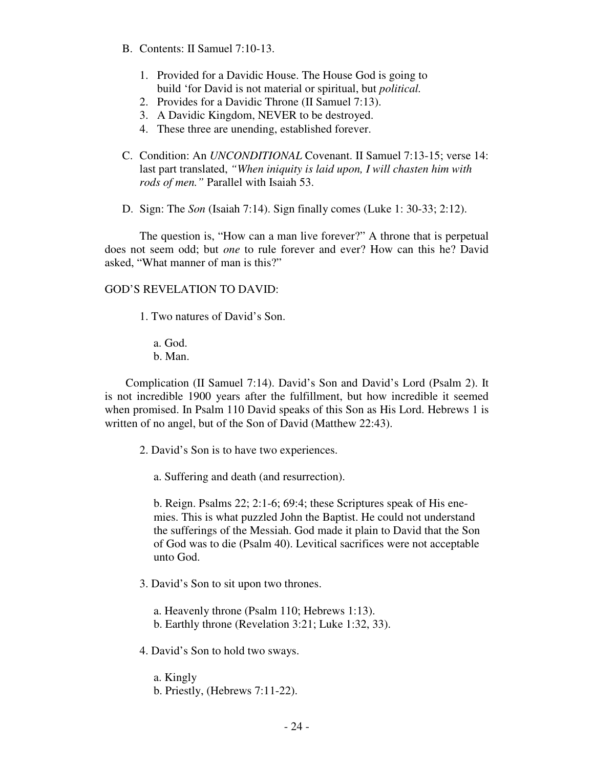- B. Contents: II Samuel 7:10-13.
	- 1. Provided for a Davidic House. The House God is going to build 'for David is not material or spiritual, but *political.*
	- 2. Provides for a Davidic Throne (II Samuel 7:13).
	- 3. A Davidic Kingdom, NEVER to be destroyed.
	- 4. These three are unending, established forever.
- C. Condition: An *UNCONDITIONAL* Covenant. II Samuel 7:13-15; verse 14: last part translated, *"When iniquity is laid upon, I will chasten him with rods of men."* Parallel with Isaiah 53.
- D. Sign: The *Son* (Isaiah 7:14). Sign finally comes (Luke 1: 30-33; 2:12).

 The question is, "How can a man live forever?" A throne that is perpetual does not seem odd; but *one* to rule forever and ever? How can this he? David asked, "What manner of man is this?"

## GOD'S REVELATION TO DAVID:

1. Two natures of David's Son.

a. God. b. Man.

Complication (II Samuel 7:14). David's Son and David's Lord (Psalm 2). It is not incredible 1900 years after the fulfillment, but how incredible it seemed when promised. In Psalm 110 David speaks of this Son as His Lord. Hebrews 1 is written of no angel, but of the Son of David (Matthew 22:43).

2. David's Son is to have two experiences.

a. Suffering and death (and resurrection).

b. Reign. Psalms 22; 2:1-6; 69:4; these Scriptures speak of His enemies. This is what puzzled John the Baptist. He could not understand the sufferings of the Messiah. God made it plain to David that the Son of God was to die (Psalm 40). Levitical sacrifices were not acceptable unto God.

3. David's Son to sit upon two thrones.

a. Heavenly throne (Psalm 110; Hebrews 1:13). b. Earthly throne (Revelation 3:21; Luke 1:32, 33).

- 4. David's Son to hold two sways.
	- a. Kingly
	- b. Priestly, (Hebrews 7:11-22).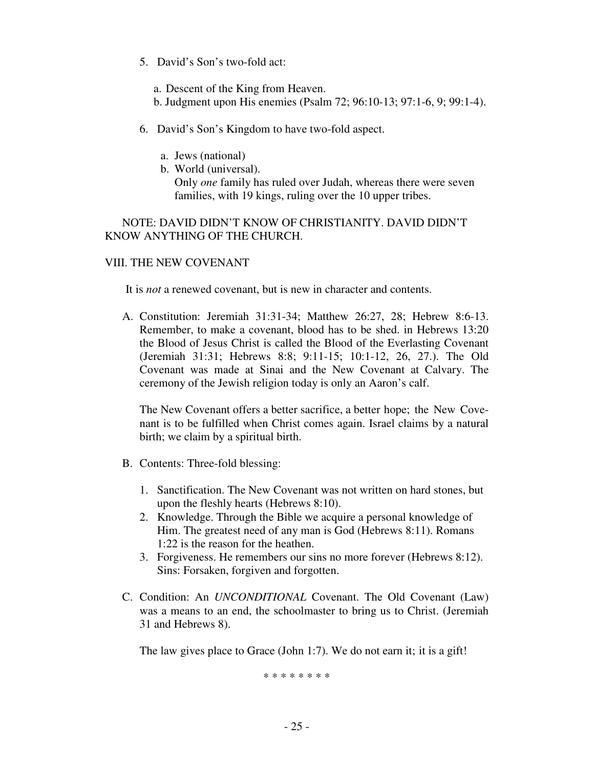- 5. David's Son's two-fold act:
	- a. Descent of the King from Heaven.
	- b. Judgment upon His enemies (Psalm 72; 96:10-13; 97:1-6, 9; 99:1-4).
- 6. David's Son's Kingdom to have two-fold aspect.
	- a. Jews (national)
	- b. World (universal). Only *one* family has ruled over Judah, whereas there were seven families, with 19 kings, ruling over the 10 upper tribes.

 NOTE: DAVID DIDN'T KNOW OF CHRISTIANITY. DAVID DIDN'T KNOW ANYTHING OF THE CHURCH.

## VIII. THE NEW COVENANT

It is *not* a renewed covenant, but is new in character and contents.

A. Constitution: Jeremiah 31:31-34; Matthew 26:27, 28; Hebrew 8:6-13. Remember, to make a covenant, blood has to be shed. in Hebrews 13:20 the Blood of Jesus Christ is called the Blood of the Everlasting Covenant (Jeremiah 31:31; Hebrews 8:8; 9:11-15; 10:1-12, 26, 27.). The Old Covenant was made at Sinai and the New Covenant at Calvary. The ceremony of the Jewish religion today is only an Aaron's calf.

The New Covenant offers a better sacrifice, a better hope; the New Covenant is to be fulfilled when Christ comes again. Israel claims by a natural birth; we claim by a spiritual birth.

- B. Contents: Three-fold blessing:
	- 1. Sanctification. The New Covenant was not written on hard stones, but upon the fleshly hearts (Hebrews 8:10).
	- 2. Knowledge. Through the Bible we acquire a personal knowledge of Him. The greatest need of any man is God (Hebrews 8:11). Romans 1:22 is the reason for the heathen.
	- 3. Forgiveness. He remembers our sins no more forever (Hebrews 8:12). Sins: Forsaken, forgiven and forgotten.
- C. Condition: An *UNCONDITIONAL* Covenant. The Old Covenant (Law) was a means to an end, the schoolmaster to bring us to Christ. (Jeremiah 31 and Hebrews 8).

The law gives place to Grace (John 1:7). We do not earn it; it is a gift!

\* \* \* \* \* \* \* \*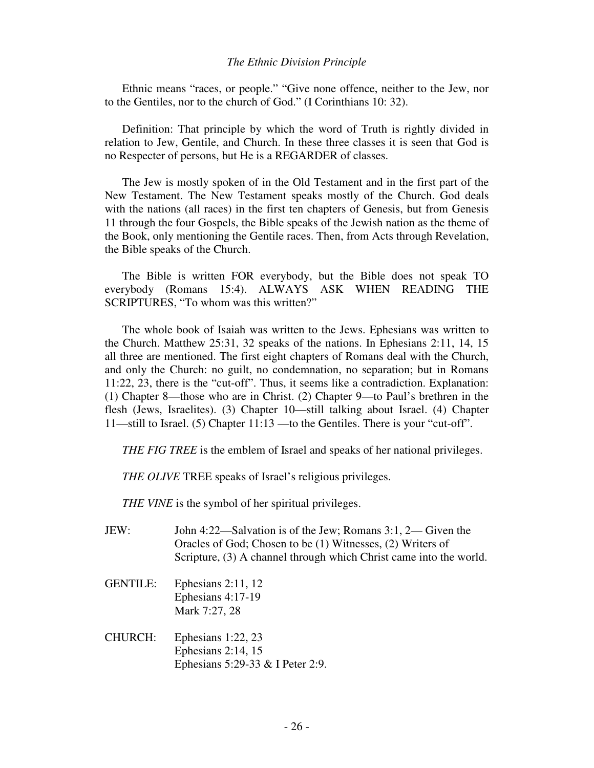#### *The Ethnic Division Principle*

Ethnic means "races, or people." "Give none offence, neither to the Jew, nor to the Gentiles, nor to the church of God." (I Corinthians 10: 32).

 Definition: That principle by which the word of Truth is rightly divided in relation to Jew, Gentile, and Church. In these three classes it is seen that God is no Respecter of persons, but He is a REGARDER of classes.

 The Jew is mostly spoken of in the Old Testament and in the first part of the New Testament. The New Testament speaks mostly of the Church. God deals with the nations (all races) in the first ten chapters of Genesis, but from Genesis 11 through the four Gospels, the Bible speaks of the Jewish nation as the theme of the Book, only mentioning the Gentile races. Then, from Acts through Revelation, the Bible speaks of the Church.

 The Bible is written FOR everybody, but the Bible does not speak TO everybody (Romans 15:4). ALWAYS ASK WHEN READING THE SCRIPTURES, "To whom was this written?"

 The whole book of Isaiah was written to the Jews. Ephesians was written to the Church. Matthew 25:31, 32 speaks of the nations. In Ephesians 2:11, 14, 15 all three are mentioned. The first eight chapters of Romans deal with the Church, and only the Church: no guilt, no condemnation, no separation; but in Romans 11:22, 23, there is the "cut-off". Thus, it seems like a contradiction. Explanation: (1) Chapter 8—those who are in Christ. (2) Chapter 9—to Paul's brethren in the flesh (Jews, Israelites). (3) Chapter 10—still talking about Israel. (4) Chapter 11—still to Israel. (5) Chapter 11:13 —to the Gentiles. There is your "cut-off".

*THE FIG TREE* is the emblem of Israel and speaks of her national privileges.

*THE OLIVE* TREE speaks of Israel's religious privileges.

*THE VINE* is the symbol of her spiritual privileges.

- JEW: John 4:22—Salvation is of the Jew; Romans 3:1, 2— Given the Oracles of God; Chosen to be (1) Witnesses, (2) Writers of Scripture, (3) A channel through which Christ came into the world.
- GENTILE: Ephesians 2:11, 12 Ephesians 4:17-19 Mark 7:27, 28
- CHURCH: Ephesians 1:22, 23 Ephesians 2:14, 15 Ephesians 5:29-33 & I Peter 2:9.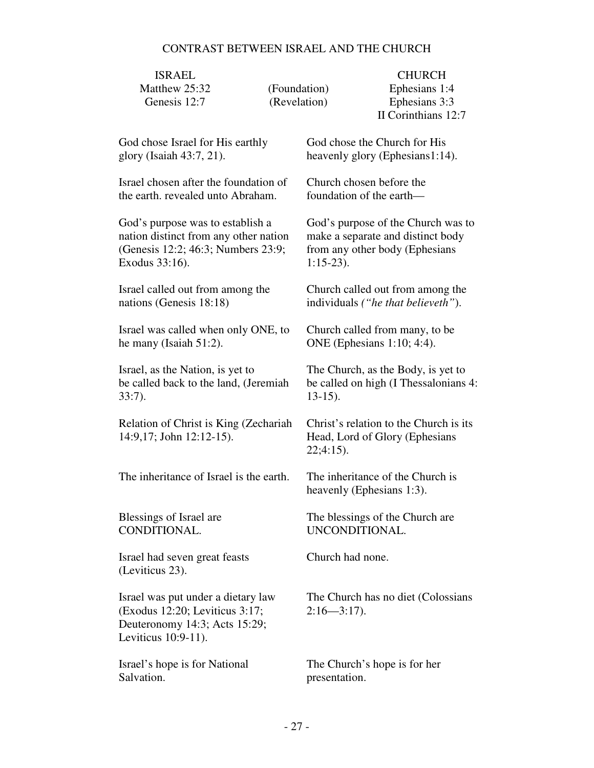# CONTRAST BETWEEN ISRAEL AND THE CHURCH

| <b>ISRAEL</b><br>Matthew 25:32                                                                                               |                              |                                                                                         | <b>CHURCH</b>                                         |  |
|------------------------------------------------------------------------------------------------------------------------------|------------------------------|-----------------------------------------------------------------------------------------|-------------------------------------------------------|--|
| Genesis 12:7                                                                                                                 | (Foundation)<br>(Revelation) |                                                                                         | Ephesians 1:4<br>Ephesians 3:3<br>II Corinthians 12:7 |  |
| God chose Israel for His earthly                                                                                             |                              | God chose the Church for His                                                            |                                                       |  |
| glory (Isaiah 43:7, 21).                                                                                                     |                              | heavenly glory (Ephesians1:14).                                                         |                                                       |  |
| Israel chosen after the foundation of                                                                                        |                              | Church chosen before the                                                                |                                                       |  |
| the earth, revealed unto Abraham.                                                                                            |                              | foundation of the earth—                                                                |                                                       |  |
| God's purpose was to establish a                                                                                             |                              | God's purpose of the Church was to                                                      |                                                       |  |
| nation distinct from any other nation                                                                                        |                              | make a separate and distinct body                                                       |                                                       |  |
| (Genesis 12:2; 46:3; Numbers 23:9;                                                                                           |                              | from any other body (Ephesians                                                          |                                                       |  |
| Exodus 33:16).                                                                                                               |                              | $1:15-23$ .                                                                             |                                                       |  |
| Israel called out from among the                                                                                             |                              | Church called out from among the                                                        |                                                       |  |
| nations (Genesis 18:18)                                                                                                      |                              | individuals ("he that believeth").                                                      |                                                       |  |
| Israel was called when only ONE, to                                                                                          |                              | Church called from many, to be                                                          |                                                       |  |
| he many (Isaiah $51:2$ ).                                                                                                    |                              | ONE (Ephesians 1:10; 4:4).                                                              |                                                       |  |
| Israel, as the Nation, is yet to                                                                                             |                              | The Church, as the Body, is yet to                                                      |                                                       |  |
| be called back to the land, (Jeremiah                                                                                        |                              | be called on high (I Thessalonians 4:                                                   |                                                       |  |
| $33:7$ ).                                                                                                                    |                              | $13-15$ ).                                                                              |                                                       |  |
| Relation of Christ is King (Zechariah<br>14:9,17; John 12:12-15).                                                            |                              | Christ's relation to the Church is its<br>Head, Lord of Glory (Ephesians<br>$22;4:15$ . |                                                       |  |
| The inheritance of Israel is the earth.                                                                                      |                              | The inheritance of the Church is<br>heavenly (Ephesians 1:3).                           |                                                       |  |
| Blessings of Israel are                                                                                                      |                              | The blessings of the Church are                                                         |                                                       |  |
| CONDITIONAL.                                                                                                                 |                              | UNCONDITIONAL.                                                                          |                                                       |  |
| Israel had seven great feasts<br>(Leviticus 23).                                                                             |                              | Church had none.                                                                        |                                                       |  |
| Israel was put under a dietary law<br>(Exodus 12:20; Leviticus 3:17;<br>Deuteronomy 14:3; Acts 15:29;<br>Leviticus 10:9-11). |                              | The Church has no diet (Colossians<br>$2:16 - 3:17$ .                                   |                                                       |  |
| Israel's hope is for National                                                                                                |                              | The Church's hope is for her                                                            |                                                       |  |
| Salvation.                                                                                                                   |                              | presentation.                                                                           |                                                       |  |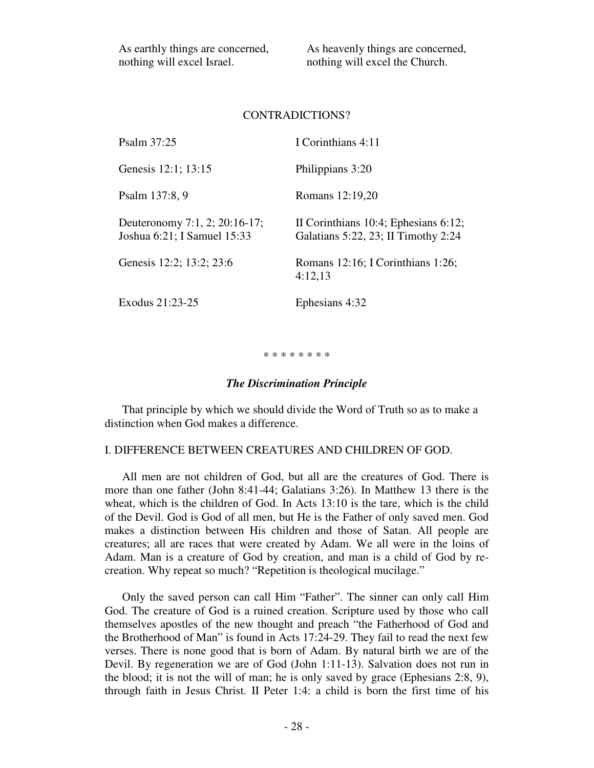As earthly things are concerned, nothing will excel Israel.

As heavenly things are concerned, nothing will excel the Church.

#### CONTRADICTIONS?

| Psalm 37:25                                                  | I Corinthians 4:11                                                          |
|--------------------------------------------------------------|-----------------------------------------------------------------------------|
| Genesis 12:1; 13:15                                          | Philippians 3:20                                                            |
| Psalm 137:8, 9                                               | Romans 12:19,20                                                             |
| Deuteronomy 7:1, 2; 20:16-17;<br>Joshua 6:21; I Samuel 15:33 | II Corinthians 10:4; Ephesians 6:12;<br>Galatians 5:22, 23; II Timothy 2:24 |
| Genesis 12:2; 13:2; 23:6                                     | Romans $12:16$ ; I Corinthians $1:26$ ;<br>4:12,13                          |
| Exodus 21:23-25                                              | Ephesians 4:32                                                              |

#### \* \* \* \* \* \* \* \*

#### *The Discrimination Principle*

That principle by which we should divide the Word of Truth so as to make a distinction when God makes a difference.

## I. DIFFERENCE BETWEEN CREATURES AND CHILDREN OF GOD.

 All men are not children of God, but all are the creatures of God. There is more than one father (John 8:41-44; Galatians 3:26). In Matthew 13 there is the wheat, which is the children of God. In Acts 13:10 is the tare, which is the child of the Devil. God is God of all men, but He is the Father of only saved men. God makes a distinction between His children and those of Satan. All people are creatures; all are races that were created by Adam. We all were in the loins of Adam. Man is a creature of God by creation, and man is a child of God by recreation. Why repeat so much? "Repetition is theological mucilage."

 Only the saved person can call Him "Father". The sinner can only call Him God. The creature of God is a ruined creation. Scripture used by those who call themselves apostles of the new thought and preach "the Fatherhood of God and the Brotherhood of Man" is found in Acts 17:24-29. They fail to read the next few verses. There is none good that is born of Adam. By natural birth we are of the Devil. By regeneration we are of God (John 1:11-13). Salvation does not run in the blood; it is not the will of man; he is only saved by grace (Ephesians 2:8, 9), through faith in Jesus Christ. II Peter 1:4: a child is born the first time of his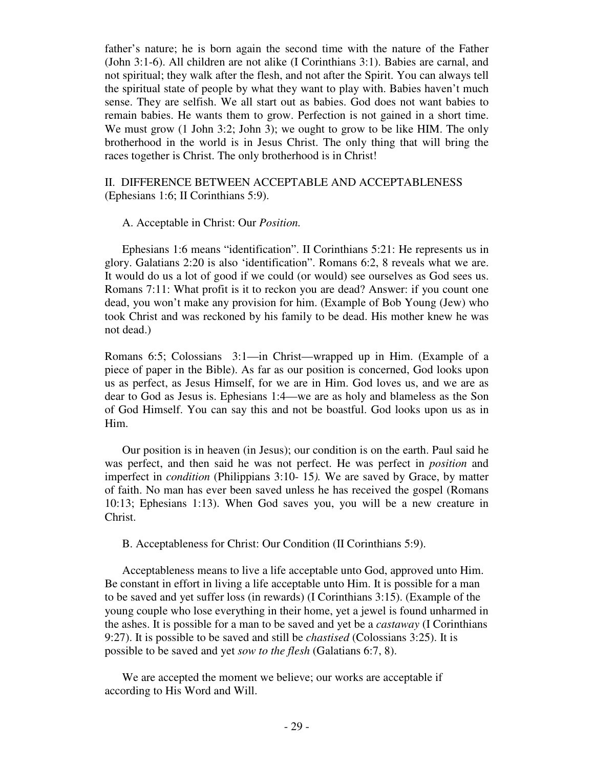father's nature; he is born again the second time with the nature of the Father (John 3:1-6). All children are not alike (I Corinthians 3:1). Babies are carnal, and not spiritual; they walk after the flesh, and not after the Spirit. You can always tell the spiritual state of people by what they want to play with. Babies haven't much sense. They are selfish. We all start out as babies. God does not want babies to remain babies. He wants them to grow. Perfection is not gained in a short time. We must grow (1 John 3:2; John 3); we ought to grow to be like HIM. The only brotherhood in the world is in Jesus Christ. The only thing that will bring the races together is Christ. The only brotherhood is in Christ!

### II. DIFFERENCE BETWEEN ACCEPTABLE AND ACCEPTABLENESS (Ephesians 1:6; II Corinthians 5:9).

#### A. Acceptable in Christ: Our *Position.*

Ephesians 1:6 means "identification". II Corinthians 5:21: He represents us in glory. Galatians 2:20 is also 'identification". Romans 6:2, 8 reveals what we are. It would do us a lot of good if we could (or would) see ourselves as God sees us. Romans 7:11: What profit is it to reckon you are dead? Answer: if you count one dead, you won't make any provision for him. (Example of Bob Young (Jew) who took Christ and was reckoned by his family to be dead. His mother knew he was not dead.)

Romans 6:5; Colossians 3:1—in Christ—wrapped up in Him. (Example of a piece of paper in the Bible). As far as our position is concerned, God looks upon us as perfect, as Jesus Himself, for we are in Him. God loves us, and we are as dear to God as Jesus is. Ephesians 1:4—we are as holy and blameless as the Son of God Himself. You can say this and not be boastful. God looks upon us as in Him.

 Our position is in heaven (in Jesus); our condition is on the earth. Paul said he was perfect, and then said he was not perfect. He was perfect in *position* and imperfect in *condition* (Philippians 3:10- 15*).* We are saved by Grace, by matter of faith. No man has ever been saved unless he has received the gospel (Romans 10:13; Ephesians 1:13). When God saves you, you will be a new creature in Christ.

### B. Acceptableness for Christ: Our Condition (II Corinthians 5:9).

 Acceptableness means to live a life acceptable unto God, approved unto Him. Be constant in effort in living a life acceptable unto Him. It is possible for a man to be saved and yet suffer loss (in rewards) (I Corinthians 3:15). (Example of the young couple who lose everything in their home, yet a jewel is found unharmed in the ashes. It is possible for a man to be saved and yet be a *castaway* (I Corinthians 9:27). It is possible to be saved and still be *chastised* (Colossians 3:25). It is possible to be saved and yet *sow to the flesh* (Galatians 6:7, 8).

 We are accepted the moment we believe; our works are acceptable if according to His Word and Will.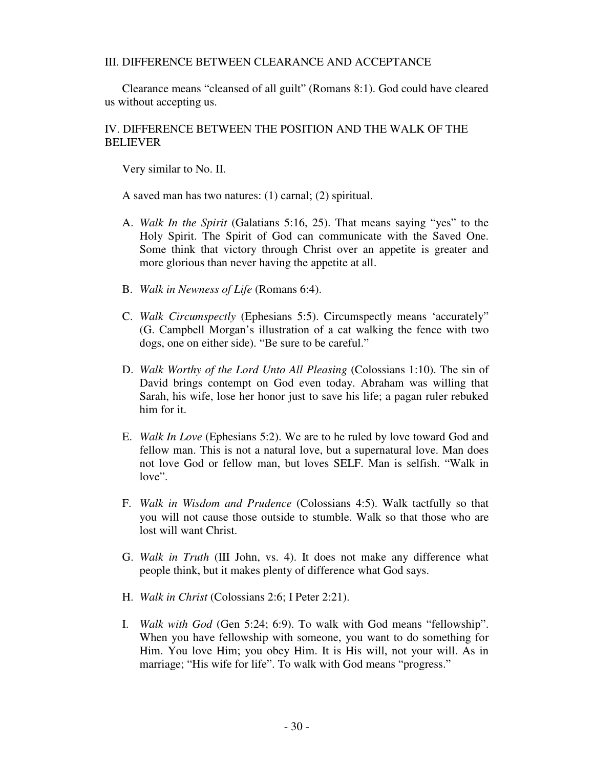### III. DIFFERENCE BETWEEN CLEARANCE AND ACCEPTANCE

 Clearance means "cleansed of all guilt" (Romans 8:1). God could have cleared us without accepting us.

## IV. DIFFERENCE BETWEEN THE POSITION AND THE WALK OF THE BELIEVER

Very similar to No. II.

A saved man has two natures: (1) carnal; (2) spiritual.

- A. *Walk In the Spirit* (Galatians 5:16, 25). That means saying "yes" to the Holy Spirit. The Spirit of God can communicate with the Saved One. Some think that victory through Christ over an appetite is greater and more glorious than never having the appetite at all.
- B. *Walk in Newness of Life* (Romans 6:4).
- C. *Walk Circumspectly* (Ephesians 5:5). Circumspectly means 'accurately" (G. Campbell Morgan's illustration of a cat walking the fence with two dogs, one on either side). "Be sure to be careful."
- D. *Walk Worthy of the Lord Unto All Pleasing* (Colossians 1:10). The sin of David brings contempt on God even today. Abraham was willing that Sarah, his wife, lose her honor just to save his life; a pagan ruler rebuked him for it.
- E. *Walk In Love* (Ephesians 5:2). We are to he ruled by love toward God and fellow man. This is not a natural love, but a supernatural love. Man does not love God or fellow man, but loves SELF. Man is selfish. "Walk in love".
- F. *Walk in Wisdom and Prudence* (Colossians 4:5). Walk tactfully so that you will not cause those outside to stumble. Walk so that those who are lost will want Christ.
- G. *Walk in Truth* (III John, vs. 4). It does not make any difference what people think, but it makes plenty of difference what God says.
- H. *Walk in Christ* (Colossians 2:6; I Peter 2:21).
- I. *Walk with God* (Gen 5:24; 6:9). To walk with God means "fellowship". When you have fellowship with someone, you want to do something for Him. You love Him; you obey Him. It is His will, not your will. As in marriage; "His wife for life". To walk with God means "progress."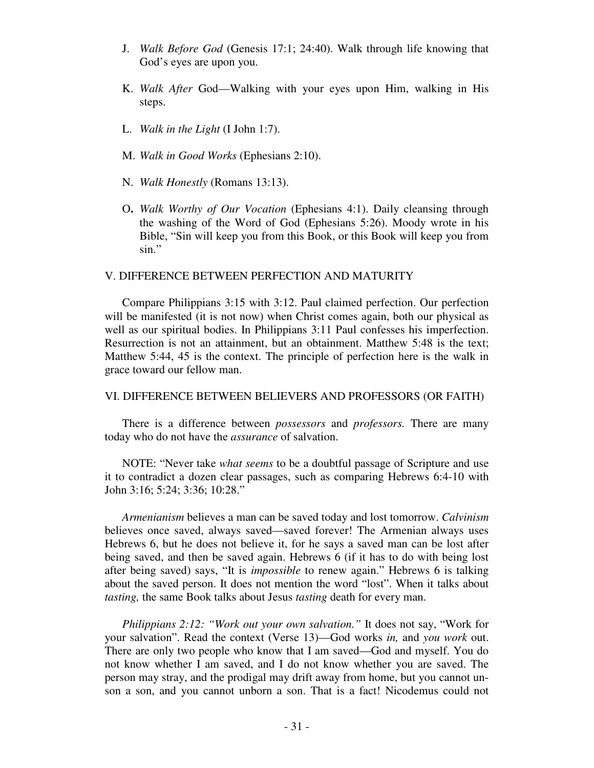- J. *Walk Before God* (Genesis 17:1; 24:40). Walk through life knowing that God's eyes are upon you.
- K.*Walk After* God—Walking with your eyes upon Him, walking in His steps.
- L. *Walk in the Light* (I John 1:7).
- M. *Walk in Good Works* (Ephesians 2:10).
- N. *Walk Honestly* (Romans 13:13).
- O**.** *Walk Worthy of Our Vocation* (Ephesians 4:1). Daily cleansing through the washing of the Word of God (Ephesians 5:26). Moody wrote in his Bible, "Sin will keep you from this Book, or this Book will keep you from sin."

### V. DIFFERENCE BETWEEN PERFECTION AND MATURITY

 Compare Philippians 3:15 with 3:12. Paul claimed perfection. Our perfection will be manifested (it is not now) when Christ comes again, both our physical as well as our spiritual bodies. In Philippians 3:11 Paul confesses his imperfection. Resurrection is not an attainment, but an obtainment. Matthew 5:48 is the text; Matthew 5:44, 45 is the context. The principle of perfection here is the walk in grace toward our fellow man.

### VI. DIFFERENCE BETWEEN BELIEVERS AND PROFESSORS (OR FAITH)

There is a difference between *possessors* and *professors.* There are many today who do not have the *assurance* of salvation.

 NOTE: "Never take *what seems* to be a doubtful passage of Scripture and use it to contradict a dozen clear passages, such as comparing Hebrews 6:4-10 with John 3:16; 5:24; 3:36; 10:28."

 *Armenianism* believes a man can be saved today and lost tomorrow. *Calvinism*  believes once saved, always saved—saved forever! The Armenian always uses Hebrews 6, but he does not believe it, for he says a saved man can be lost after being saved, and then be saved again. Hebrews 6 (if it has to do with being lost after being saved) says, "It is *impossible* to renew again." Hebrews 6 is talking about the saved person. It does not mention the word "lost". When it talks about *tasting,* the same Book talks about Jesus *tasting* death for every man.

 *Philippians 2:12: "Work out your own salvation."* It does not say, "Work for your salvation". Read the context (Verse 13)—God works *in,* and *you work* out. There are only two people who know that I am saved—God and myself. You do not know whether I am saved, and I do not know whether you are saved. The person may stray, and the prodigal may drift away from home, but you cannot unson a son, and you cannot unborn a son. That is a fact! Nicodemus could not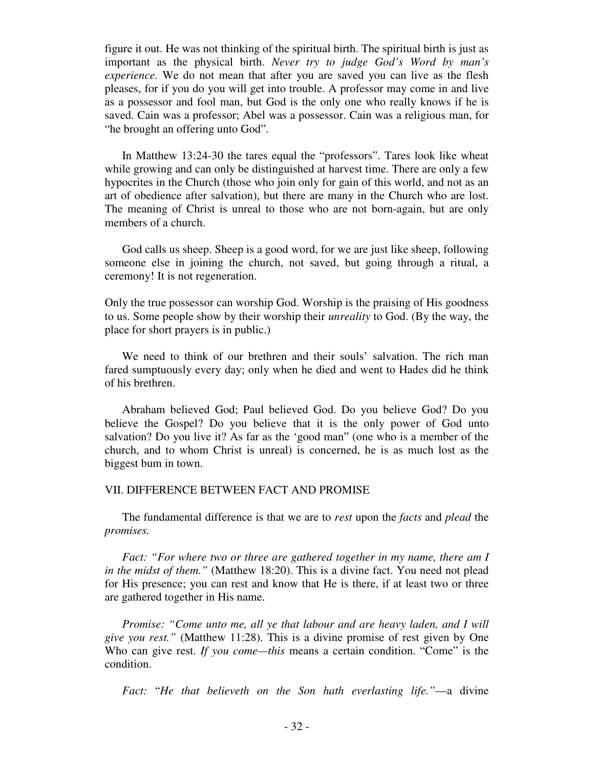figure it out. He was not thinking of the spiritual birth. The spiritual birth is just as important as the physical birth. *Never try to judge God's Word by man's experience*. We do not mean that after you are saved you can live as the flesh pleases, for if you do you will get into trouble. A professor may come in and live as a possessor and fool man, but God is the only one who really knows if he is saved. Cain was a professor; Abel was a possessor. Cain was a religious man, for "he brought an offering unto God".

 In Matthew 13:24-30 the tares equal the "professors". Tares look like wheat while growing and can only be distinguished at harvest time. There are only a few hypocrites in the Church (those who join only for gain of this world, and not as an art of obedience after salvation), but there are many in the Church who are lost. The meaning of Christ is unreal to those who are not born-again, but are only members of a church.

 God calls us sheep. Sheep is a good word, for we are just like sheep, following someone else in joining the church, not saved, but going through a ritual, a ceremony! It is not regeneration.

Only the true possessor can worship God. Worship is the praising of His goodness to us. Some people show by their worship their *unreality* to God. (By the way, the place for short prayers is in public.)

 We need to think of our brethren and their souls' salvation. The rich man fared sumptuously every day; only when he died and went to Hades did he think of his brethren.

 Abraham believed God; Paul believed God. Do you believe God? Do you believe the Gospel? Do you believe that it is the only power of God unto salvation? Do you live it? As far as the 'good man" (one who is a member of the church, and to whom Christ is unreal) is concerned, he is as much lost as the biggest bum in town.

### VII. DIFFERENCE BETWEEN FACT AND PROMISE

 The fundamental difference is that we are to *rest* upon the *facts* and *plead* the *promises.* 

*Fact: "For where two or three are gathered together in my name, there am I in the midst of them."* (Matthew 18:20). This is a divine fact. You need not plead for His presence; you can rest and know that He is there, if at least two or three are gathered together in His name.

 *Promise: "Come unto me, all ye that labour and are heavy laden, and I will give you rest."* (Matthew 11:28). This is a divine promise of rest given by One Who can give rest. *If you come—this* means a certain condition. "Come" is the condition.

*Fact:* "*He that believeth on the Son hath everlasting life."*—a divine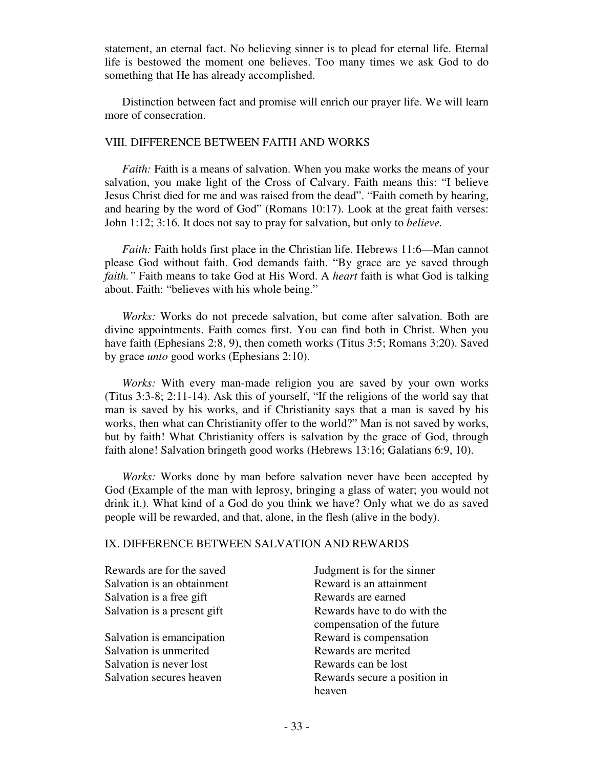statement, an eternal fact. No believing sinner is to plead for eternal life. Eternal life is bestowed the moment one believes. Too many times we ask God to do something that He has already accomplished.

 Distinction between fact and promise will enrich our prayer life. We will learn more of consecration.

#### VIII. DIFFERENCE BETWEEN FAITH AND WORKS

*Faith:* Faith is a means of salvation. When you make works the means of your salvation, you make light of the Cross of Calvary. Faith means this: "I believe Jesus Christ died for me and was raised from the dead". "Faith cometh by hearing, and hearing by the word of God" (Romans 10:17). Look at the great faith verses: John 1:12; 3:16. It does not say to pray for salvation, but only to *believe.* 

*Faith:* Faith holds first place in the Christian life. Hebrews 11:6—Man cannot please God without faith. God demands faith. "By grace are ye saved through *faith."* Faith means to take God at His Word. A *heart* faith is what God is talking about. Faith: "believes with his whole being."

 *Works:* Works do not precede salvation, but come after salvation. Both are divine appointments. Faith comes first. You can find both in Christ. When you have faith (Ephesians 2:8, 9), then cometh works (Titus 3:5; Romans 3:20). Saved by grace *unto* good works (Ephesians 2:10).

 *Works:* With every man-made religion you are saved by your own works (Titus 3:3-8; 2:11-14). Ask this of yourself, "If the religions of the world say that man is saved by his works, and if Christianity says that a man is saved by his works, then what can Christianity offer to the world?" Man is not saved by works, but by faith! What Christianity offers is salvation by the grace of God, through faith alone! Salvation bringeth good works (Hebrews 13:16; Galatians 6:9, 10).

 *Works:* Works done by man before salvation never have been accepted by God (Example of the man with leprosy, bringing a glass of water; you would not drink it.). What kind of a God do you think we have? Only what we do as saved people will be rewarded, and that, alone, in the flesh (alive in the body).

### IX. DIFFERENCE BETWEEN SALVATION AND REWARDS

Rewards are for the saved<br>
Salvation is an obtainment<br>
Reward is an attainment<br>
Reward is an attainment Salvation is an obtainment Salvation is a free gift Rewards are earned

Salvation is unmerited Rewards are merited Salvation is never lost Rewards can be lost

Salvation is a present gift Rewards have to do with the compensation of the future Salvation is emancipation Reward is compensation Salvation secures heaven Rewards secure a position in heaven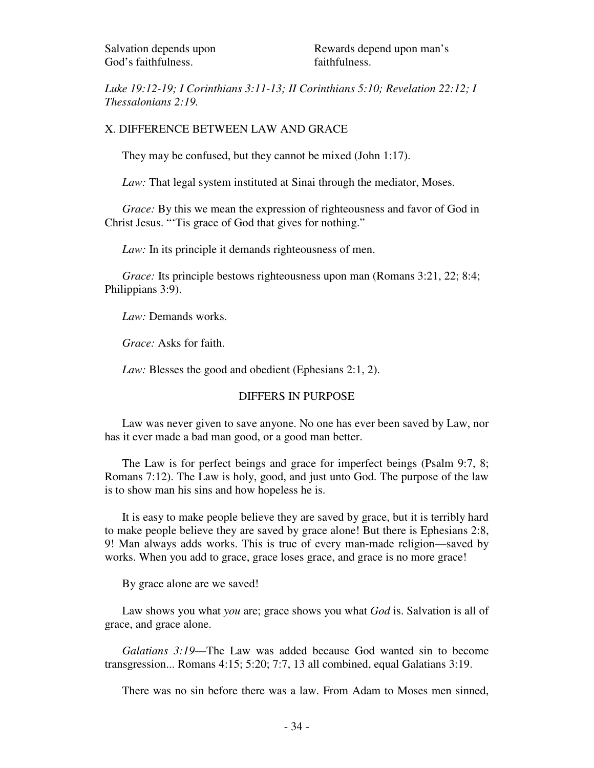*Luke 19:12-19; I Corinthians 3:11-13; II Corinthians 5:10; Revelation 22:12; I Thessalonians 2:19.* 

## X. DIFFERENCE BETWEEN LAW AND GRACE

They may be confused, but they cannot be mixed (John 1:17).

*Law*: That legal system instituted at Sinai through the mediator, Moses.

*Grace:* By this we mean the expression of righteousness and favor of God in Christ Jesus. "'Tis grace of God that gives for nothing."

*Law*: In its principle it demands righteousness of men.

*Grace:* Its principle bestows righteousness upon man (Romans 3:21, 22; 8:4; Philippians 3:9).

*Law:* Demands works.

*Grace:* Asks for faith.

*Law:* Blesses the good and obedient (Ephesians 2:1, 2).

### DIFFERS IN PURPOSE

 Law was never given to save anyone. No one has ever been saved by Law, nor has it ever made a bad man good, or a good man better.

 The Law is for perfect beings and grace for imperfect beings (Psalm 9:7, 8; Romans 7:12). The Law is holy, good, and just unto God. The purpose of the law is to show man his sins and how hopeless he is.

 It is easy to make people believe they are saved by grace, but it is terribly hard to make people believe they are saved by grace alone! But there is Ephesians 2:8, 9! Man always adds works. This is true of every man-made religion—saved by works. When you add to grace, grace loses grace, and grace is no more grace!

By grace alone are we saved!

 Law shows you what *you* are; grace shows you what *God* is. Salvation is all of grace, and grace alone.

 *Galatians 3:19*—The Law was added because God wanted sin to become transgression... Romans 4:15; 5:20; 7:7, 13 all combined, equal Galatians 3:19.

There was no sin before there was a law. From Adam to Moses men sinned,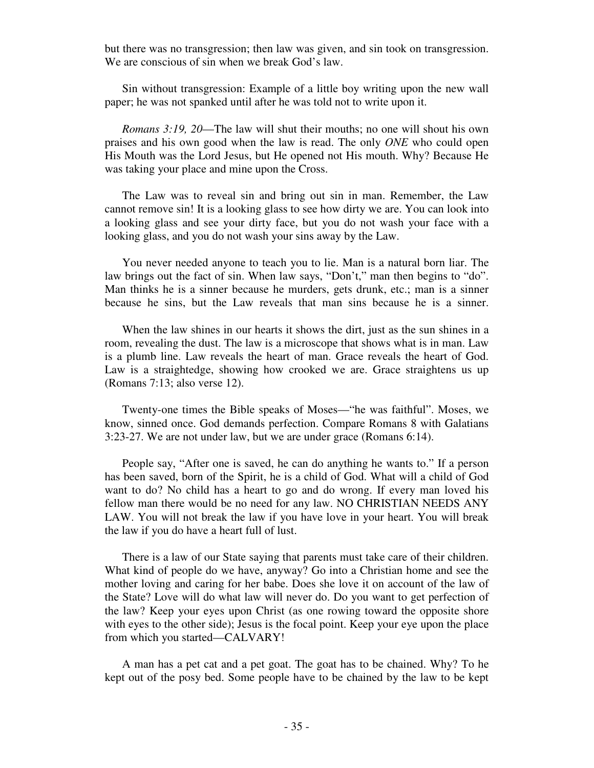but there was no transgression; then law was given, and sin took on transgression. We are conscious of sin when we break God's law.

 Sin without transgression: Example of a little boy writing upon the new wall paper; he was not spanked until after he was told not to write upon it.

 *Romans 3:19, 20*—The law will shut their mouths; no one will shout his own praises and his own good when the law is read. The only *ONE* who could open His Mouth was the Lord Jesus, but He opened not His mouth. Why? Because He was taking your place and mine upon the Cross.

 The Law was to reveal sin and bring out sin in man. Remember, the Law cannot remove sin! It is a looking glass to see how dirty we are. You can look into a looking glass and see your dirty face, but you do not wash your face with a looking glass, and you do not wash your sins away by the Law.

 You never needed anyone to teach you to lie. Man is a natural born liar. The law brings out the fact of sin. When law says, "Don't," man then begins to "do". Man thinks he is a sinner because he murders, gets drunk, etc.; man is a sinner because he sins, but the Law reveals that man sins because he is a sinner.

When the law shines in our hearts it shows the dirt, just as the sun shines in a room, revealing the dust. The law is a microscope that shows what is in man. Law is a plumb line. Law reveals the heart of man. Grace reveals the heart of God. Law is a straightedge, showing how crooked we are. Grace straightens us up (Romans 7:13; also verse 12).

 Twenty-one times the Bible speaks of Moses—"he was faithful". Moses, we know, sinned once. God demands perfection. Compare Romans 8 with Galatians 3:23-27. We are not under law, but we are under grace (Romans 6:14).

 People say, "After one is saved, he can do anything he wants to." If a person has been saved, born of the Spirit, he is a child of God. What will a child of God want to do? No child has a heart to go and do wrong. If every man loved his fellow man there would be no need for any law. NO CHRISTIAN NEEDS ANY LAW. You will not break the law if you have love in your heart. You will break the law if you do have a heart full of lust.

 There is a law of our State saying that parents must take care of their children. What kind of people do we have, anyway? Go into a Christian home and see the mother loving and caring for her babe. Does she love it on account of the law of the State? Love will do what law will never do. Do you want to get perfection of the law? Keep your eyes upon Christ (as one rowing toward the opposite shore with eyes to the other side); Jesus is the focal point. Keep your eye upon the place from which you started—CALVARY!

 A man has a pet cat and a pet goat. The goat has to be chained. Why? To he kept out of the posy bed. Some people have to be chained by the law to be kept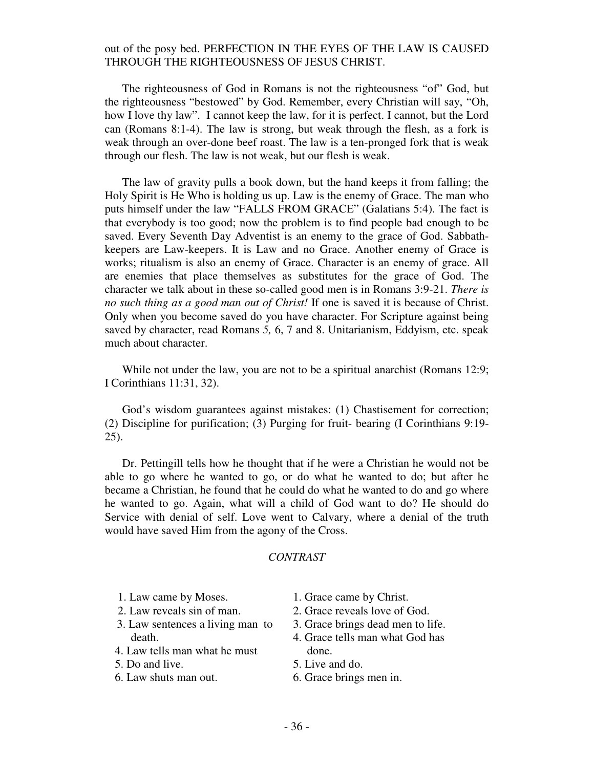### out of the posy bed. PERFECTION IN THE EYES OF THE LAW IS CAUSED THROUGH THE RIGHTEOUSNESS OF JESUS CHRIST.

 The righteousness of God in Romans is not the righteousness "of" God, but the righteousness "bestowed" by God. Remember, every Christian will say, "Oh, how I love thy law". I cannot keep the law, for it is perfect. I cannot, but the Lord can (Romans 8:1-4). The law is strong, but weak through the flesh, as a fork is weak through an over-done beef roast. The law is a ten-pronged fork that is weak through our flesh. The law is not weak, but our flesh is weak.

 The law of gravity pulls a book down, but the hand keeps it from falling; the Holy Spirit is He Who is holding us up. Law is the enemy of Grace. The man who puts himself under the law "FALLS FROM GRACE" (Galatians 5:4). The fact is that everybody is too good; now the problem is to find people bad enough to be saved. Every Seventh Day Adventist is an enemy to the grace of God. Sabbathkeepers are Law-keepers. It is Law and no Grace. Another enemy of Grace is works; ritualism is also an enemy of Grace. Character is an enemy of grace. All are enemies that place themselves as substitutes for the grace of God. The character we talk about in these so-called good men is in Romans 3:9-21. *There is no such thing as a good man out of Christ!* If one is saved it is because of Christ. Only when you become saved do you have character. For Scripture against being saved by character, read Romans *5,* 6, 7 and 8. Unitarianism, Eddyism, etc. speak much about character.

 While not under the law, you are not to be a spiritual anarchist (Romans 12:9; I Corinthians 11:31, 32).

God's wisdom guarantees against mistakes: (1) Chastisement for correction; (2) Discipline for purification; (3) Purging for fruit- bearing (I Corinthians 9:19- 25).

 Dr. Pettingill tells how he thought that if he were a Christian he would not be able to go where he wanted to go, or do what he wanted to do; but after he became a Christian, he found that he could do what he wanted to do and go where he wanted to go. Again, what will a child of God want to do? He should do Service with denial of self. Love went to Calvary, where a denial of the truth would have saved Him from the agony of the Cross.

### *CONTRAST*

- 1. Law came by Moses.
- 2. Law reveals sin of man.
- 3. Law sentences a living man to death.
- 4. Law tells man what he must
- 5. Do and live.
- 6. Law shuts man out.
- 1. Grace came by Christ.
- 2. Grace reveals love of God.
- 3. Grace brings dead men to life.
- 4. Grace tells man what God has done.
- 5. Live and do.
- 6. Grace brings men in.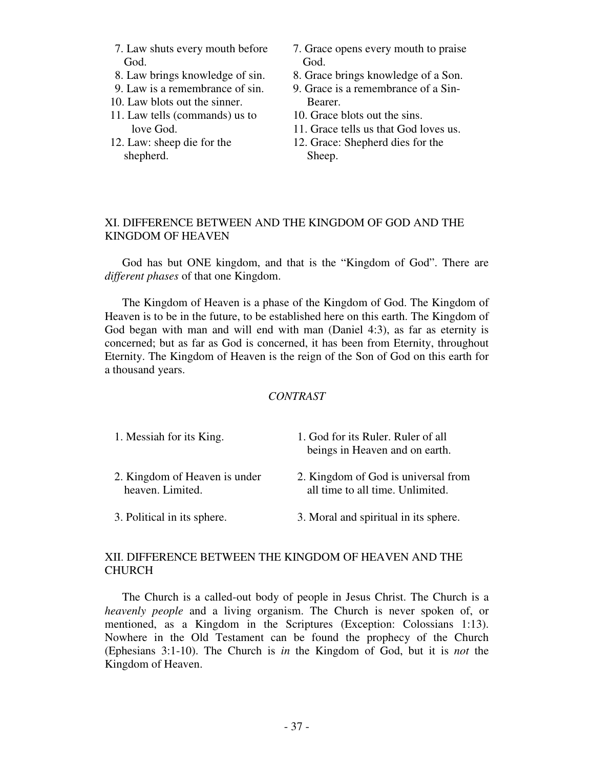- 7. Law shuts every mouth before God.
- 8. Law brings knowledge of sin.
- 9. Law is a remembrance of sin.
- 10. Law blots out the sinner.
- 11. Law tells (commands) us to love God.
- 12. Law: sheep die for the shepherd.
- 7. Grace opens every mouth to praise God.
- 8. Grace brings knowledge of a Son.
- 9. Grace is a remembrance of a Sin-Bearer.
- 10. Grace blots out the sins.
- 11. Grace tells us that God loves us.
- 12. Grace: Shepherd dies for the Sheep.

## XI. DIFFERENCE BETWEEN AND THE KINGDOM OF GOD AND THE KINGDOM OF HEAVEN

 God has but ONE kingdom, and that is the "Kingdom of God". There are *different phases* of that one Kingdom.

 The Kingdom of Heaven is a phase of the Kingdom of God. The Kingdom of Heaven is to be in the future, to be established here on this earth. The Kingdom of God began with man and will end with man (Daniel 4:3), as far as eternity is concerned; but as far as God is concerned, it has been from Eternity, throughout Eternity. The Kingdom of Heaven is the reign of the Son of God on this earth for a thousand years.

## *CONTRAST*

| 1. Messiah for its King.                          | 1. God for its Ruler. Ruler of all<br>beings in Heaven and on earth.    |
|---------------------------------------------------|-------------------------------------------------------------------------|
| 2. Kingdom of Heaven is under<br>heaven. Limited. | 2. Kingdom of God is universal from<br>all time to all time. Unlimited. |
| 3. Political in its sphere.                       | 3. Moral and spiritual in its sphere.                                   |

# XII. DIFFERENCE BETWEEN THE KINGDOM OF HEAVEN AND THE CHURCH

 The Church is a called-out body of people in Jesus Christ. The Church is a *heavenly people* and a living organism. The Church is never spoken of, or mentioned, as a Kingdom in the Scriptures (Exception: Colossians 1:13). Nowhere in the Old Testament can be found the prophecy of the Church (Ephesians 3:1-10). The Church is *in* the Kingdom of God, but it is *not* the Kingdom of Heaven.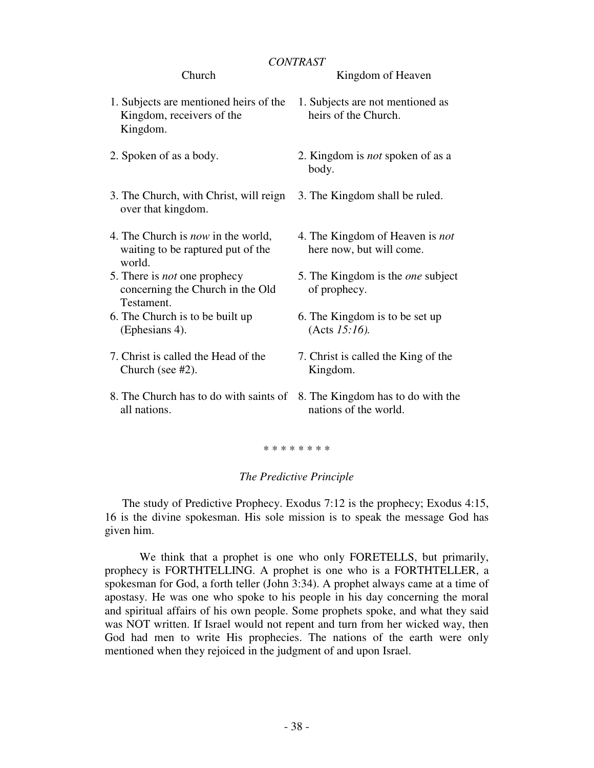## *CONTRAST*

### Church

- 1. Subjects are mentioned heirs of the Kingdom, receivers of the Kingdom.
- 2. Spoken of as a body.
- 3. The Church, with Christ, will reign over that kingdom.
- 4. The Church is *now* in the world, waiting to be raptured put of the world.
- 5. There is *not* one prophecy concerning the Church in the Old Testament.
- 6. The Church is to be built up (Ephesians 4).
- 7. Christ is called the Head of the Church (see #2).
- 8. The Church has to do with saints of 8. The Kingdom has to do with the all nations.

1. Subjects are not mentioned as heirs of the Church.

Kingdom of Heaven

- 2. Kingdom is *not* spoken of as a body.
- 3. The Kingdom shall be ruled.
- 4. The Kingdom of Heaven is *not*  here now, but will come.
- 5. The Kingdom is the *one* subject of prophecy.
- 6. The Kingdom is to be set up (Acts *15:16).*
- 7. Christ is called the King of the Kingdom.
- nations of the world.

\* \* \* \* \* \* \* \*

## *The Predictive Principle*

The study of Predictive Prophecy. Exodus 7:12 is the prophecy; Exodus 4:15, 16 is the divine spokesman. His sole mission is to speak the message God has given him.

 We think that a prophet is one who only FORETELLS, but primarily, prophecy is FORTHTELLING. A prophet is one who is a FORTHTELLER, a spokesman for God, a forth teller (John 3:34). A prophet always came at a time of apostasy. He was one who spoke to his people in his day concerning the moral and spiritual affairs of his own people. Some prophets spoke, and what they said was NOT written. If Israel would not repent and turn from her wicked way, then God had men to write His prophecies. The nations of the earth were only mentioned when they rejoiced in the judgment of and upon Israel.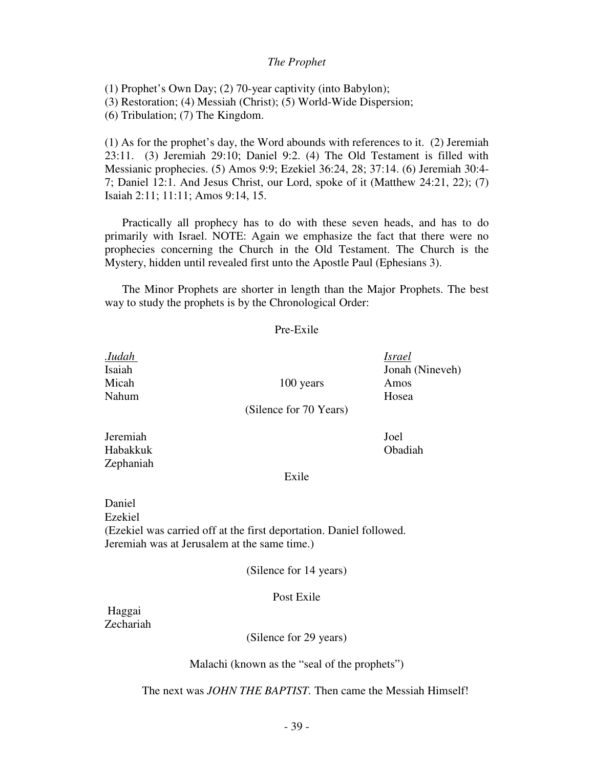### *The Prophet*

(1) Prophet's Own Day; (2) 70-year captivity (into Babylon);

(3) Restoration; (4) Messiah (Christ); (5) World-Wide Dispersion;

(6) Tribulation; (7) The Kingdom.

(1) As for the prophet's day, the Word abounds with references to it. (2) Jeremiah 23:11. (3) Jeremiah 29:10; Daniel 9:2. (4) The Old Testament is filled with Messianic prophecies. (5) Amos 9:9; Ezekiel 36:24, 28; 37:14. (6) Jeremiah 30:4- 7; Daniel 12:1. And Jesus Christ, our Lord, spoke of it (Matthew 24:21, 22); (7) Isaiah 2:11; 11:11; Amos 9:14, 15.

 Practically all prophecy has to do with these seven heads, and has to do primarily with Israel. NOTE: Again we emphasize the fact that there were no prophecies concerning the Church in the Old Testament. The Church is the Mystery, hidden until revealed first unto the Apostle Paul (Ephesians 3).

 The Minor Prophets are shorter in length than the Major Prophets. The best way to study the prophets is by the Chronological Order:

#### Pre-Exile

| . <i>Iudah</i><br>Isaiah<br>Micah | 100 years              | <i>Israel</i><br>Jonah (Nineveh)<br>Amos |
|-----------------------------------|------------------------|------------------------------------------|
| Nahum                             | (Silence for 70 Years) | Hosea                                    |
| Jeremiah<br>Habakkuk<br>Zephaniah |                        | Joel<br>Obadiah                          |
|                                   | Exile                  |                                          |
| Daniel<br>Ezekiel                 |                        |                                          |

(Ezekiel was carried off at the first deportation. Daniel followed. Jeremiah was at Jerusalem at the same time.)

## (Silence for 14 years)

#### Post Exile

 Haggai Zechariah

(Silence for 29 years)

Malachi (known as the "seal of the prophets")

The next was *JOHN THE BAPTIST.* Then came the Messiah Himself!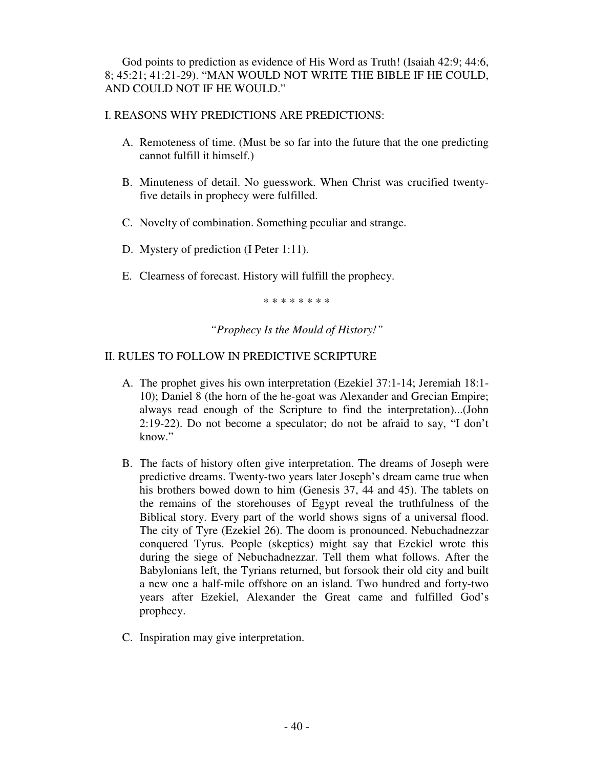God points to prediction as evidence of His Word as Truth! (Isaiah 42:9; 44:6, 8; 45:21; 41:21-29). "MAN WOULD NOT WRITE THE BIBLE IF HE COULD, AND COULD NOT IF HE WOULD."

# I. REASONS WHY PREDICTIONS ARE PREDICTIONS:

- A. Remoteness of time. (Must be so far into the future that the one predicting cannot fulfill it himself.)
- B. Minuteness of detail. No guesswork. When Christ was crucified twentyfive details in prophecy were fulfilled.
- C. Novelty of combination. Something peculiar and strange.
- D. Mystery of prediction (I Peter 1:11).
- E. Clearness of forecast. History will fulfill the prophecy.

\* \* \* \* \* \* \* \*

*"Prophecy Is the Mould of History!"* 

# II. RULES TO FOLLOW IN PREDICTIVE SCRIPTURE

- A. The prophet gives his own interpretation (Ezekiel 37:1-14; Jeremiah 18:1- 10); Daniel 8 (the horn of the he-goat was Alexander and Grecian Empire; always read enough of the Scripture to find the interpretation)...(John 2:19-22). Do not become a speculator; do not be afraid to say, "I don't know."
- B. The facts of history often give interpretation. The dreams of Joseph were predictive dreams. Twenty-two years later Joseph's dream came true when his brothers bowed down to him (Genesis 37, 44 and 45). The tablets on the remains of the storehouses of Egypt reveal the truthfulness of the Biblical story. Every part of the world shows signs of a universal flood. The city of Tyre (Ezekiel 26). The doom is pronounced. Nebuchadnezzar conquered Tyrus. People (skeptics) might say that Ezekiel wrote this during the siege of Nebuchadnezzar. Tell them what follows. After the Babylonians left, the Tyrians returned, but forsook their old city and built a new one a half-mile offshore on an island. Two hundred and forty-two years after Ezekiel, Alexander the Great came and fulfilled God's prophecy.
- C. Inspiration may give interpretation.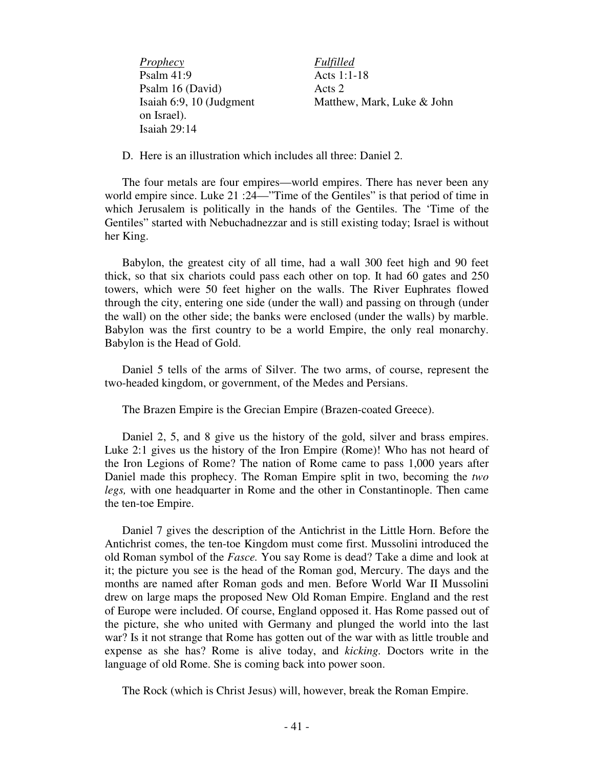*Prophecy Fulfilled* Psalm 41:9 Acts 1:1-18 Psalm 16 (David) Acts 2 Isaiah 6:9, 10 (Judgment Matthew, Mark, Luke & John on Israel). Isaiah 29:14

D. Here is an illustration which includes all three: Daniel 2.

 The four metals are four empires—world empires. There has never been any world empire since. Luke 21 :24—"Time of the Gentiles" is that period of time in which Jerusalem is politically in the hands of the Gentiles. The 'Time of the Gentiles" started with Nebuchadnezzar and is still existing today; Israel is without her King.

 Babylon, the greatest city of all time, had a wall 300 feet high and 90 feet thick, so that six chariots could pass each other on top. It had 60 gates and 250 towers, which were 50 feet higher on the walls. The River Euphrates flowed through the city, entering one side (under the wall) and passing on through (under the wall) on the other side; the banks were enclosed (under the walls) by marble. Babylon was the first country to be a world Empire, the only real monarchy. Babylon is the Head of Gold.

 Daniel 5 tells of the arms of Silver. The two arms, of course, represent the two-headed kingdom, or government, of the Medes and Persians.

The Brazen Empire is the Grecian Empire (Brazen-coated Greece).

 Daniel 2, 5, and 8 give us the history of the gold, silver and brass empires. Luke 2:1 gives us the history of the Iron Empire (Rome)! Who has not heard of the Iron Legions of Rome? The nation of Rome came to pass 1,000 years after Daniel made this prophecy. The Roman Empire split in two, becoming the *two legs,* with one headquarter in Rome and the other in Constantinople. Then came the ten-toe Empire.

 Daniel 7 gives the description of the Antichrist in the Little Horn. Before the Antichrist comes, the ten-toe Kingdom must come first. Mussolini introduced the old Roman symbol of the *Fasce.* You say Rome is dead? Take a dime and look at it; the picture you see is the head of the Roman god, Mercury. The days and the months are named after Roman gods and men. Before World War II Mussolini drew on large maps the proposed New Old Roman Empire. England and the rest of Europe were included. Of course, England opposed it. Has Rome passed out of the picture, she who united with Germany and plunged the world into the last war? Is it not strange that Rome has gotten out of the war with as little trouble and expense as she has? Rome is alive today, and *kicking.* Doctors write in the language of old Rome. She is coming back into power soon.

The Rock (which is Christ Jesus) will, however, break the Roman Empire.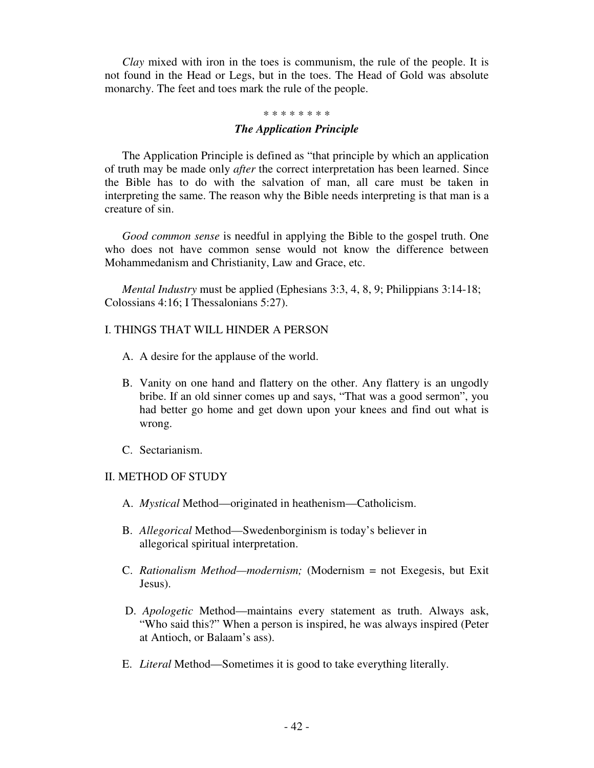*Clay* mixed with iron in the toes is communism, the rule of the people. It is not found in the Head or Legs, but in the toes. The Head of Gold was absolute monarchy. The feet and toes mark the rule of the people.

#### \* \* \* \* \* \* \* \*

#### *The Application Principle*

The Application Principle is defined as "that principle by which an application of truth may be made only *after* the correct interpretation has been learned. Since the Bible has to do with the salvation of man, all care must be taken in interpreting the same. The reason why the Bible needs interpreting is that man is a creature of sin.

 *Good common sense* is needful in applying the Bible to the gospel truth. One who does not have common sense would not know the difference between Mohammedanism and Christianity, Law and Grace, etc.

 *Mental Industry* must be applied (Ephesians 3:3, 4, 8, 9; Philippians 3:14-18; Colossians 4:16; I Thessalonians 5:27).

### I. THINGS THAT WILL HINDER A PERSON

- A.A desire for the applause of the world.
- B. Vanity on one hand and flattery on the other. Any flattery is an ungodly bribe. If an old sinner comes up and says, "That was a good sermon", you had better go home and get down upon your knees and find out what is wrong.
- C. Sectarianism.

## II. METHOD OF STUDY

- A. *Mystical* Method—originated in heathenism—Catholicism.
- B. *Allegorical* Method—Swedenborginism is today's believer in allegorical spiritual interpretation.
- C. *Rationalism Method—modernism;* (Modernism = not Exegesis, but Exit Jesus).
- D. *Apologetic* Method—maintains every statement as truth. Always ask, "Who said this?" When a person is inspired, he was always inspired (Peter at Antioch, or Balaam's ass).
- E. *Literal* Method—Sometimes it is good to take everything literally.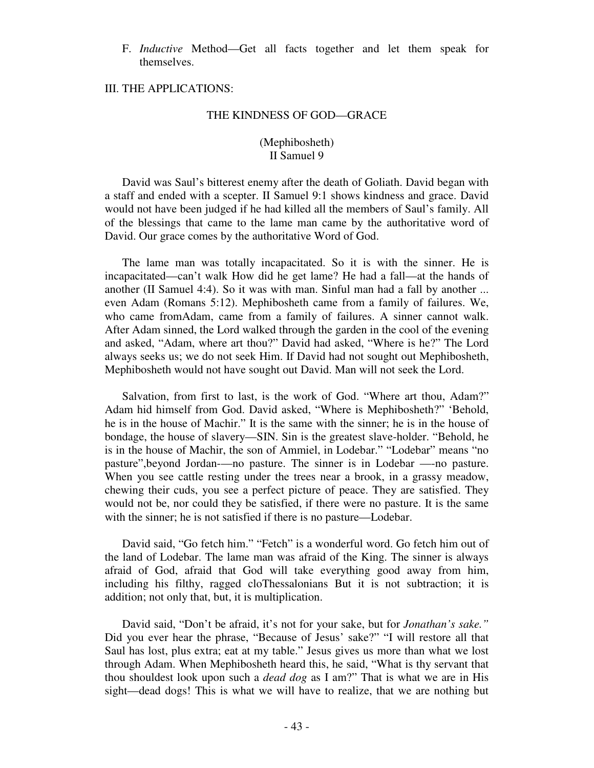F. *Inductive* Method—Get all facts together and let them speak for themselves.

## III. THE APPLICATIONS:

#### THE KINDNESS OF GOD—GRACE

### (Mephibosheth) II Samuel 9

 David was Saul's bitterest enemy after the death of Goliath. David began with a staff and ended with a scepter. II Samuel 9:1 shows kindness and grace. David would not have been judged if he had killed all the members of Saul's family. All of the blessings that came to the lame man came by the authoritative word of David. Our grace comes by the authoritative Word of God.

 The lame man was totally incapacitated. So it is with the sinner. He is incapacitated—can't walk How did he get lame? He had a fall—at the hands of another (II Samuel 4:4). So it was with man. Sinful man had a fall by another ... even Adam (Romans 5:12). Mephibosheth came from a family of failures. We, who came fromAdam, came from a family of failures. A sinner cannot walk. After Adam sinned, the Lord walked through the garden in the cool of the evening and asked, "Adam, where art thou?" David had asked, "Where is he?" The Lord always seeks us; we do not seek Him. If David had not sought out Mephibosheth, Mephibosheth would not have sought out David. Man will not seek the Lord.

 Salvation, from first to last, is the work of God. "Where art thou, Adam?" Adam hid himself from God. David asked, "Where is Mephibosheth?" 'Behold, he is in the house of Machir." It is the same with the sinner; he is in the house of bondage, the house of slavery—SIN. Sin is the greatest slave-holder. "Behold, he is in the house of Machir, the son of Ammiel, in Lodebar." "Lodebar" means "no pasture",beyond Jordan-—no pasture. The sinner is in Lodebar —-no pasture. When you see cattle resting under the trees near a brook, in a grassy meadow, chewing their cuds, you see a perfect picture of peace. They are satisfied. They would not be, nor could they be satisfied, if there were no pasture. It is the same with the sinner; he is not satisfied if there is no pasture—Lodebar.

 David said, "Go fetch him." "Fetch" is a wonderful word. Go fetch him out of the land of Lodebar. The lame man was afraid of the King. The sinner is always afraid of God, afraid that God will take everything good away from him, including his filthy, ragged cloThessalonians But it is not subtraction; it is addition; not only that, but, it is multiplication.

 David said, "Don't be afraid, it's not for your sake, but for *Jonathan's sake."*  Did you ever hear the phrase, "Because of Jesus' sake?" "I will restore all that Saul has lost, plus extra; eat at my table." Jesus gives us more than what we lost through Adam. When Mephibosheth heard this, he said, "What is thy servant that thou shouldest look upon such a *dead dog* as I am?" That is what we are in His sight—dead dogs! This is what we will have to realize, that we are nothing but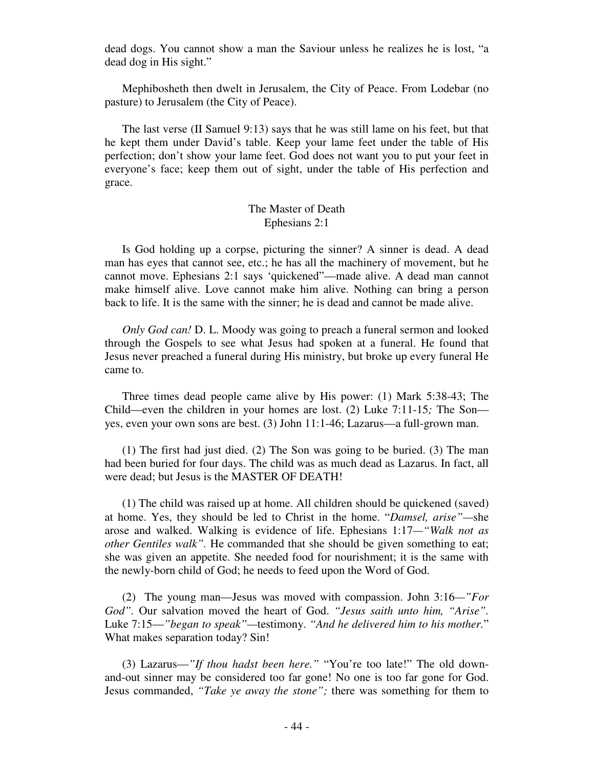dead dogs. You cannot show a man the Saviour unless he realizes he is lost, "a dead dog in His sight."

 Mephibosheth then dwelt in Jerusalem, the City of Peace. From Lodebar (no pasture) to Jerusalem (the City of Peace).

 The last verse (II Samuel 9:13) says that he was still lame on his feet, but that he kept them under David's table. Keep your lame feet under the table of His perfection; don't show your lame feet. God does not want you to put your feet in everyone's face; keep them out of sight, under the table of His perfection and grace.

## The Master of Death Ephesians 2:1

 Is God holding up a corpse, picturing the sinner? A sinner is dead. A dead man has eyes that cannot see, etc.; he has all the machinery of movement, but he cannot move. Ephesians 2:1 says 'quickened"—made alive. A dead man cannot make himself alive. Love cannot make him alive. Nothing can bring a person back to life. It is the same with the sinner; he is dead and cannot be made alive.

 *Only God can!* D. L. Moody was going to preach a funeral sermon and looked through the Gospels to see what Jesus had spoken at a funeral. He found that Jesus never preached a funeral during His ministry, but broke up every funeral He came to.

 Three times dead people came alive by His power: (1) Mark 5:38-43; The Child—even the children in your homes are lost. (2) Luke 7:11-15*;* The Son yes, even your own sons are best. (3) John 11:1-46; Lazarus—a full-grown man.

 (1) The first had just died. (2) The Son was going to be buried. (3) The man had been buried for four days. The child was as much dead as Lazarus. In fact, all were dead; but Jesus is the MASTER OF DEATH!

 (1) The child was raised up at home. All children should be quickened (saved) at home. Yes, they should be led to Christ in the home. "*Damsel, arise"—*she arose and walked. Walking is evidence of life. Ephesians 1:17*—"Walk not as other Gentiles walk".* He commanded that she should be given something to eat; she was given an appetite. She needed food for nourishment; it is the same with the newly-born child of God; he needs to feed upon the Word of God.

 (2) The young man—Jesus was moved with compassion. John 3:16*—"For God".* Our salvation moved the heart of God. *"Jesus saith unto him, "Arise".* Luke 7:15—*"began to speak"—*testimony. *"And he delivered him to his mother.*" What makes separation today? Sin!

 (3) Lazarus—*"If thou hadst been here."* "You're too late!" The old downand-out sinner may be considered too far gone! No one is too far gone for God. Jesus commanded, *"Take ye away the stone";* there was something for them to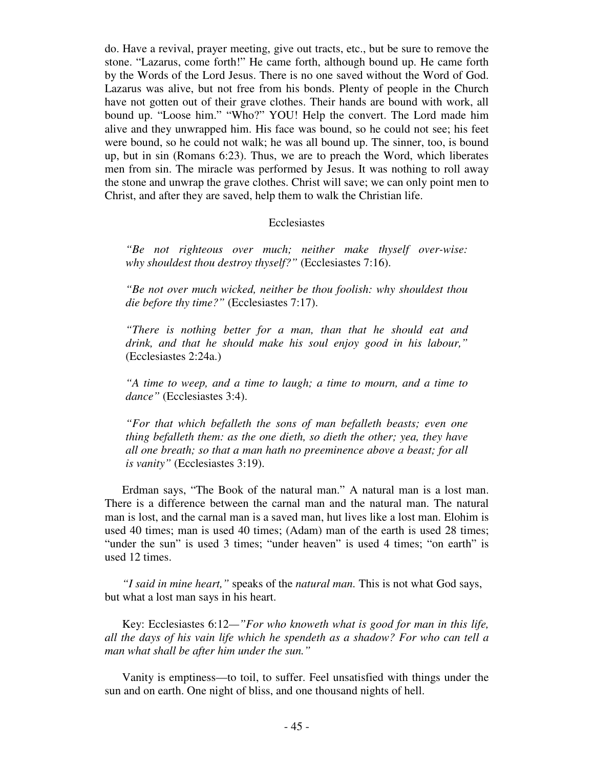do. Have a revival, prayer meeting, give out tracts, etc., but be sure to remove the stone. "Lazarus, come forth!" He came forth, although bound up. He came forth by the Words of the Lord Jesus. There is no one saved without the Word of God. Lazarus was alive, but not free from his bonds. Plenty of people in the Church have not gotten out of their grave clothes. Their hands are bound with work, all bound up. "Loose him." "Who?" YOU! Help the convert. The Lord made him alive and they unwrapped him. His face was bound, so he could not see; his feet were bound, so he could not walk; he was all bound up. The sinner, too, is bound up, but in sin (Romans 6:23). Thus, we are to preach the Word, which liberates men from sin. The miracle was performed by Jesus. It was nothing to roll away the stone and unwrap the grave clothes. Christ will save; we can only point men to Christ, and after they are saved, help them to walk the Christian life.

#### Ecclesiastes

*"Be not righteous over much; neither make thyself over-wise: why shouldest thou destroy thyself?"* (Ecclesiastes 7:16).

*"Be not over much wicked, neither be thou foolish: why shouldest thou die before thy time?"* (Ecclesiastes 7:17).

*"There is nothing better for a man, than that he should eat and drink, and that he should make his soul enjoy good in his labour,"* (Ecclesiastes 2:24a.)

*"A time to weep, and a time to laugh; a time to mourn, and a time to dance"* (Ecclesiastes 3:4).

*"For that which befalleth the sons of man befalleth beasts; even one thing befalleth them: as the one dieth, so dieth the other; yea, they have all one breath; so that a man hath no preeminence above a beast; for all is vanity"* (Ecclesiastes 3:19).

 Erdman says, "The Book of the natural man." A natural man is a lost man. There is a difference between the carnal man and the natural man. The natural man is lost, and the carnal man is a saved man, hut lives like a lost man. Elohim is used 40 times; man is used 40 times; (Adam) man of the earth is used 28 times; "under the sun" is used 3 times; "under heaven" is used 4 times; "on earth" is used 12 times.

 *"I said in mine heart,"* speaks of the *natural man.* This is not what God says, but what a lost man says in his heart.

 Key: Ecclesiastes 6:12*—"For who knoweth what is good for man in this life, all the days of his vain life which he spendeth as a shadow? For who can tell a man what shall be after him under the sun."* 

 Vanity is emptiness—to toil, to suffer. Feel unsatisfied with things under the sun and on earth. One night of bliss, and one thousand nights of hell.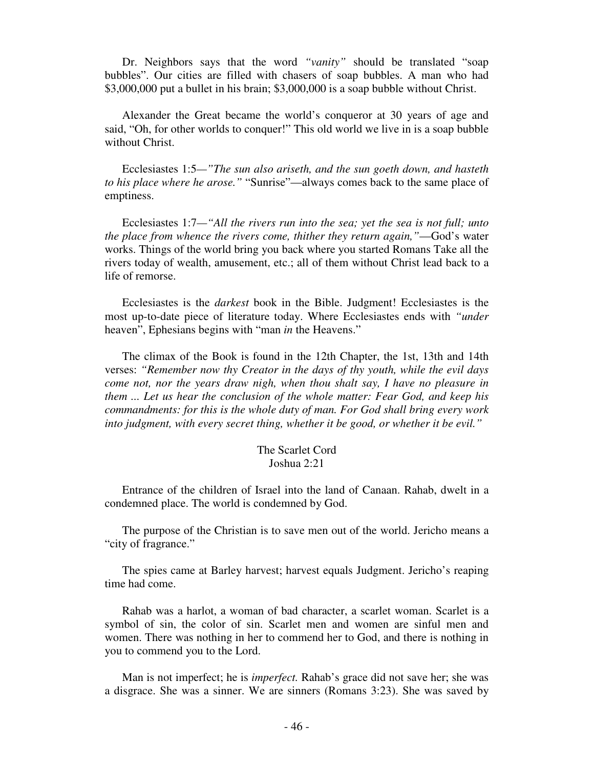Dr. Neighbors says that the word *"vanity"* should be translated "soap bubbles". Our cities are filled with chasers of soap bubbles. A man who had \$3,000,000 put a bullet in his brain; \$3,000,000 is a soap bubble without Christ.

 Alexander the Great became the world's conqueror at 30 years of age and said, "Oh, for other worlds to conquer!" This old world we live in is a soap bubble without Christ.

 Ecclesiastes 1:5*—"The sun also ariseth, and the sun goeth down, and hasteth to his place where he arose."* "Sunrise"—always comes back to the same place of emptiness.

 Ecclesiastes 1:7*—"All the rivers run into the sea; yet the sea is not full; unto the place from whence the rivers come, thither they return again,"*—God's water works. Things of the world bring you back where you started Romans Take all the rivers today of wealth, amusement, etc.; all of them without Christ lead back to a life of remorse.

 Ecclesiastes is the *darkest* book in the Bible. Judgment! Ecclesiastes is the most up-to-date piece of literature today. Where Ecclesiastes ends with *"under*  heaven", Ephesians begins with "man *in* the Heavens."

 The climax of the Book is found in the 12th Chapter, the 1st, 13th and 14th verses: *"Remember now thy Creator in the days of thy youth, while the evil days come not, nor the years draw nigh, when thou shalt say, I have no pleasure in them ... Let us hear the conclusion of the whole matter: Fear God, and keep his commandments: for this is the whole duty of man. For God shall bring every work into judgment, with every secret thing, whether it be good, or whether it be evil."* 

## The Scarlet Cord Joshua 2:21

 Entrance of the children of Israel into the land of Canaan. Rahab, dwelt in a condemned place. The world is condemned by God.

 The purpose of the Christian is to save men out of the world. Jericho means a "city of fragrance."

 The spies came at Barley harvest; harvest equals Judgment. Jericho's reaping time had come.

 Rahab was a harlot, a woman of bad character, a scarlet woman. Scarlet is a symbol of sin, the color of sin. Scarlet men and women are sinful men and women. There was nothing in her to commend her to God, and there is nothing in you to commend you to the Lord.

 Man is not imperfect; he is *imperfect.* Rahab's grace did not save her; she was a disgrace. She was a sinner. We are sinners (Romans 3:23). She was saved by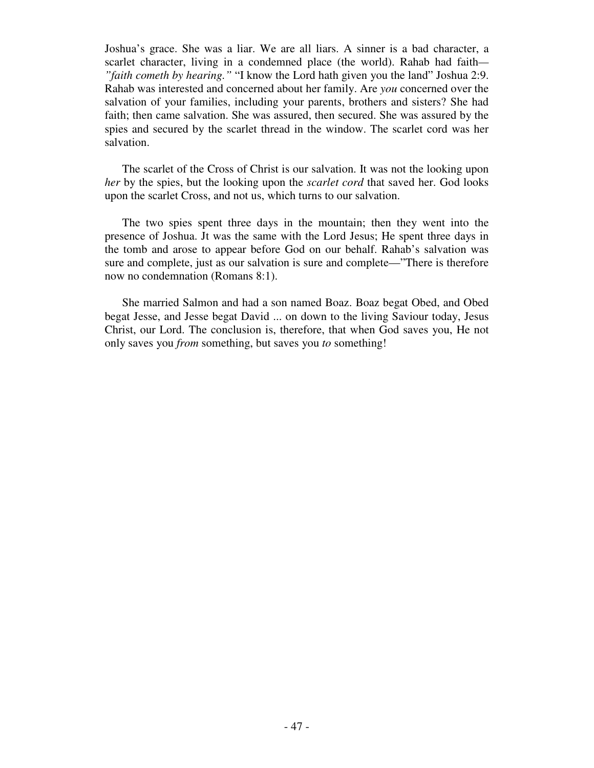Joshua's grace. She was a liar. We are all liars. A sinner is a bad character, a scarlet character, living in a condemned place (the world). Rahab had faith*— "faith cometh by hearing."* "I know the Lord hath given you the land" Joshua 2:9. Rahab was interested and concerned about her family. Are *you* concerned over the salvation of your families, including your parents, brothers and sisters? She had faith; then came salvation. She was assured, then secured. She was assured by the spies and secured by the scarlet thread in the window. The scarlet cord was her salvation.

 The scarlet of the Cross of Christ is our salvation. It was not the looking upon *her* by the spies, but the looking upon the *scarlet cord* that saved her. God looks upon the scarlet Cross, and not us, which turns to our salvation.

 The two spies spent three days in the mountain; then they went into the presence of Joshua. Jt was the same with the Lord Jesus; He spent three days in the tomb and arose to appear before God on our behalf. Rahab's salvation was sure and complete, just as our salvation is sure and complete—"There is therefore now no condemnation (Romans 8:1).

 She married Salmon and had a son named Boaz. Boaz begat Obed, and Obed begat Jesse, and Jesse begat David ... on down to the living Saviour today, Jesus Christ, our Lord. The conclusion is, therefore, that when God saves you, He not only saves you *from* something, but saves you *to* something!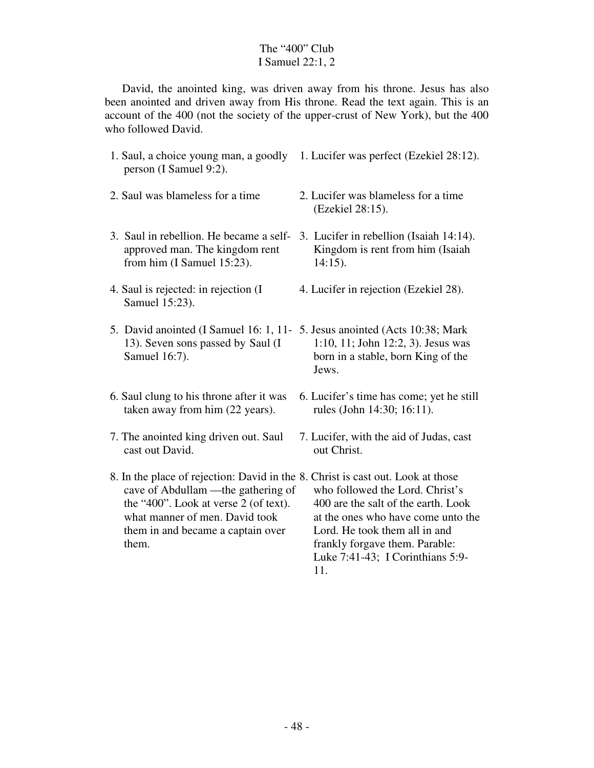## The "400" Club I Samuel 22:1, 2

 David, the anointed king, was driven away from his throne. Jesus has also been anointed and driven away from His throne. Read the text again. This is an account of the 400 (not the society of the upper-crust of New York), but the 400 who followed David.

- 1. Saul, a choice young man, a goodly 1. Lucifer was perfect (Ezekiel 28:12). person (I Samuel 9:2).
- 2. Saul was blameless for a time
- approved man. The kingdom rent from him (I Samuel 15:23).
- 4. Saul is rejected: in rejection (I Samuel 15:23).
- 13). Seven sons passed by Saul (I Samuel 16:7).
- 6. Saul clung to his throne after it was taken away from him (22 years).
- 7. The anointed king driven out. Saul cast out David.
- 8. In the place of rejection: David in the 8. Christ is cast out. Look at those cave of Abdullam —the gathering of the "400". Look at verse 2 (of text). what manner of men. David took them in and became a captain over them.
- 2. Lucifer was blameless for a time (Ezekiel 28:15).
- 3. Saul in rebellion. He became a self-3. Lucifer in rebellion (Isaiah 14:14). Kingdom is rent from him (Isaiah 14:15).
	- 4. Lucifer in rejection (Ezekiel 28).
- 5.David anointed (I Samuel 16: 1, 11- 5. Jesus anointed (Acts 10:38; Mark 1:10, 11; John 12:2, 3). Jesus was born in a stable, born King of the Jews.
	- 6. Lucifer's time has come; yet he still rules (John 14:30; 16:11).
	- 7. Lucifer, with the aid of Judas, cast out Christ.

who followed the Lord. Christ's 400 are the salt of the earth. Look at the ones who have come unto the Lord. He took them all in and frankly forgave them. Parable: Luke 7:41-43; I Corinthians 5:9- 11.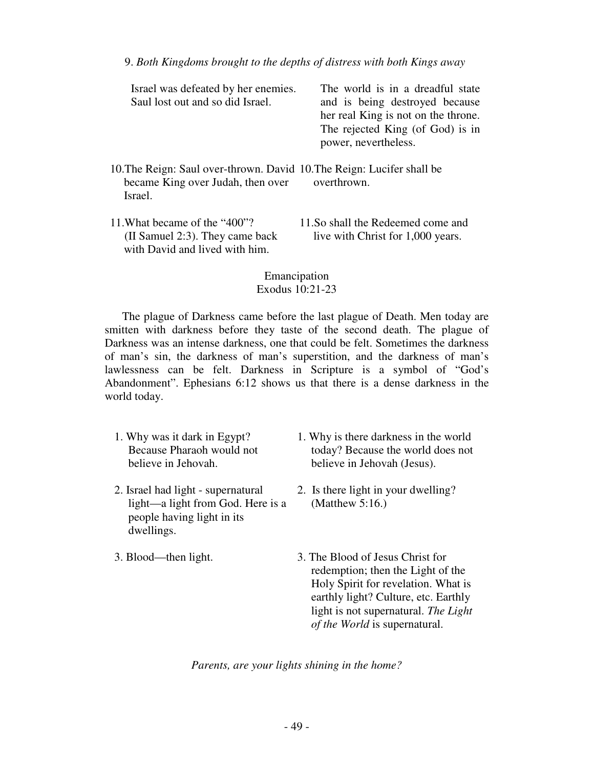| Israel was defeated by her enemies.<br>Saul lost out and so did Israel.                                                | The world is in a dreadful state<br>and is being destroyed because<br>her real King is not on the throne.<br>The rejected King (of God) is in<br>power, nevertheless. |
|------------------------------------------------------------------------------------------------------------------------|-----------------------------------------------------------------------------------------------------------------------------------------------------------------------|
| 10. The Reign: Saul over-thrown. David 10. The Reign: Lucifer shall be<br>became King over Judah, then over<br>Israel. | overthrown.                                                                                                                                                           |
| 11. What became of the "400"?<br>(II Samuel 2:3). They came back<br>with David and lived with him.                     | 11.So shall the Redeemed come and<br>live with Christ for 1,000 years.                                                                                                |

Emancipation Exodus 10:21-23

 The plague of Darkness came before the last plague of Death. Men today are smitten with darkness before they taste of the second death. The plague of Darkness was an intense darkness, one that could be felt. Sometimes the darkness of man's sin, the darkness of man's superstition, and the darkness of man's lawlessness can be felt. Darkness in Scripture is a symbol of "God's Abandonment". Ephesians 6:12 shows us that there is a dense darkness in the world today.

- 1. Why was it dark in Egypt? Because Pharaoh would not believe in Jehovah.
- 2. Israel had light supernatural light—a light from God. Here is a people having light in its dwellings.
- 3. Blood—then light.
- 1. Why is there darkness in the world today? Because the world does not believe in Jehovah (Jesus).
- 2. Is there light in your dwelling? (Matthew 5:16.)
- 3. The Blood of Jesus Christ for redemption; then the Light of the Holy Spirit for revelation. What is earthly light? Culture, etc. Earthly light is not supernatural. *The Light of the World* is supernatural.

*Parents, are your lights shining in the home?*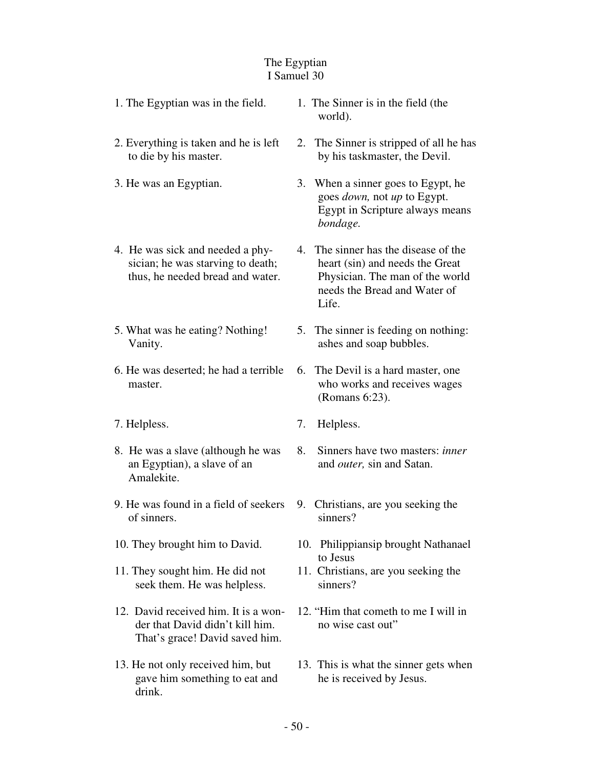## The Egyptian I Samuel 30

| 1. The Egyptian was in the field.                              | 1. The Sinner is in the field (the<br>world).                             |
|----------------------------------------------------------------|---------------------------------------------------------------------------|
| 2. Everything is taken and he is left<br>to die by his master. | 2. The Sinner is stripped of all he has<br>by his task master, the Devil. |

- 3. He was an Egyptian.
- 4. He was sick and needed a physician; he was starving to death; thus, he needed bread and water.
- 5. What was he eating? Nothing! Vanity.
- 6. He was deserted; he had a terrible master.
- 7. Helpless.
- 8. He was a slave (although he was an Egyptian), a slave of an Amalekite.
- 9. He was found in a field of seekers of sinners.
- 10. They brought him to David.
- 11. They sought him. He did not seek them. He was helpless.
- 12. David received him. It is a wonder that David didn't kill him. That's grace! David saved him.
- 13. He not only received him, but gave him something to eat and drink.
- 3. When a sinner goes to Egypt, he goes *down,* not *up* to Egypt. Egypt in Scripture always means *bondage.*
- 4. The sinner has the disease of the heart (sin) and needs the Great Physician. The man of the world needs the Bread and Water of Life.
- 5. The sinner is feeding on nothing: ashes and soap bubbles.
- 6. The Devil is a hard master, one who works and receives wages (Romans 6:23).
- 7. Helpless.
- 8. Sinners have two masters: *inner*  and *outer,* sin and Satan.
- 9. Christians, are you seeking the sinners?
- 10. Philippiansip brought Nathanael to Jesus
- 11. Christians, are you seeking the sinners?
- 12. "Him that cometh to me I will in no wise cast out"
- 13. This is what the sinner gets when he is received by Jesus.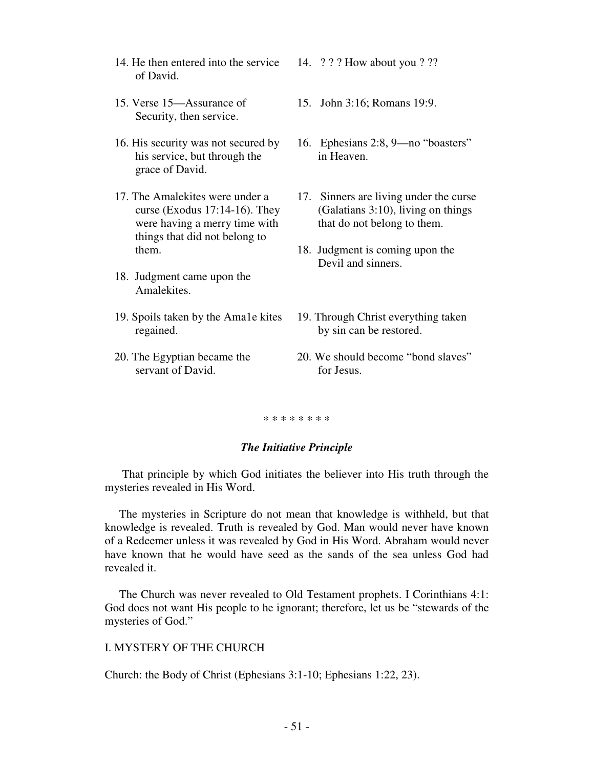- 14. He then entered into the service of David.
- 15. Verse 15—Assurance of Security, then service.
- 16. His security was not secured by his service, but through the grace of David.
- 17. The Amalekites were under a curse (Exodus 17:14-16). They were having a merry time with things that did not belong to them.
- 18. Judgment came upon the Amalekites.
- 19. Spoils taken by the Ama1e kites regained.
- 20. The Egyptian became the servant of David.
- 14. ? ? ? How about you ? ??
- 15. John 3:16; Romans 19:9.
- 16. Ephesians 2:8, 9—no "boasters" in Heaven.
- 17. Sinners are living under the curse (Galatians 3:10), living on things that do not belong to them.
- 18. Judgment is coming upon the Devil and sinners.
- 19. Through Christ everything taken by sin can be restored.
- 20. We should become "bond slaves" for Jesus.

#### \* \* \* \* \* \* \* \*

### *The Initiative Principle*

 That principle by which God initiates the believer into His truth through the mysteries revealed in His Word.

 The mysteries in Scripture do not mean that knowledge is withheld, but that knowledge is revealed. Truth is revealed by God. Man would never have known of a Redeemer unless it was revealed by God in His Word. Abraham would never have known that he would have seed as the sands of the sea unless God had revealed it.

 The Church was never revealed to Old Testament prophets. I Corinthians 4:1: God does not want His people to he ignorant; therefore, let us be "stewards of the mysteries of God."

## I. MYSTERY OF THE CHURCH

Church: the Body of Christ (Ephesians 3:1-10; Ephesians 1:22, 23).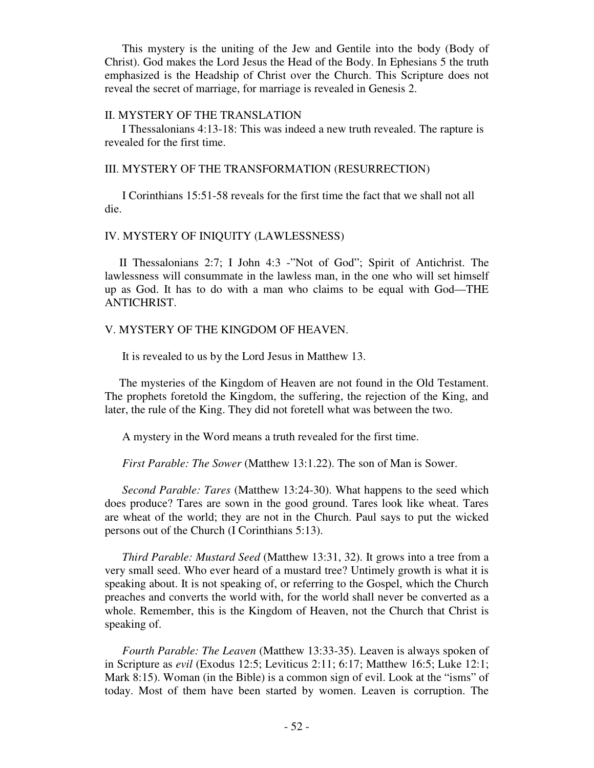This mystery is the uniting of the Jew and Gentile into the body (Body of Christ). God makes the Lord Jesus the Head of the Body. In Ephesians 5 the truth emphasized is the Headship of Christ over the Church. This Scripture does not reveal the secret of marriage, for marriage is revealed in Genesis 2.

#### II. MYSTERY OF THE TRANSLATION

 I Thessalonians 4:13-18: This was indeed a new truth revealed. The rapture is revealed for the first time.

#### III. MYSTERY OF THE TRANSFORMATION (RESURRECTION)

 I Corinthians 15:51-58 reveals for the first time the fact that we shall not all die.

## IV. MYSTERY OF INIQUITY (LAWLESSNESS)

 II Thessalonians 2:7; I John 4:3 -"Not of God"; Spirit of Antichrist. The lawlessness will consummate in the lawless man, in the one who will set himself up as God. It has to do with a man who claims to be equal with God—THE ANTICHRIST.

### V. MYSTERY OF THE KINGDOM OF HEAVEN.

It is revealed to us by the Lord Jesus in Matthew 13.

 The mysteries of the Kingdom of Heaven are not found in the Old Testament. The prophets foretold the Kingdom, the suffering, the rejection of the King, and later, the rule of the King. They did not foretell what was between the two.

A mystery in the Word means a truth revealed for the first time.

 *First Parable: The Sower* (Matthew 13:1.22). The son of Man is Sower.

 *Second Parable: Tares* (Matthew 13:24-30). What happens to the seed which does produce? Tares are sown in the good ground. Tares look like wheat. Tares are wheat of the world; they are not in the Church. Paul says to put the wicked persons out of the Church (I Corinthians 5:13).

 *Third Parable: Mustard Seed* (Matthew 13:31, 32). It grows into a tree from a very small seed. Who ever heard of a mustard tree? Untimely growth is what it is speaking about. It is not speaking of, or referring to the Gospel, which the Church preaches and converts the world with, for the world shall never be converted as a whole. Remember, this is the Kingdom of Heaven, not the Church that Christ is speaking of.

 *Fourth Parable: The Leaven* (Matthew 13:33-35). Leaven is always spoken of in Scripture as *evil* (Exodus 12:5; Leviticus 2:11; 6:17; Matthew 16:5; Luke 12:1; Mark 8:15). Woman (in the Bible) is a common sign of evil. Look at the "isms" of today. Most of them have been started by women. Leaven is corruption. The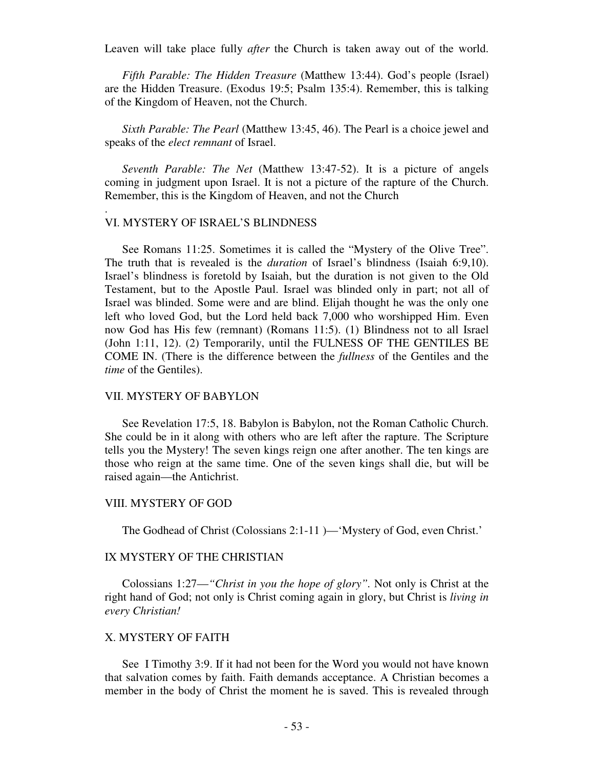Leaven will take place fully *after* the Church is taken away out of the world.

 *Fifth Parable: The Hidden Treasure* (Matthew 13:44). God's people (Israel) are the Hidden Treasure. (Exodus 19:5; Psalm 135:4). Remember, this is talking of the Kingdom of Heaven, not the Church.

*Sixth Parable: The Pearl* (Matthew 13:45, 46). The Pearl is a choice jewel and speaks of the *elect remnant* of Israel.

 *Seventh Parable: The Net* (Matthew 13:47-52). It is a picture of angels coming in judgment upon Israel. It is not a picture of the rapture of the Church. Remember, this is the Kingdom of Heaven, and not the Church

## VI. MYSTERY OF ISRAEL'S BLINDNESS

.

 See Romans 11:25. Sometimes it is called the "Mystery of the Olive Tree". The truth that is revealed is the *duration* of Israel's blindness (Isaiah 6:9,10). Israel's blindness is foretold by Isaiah, but the duration is not given to the Old Testament, but to the Apostle Paul. Israel was blinded only in part; not all of Israel was blinded. Some were and are blind. Elijah thought he was the only one left who loved God, but the Lord held back 7,000 who worshipped Him. Even now God has His few (remnant) (Romans 11:5). (1) Blindness not to all Israel (John 1:11, 12). (2) Temporarily, until the FULNESS OF THE GENTILES BE COME IN. (There is the difference between the *fullness* of the Gentiles and the *time* of the Gentiles).

## VII. MYSTERY OF BABYLON

 See Revelation 17:5, 18. Babylon is Babylon, not the Roman Catholic Church. She could be in it along with others who are left after the rapture. The Scripture tells you the Mystery! The seven kings reign one after another. The ten kings are those who reign at the same time. One of the seven kings shall die, but will be raised again—the Antichrist.

## VIII. MYSTERY OF GOD

The Godhead of Christ (Colossians 2:1-11 )—'Mystery of God, even Christ.'

## IX MYSTERY OF THE CHRISTIAN

 Colossians 1:27—*"Christ in you the hope of glory".* Not only is Christ at the right hand of God; not only is Christ coming again in glory, but Christ is *living in every Christian!* 

## X. MYSTERY OF FAITH

 See I Timothy 3:9. If it had not been for the Word you would not have known that salvation comes by faith. Faith demands acceptance. A Christian becomes a member in the body of Christ the moment he is saved. This is revealed through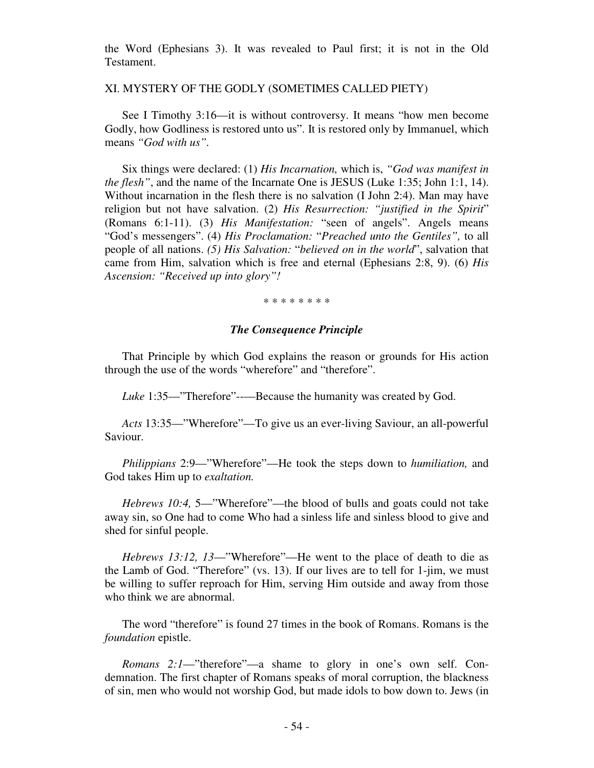the Word (Ephesians 3). It was revealed to Paul first; it is not in the Old Testament.

XI. MYSTERY OF THE GODLY (SOMETIMES CALLED PIETY)

See I Timothy 3:16—it is without controversy. It means "how men become Godly, how Godliness is restored unto us". It is restored only by Immanuel, which means *"God with us".*

 Six things were declared: (1) *His Incarnation,* which is, *"God was manifest in the flesh"*, and the name of the Incarnate One is JESUS (Luke 1:35; John 1:1, 14). Without incarnation in the flesh there is no salvation (I John 2:4). Man may have religion but not have salvation. (2) *His Resurrection: "justified in the Spirit*" (Romans 6:1-11). (3) *His Manifestation:* "seen of angels". Angels means "God's messengers". (4) *His Proclamation:* "*Preached unto the Gentiles",* to all people of all nations. *(5) His Salvation:* "*believed on in the world*", salvation that came from Him, salvation which is free and eternal (Ephesians 2:8, 9). (6) *His Ascension: "Received up into glory"!*

\* \* \* \* \* \* \* \*

## *The Consequence Principle*

That Principle by which God explains the reason or grounds for His action through the use of the words "wherefore" and "therefore".

*Luke* 1:35—"Therefore"--—Because the humanity was created by God.

 *Acts* 13:35—"Wherefore"—To give us an ever-living Saviour, an all-powerful Saviour.

 *Philippians* 2:9—"Wherefore"—He took the steps down to *humiliation,* and God takes Him up to *exaltation.* 

 *Hebrews 10:4,* 5—"Wherefore"—the blood of bulls and goats could not take away sin, so One had to come Who had a sinless life and sinless blood to give and shed for sinful people.

 *Hebrews 13:12, 13*—"Wherefore"—He went to the place of death to die as the Lamb of God. "Therefore" (vs. 13). If our lives are to tell for 1-jim, we must be willing to suffer reproach for Him, serving Him outside and away from those who think we are abnormal.

 The word "therefore" is found 27 times in the book of Romans. Romans is the *foundation* epistle.

 *Romans 2:1*—"therefore"—a shame to glory in one's own self. Condemnation. The first chapter of Romans speaks of moral corruption, the blackness of sin, men who would not worship God, but made idols to bow down to. Jews (in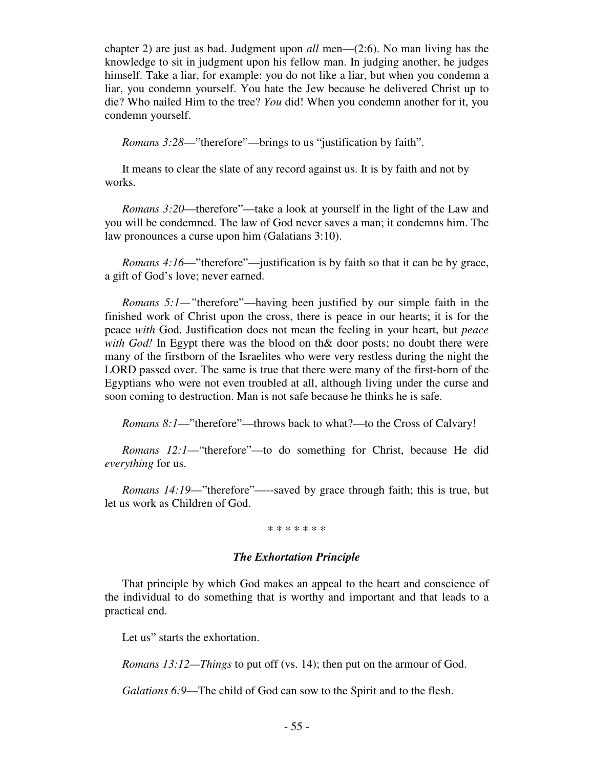chapter 2) are just as bad. Judgment upon *all* men—(2:6). No man living has the knowledge to sit in judgment upon his fellow man. In judging another, he judges himself. Take a liar, for example: you do not like a liar, but when you condemn a liar, you condemn yourself. You hate the Jew because he delivered Christ up to die? Who nailed Him to the tree? *You* did! When you condemn another for it, you condemn yourself.

*Romans 3:28*—"therefore"—brings to us "justification by faith".

 It means to clear the slate of any record against us. It is by faith and not by works.

 *Romans 3:20*—therefore"—take a look at yourself in the light of the Law and you will be condemned. The law of God never saves a man; it condemns him. The law pronounces a curse upon him (Galatians 3:10).

*Romans 4:16*—"therefore"—justification is by faith so that it can be by grace, a gift of God's love; never earned.

 *Romans 5:1—"*therefore"—having been justified by our simple faith in the finished work of Christ upon the cross, there is peace in our hearts; it is for the peace *with* God. Justification does not mean the feeling in your heart, but *peace with God!* In Egypt there was the blood on th& door posts; no doubt there were many of the firstborn of the Israelites who were very restless during the night the LORD passed over. The same is true that there were many of the first-born of the Egyptians who were not even troubled at all, although living under the curse and soon coming to destruction. Man is not safe because he thinks he is safe.

*Romans 8:1*—"therefore"—throws back to what?—to the Cross of Calvary!

 *Romans 12:1*—"therefore"—to do something for Christ, because He did *everything* for us.

*Romans 14:19*—"therefore"—-saved by grace through faith; this is true, but let us work as Children of God.

## \* \* \* \* \* \* \*

## *The Exhortation Principle*

That principle by which God makes an appeal to the heart and conscience of the individual to do something that is worthy and important and that leads to a practical end.

Let us" starts the exhortation.

*Romans 13:12—Things* to put off (vs. 14); then put on the armour of God.

*Galatians 6:9*—The child of God can sow to the Spirit and to the flesh.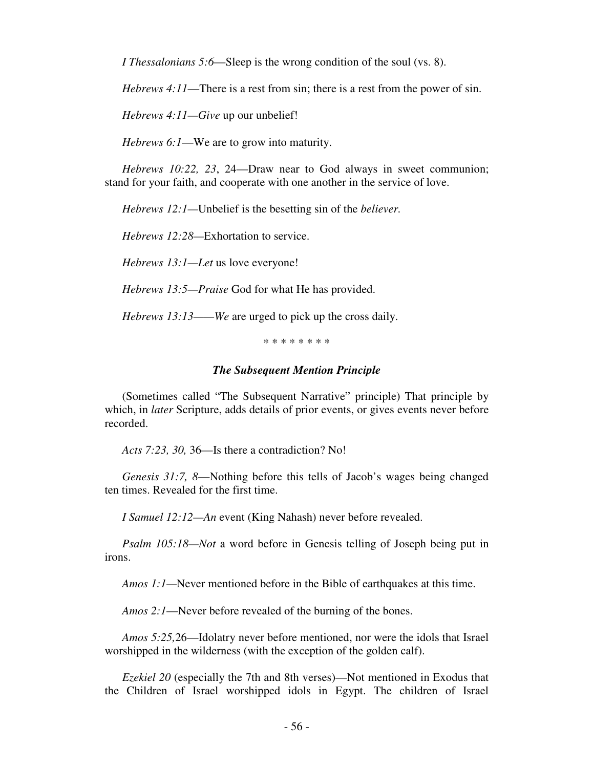*I Thessalonians 5:6*—Sleep is the wrong condition of the soul (vs. 8).

 *Hebrews 4:11*—There is a rest from sin; there is a rest from the power of sin.

*Hebrews 4:11—Give* up our unbelief!

*Hebrews 6:1*—We are to grow into maturity.

 *Hebrews 10:22, 23*, 24—Draw near to God always in sweet communion; stand for your faith, and cooperate with one another in the service of love.

*Hebrews 12:1—*Unbelief is the besetting sin of the *believer.* 

 *Hebrews 12:28—*Exhortation to service.

*Hebrews 13:1—Let* us love everyone!

 *Hebrews 13:5—Praise* God for what He has provided.

*Hebrews 13:13——We* are urged to pick up the cross daily.

\* \* \* \* \* \* \* \*

## *The Subsequent Mention Principle*

(Sometimes called "The Subsequent Narrative" principle) That principle by which, in *later* Scripture, adds details of prior events, or gives events never before recorded.

*Acts 7:23, 30,* 36—Is there a contradiction? No!

 *Genesis 31:7, 8*—Nothing before this tells of Jacob's wages being changed ten times. Revealed for the first time.

*I Samuel 12:12—An* event (King Nahash) never before revealed.

 *Psalm 105:18—Not* a word before in Genesis telling of Joseph being put in irons.

*Amos 1:1—*Never mentioned before in the Bible of earthquakes at this time.

*Amos 2:1*—Never before revealed of the burning of the bones.

 *Amos 5:25,*26—Idolatry never before mentioned, nor were the idols that Israel worshipped in the wilderness (with the exception of the golden calf).

 *Ezekiel 20* (especially the 7th and 8th verses)—Not mentioned in Exodus that the Children of Israel worshipped idols in Egypt. The children of Israel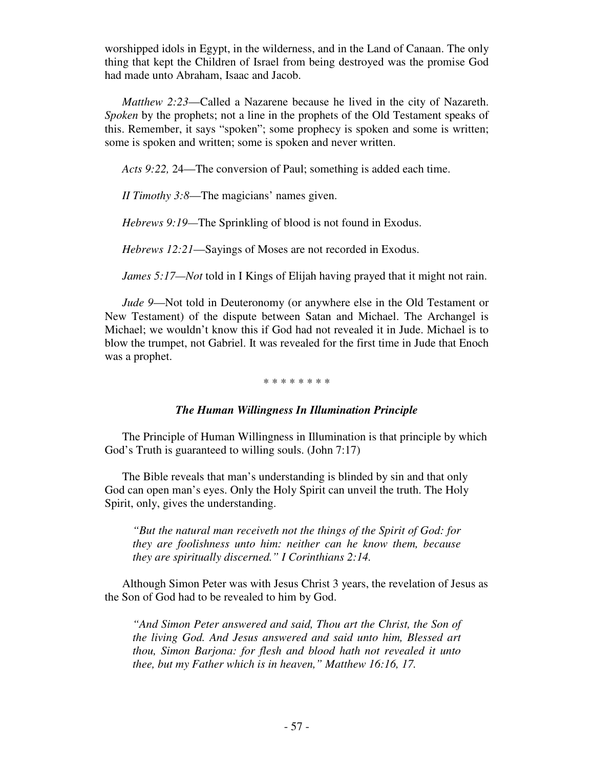worshipped idols in Egypt, in the wilderness, and in the Land of Canaan. The only thing that kept the Children of Israel from being destroyed was the promise God had made unto Abraham, Isaac and Jacob.

 *Matthew 2:23*—Called a Nazarene because he lived in the city of Nazareth. *Spoken* by the prophets; not a line in the prophets of the Old Testament speaks of this. Remember, it says "spoken"; some prophecy is spoken and some is written; some is spoken and written; some is spoken and never written.

*Acts 9:22,* 24—The conversion of Paul; something is added each time.

*II Timothy 3:8*—The magicians' names given.

*Hebrews 9:19—*The Sprinkling of blood is not found in Exodus.

*Hebrews 12:21*—Sayings of Moses are not recorded in Exodus.

*James 5:17—Not* told in I Kings of Elijah having prayed that it might not rain.

 *Jude 9*—Not told in Deuteronomy (or anywhere else in the Old Testament or New Testament) of the dispute between Satan and Michael. The Archangel is Michael; we wouldn't know this if God had not revealed it in Jude. Michael is to blow the trumpet, not Gabriel. It was revealed for the first time in Jude that Enoch was a prophet.

## \* \* \* \* \* \* \* \*

## *The Human Willingness In Illumination Principle*

 The Principle of Human Willingness in Illumination is that principle by which God's Truth is guaranteed to willing souls. (John 7:17)

 The Bible reveals that man's understanding is blinded by sin and that only God can open man's eyes. Only the Holy Spirit can unveil the truth. The Holy Spirit, only, gives the understanding.

*"But the natural man receiveth not the things of the Spirit of God: for they are foolishness unto him: neither can he know them, because they are spiritually discerned." I Corinthians 2:14.* 

 Although Simon Peter was with Jesus Christ 3 years, the revelation of Jesus as the Son of God had to be revealed to him by God.

*"And Simon Peter answered and said, Thou art the Christ, the Son of the living God. And Jesus answered and said unto him, Blessed art thou, Simon Barjona: for flesh and blood hath not revealed it unto thee, but my Father which is in heaven," Matthew 16:16, 17.*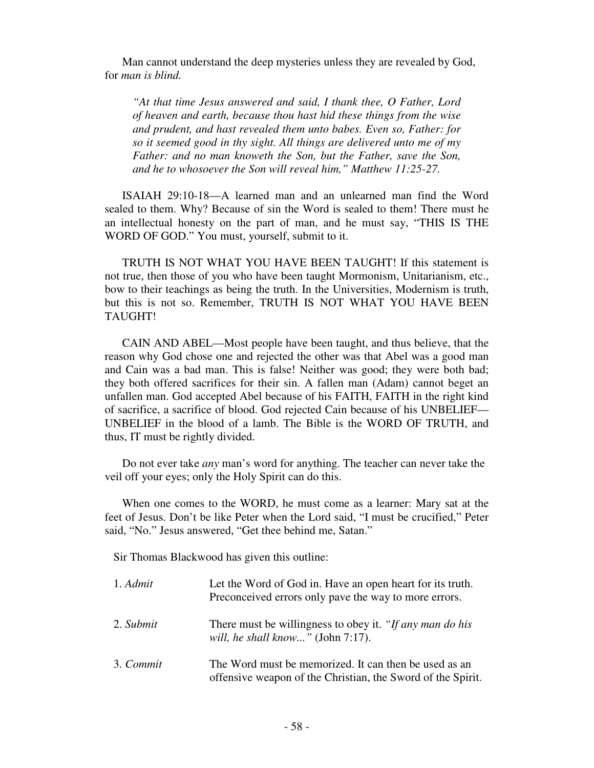Man cannot understand the deep mysteries unless they are revealed by God, for *man is blind.* 

*"At that time Jesus answered and said, I thank thee, O Father, Lord of heaven and earth, because thou hast hid these things from the wise and prudent, and hast revealed them unto babes. Even so, Father: for so it seemed good in thy sight. All things are delivered unto me of my Father: and no man knoweth the Son, but the Father, save the Son, and he to whosoever the Son will reveal him," Matthew 11:25-27.* 

ISAIAH 29:10-18—A learned man and an unlearned man find the Word sealed to them. Why? Because of sin the Word is sealed to them! There must he an intellectual honesty on the part of man, and he must say, "THIS IS THE WORD OF GOD." You must, yourself, submit to it.

 TRUTH IS NOT WHAT YOU HAVE BEEN TAUGHT! If this statement is not true, then those of you who have been taught Mormonism, Unitarianism, etc., bow to their teachings as being the truth. In the Universities, Modernism is truth, but this is not so. Remember, TRUTH IS NOT WHAT YOU HAVE BEEN TAUGHT!

 CAIN AND ABEL—Most people have been taught, and thus believe, that the reason why God chose one and rejected the other was that Abel was a good man and Cain was a bad man. This is false! Neither was good; they were both bad; they both offered sacrifices for their sin. A fallen man (Adam) cannot beget an unfallen man. God accepted Abel because of his FAITH, FAITH in the right kind of sacrifice, a sacrifice of blood. God rejected Cain because of his UNBELIEF— UNBELIEF in the blood of a lamb. The Bible is the WORD OF TRUTH, and thus, IT must be rightly divided.

 Do not ever take *any* man's word for anything. The teacher can never take the veil off your eyes; only the Holy Spirit can do this.

 When one comes to the WORD, he must come as a learner: Mary sat at the feet of Jesus. Don't be like Peter when the Lord said, "I must be crucified," Peter said, "No." Jesus answered, "Get thee behind me, Satan."

Sir Thomas Blackwood has given this outline:

| 1. Admit  | Let the Word of God in. Have an open heart for its truth.<br>Preconceived errors only pave the way to more errors.   |
|-----------|----------------------------------------------------------------------------------------------------------------------|
| 2. Submit | There must be willingness to obey it. "If any man do his<br>will, he shall know" (John $7:17$ ).                     |
| 3. Commit | The Word must be memorized. It can then be used as an<br>offensive weapon of the Christian, the Sword of the Spirit. |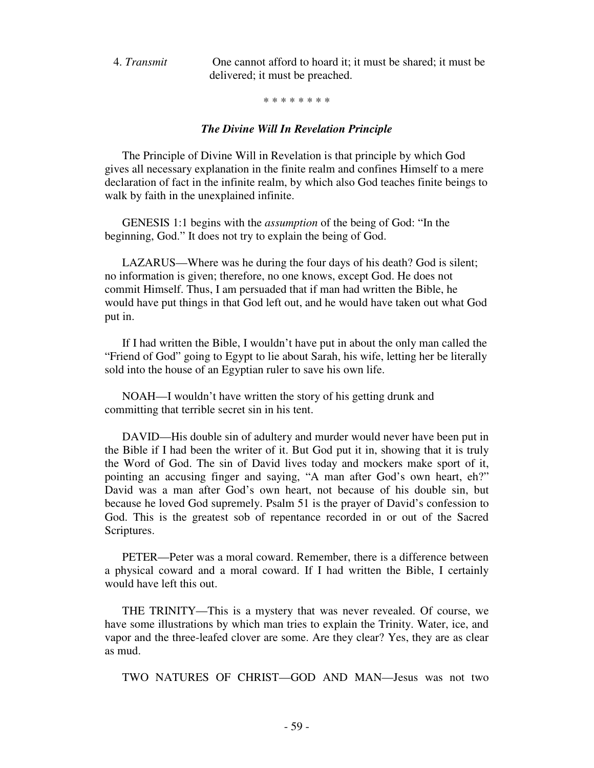4. *Transmit* One cannot afford to hoard it; it must be shared; it must be delivered; it must be preached.

\* \* \* \* \* \* \* \*

### *The Divine Will In Revelation Principle*

The Principle of Divine Will in Revelation is that principle by which God gives all necessary explanation in the finite realm and confines Himself to a mere declaration of fact in the infinite realm, by which also God teaches finite beings to walk by faith in the unexplained infinite.

 GENESIS 1:1 begins with the *assumption* of the being of God: "In the beginning, God." It does not try to explain the being of God.

 LAZARUS—Where was he during the four days of his death? God is silent; no information is given; therefore, no one knows, except God. He does not commit Himself. Thus, I am persuaded that if man had written the Bible, he would have put things in that God left out, and he would have taken out what God put in.

 If I had written the Bible, I wouldn't have put in about the only man called the "Friend of God" going to Egypt to lie about Sarah, his wife, letting her be literally sold into the house of an Egyptian ruler to save his own life.

 NOAH—I wouldn't have written the story of his getting drunk and committing that terrible secret sin in his tent.

 DAVID—His double sin of adultery and murder would never have been put in the Bible if I had been the writer of it. But God put it in, showing that it is truly the Word of God. The sin of David lives today and mockers make sport of it, pointing an accusing finger and saying, "A man after God's own heart, eh?" David was a man after God's own heart, not because of his double sin, but because he loved God supremely. Psalm 51 is the prayer of David's confession to God. This is the greatest sob of repentance recorded in or out of the Sacred Scriptures.

 PETER—Peter was a moral coward. Remember, there is a difference between a physical coward and a moral coward. If I had written the Bible, I certainly would have left this out.

 THE TRINITY—This is a mystery that was never revealed. Of course, we have some illustrations by which man tries to explain the Trinity. Water, ice, and vapor and the three-leafed clover are some. Are they clear? Yes, they are as clear as mud.

TWO NATURES OF CHRIST—GOD AND MAN—Jesus was not two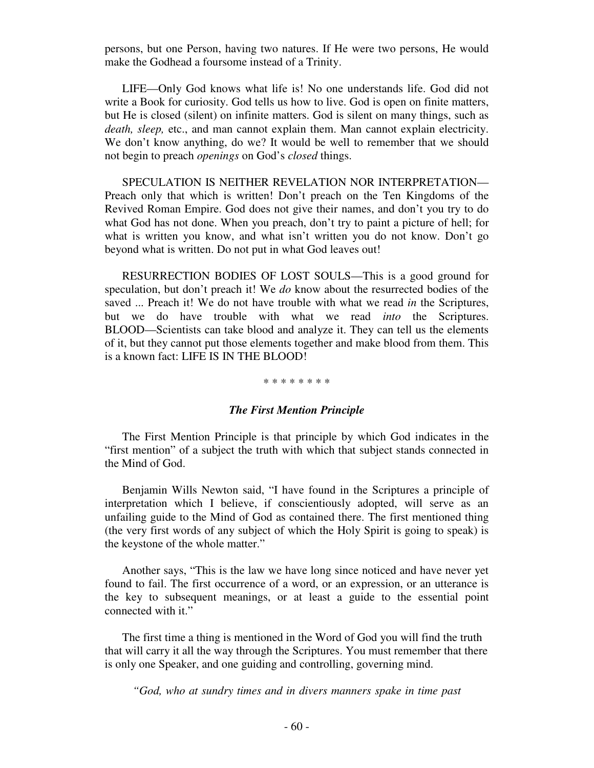persons, but one Person, having two natures. If He were two persons, He would make the Godhead a foursome instead of a Trinity.

 LIFE—Only God knows what life is! No one understands life. God did not write a Book for curiosity. God tells us how to live. God is open on finite matters, but He is closed (silent) on infinite matters. God is silent on many things, such as *death, sleep,* etc., and man cannot explain them. Man cannot explain electricity. We don't know anything, do we? It would be well to remember that we should not begin to preach *openings* on God's *closed* things.

 SPECULATION IS NEITHER REVELATION NOR INTERPRETATION— Preach only that which is written! Don't preach on the Ten Kingdoms of the Revived Roman Empire. God does not give their names, and don't you try to do what God has not done. When you preach, don't try to paint a picture of hell; for what is written you know, and what isn't written you do not know. Don't go beyond what is written. Do not put in what God leaves out!

 RESURRECTION BODIES OF LOST SOULS—This is a good ground for speculation, but don't preach it! We *do* know about the resurrected bodies of the saved ... Preach it! We do not have trouble with what we read *in* the Scriptures, but we do have trouble with what we read *into* the Scriptures. BLOOD—Scientists can take blood and analyze it. They can tell us the elements of it, but they cannot put those elements together and make blood from them. This is a known fact: LIFE IS IN THE BLOOD!

#### \* \* \* \* \* \* \* \*

## *The First Mention Principle*

The First Mention Principle is that principle by which God indicates in the "first mention" of a subject the truth with which that subject stands connected in the Mind of God.

 Benjamin Wills Newton said, "I have found in the Scriptures a principle of interpretation which I believe, if conscientiously adopted, will serve as an unfailing guide to the Mind of God as contained there. The first mentioned thing (the very first words of any subject of which the Holy Spirit is going to speak) is the keystone of the whole matter."

 Another says, "This is the law we have long since noticed and have never yet found to fail. The first occurrence of a word, or an expression, or an utterance is the key to subsequent meanings, or at least a guide to the essential point connected with it."

 The first time a thing is mentioned in the Word of God you will find the truth that will carry it all the way through the Scriptures. You must remember that there is only one Speaker, and one guiding and controlling, governing mind.

*"God, who at sundry times and in divers manners spake in time past*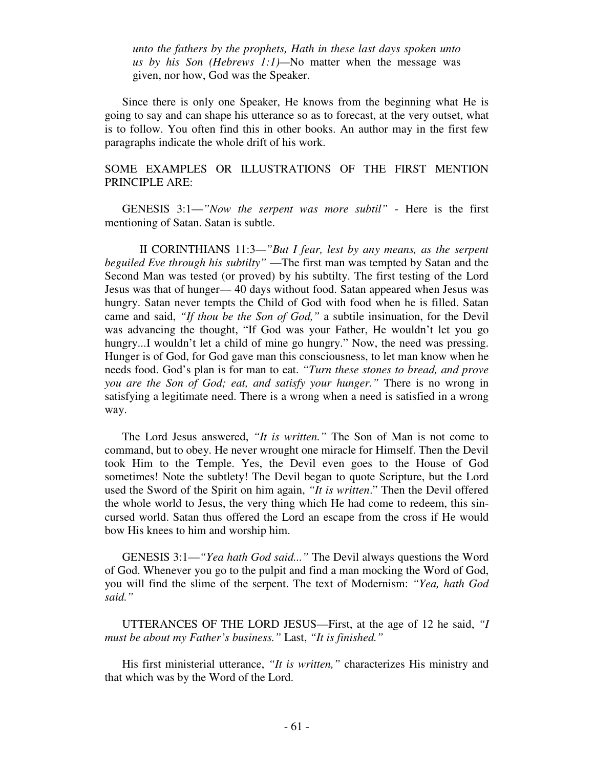*unto the fathers by the prophets, Hath in these last days spoken unto us by his Son (Hebrews 1:1)—*No matter when the message was given, nor how, God was the Speaker.

Since there is only one Speaker, He knows from the beginning what He is going to say and can shape his utterance so as to forecast, at the very outset, what is to follow. You often find this in other books. An author may in the first few paragraphs indicate the whole drift of his work.

## SOME EXAMPLES OR ILLUSTRATIONS OF THE FIRST MENTION PRINCIPLE ARE:

 GENESIS 3:1—*"Now the serpent was more subtil"* - Here is the first mentioning of Satan. Satan is subtle.

 II CORINTHIANS 11:3*—"But I fear, lest by any means, as the serpent beguiled Eve through his subtilty"* —The first man was tempted by Satan and the Second Man was tested (or proved) by his subtilty. The first testing of the Lord Jesus was that of hunger— 40 days without food. Satan appeared when Jesus was hungry. Satan never tempts the Child of God with food when he is filled. Satan came and said, *"If thou be the Son of God,"* a subtile insinuation, for the Devil was advancing the thought, "If God was your Father, He wouldn't let you go hungry...I wouldn't let a child of mine go hungry." Now, the need was pressing. Hunger is of God, for God gave man this consciousness, to let man know when he needs food. God's plan is for man to eat. *"Turn these stones to bread, and prove you are the Son of God; eat, and satisfy your hunger."* There is no wrong in satisfying a legitimate need. There is a wrong when a need is satisfied in a wrong way.

 The Lord Jesus answered, *"It is written."* The Son of Man is not come to command, but to obey. He never wrought one miracle for Himself. Then the Devil took Him to the Temple. Yes, the Devil even goes to the House of God sometimes! Note the subtlety! The Devil began to quote Scripture, but the Lord used the Sword of the Spirit on him again, *"It is written*." Then the Devil offered the whole world to Jesus, the very thing which He had come to redeem, this sincursed world. Satan thus offered the Lord an escape from the cross if He would bow His knees to him and worship him.

 GENESIS 3:1—*"Yea hath God said..."* The Devil always questions the Word of God. Whenever you go to the pulpit and find a man mocking the Word of God, you will find the slime of the serpent. The text of Modernism: *"Yea, hath God said."* 

 UTTERANCES OF THE LORD JESUS—First, at the age of 12 he said, *"I must be about my Father's business."* Last, *"It is finished."*

 His first ministerial utterance, *"It is written,"* characterizes His ministry and that which was by the Word of the Lord.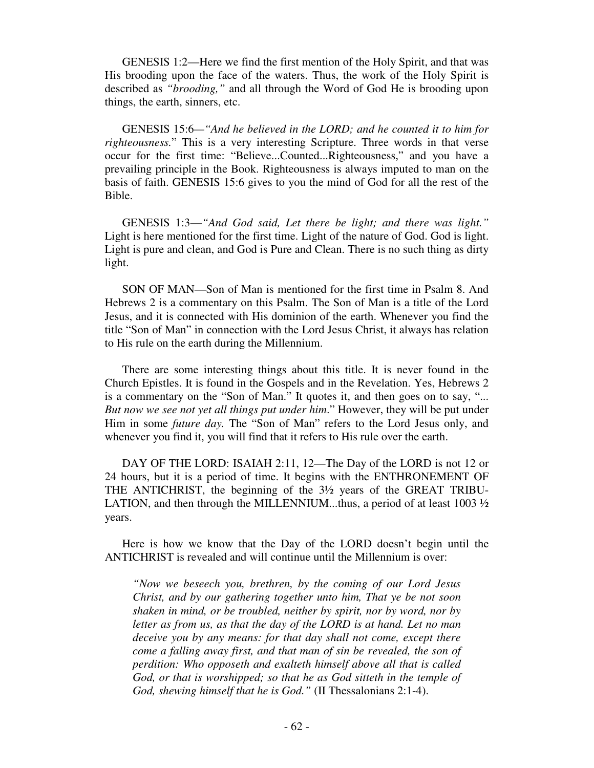GENESIS 1:2—Here we find the first mention of the Holy Spirit, and that was His brooding upon the face of the waters. Thus, the work of the Holy Spirit is described as *"brooding,"* and all through the Word of God He is brooding upon things, the earth, sinners, etc.

 GENESIS 15:6*—"And he believed in the LORD; and he counted it to him for righteousness.*" This is a very interesting Scripture. Three words in that verse occur for the first time: "Believe...Counted...Righteousness," and you have a prevailing principle in the Book. Righteousness is always imputed to man on the basis of faith. GENESIS 15:6 gives to you the mind of God for all the rest of the Bible.

 GENESIS 1:3—*"And God said, Let there be light; and there was light."*  Light is here mentioned for the first time. Light of the nature of God. God is light. Light is pure and clean, and God is Pure and Clean. There is no such thing as dirty light.

 SON OF MAN—Son of Man is mentioned for the first time in Psalm 8. And Hebrews 2 is a commentary on this Psalm. The Son of Man is a title of the Lord Jesus, and it is connected with His dominion of the earth. Whenever you find the title "Son of Man" in connection with the Lord Jesus Christ, it always has relation to His rule on the earth during the Millennium.

 There are some interesting things about this title. It is never found in the Church Epistles. It is found in the Gospels and in the Revelation. Yes, Hebrews 2 is a commentary on the "Son of Man." It quotes it, and then goes on to say, "... *But now we see not yet all things put under him*." However, they will be put under Him in some *future day.* The "Son of Man" refers to the Lord Jesus only, and whenever you find it, you will find that it refers to His rule over the earth.

DAY OF THE LORD: ISAIAH 2:11, 12—The Day of the LORD is not 12 or 24 hours, but it is a period of time. It begins with the ENTHRONEMENT OF THE ANTICHRIST, the beginning of the 3½ years of the GREAT TRIBU-LATION, and then through the MILLENNIUM...thus, a period of at least 1003  $\frac{1}{2}$ years.

 Here is how we know that the Day of the LORD doesn't begin until the ANTICHRIST is revealed and will continue until the Millennium is over:

*"Now we beseech you, brethren, by the coming of our Lord Jesus Christ, and by our gathering together unto him, That ye be not soon shaken in mind, or be troubled, neither by spirit, nor by word, nor by letter as from us, as that the day of the LORD is at hand. Let no man deceive you by any means: for that day shall not come, except there come a falling away first, and that man of sin be revealed, the son of perdition: Who opposeth and exalteth himself above all that is called God, or that is worshipped; so that he as God sitteth in the temple of God, shewing himself that he is God."* (II Thessalonians 2:1-4).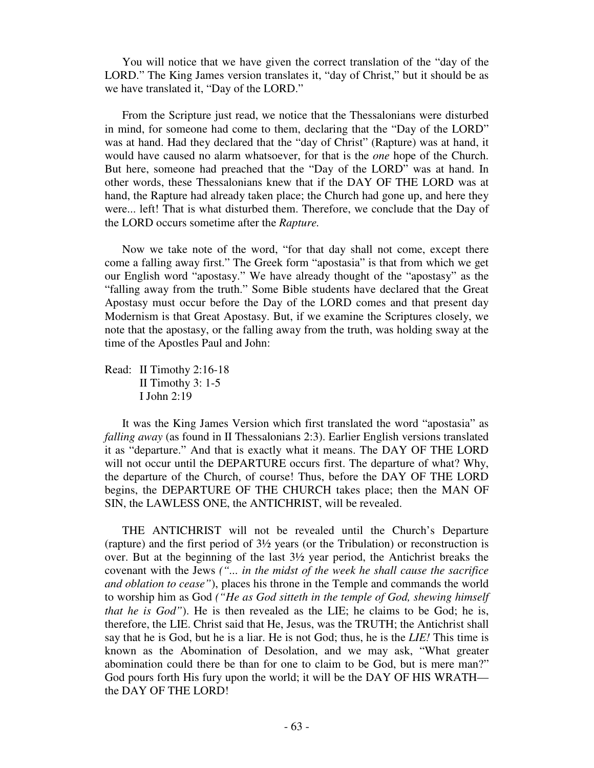You will notice that we have given the correct translation of the "day of the LORD." The King James version translates it, "day of Christ," but it should be as we have translated it, "Day of the LORD."

From the Scripture just read, we notice that the Thessalonians were disturbed in mind, for someone had come to them, declaring that the "Day of the LORD" was at hand. Had they declared that the "day of Christ" (Rapture) was at hand, it would have caused no alarm whatsoever, for that is the *one* hope of the Church. But here, someone had preached that the "Day of the LORD" was at hand. In other words, these Thessalonians knew that if the DAY OF THE LORD was at hand, the Rapture had already taken place; the Church had gone up, and here they were... left! That is what disturbed them. Therefore, we conclude that the Day of the LORD occurs sometime after the *Rapture.* 

Now we take note of the word, "for that day shall not come, except there come a falling away first." The Greek form "apostasia" is that from which we get our English word "apostasy." We have already thought of the "apostasy" as the "falling away from the truth." Some Bible students have declared that the Great Apostasy must occur before the Day of the LORD comes and that present day Modernism is that Great Apostasy. But, if we examine the Scriptures closely, we note that the apostasy, or the falling away from the truth, was holding sway at the time of the Apostles Paul and John:

Read: II Timothy 2:16-18 II Timothy 3: 1-5 I John 2:19

 It was the King James Version which first translated the word "apostasia" as *falling away* (as found in II Thessalonians 2:3). Earlier English versions translated it as "departure." And that is exactly what it means. The DAY OF THE LORD will not occur until the DEPARTURE occurs first. The departure of what? Why, the departure of the Church, of course! Thus, before the DAY OF THE LORD begins, the DEPARTURE OF THE CHURCH takes place; then the MAN OF SIN, the LAWLESS ONE, the ANTICHRIST, will be revealed.

 THE ANTICHRIST will not be revealed until the Church's Departure (rapture) and the first period of 3½ years (or the Tribulation) or reconstruction is over. But at the beginning of the last 3½ year period, the Antichrist breaks the covenant with the Jews *("... in the midst of the week he shall cause the sacrifice and oblation to cease"*), places his throne in the Temple and commands the world to worship him as God *("He as God sitteth in the temple of God, shewing himself that he is God"*). He is then revealed as the LIE; he claims to be God; he is, therefore, the LIE. Christ said that He, Jesus, was the TRUTH; the Antichrist shall say that he is God, but he is a liar. He is not God; thus, he is the *LIE!* This time is known as the Abomination of Desolation, and we may ask, "What greater abomination could there be than for one to claim to be God, but is mere man?" God pours forth His fury upon the world; it will be the DAY OF HIS WRATH the DAY OF THE LORD!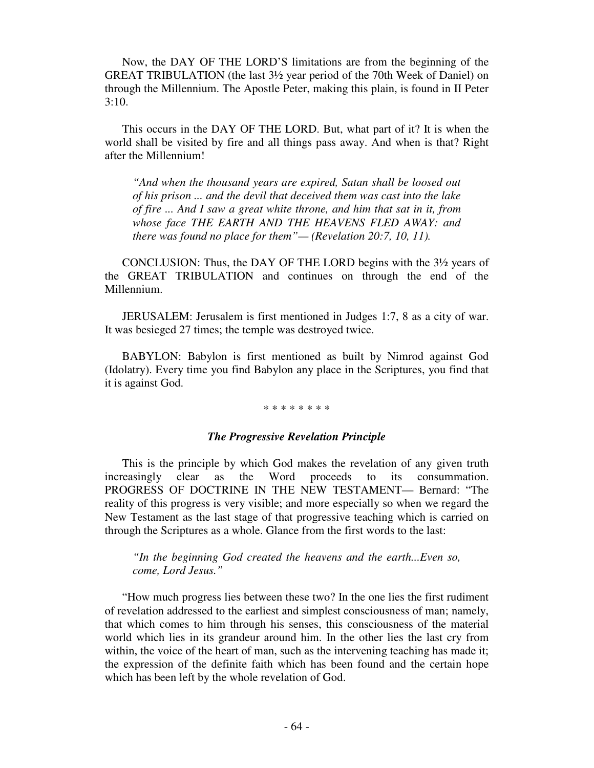Now, the DAY OF THE LORD'S limitations are from the beginning of the GREAT TRIBULATION (the last 3½ year period of the 70th Week of Daniel) on through the Millennium. The Apostle Peter, making this plain, is found in II Peter 3:10.

 This occurs in the DAY OF THE LORD. But, what part of it? It is when the world shall be visited by fire and all things pass away. And when is that? Right after the Millennium!

*"And when the thousand years are expired, Satan shall be loosed out of his prison ... and the devil that deceived them was cast into the lake of fire ... And I saw a great white throne, and him that sat in it, from whose face THE EARTH AND THE HEAVENS FLED AWAY: and there was found no place for them"— (Revelation 20:7, 10, 11).* 

CONCLUSION: Thus, the DAY OF THE LORD begins with the 3½ years of the GREAT TRIBULATION and continues on through the end of the Millennium.

 JERUSALEM: Jerusalem is first mentioned in Judges 1:7, 8 as a city of war. It was besieged 27 times; the temple was destroyed twice.

 BABYLON: Babylon is first mentioned as built by Nimrod against God (Idolatry). Every time you find Babylon any place in the Scriptures, you find that it is against God.

#### \* \* \* \* \* \* \* \*

## *The Progressive Revelation Principle*

This is the principle by which God makes the revelation of any given truth increasingly clear as the Word proceeds to its consummation. PROGRESS OF DOCTRINE IN THE NEW TESTAMENT— Bernard: "The reality of this progress is very visible; and more especially so when we regard the New Testament as the last stage of that progressive teaching which is carried on through the Scriptures as a whole. Glance from the first words to the last:

*"In the beginning God created the heavens and the earth...Even so, come, Lord Jesus."* 

 "How much progress lies between these two? In the one lies the first rudiment of revelation addressed to the earliest and simplest consciousness of man; namely, that which comes to him through his senses, this consciousness of the material world which lies in its grandeur around him. In the other lies the last cry from within, the voice of the heart of man, such as the intervening teaching has made it; the expression of the definite faith which has been found and the certain hope which has been left by the whole revelation of God.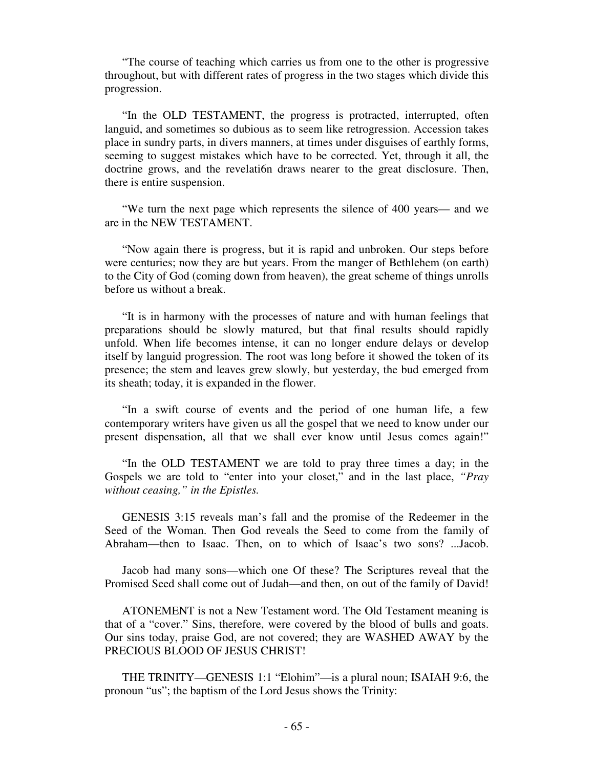"The course of teaching which carries us from one to the other is progressive throughout, but with different rates of progress in the two stages which divide this progression.

 "In the OLD TESTAMENT, the progress is protracted, interrupted, often languid, and sometimes so dubious as to seem like retrogression. Accession takes place in sundry parts, in divers manners, at times under disguises of earthly forms, seeming to suggest mistakes which have to be corrected. Yet, through it all, the doctrine grows, and the revelati6n draws nearer to the great disclosure. Then, there is entire suspension.

 "We turn the next page which represents the silence of 400 years— and we are in the NEW TESTAMENT.

 "Now again there is progress, but it is rapid and unbroken. Our steps before were centuries; now they are but years. From the manger of Bethlehem (on earth) to the City of God (coming down from heaven), the great scheme of things unrolls before us without a break.

 "It is in harmony with the processes of nature and with human feelings that preparations should be slowly matured, but that final results should rapidly unfold. When life becomes intense, it can no longer endure delays or develop itself by languid progression. The root was long before it showed the token of its presence; the stem and leaves grew slowly, but yesterday, the bud emerged from its sheath; today, it is expanded in the flower.

 "In a swift course of events and the period of one human life, a few contemporary writers have given us all the gospel that we need to know under our present dispensation, all that we shall ever know until Jesus comes again!"

 "In the OLD TESTAMENT we are told to pray three times a day; in the Gospels we are told to "enter into your closet," and in the last place, *"Pray without ceasing," in the Epistles.* 

 GENESIS 3:15 reveals man's fall and the promise of the Redeemer in the Seed of the Woman. Then God reveals the Seed to come from the family of Abraham—then to Isaac. Then, on to which of Isaac's two sons? ...Jacob.

 Jacob had many sons—which one Of these? The Scriptures reveal that the Promised Seed shall come out of Judah—and then, on out of the family of David!

 ATONEMENT is not a New Testament word. The Old Testament meaning is that of a "cover." Sins, therefore, were covered by the blood of bulls and goats. Our sins today, praise God, are not covered; they are WASHED AWAY by the PRECIOUS BLOOD OF JESUS CHRIST!

 THE TRINITY—GENESIS 1:1 "Elohim"—is a plural noun; ISAIAH 9:6, the pronoun "us"; the baptism of the Lord Jesus shows the Trinity: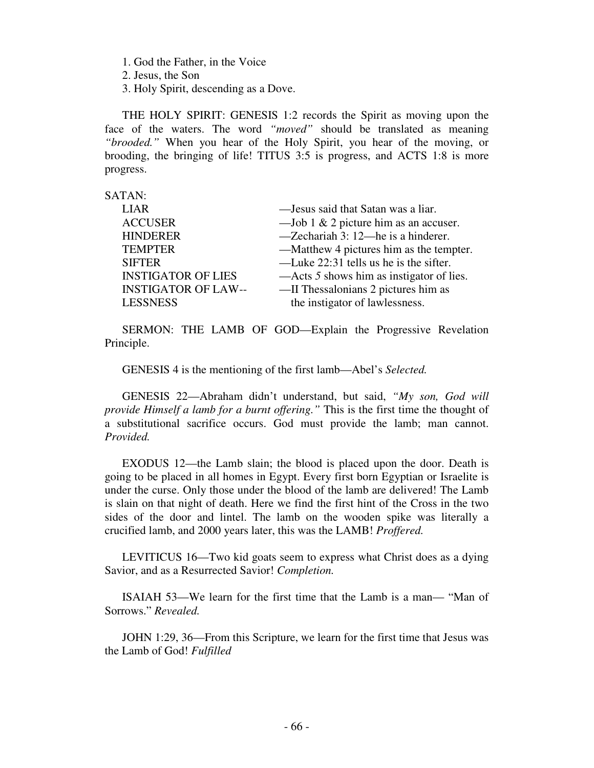1. God the Father, in the Voice

2. Jesus, the Son

3. Holy Spirit, descending as a Dove.

 THE HOLY SPIRIT: GENESIS 1:2 records the Spirit as moving upon the face of the waters. The word *"moved"* should be translated as meaning *"brooded."* When you hear of the Holy Spirit, you hear of the moving, or brooding, the bringing of life! TITUS 3:5 is progress, and ACTS 1:8 is more progress.

SATAN:

| <b>LIAR</b>                | -Jesus said that Satan was a liar.       |
|----------------------------|------------------------------------------|
| <b>ACCUSER</b>             | —Job 1 & 2 picture him as an accuser.    |
| <b>HINDERER</b>            | -Zechariah 3: 12-he is a hinderer.       |
| <b>TEMPTER</b>             | —Matthew 4 pictures him as the tempter.  |
| <b>SIFTER</b>              | —Luke 22:31 tells us he is the sifter.   |
| <b>INSTIGATOR OF LIES</b>  | —Acts 5 shows him as instigator of lies. |
| <b>INSTIGATOR OF LAW--</b> | —II Thessalonians 2 pictures him as      |
| <b>LESSNESS</b>            | the instigator of lawlessness.           |

 SERMON: THE LAMB OF GOD—Explain the Progressive Revelation Principle.

GENESIS 4 is the mentioning of the first lamb—Abel's *Selected.* 

 GENESIS 22—Abraham didn't understand, but said, *"My son, God will provide Himself a lamb for a burnt offering."* This is the first time the thought of a substitutional sacrifice occurs. God must provide the lamb; man cannot. *Provided.* 

**EXODUS** 12—the Lamb slain; the blood is placed upon the door. Death is going to be placed in all homes in Egypt. Every first born Egyptian or Israelite is under the curse. Only those under the blood of the lamb are delivered! The Lamb is slain on that night of death. Here we find the first hint of the Cross in the two sides of the door and lintel. The lamb on the wooden spike was literally a crucified lamb, and 2000 years later, this was the LAMB! *Proffered.* 

LEVITICUS 16—Two kid goats seem to express what Christ does as a dying Savior, and as a Resurrected Savior! *Completion.* 

**ISAIAH 53—We learn for the first time that the Lamb is a man— "Man of** Sorrows." *Revealed.* 

JOHN 1:29, 36—From this Scripture, we learn for the first time that Jesus was the Lamb of God! *Fulfilled*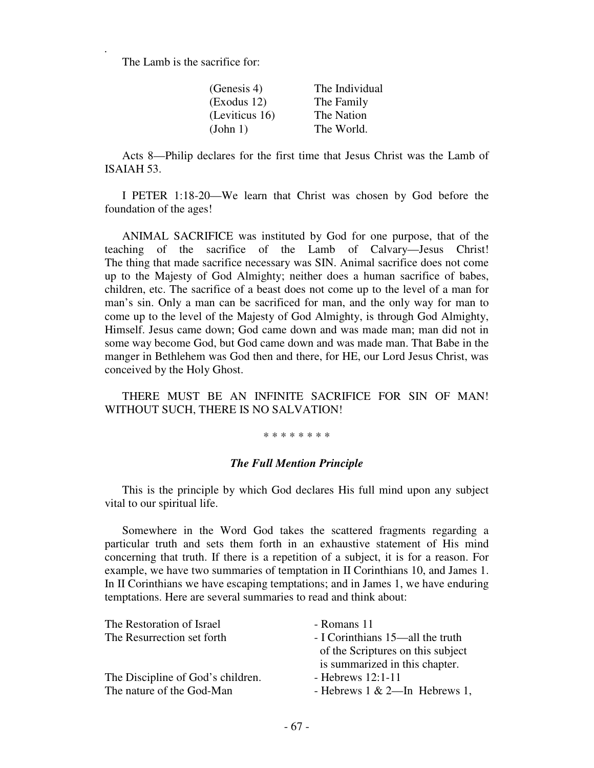The Lamb is the sacrifice for:

*.* 

| (Genesis 4)         | The Individual |
|---------------------|----------------|
| $\left($ Exodus 12) | The Family     |
| (Leviticus 16)      | The Nation     |
| (John 1)            | The World.     |

 Acts 8—Philip declares for the first time that Jesus Christ was the Lamb of ISAIAH 53.

 I PETER 1:18-20—We learn that Christ was chosen by God before the foundation of the ages!

 ANIMAL SACRIFICE was instituted by God for one purpose, that of the teaching of the sacrifice of the Lamb of Calvary—Jesus Christ! The thing that made sacrifice necessary was SIN. Animal sacrifice does not come up to the Majesty of God Almighty; neither does a human sacrifice of babes, children, etc. The sacrifice of a beast does not come up to the level of a man for man's sin. Only a man can be sacrificed for man, and the only way for man to come up to the level of the Majesty of God Almighty, is through God Almighty, Himself. Jesus came down; God came down and was made man; man did not in some way become God, but God came down and was made man. That Babe in the manger in Bethlehem was God then and there, for HE, our Lord Jesus Christ, was conceived by the Holy Ghost.

 THERE MUST BE AN INFINITE SACRIFICE FOR SIN OF MAN! WITHOUT SUCH, THERE IS NO SALVATION!

\* \* \* \* \* \* \* \*

## *The Full Mention Principle*

This is the principle by which God declares His full mind upon any subject vital to our spiritual life.

 Somewhere in the Word God takes the scattered fragments regarding a particular truth and sets them forth in an exhaustive statement of His mind concerning that truth. If there is a repetition of a subject, it is for a reason. For example, we have two summaries of temptation in II Corinthians 10, and James 1. In II Corinthians we have escaping temptations; and in James 1, we have enduring temptations. Here are several summaries to read and think about:

| - Romans 11                       |
|-----------------------------------|
| - I Corinthians 15—all the truth  |
| of the Scriptures on this subject |
| is summarized in this chapter.    |
| - Hebrews $12:1-11$               |
| - Hebrews $1 \& 2$ —In Hebrews 1, |
|                                   |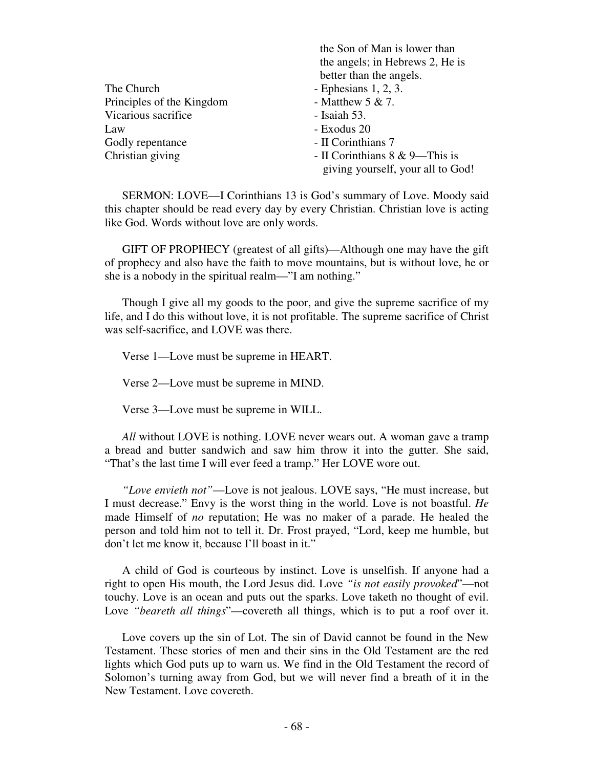|                           | <u>UIC OOL OL BUULLED BARREL UILUI</u> |
|---------------------------|----------------------------------------|
|                           | the angels; in Hebrews 2, He is        |
|                           | better than the angels.                |
| The Church                | - Ephesians $1, 2, 3$ .                |
| Principles of the Kingdom | - Matthew $5 & 7$ .                    |
| Vicarious sacrifice       | - Isaiah 53.                           |
| Law                       | - Exodus 20                            |
| Godly repentance          | - II Corinthians 7                     |
| Christian giving          | - II Corinthians 8 & 9—This is         |
|                           | giving yourself, your all to God!      |
|                           |                                        |

the Son of Man is lower than

SERMON: LOVE—I Corinthians 13 is God's summary of Love. Moody said this chapter should be read every day by every Christian. Christian love is acting like God. Words without love are only words.

 GIFT OF PROPHECY (greatest of all gifts)—Although one may have the gift of prophecy and also have the faith to move mountains, but is without love, he or she is a nobody in the spiritual realm—"I am nothing."

 Though I give all my goods to the poor, and give the supreme sacrifice of my life, and I do this without love, it is not profitable. The supreme sacrifice of Christ was self-sacrifice, and LOVE was there.

Verse 1—Love must be supreme in HEART.

Verse 2—Love must be supreme in MIND.

Verse 3—Love must be supreme in WILL.

All without LOVE is nothing. LOVE never wears out. A woman gave a tramp a bread and butter sandwich and saw him throw it into the gutter. She said, "That's the last time I will ever feed a tramp." Her LOVE wore out.

 *"Love envieth not"*—Love is not jealous. LOVE says, "He must increase, but I must decrease." Envy is the worst thing in the world. Love is not boastful. *He*  made Himself of *no* reputation; He was no maker of a parade. He healed the person and told him not to tell it. Dr. Frost prayed, "Lord, keep me humble, but don't let me know it, because I'll boast in it."

 A child of God is courteous by instinct. Love is unselfish. If anyone had a right to open His mouth, the Lord Jesus did. Love *"is not easily provoked*"—not touchy. Love is an ocean and puts out the sparks. Love taketh no thought of evil. Love *"beareth all things*"—covereth all things, which is to put a roof over it.

 Love covers up the sin of Lot. The sin of David cannot be found in the New Testament. These stories of men and their sins in the Old Testament are the red lights which God puts up to warn us. We find in the Old Testament the record of Solomon's turning away from God, but we will never find a breath of it in the New Testament. Love covereth.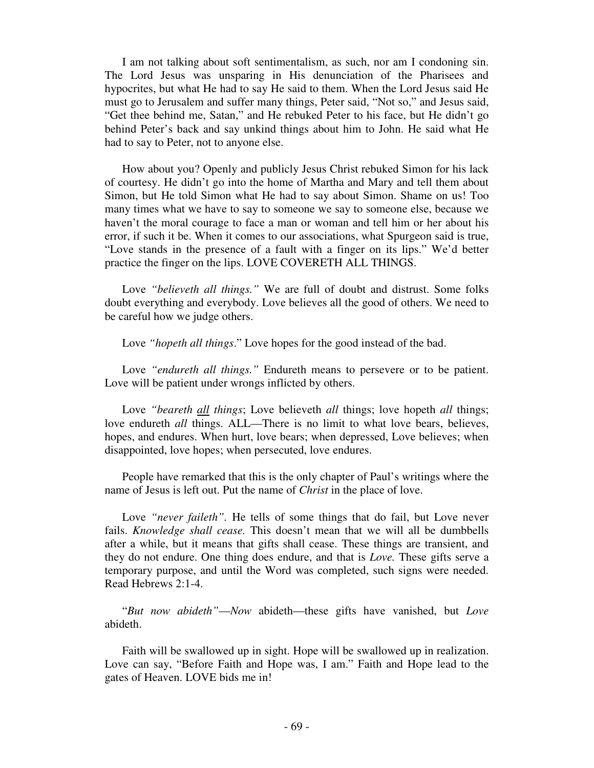I am not talking about soft sentimentalism, as such, nor am I condoning sin. The Lord Jesus was unsparing in His denunciation of the Pharisees and hypocrites, but what He had to say He said to them. When the Lord Jesus said He must go to Jerusalem and suffer many things, Peter said, "Not so," and Jesus said, "Get thee behind me, Satan," and He rebuked Peter to his face, but He didn't go behind Peter's back and say unkind things about him to John. He said what He had to say to Peter, not to anyone else.

 How about you? Openly and publicly Jesus Christ rebuked Simon for his lack of courtesy. He didn't go into the home of Martha and Mary and tell them about Simon, but He told Simon what He had to say about Simon. Shame on us! Too many times what we have to say to someone we say to someone else, because we haven't the moral courage to face a man or woman and tell him or her about his error, if such it be. When it comes to our associations, what Spurgeon said is true, "Love stands in the presence of a fault with a finger on its lips." We'd better practice the finger on the lips. LOVE COVERETH ALL THINGS.

 Love *"believeth all things."* We are full of doubt and distrust. Some folks doubt everything and everybody. Love believes all the good of others. We need to be careful how we judge others.

Love *"hopeth all things*." Love hopes for the good instead of the bad.

Love *"endureth all things.*" Endureth means to persevere or to be patient. Love will be patient under wrongs inflicted by others.

 Love *"beareth all things*; Love believeth *all* things; love hopeth *all* things; love endureth *all* things. ALL—There is no limit to what love bears, believes, hopes, and endures. When hurt, love bears; when depressed, Love believes; when disappointed, love hopes; when persecuted, love endures.

 People have remarked that this is the only chapter of Paul's writings where the name of Jesus is left out. Put the name of *Christ* in the place of love.

Love *"never faileth"*. He tells of some things that do fail, but Love never fails. *Knowledge shall cease.* This doesn't mean that we will all be dumbbells after a while, but it means that gifts shall cease. These things are transient, and they do not endure. One thing does endure, and that is *Love.* These gifts serve a temporary purpose, and until the Word was completed, such signs were needed. Read Hebrews 2:1-4.

 "*But now abideth"*—*Now* abideth—these gifts have vanished, but *Love*  abideth.

 Faith will be swallowed up in sight. Hope will be swallowed up in realization. Love can say, "Before Faith and Hope was, I am." Faith and Hope lead to the gates of Heaven. LOVE bids me in!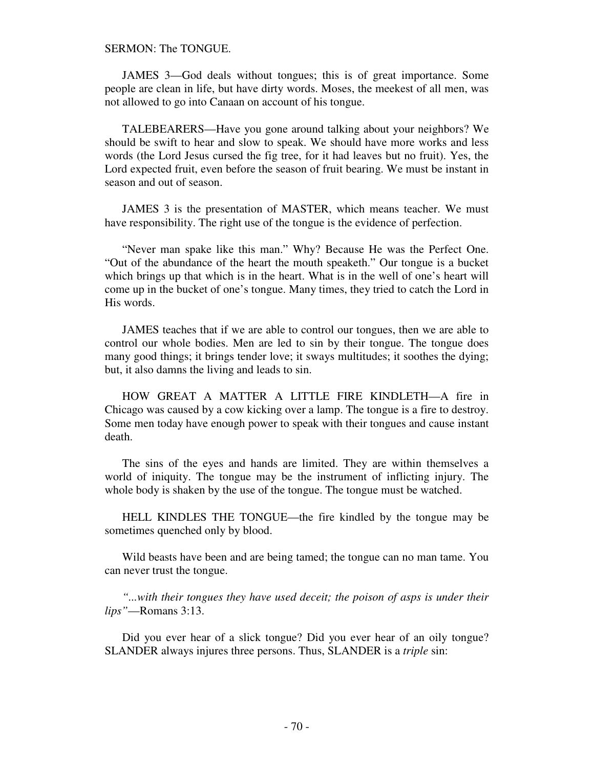### SERMON: The TONGUE.

 JAMES 3—God deals without tongues; this is of great importance. Some people are clean in life, but have dirty words. Moses, the meekest of all men, was not allowed to go into Canaan on account of his tongue.

 TALEBEARERS—Have you gone around talking about your neighbors? We should be swift to hear and slow to speak. We should have more works and less words (the Lord Jesus cursed the fig tree, for it had leaves but no fruit). Yes, the Lord expected fruit, even before the season of fruit bearing. We must be instant in season and out of season.

 JAMES 3 is the presentation of MASTER, which means teacher. We must have responsibility. The right use of the tongue is the evidence of perfection.

 "Never man spake like this man." Why? Because He was the Perfect One. "Out of the abundance of the heart the mouth speaketh." Our tongue is a bucket which brings up that which is in the heart. What is in the well of one's heart will come up in the bucket of one's tongue. Many times, they tried to catch the Lord in His words.

 JAMES teaches that if we are able to control our tongues, then we are able to control our whole bodies. Men are led to sin by their tongue. The tongue does many good things; it brings tender love; it sways multitudes; it soothes the dying; but, it also damns the living and leads to sin.

 HOW GREAT A MATTER A LITTLE FIRE KINDLETH—A fire in Chicago was caused by a cow kicking over a lamp. The tongue is a fire to destroy. Some men today have enough power to speak with their tongues and cause instant death.

 The sins of the eyes and hands are limited. They are within themselves a world of iniquity. The tongue may be the instrument of inflicting injury. The whole body is shaken by the use of the tongue. The tongue must be watched.

 HELL KINDLES THE TONGUE—the fire kindled by the tongue may be sometimes quenched only by blood.

 Wild beasts have been and are being tamed; the tongue can no man tame. You can never trust the tongue.

 *"...with their tongues they have used deceit; the poison of asps is under their lips"*—Romans 3:13.

 Did you ever hear of a slick tongue? Did you ever hear of an oily tongue? SLANDER always injures three persons. Thus, SLANDER is a *triple* sin: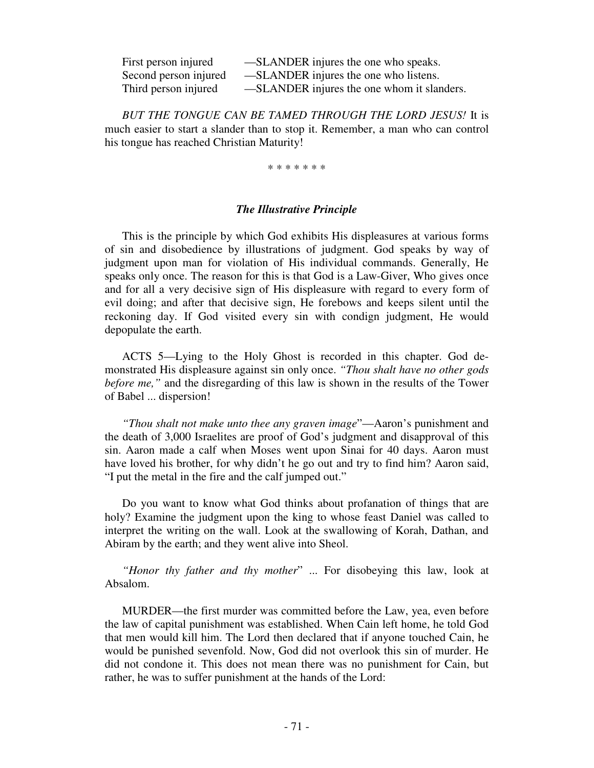| First person injured  | -SLANDER injures the one who speaks.       |
|-----------------------|--------------------------------------------|
| Second person injured | -SLANDER injures the one who listens.      |
| Third person injured  | -SLANDER injures the one whom it slanders. |

 *BUT THE TONGUE CAN BE TAMED THROUGH THE LORD JESUS!* It is much easier to start a slander than to stop it. Remember, a man who can control his tongue has reached Christian Maturity!

\* \* \* \* \* \* \*

### *The Illustrative Principle*

This is the principle by which God exhibits His displeasures at various forms of sin and disobedience by illustrations of judgment. God speaks by way of judgment upon man for violation of His individual commands. Generally, He speaks only once. The reason for this is that God is a Law-Giver, Who gives once and for all a very decisive sign of His displeasure with regard to every form of evil doing; and after that decisive sign, He forebows and keeps silent until the reckoning day. If God visited every sin with condign judgment, He would depopulate the earth.

 ACTS 5—Lying to the Holy Ghost is recorded in this chapter. God demonstrated His displeasure against sin only once. *"Thou shalt have no other gods before me,"* and the disregarding of this law is shown in the results of the Tower of Babel ... dispersion!

 *"Thou shalt not make unto thee any graven image*"—Aaron's punishment and the death of 3,000 Israelites are proof of God's judgment and disapproval of this sin. Aaron made a calf when Moses went upon Sinai for 40 days. Aaron must have loved his brother, for why didn't he go out and try to find him? Aaron said, "I put the metal in the fire and the calf jumped out."

 Do you want to know what God thinks about profanation of things that are holy? Examine the judgment upon the king to whose feast Daniel was called to interpret the writing on the wall. Look at the swallowing of Korah, Dathan, and Abiram by the earth; and they went alive into Sheol.

 *"Honor thy father and thy mother*" ... For disobeying this law, look at Absalom.

 MURDER—the first murder was committed before the Law, yea, even before the law of capital punishment was established. When Cain left home, he told God that men would kill him. The Lord then declared that if anyone touched Cain, he would be punished sevenfold. Now, God did not overlook this sin of murder. He did not condone it. This does not mean there was no punishment for Cain, but rather, he was to suffer punishment at the hands of the Lord: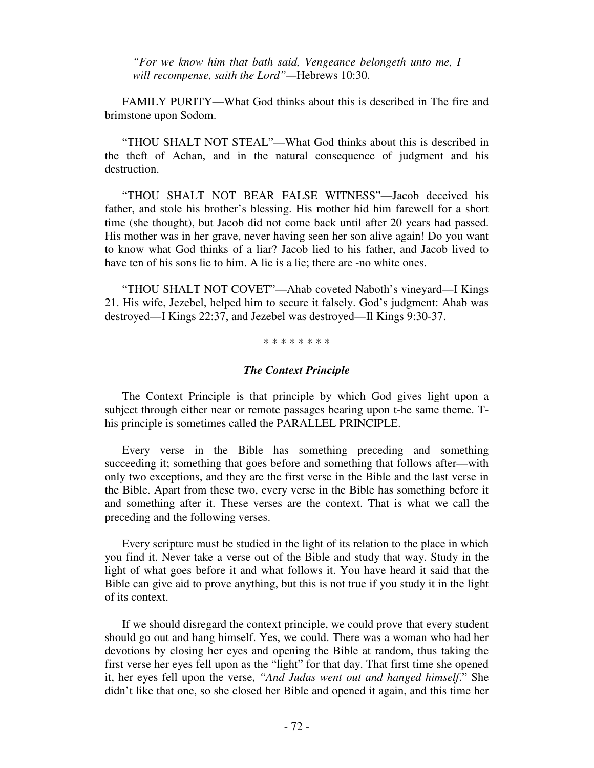*"For we know him that bath said, Vengeance belongeth unto me, I will recompense, saith the Lord"—*Hebrews 10:30*.* 

FAMILY PURITY—What God thinks about this is described in The fire and brimstone upon Sodom.

 "THOU SHALT NOT STEAL"—What God thinks about this is described in the theft of Achan, and in the natural consequence of judgment and his destruction.

 "THOU SHALT NOT BEAR FALSE WITNESS"—Jacob deceived his father, and stole his brother's blessing. His mother hid him farewell for a short time (she thought), but Jacob did not come back until after 20 years had passed. His mother was in her grave, never having seen her son alive again! Do you want to know what God thinks of a liar? Jacob lied to his father, and Jacob lived to have ten of his sons lie to him. A lie is a lie; there are -no white ones.

 "THOU SHALT NOT COVET"—Ahab coveted Naboth's vineyard—I Kings 21. His wife, Jezebel, helped him to secure it falsely. God's judgment: Ahab was destroyed—I Kings 22:37, and Jezebel was destroyed—Il Kings 9:30-37.

\* \* \* \* \* \* \* \*

### *The Context Principle*

 The Context Principle is that principle by which God gives light upon a subject through either near or remote passages bearing upon t-he same theme. This principle is sometimes called the PARALLEL PRINCIPLE.

 Every verse in the Bible has something preceding and something succeeding it; something that goes before and something that follows after—with only two exceptions, and they are the first verse in the Bible and the last verse in the Bible. Apart from these two, every verse in the Bible has something before it and something after it. These verses are the context. That is what we call the preceding and the following verses.

 Every scripture must be studied in the light of its relation to the place in which you find it. Never take a verse out of the Bible and study that way. Study in the light of what goes before it and what follows it. You have heard it said that the Bible can give aid to prove anything, but this is not true if you study it in the light of its context.

 If we should disregard the context principle, we could prove that every student should go out and hang himself. Yes, we could. There was a woman who had her devotions by closing her eyes and opening the Bible at random, thus taking the first verse her eyes fell upon as the "light" for that day. That first time she opened it, her eyes fell upon the verse, *"And Judas went out and hanged himself*." She didn't like that one, so she closed her Bible and opened it again, and this time her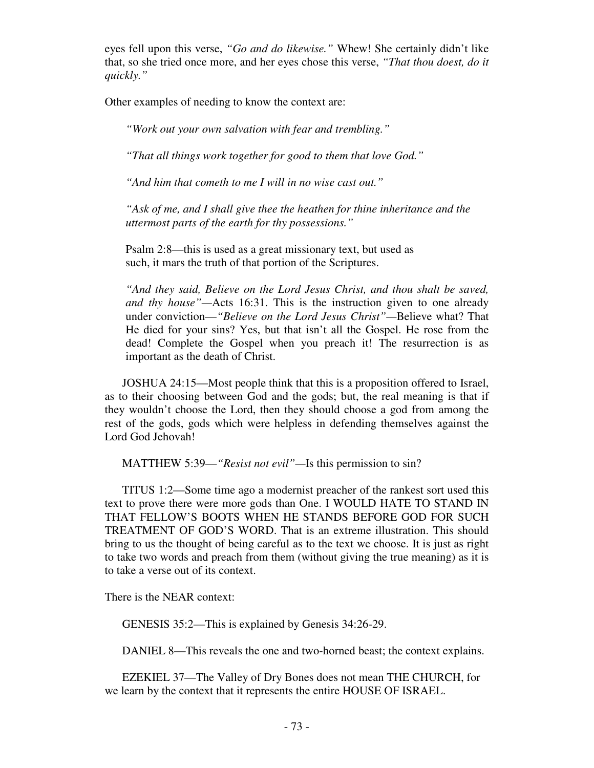eyes fell upon this verse, *"Go and do likewise."* Whew! She certainly didn't like that, so she tried once more, and her eyes chose this verse, *"That thou doest, do it quickly."* 

Other examples of needing to know the context are:

*"Work out your own salvation with fear and trembling."* 

*"That all things work together for good to them that love God."* 

*"And him that cometh to me I will in no wise cast out."* 

*"Ask of me, and I shall give thee the heathen for thine inheritance and the uttermost parts of the earth for thy possessions."* 

Psalm 2:8—this is used as a great missionary text, but used as such, it mars the truth of that portion of the Scriptures.

*"And they said, Believe on the Lord Jesus Christ, and thou shalt be saved, and thy house"—*Acts 16:31. This is the instruction given to one already under conviction—*"Believe on the Lord Jesus Christ"—*Believe what? That He died for your sins? Yes, but that isn't all the Gospel. He rose from the dead! Complete the Gospel when you preach it! The resurrection is as important as the death of Christ.

 JOSHUA 24:15—Most people think that this is a proposition offered to Israel, as to their choosing between God and the gods; but, the real meaning is that if they wouldn't choose the Lord, then they should choose a god from among the rest of the gods, gods which were helpless in defending themselves against the Lord God Jehovah!

MATTHEW 5:39—*"Resist not evil"—*Is this permission to sin?

 TITUS 1:2—Some time ago a modernist preacher of the rankest sort used this text to prove there were more gods than One. I WOULD HATE TO STAND IN THAT FELLOW'S BOOTS WHEN HE STANDS BEFORE GOD FOR SUCH TREATMENT OF GOD'S WORD. That is an extreme illustration. This should bring to us the thought of being careful as to the text we choose. It is just as right to take two words and preach from them (without giving the true meaning) as it is to take a verse out of its context.

There is the NEAR context:

GENESIS 35:2—This is explained by Genesis 34:26-29.

DANIEL 8—This reveals the one and two-horned beast; the context explains.

 EZEKIEL 37—The Valley of Dry Bones does not mean THE CHURCH, for we learn by the context that it represents the entire HOUSE OF ISRAEL.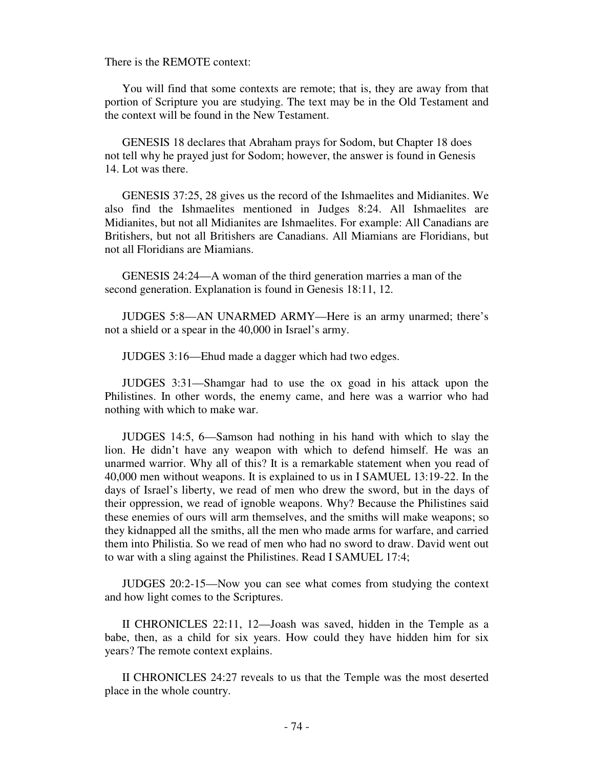There is the REMOTE context:

 You will find that some contexts are remote; that is, they are away from that portion of Scripture you are studying. The text may be in the Old Testament and the context will be found in the New Testament.

 GENESIS 18 declares that Abraham prays for Sodom, but Chapter 18 does not tell why he prayed just for Sodom; however, the answer is found in Genesis 14. Lot was there.

 GENESIS 37:25, 28 gives us the record of the Ishmaelites and Midianites. We also find the Ishmaelites mentioned in Judges 8:24. All Ishmaelites are Midianites, but not all Midianites are Ishmaelites. For example: All Canadians are Britishers, but not all Britishers are Canadians. All Miamians are Floridians, but not all Floridians are Miamians.

 GENESIS 24:24—A woman of the third generation marries a man of the second generation. Explanation is found in Genesis 18:11, 12.

 JUDGES 5:8—AN UNARMED ARMY—Here is an army unarmed; there's not a shield or a spear in the 40,000 in Israel's army.

JUDGES 3:16—Ehud made a dagger which had two edges.

 JUDGES 3:31—Shamgar had to use the ox goad in his attack upon the Philistines. In other words, the enemy came, and here was a warrior who had nothing with which to make war.

 JUDGES 14:5, 6—Samson had nothing in his hand with which to slay the lion. He didn't have any weapon with which to defend himself. He was an unarmed warrior. Why all of this? It is a remarkable statement when you read of 40,000 men without weapons. It is explained to us in I SAMUEL 13:19-22. In the days of Israel's liberty, we read of men who drew the sword, but in the days of their oppression, we read of ignoble weapons. Why? Because the Philistines said these enemies of ours will arm themselves, and the smiths will make weapons; so they kidnapped all the smiths, all the men who made arms for warfare, and carried them into Philistia. So we read of men who had no sword to draw. David went out to war with a sling against the Philistines. Read I SAMUEL 17:4;

 JUDGES 20:2-15—Now you can see what comes from studying the context and how light comes to the Scriptures.

 II CHRONICLES 22:11, 12—Joash was saved, hidden in the Temple as a babe, then, as a child for six years. How could they have hidden him for six years? The remote context explains.

 II CHRONICLES 24:27 reveals to us that the Temple was the most deserted place in the whole country.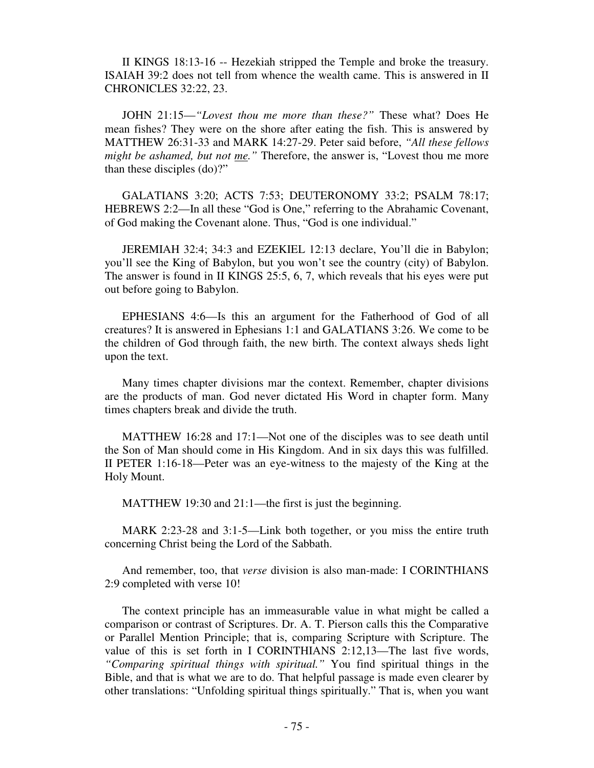II KINGS 18:13-16 -- Hezekiah stripped the Temple and broke the treasury. ISAIAH 39:2 does not tell from whence the wealth came. This is answered in II CHRONICLES 32:22, 23.

 JOHN 21:15—*"Lovest thou me more than these?"* These what? Does He mean fishes? They were on the shore after eating the fish. This is answered by MATTHEW 26:31-33 and MARK 14:27-29. Peter said before, *"All these fellows might be ashamed, but not me.*" Therefore, the answer is, "Lovest thou me more than these disciples (do)?"

 GALATIANS 3:20; ACTS 7:53; DEUTERONOMY 33:2; PSALM 78:17; HEBREWS 2:2—In all these "God is One," referring to the Abrahamic Covenant, of God making the Covenant alone. Thus, "God is one individual."

 JEREMIAH 32:4; 34:3 and EZEKIEL 12:13 declare, You'll die in Babylon; you'll see the King of Babylon, but you won't see the country (city) of Babylon. The answer is found in II KINGS 25:5, 6, 7, which reveals that his eyes were put out before going to Babylon.

 EPHESIANS 4:6—Is this an argument for the Fatherhood of God of all creatures? It is answered in Ephesians 1:1 and GALATIANS 3:26. We come to be the children of God through faith, the new birth. The context always sheds light upon the text.

 Many times chapter divisions mar the context. Remember, chapter divisions are the products of man. God never dictated His Word in chapter form. Many times chapters break and divide the truth.

 MATTHEW 16:28 and 17:1—Not one of the disciples was to see death until the Son of Man should come in His Kingdom. And in six days this was fulfilled. II PETER 1:16-18—Peter was an eye-witness to the majesty of the King at the Holy Mount.

MATTHEW 19:30 and 21:1—the first is just the beginning.

 MARK 2:23-28 and 3:1-5—Link both together, or you miss the entire truth concerning Christ being the Lord of the Sabbath.

 And remember, too, that *verse* division is also man-made: I CORINTHIANS 2:9 completed with verse 10!

 The context principle has an immeasurable value in what might be called a comparison or contrast of Scriptures. Dr. A. T. Pierson calls this the Comparative or Parallel Mention Principle; that is, comparing Scripture with Scripture. The value of this is set forth in I CORINTHIANS 2:12,13—The last five words, *"Comparing spiritual things with spiritual."* You find spiritual things in the Bible, and that is what we are to do. That helpful passage is made even clearer by other translations: "Unfolding spiritual things spiritually." That is, when you want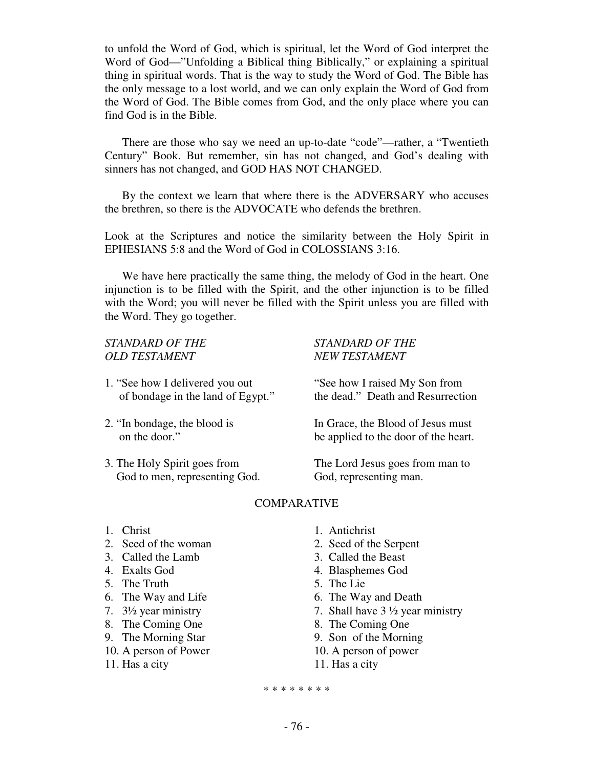to unfold the Word of God, which is spiritual, let the Word of God interpret the Word of God—"Unfolding a Biblical thing Biblically," or explaining a spiritual thing in spiritual words. That is the way to study the Word of God. The Bible has the only message to a lost world, and we can only explain the Word of God from the Word of God. The Bible comes from God, and the only place where you can find God is in the Bible.

 There are those who say we need an up-to-date "code"—rather, a "Twentieth Century" Book. But remember, sin has not changed, and God's dealing with sinners has not changed, and GOD HAS NOT CHANGED.

 By the context we learn that where there is the ADVERSARY who accuses the brethren, so there is the ADVOCATE who defends the brethren.

Look at the Scriptures and notice the similarity between the Holy Spirit in EPHESIANS 5:8 and the Word of God in COLOSSIANS 3:16.

 We have here practically the same thing, the melody of God in the heart. One injunction is to be filled with the Spirit, and the other injunction is to be filled with the Word; you will never be filled with the Spirit unless you are filled with the Word. They go together.

# *STANDARD OF THE STANDARD OF THE OLD TESTAMENT NEW TESTAMENT*

- 1. "See how I delivered you out "See how I raised My Son from
- 

God to men, representing God. God, representing man.

of bondage in the land of Egypt." the dead." Death and Resurrection

2. "In bondage, the blood is In Grace, the Blood of Jesus must on the door." be applied to the door of the heart.

3. The Holy Spirit goes from The Lord Jesus goes from man to

# COMPARATIVE

- 
- 2. Seed of the woman 2. Seed of the Serpent
- 
- 
- 5. The Truth 5. The Lie
- 
- 
- 
- 
- 
- 11. Has a city 11. Has a city
- 1. Christ 1. Antichrist
	-
- 3. Called the Lamb 3. Called the Beast
- 4. Exalts God 4. Blasphemes God
	-
- 6. The Way and Life 6. The Way and Death
- 7.  $3\frac{1}{2}$  year ministry 7. Shall have  $3\frac{1}{2}$  year ministry
- 8. The Coming One 8. The Coming One
- 9. The Morning Star 9. Son of the Morning
- 10. A person of Power 10. A person of power
	-

\* \* \* \* \* \* \* \*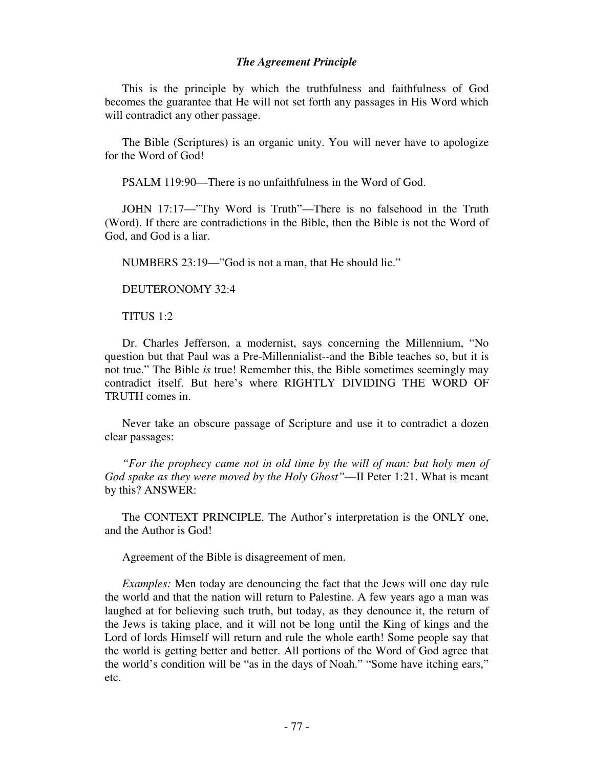# *The Agreement Principle*

This is the principle by which the truthfulness and faithfulness of God becomes the guarantee that He will not set forth any passages in His Word which will contradict any other passage.

 The Bible (Scriptures) is an organic unity. You will never have to apologize for the Word of God!

PSALM 119:90—There is no unfaithfulness in the Word of God.

 JOHN 17:17—"Thy Word is Truth"—There is no falsehood in the Truth (Word). If there are contradictions in the Bible, then the Bible is not the Word of God, and God is a liar.

NUMBERS 23:19—"God is not a man, that He should lie."

DEUTERONOMY 32:4

TITUS 1:2

 Dr. Charles Jefferson, a modernist, says concerning the Millennium, "No question but that Paul was a Pre-Millennialist--and the Bible teaches so, but it is not true." The Bible *is* true! Remember this, the Bible sometimes seemingly may contradict itself. But here's where RIGHTLY DIVIDING THE WORD OF TRUTH comes in.

 Never take an obscure passage of Scripture and use it to contradict a dozen clear passages:

 *"For the prophecy came not in old time by the will of man: but holy men of God spake as they were moved by the Holy Ghost"*—II Peter 1:21. What is meant by this? ANSWER:

 The CONTEXT PRINCIPLE. The Author's interpretation is the ONLY one, and the Author is God!

Agreement of the Bible is disagreement of men.

 *Examples:* Men today are denouncing the fact that the Jews will one day rule the world and that the nation will return to Palestine. A few years ago a man was laughed at for believing such truth, but today, as they denounce it, the return of the Jews is taking place, and it will not be long until the King of kings and the Lord of lords Himself will return and rule the whole earth! Some people say that the world is getting better and better. All portions of the Word of God agree that the world's condition will be "as in the days of Noah." "Some have itching ears," etc.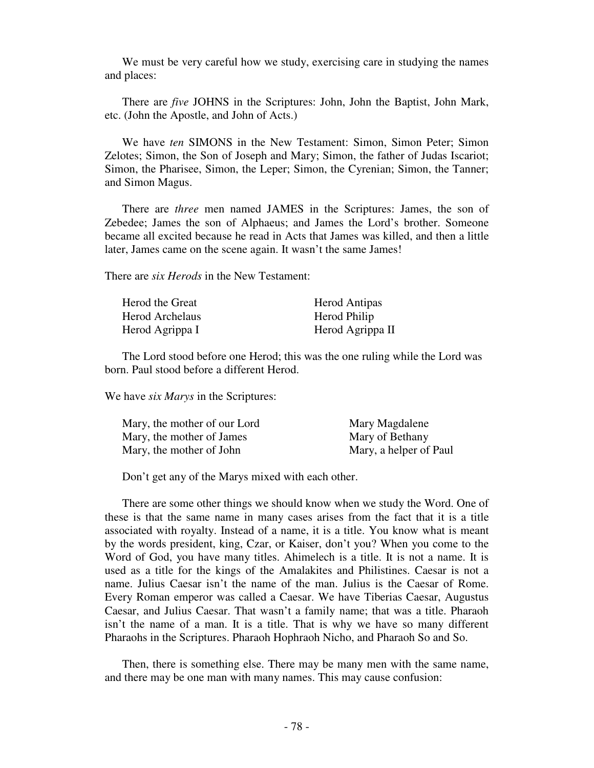We must be very careful how we study, exercising care in studying the names and places:

 There are *five* JOHNS in the Scriptures: John, John the Baptist, John Mark, etc. (John the Apostle, and John of Acts.)

 We have *ten* SIMONS in the New Testament: Simon, Simon Peter; Simon Zelotes; Simon, the Son of Joseph and Mary; Simon, the father of Judas Iscariot; Simon, the Pharisee, Simon, the Leper; Simon, the Cyrenian; Simon, the Tanner; and Simon Magus.

 There are *three* men named JAMES in the Scriptures: James, the son of Zebedee; James the son of Alphaeus; and James the Lord's brother. Someone became all excited because he read in Acts that James was killed, and then a little later, James came on the scene again. It wasn't the same James!

There are *six Herods* in the New Testament:

| Herod the Great        | <b>Herod Antipas</b> |
|------------------------|----------------------|
| <b>Herod Archelaus</b> | Herod Philip         |
| Herod Agrippa I        | Herod Agrippa II     |

 The Lord stood before one Herod; this was the one ruling while the Lord was born. Paul stood before a different Herod.

We have *six Marys* in the Scriptures:

| Mary, the mother of our Lord | Mary Magdalene         |
|------------------------------|------------------------|
| Mary, the mother of James    | Mary of Bethany        |
| Mary, the mother of John     | Mary, a helper of Paul |

Don't get any of the Marys mixed with each other.

 There are some other things we should know when we study the Word. One of these is that the same name in many cases arises from the fact that it is a title associated with royalty. Instead of a name, it is a title. You know what is meant by the words president, king, Czar, or Kaiser, don't you? When you come to the Word of God, you have many titles. Ahimelech is a title. It is not a name. It is used as a title for the kings of the Amalakites and Philistines. Caesar is not a name. Julius Caesar isn't the name of the man. Julius is the Caesar of Rome. Every Roman emperor was called a Caesar. We have Tiberias Caesar, Augustus Caesar, and Julius Caesar. That wasn't a family name; that was a title. Pharaoh isn't the name of a man. It is a title. That is why we have so many different Pharaohs in the Scriptures. Pharaoh Hophraoh Nicho, and Pharaoh So and So.

 Then, there is something else. There may be many men with the same name, and there may be one man with many names. This may cause confusion: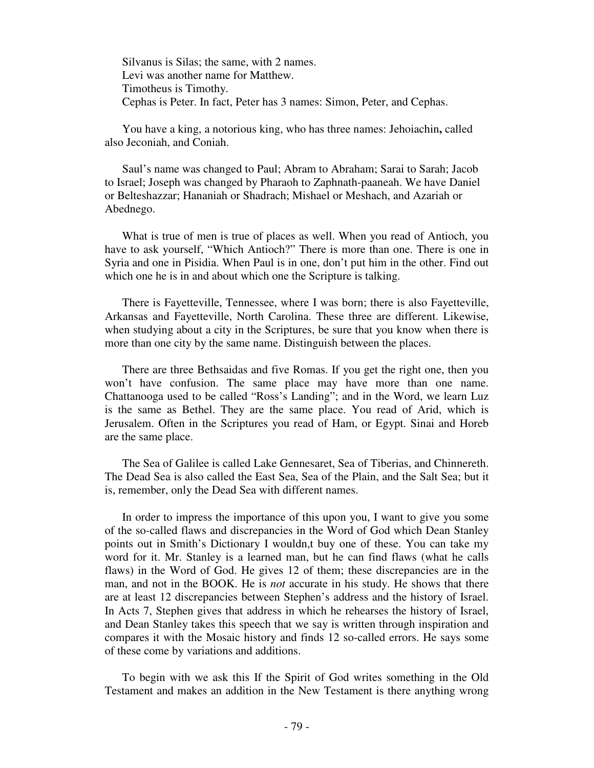Silvanus is Silas; the same, with 2 names. Levi was another name for Matthew. Timotheus is Timothy. Cephas is Peter. In fact, Peter has 3 names: Simon, Peter, and Cephas.

 You have a king, a notorious king, who has three names: Jehoiachin**,** called also Jeconiah, and Coniah.

 Saul's name was changed to Paul; Abram to Abraham; Sarai to Sarah; Jacob to Israel; Joseph was changed by Pharaoh to Zaphnath-paaneah. We have Daniel or Belteshazzar; Hananiah or Shadrach; Mishael or Meshach, and Azariah or Abednego.

 What is true of men is true of places as well. When you read of Antioch, you have to ask yourself, "Which Antioch?" There is more than one. There is one in Syria and one in Pisidia. When Paul is in one, don't put him in the other. Find out which one he is in and about which one the Scripture is talking.

 There is Fayetteville, Tennessee, where I was born; there is also Fayetteville, Arkansas and Fayetteville, North Carolina. These three are different. Likewise, when studying about a city in the Scriptures, be sure that you know when there is more than one city by the same name. Distinguish between the places.

 There are three Bethsaidas and five Romas. If you get the right one, then you won't have confusion. The same place may have more than one name. Chattanooga used to be called "Ross's Landing"; and in the Word, we learn Luz is the same as Bethel. They are the same place. You read of Arid, which is Jerusalem. Often in the Scriptures you read of Ham, or Egypt. Sinai and Horeb are the same place.

 The Sea of Galilee is called Lake Gennesaret, Sea of Tiberias, and Chinnereth. The Dead Sea is also called the East Sea, Sea of the Plain, and the Salt Sea; but it is, remember, only the Dead Sea with different names.

 In order to impress the importance of this upon you, I want to give you some of the so-called flaws and discrepancies in the Word of God which Dean Stanley points out in Smith's Dictionary I wouldn,t buy one of these. You can take my word for it. Mr. Stanley is a learned man, but he can find flaws (what he calls flaws) in the Word of God. He gives 12 of them; these discrepancies are in the man, and not in the BOOK. He is *not* accurate in his study. He shows that there are at least 12 discrepancies between Stephen's address and the history of Israel. In Acts 7, Stephen gives that address in which he rehearses the history of Israel, and Dean Stanley takes this speech that we say is written through inspiration and compares it with the Mosaic history and finds 12 so-called errors. He says some of these come by variations and additions.

 To begin with we ask this If the Spirit of God writes something in the Old Testament and makes an addition in the New Testament is there anything wrong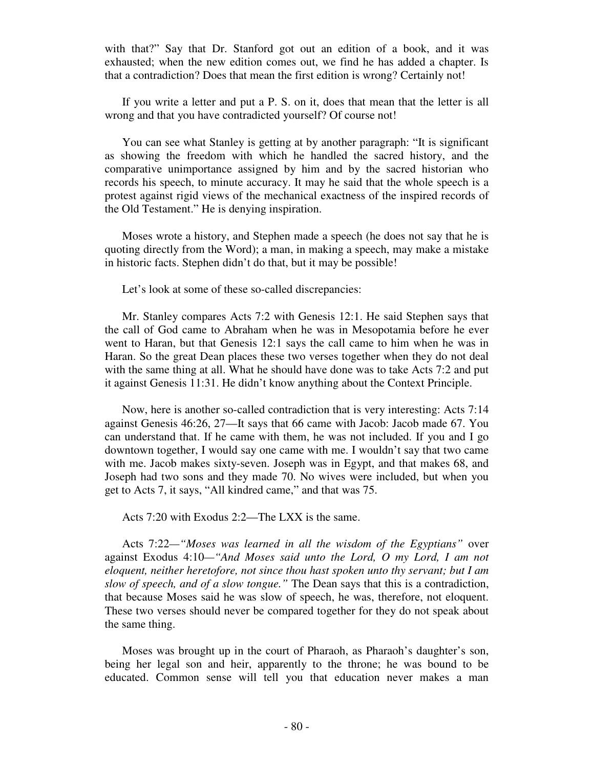with that?" Say that Dr. Stanford got out an edition of a book, and it was exhausted; when the new edition comes out, we find he has added a chapter. Is that a contradiction? Does that mean the first edition is wrong? Certainly not!

 If you write a letter and put a P. S. on it, does that mean that the letter is all wrong and that you have contradicted yourself? Of course not!

 You can see what Stanley is getting at by another paragraph: "It is significant as showing the freedom with which he handled the sacred history, and the comparative unimportance assigned by him and by the sacred historian who records his speech, to minute accuracy. It may he said that the whole speech is a protest against rigid views of the mechanical exactness of the inspired records of the Old Testament." He is denying inspiration.

 Moses wrote a history, and Stephen made a speech (he does not say that he is quoting directly from the Word); a man, in making a speech, may make a mistake in historic facts. Stephen didn't do that, but it may be possible!

Let's look at some of these so-called discrepancies:

 Mr. Stanley compares Acts 7:2 with Genesis 12:1. He said Stephen says that the call of God came to Abraham when he was in Mesopotamia before he ever went to Haran, but that Genesis 12:1 says the call came to him when he was in Haran. So the great Dean places these two verses together when they do not deal with the same thing at all. What he should have done was to take Acts 7:2 and put it against Genesis 11:31. He didn't know anything about the Context Principle.

 Now, here is another so-called contradiction that is very interesting: Acts 7:14 against Genesis 46:26, 27—It says that 66 came with Jacob: Jacob made 67. You can understand that. If he came with them, he was not included. If you and I go downtown together, I would say one came with me. I wouldn't say that two came with me. Jacob makes sixty-seven. Joseph was in Egypt, and that makes 68, and Joseph had two sons and they made 70. No wives were included, but when you get to Acts 7, it says, "All kindred came," and that was 75.

Acts 7:20 with Exodus 2:2—The LXX is the same.

 Acts 7:22*—"Moses was learned in all the wisdom of the Egyptians"* over against Exodus 4:10*—"And Moses said unto the Lord, O my Lord, I am not eloquent, neither heretofore, not since thou hast spoken unto thy servant; but I am slow of speech, and of a slow tongue."* The Dean says that this is a contradiction, that because Moses said he was slow of speech, he was, therefore, not eloquent. These two verses should never be compared together for they do not speak about the same thing.

 Moses was brought up in the court of Pharaoh, as Pharaoh's daughter's son, being her legal son and heir, apparently to the throne; he was bound to be educated. Common sense will tell you that education never makes a man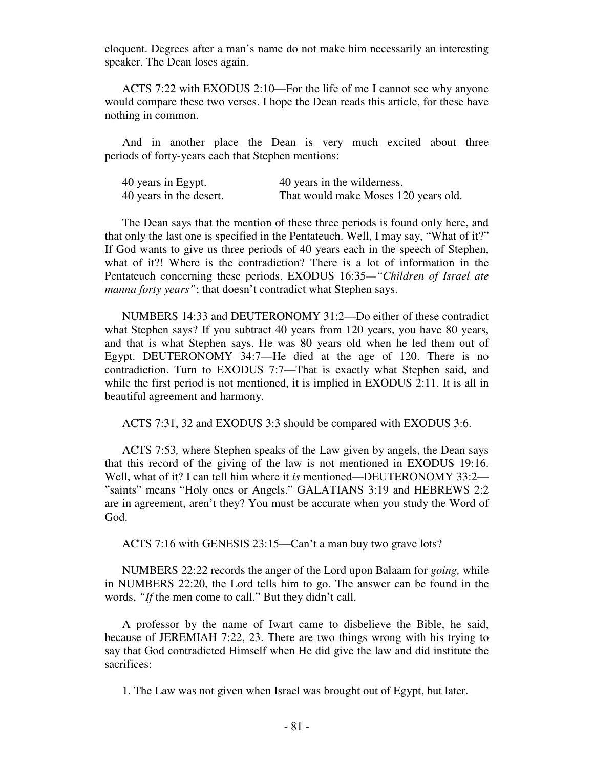eloquent. Degrees after a man's name do not make him necessarily an interesting speaker. The Dean loses again.

 ACTS 7:22 with EXODUS 2:10—For the life of me I cannot see why anyone would compare these two verses. I hope the Dean reads this article, for these have nothing in common.

 And in another place the Dean is very much excited about three periods of forty-years each that Stephen mentions:

| 40 years in Egypt.      | 40 years in the wilderness.          |
|-------------------------|--------------------------------------|
| 40 years in the desert. | That would make Moses 120 years old. |

 The Dean says that the mention of these three periods is found only here, and that only the last one is specified in the Pentateuch. Well, I may say, "What of it?" If God wants to give us three periods of 40 years each in the speech of Stephen, what of it?! Where is the contradiction? There is a lot of information in the Pentateuch concerning these periods. EXODUS 16:35*—"Children of Israel ate manna forty years"*; that doesn't contradict what Stephen says.

 NUMBERS 14:33 and DEUTERONOMY 31:2—Do either of these contradict what Stephen says? If you subtract 40 years from 120 years, you have 80 years, and that is what Stephen says. He was 80 years old when he led them out of Egypt. DEUTERONOMY 34:7—He died at the age of 120. There is no contradiction. Turn to EXODUS 7:7—That is exactly what Stephen said, and while the first period is not mentioned, it is implied in EXODUS 2:11. It is all in beautiful agreement and harmony.

ACTS 7:31, 32 and EXODUS 3:3 should be compared with EXODUS 3:6.

 ACTS 7:53*,* where Stephen speaks of the Law given by angels, the Dean says that this record of the giving of the law is not mentioned in EXODUS 19:16. Well, what of it? I can tell him where it *is* mentioned—DEUTERONOMY 33:2— "saints" means "Holy ones or Angels." GALATIANS 3:19 and HEBREWS 2:2 are in agreement, aren't they? You must be accurate when you study the Word of God.

ACTS 7:16 with GENESIS 23:15—Can't a man buy two grave lots?

 NUMBERS 22:22 records the anger of the Lord upon Balaam for *going,* while in NUMBERS 22:20, the Lord tells him to go. The answer can be found in the words, *"If* the men come to call." But they didn't call.

 A professor by the name of Iwart came to disbelieve the Bible, he said, because of JEREMIAH 7:22, 23. There are two things wrong with his trying to say that God contradicted Himself when He did give the law and did institute the sacrifices:

1. The Law was not given when Israel was brought out of Egypt, but later.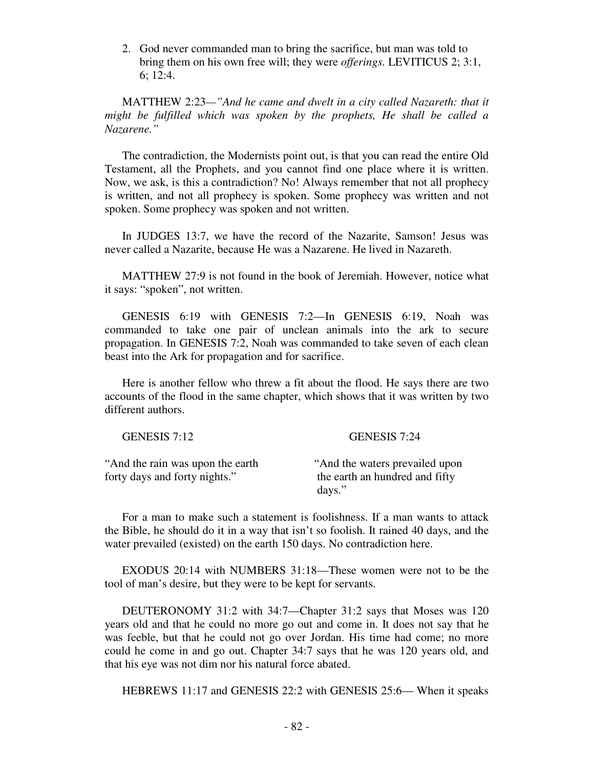2. God never commanded man to bring the sacrifice, but man was told to bring them on his own free will; they were *offerings.* LEVITICUS 2; 3:1, 6; 12:4.

 MATTHEW 2:23*—"And he came and dwelt in a city called Nazareth: that it might be fulfilled which was spoken by the prophets, He shall be called a Nazarene."* 

 The contradiction, the Modernists point out, is that you can read the entire Old Testament, all the Prophets, and you cannot find one place where it is written. Now, we ask, is this a contradiction? No! Always remember that not all prophecy is written, and not all prophecy is spoken. Some prophecy was written and not spoken. Some prophecy was spoken and not written.

 In JUDGES 13:7, we have the record of the Nazarite, Samson! Jesus was never called a Nazarite, because He was a Nazarene. He lived in Nazareth.

 MATTHEW 27:9 is not found in the book of Jeremiah. However, notice what it says: "spoken", not written.

 GENESIS 6:19 with GENESIS 7:2—In GENESIS 6:19, Noah was commanded to take one pair of unclean animals into the ark to secure propagation. In GENESIS 7:2, Noah was commanded to take seven of each clean beast into the Ark for propagation and for sacrifice.

 Here is another fellow who threw a fit about the flood. He says there are two accounts of the flood in the same chapter, which shows that it was written by two different authors.

| GENESIS 7:12                                                       | GENESIS 7:24                                                                |
|--------------------------------------------------------------------|-----------------------------------------------------------------------------|
| "And the rain was upon the earth"<br>forty days and forty nights." | "And the waters prevailed upon"<br>the earth an hundred and fifty<br>days." |

 For a man to make such a statement is foolishness. If a man wants to attack the Bible, he should do it in a way that isn't so foolish. It rained 40 days, and the water prevailed (existed) on the earth 150 days. No contradiction here.

 EXODUS 20:14 with NUMBERS 31:18—These women were not to be the tool of man's desire, but they were to be kept for servants.

 DEUTERONOMY 31:2 with 34:7—Chapter 31:2 says that Moses was 120 years old and that he could no more go out and come in. It does not say that he was feeble, but that he could not go over Jordan. His time had come; no more could he come in and go out. Chapter 34:7 says that he was 120 years old, and that his eye was not dim nor his natural force abated.

HEBREWS 11:17 and GENESIS 22:2 with GENESIS 25:6— When it speaks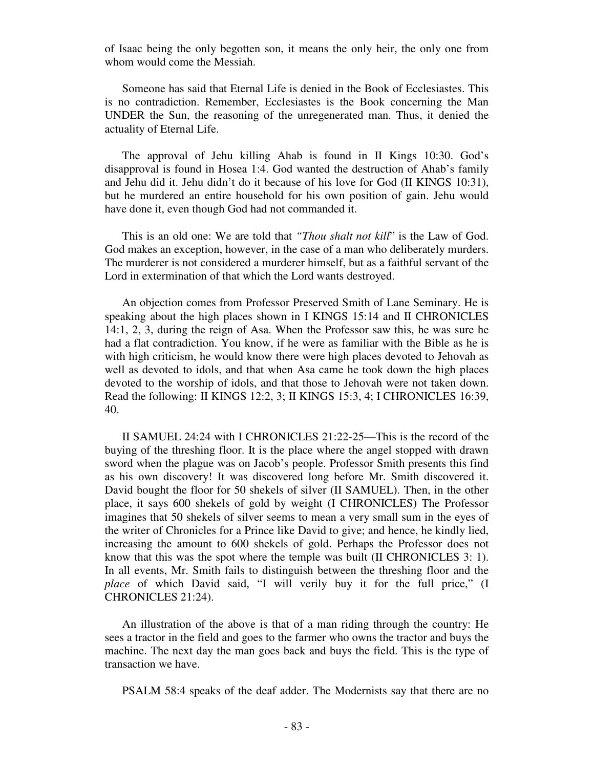of Isaac being the only begotten son, it means the only heir, the only one from whom would come the Messiah.

 Someone has said that Eternal Life is denied in the Book of Ecclesiastes. This is no contradiction. Remember, Ecclesiastes is the Book concerning the Man UNDER the Sun, the reasoning of the unregenerated man. Thus, it denied the actuality of Eternal Life.

 The approval of Jehu killing Ahab is found in II Kings 10:30. God's disapproval is found in Hosea 1:4. God wanted the destruction of Ahab's family and Jehu did it. Jehu didn't do it because of his love for God (II KINGS 10:31), but he murdered an entire household for his own position of gain. Jehu would have done it, even though God had not commanded it.

 This is an old one: We are told that *"Thou shalt not kill*" is the Law of God. God makes an exception, however, in the case of a man who deliberately murders. The murderer is not considered a murderer himself, but as a faithful servant of the Lord in extermination of that which the Lord wants destroyed.

 An objection comes from Professor Preserved Smith of Lane Seminary. He is speaking about the high places shown in I KINGS 15:14 and II CHRONICLES 14:1, 2, 3, during the reign of Asa. When the Professor saw this, he was sure he had a flat contradiction. You know, if he were as familiar with the Bible as he is with high criticism, he would know there were high places devoted to Jehovah as well as devoted to idols, and that when Asa came he took down the high places devoted to the worship of idols, and that those to Jehovah were not taken down. Read the following: II KINGS 12:2, 3; II KINGS 15:3, 4; I CHRONICLES 16:39, 40.

 II SAMUEL 24:24 with I CHRONICLES 21:22-25—This is the record of the buying of the threshing floor. It is the place where the angel stopped with drawn sword when the plague was on Jacob's people. Professor Smith presents this find as his own discovery! It was discovered long before Mr. Smith discovered it. David bought the floor for 50 shekels of silver (II SAMUEL). Then, in the other place, it says 600 shekels of gold by weight (I CHRONICLES) The Professor imagines that 50 shekels of silver seems to mean a very small sum in the eyes of the writer of Chronicles for a Prince like David to give; and hence, he kindly lied, increasing the amount to 600 shekels of gold. Perhaps the Professor does not know that this was the spot where the temple was built (II CHRONICLES 3: 1). In all events, Mr. Smith fails to distinguish between the threshing floor and the *place* of which David said, "I will verily buy it for the full price," (I CHRONICLES 21:24).

 An illustration of the above is that of a man riding through the country: He sees a tractor in the field and goes to the farmer who owns the tractor and buys the machine. The next day the man goes back and buys the field. This is the type of transaction we have.

PSALM 58:4 speaks of the deaf adder. The Modernists say that there are no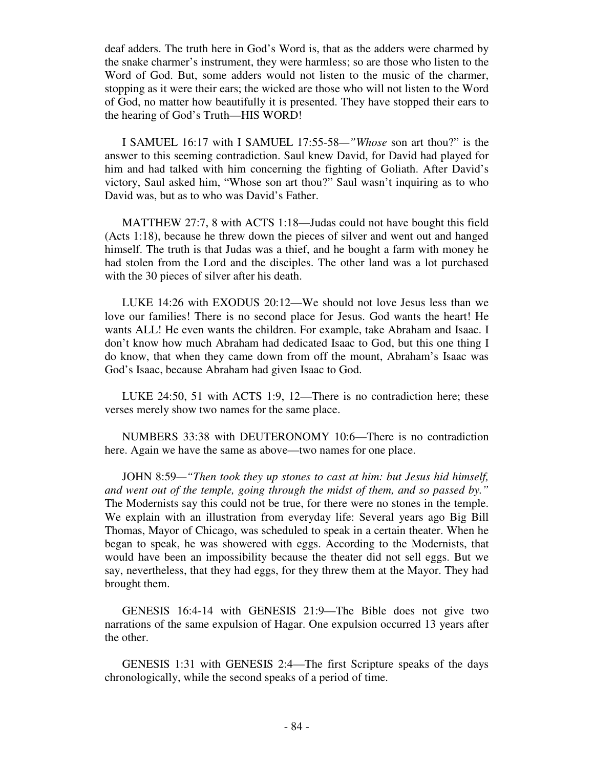deaf adders. The truth here in God's Word is, that as the adders were charmed by the snake charmer's instrument, they were harmless; so are those who listen to the Word of God. But, some adders would not listen to the music of the charmer, stopping as it were their ears; the wicked are those who will not listen to the Word of God, no matter how beautifully it is presented. They have stopped their ears to the hearing of God's Truth—HIS WORD!

 I SAMUEL 16:17 with I SAMUEL 17:55-58*—"Whose* son art thou?" is the answer to this seeming contradiction. Saul knew David, for David had played for him and had talked with him concerning the fighting of Goliath. After David's victory, Saul asked him, "Whose son art thou?" Saul wasn't inquiring as to who David was, but as to who was David's Father.

 MATTHEW 27:7, 8 with ACTS 1:18—Judas could not have bought this field (Acts 1:18), because he threw down the pieces of silver and went out and hanged himself. The truth is that Judas was a thief, and he bought a farm with money he had stolen from the Lord and the disciples. The other land was a lot purchased with the 30 pieces of silver after his death.

 LUKE 14:26 with EXODUS 20:12—We should not love Jesus less than we love our families! There is no second place for Jesus. God wants the heart! He wants ALL! He even wants the children. For example, take Abraham and Isaac. I don't know how much Abraham had dedicated Isaac to God, but this one thing I do know, that when they came down from off the mount, Abraham's Isaac was God's Isaac, because Abraham had given Isaac to God.

 LUKE 24:50, 51 with ACTS 1:9, 12—There is no contradiction here; these verses merely show two names for the same place.

 NUMBERS 33:38 with DEUTERONOMY 10:6—There is no contradiction here. Again we have the same as above—two names for one place.

 JOHN 8:59*—"Then took they up stones to cast at him: but Jesus hid himself, and went out of the temple, going through the midst of them, and so passed by."* The Modernists say this could not be true, for there were no stones in the temple. We explain with an illustration from everyday life: Several years ago Big Bill Thomas, Mayor of Chicago, was scheduled to speak in a certain theater. When he began to speak, he was showered with eggs. According to the Modernists, that would have been an impossibility because the theater did not sell eggs. But we say, nevertheless, that they had eggs, for they threw them at the Mayor. They had brought them.

 GENESIS 16:4-14 with GENESIS 21:9—The Bible does not give two narrations of the same expulsion of Hagar. One expulsion occurred 13 years after the other.

 GENESIS 1:31 with GENESIS 2:4—The first Scripture speaks of the days chronologically, while the second speaks of a period of time.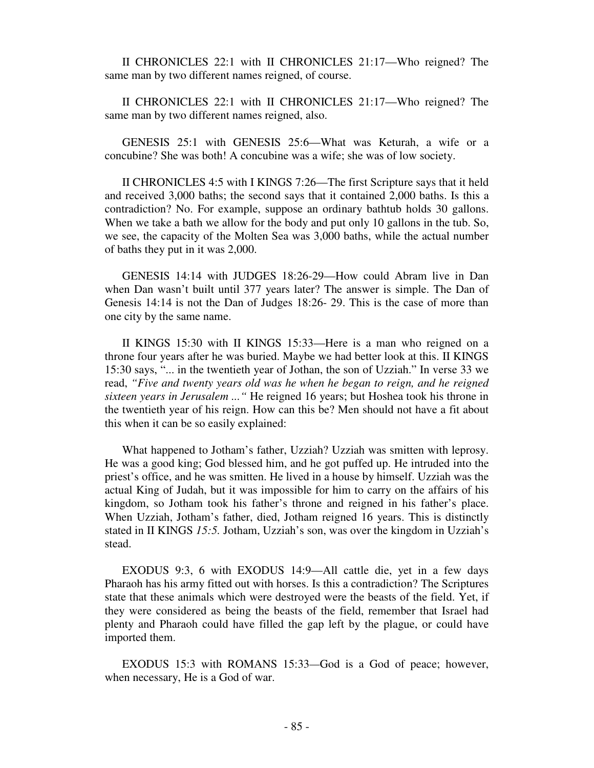II CHRONICLES 22:1 with II CHRONICLES 21:17—Who reigned? The same man by two different names reigned, of course.

 II CHRONICLES 22:1 with II CHRONICLES 21:17—Who reigned? The same man by two different names reigned, also.

 GENESIS 25:1 with GENESIS 25:6—What was Keturah, a wife or a concubine? She was both! A concubine was a wife; she was of low society.

 II CHRONICLES 4:5 with I KINGS 7:26—The first Scripture says that it held and received 3,000 baths; the second says that it contained 2,000 baths. Is this a contradiction? No. For example, suppose an ordinary bathtub holds 30 gallons. When we take a bath we allow for the body and put only 10 gallons in the tub. So, we see, the capacity of the Molten Sea was 3,000 baths, while the actual number of baths they put in it was 2,000.

 GENESIS 14:14 with JUDGES 18:26-29—How could Abram live in Dan when Dan wasn't built until 377 years later? The answer is simple. The Dan of Genesis 14:14 is not the Dan of Judges 18:26- 29. This is the case of more than one city by the same name.

 II KINGS 15:30 with II KINGS 15:33—Here is a man who reigned on a throne four years after he was buried. Maybe we had better look at this. II KINGS 15:30 says, "... in the twentieth year of Jothan, the son of Uzziah." In verse 33 we read, *"Five and twenty years old was he when he began to reign, and he reigned sixteen years in Jerusalem ..."* He reigned 16 years; but Hoshea took his throne in the twentieth year of his reign. How can this be? Men should not have a fit about this when it can be so easily explained:

 What happened to Jotham's father, Uzziah? Uzziah was smitten with leprosy. He was a good king; God blessed him, and he got puffed up. He intruded into the priest's office, and he was smitten. He lived in a house by himself. Uzziah was the actual King of Judah, but it was impossible for him to carry on the affairs of his kingdom, so Jotham took his father's throne and reigned in his father's place. When Uzziah, Jotham's father, died, Jotham reigned 16 years. This is distinctly stated in II KINGS *15:5.* Jotham, Uzziah's son, was over the kingdom in Uzziah's stead.

 EXODUS 9:3, 6 with EXODUS 14:9—All cattle die, yet in a few days Pharaoh has his army fitted out with horses. Is this a contradiction? The Scriptures state that these animals which were destroyed were the beasts of the field. Yet, if they were considered as being the beasts of the field, remember that Israel had plenty and Pharaoh could have filled the gap left by the plague, or could have imported them.

 EXODUS 15:3 with ROMANS 15:33*—*God is a God of peace; however, when necessary, He is a God of war.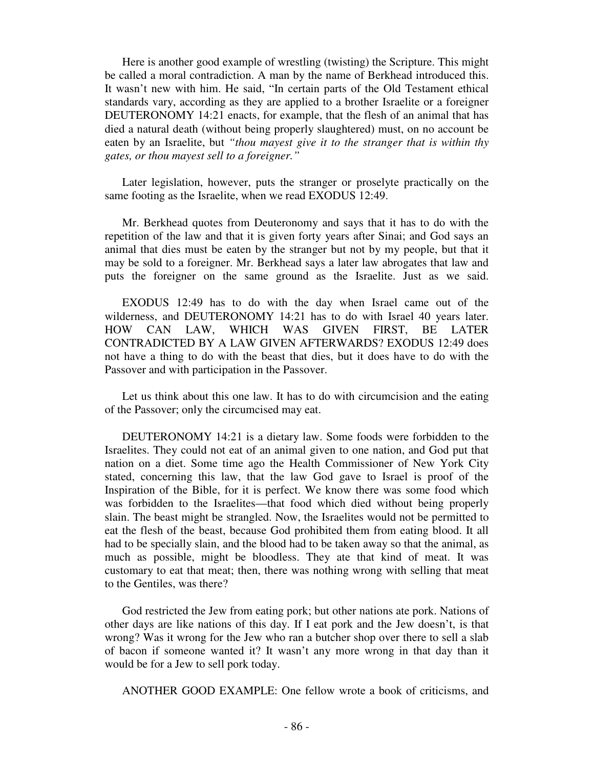Here is another good example of wrestling (twisting) the Scripture. This might be called a moral contradiction. A man by the name of Berkhead introduced this. It wasn't new with him. He said, "In certain parts of the Old Testament ethical standards vary, according as they are applied to a brother Israelite or a foreigner DEUTERONOMY 14:21 enacts, for example, that the flesh of an animal that has died a natural death (without being properly slaughtered) must, on no account be eaten by an Israelite, but *"thou mayest give it to the stranger that is within thy gates, or thou mayest sell to a foreigner."* 

 Later legislation, however, puts the stranger or proselyte practically on the same footing as the Israelite, when we read EXODUS 12:49.

 Mr. Berkhead quotes from Deuteronomy and says that it has to do with the repetition of the law and that it is given forty years after Sinai; and God says an animal that dies must be eaten by the stranger but not by my people, but that it may be sold to a foreigner. Mr. Berkhead says a later law abrogates that law and puts the foreigner on the same ground as the Israelite. Just as we said.

 EXODUS 12:49 has to do with the day when Israel came out of the wilderness, and DEUTERONOMY 14:21 has to do with Israel 40 years later. HOW CAN LAW, WHICH WAS GIVEN FIRST, BE LATER CONTRADICTED BY A LAW GIVEN AFTERWARDS? EXODUS 12:49 does not have a thing to do with the beast that dies, but it does have to do with the Passover and with participation in the Passover.

 Let us think about this one law. It has to do with circumcision and the eating of the Passover; only the circumcised may eat.

 DEUTERONOMY 14:21 is a dietary law. Some foods were forbidden to the Israelites. They could not eat of an animal given to one nation, and God put that nation on a diet. Some time ago the Health Commissioner of New York City stated, concerning this law, that the law God gave to Israel is proof of the Inspiration of the Bible, for it is perfect. We know there was some food which was forbidden to the Israelites—that food which died without being properly slain. The beast might be strangled. Now, the Israelites would not be permitted to eat the flesh of the beast, because God prohibited them from eating blood. It all had to be specially slain, and the blood had to be taken away so that the animal, as much as possible, might be bloodless. They ate that kind of meat. It was customary to eat that meat; then, there was nothing wrong with selling that meat to the Gentiles, was there?

 God restricted the Jew from eating pork; but other nations ate pork. Nations of other days are like nations of this day. If I eat pork and the Jew doesn't, is that wrong? Was it wrong for the Jew who ran a butcher shop over there to sell a slab of bacon if someone wanted it? It wasn't any more wrong in that day than it would be for a Jew to sell pork today.

ANOTHER GOOD EXAMPLE: One fellow wrote a book of criticisms, and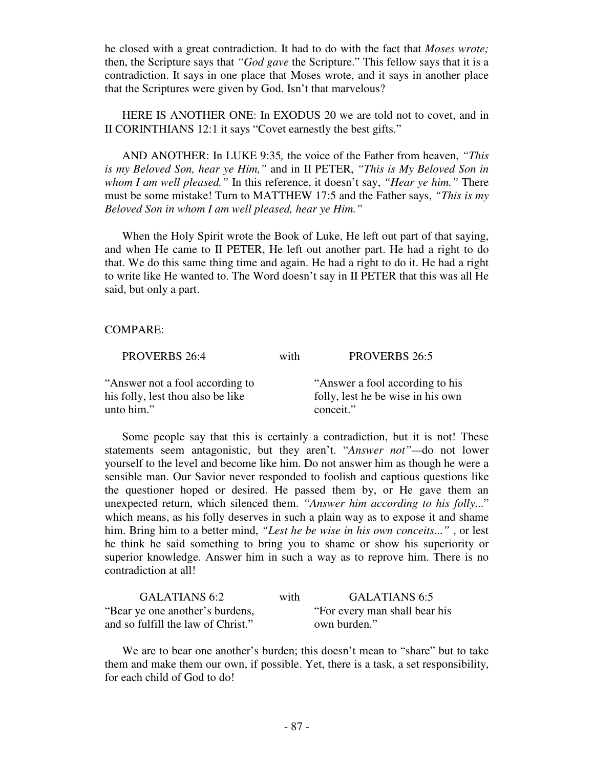he closed with a great contradiction. It had to do with the fact that *Moses wrote;*  then, the Scripture says that *"God gave* the Scripture." This fellow says that it is a contradiction. It says in one place that Moses wrote, and it says in another place that the Scriptures were given by God. Isn't that marvelous?

 HERE IS ANOTHER ONE: In EXODUS 20 we are told not to covet, and in II CORINTHIANS 12:1 it says "Covet earnestly the best gifts."

 AND ANOTHER: In LUKE 9:35*,* the voice of the Father from heaven, *"This is my Beloved Son, hear ye Him,"* and in II PETER, *"This is My Beloved Son in whom I am well pleased."* In this reference, it doesn't say, *"Hear ye him."* There must be some mistake! Turn to MATTHEW 17:5 and the Father says, *"This is my Beloved Son in whom I am well pleased, hear ye Him."* 

 When the Holy Spirit wrote the Book of Luke, He left out part of that saying, and when He came to II PETER, He left out another part. He had a right to do that. We do this same thing time and again. He had a right to do it. He had a right to write like He wanted to. The Word doesn't say in II PETER that this was all He said, but only a part.

### COMPARE:

| <b>PROVERBS 26:5</b>                                                               |
|------------------------------------------------------------------------------------|
| "Answer a fool according to his"<br>folly, lest he be wise in his own<br>conceit." |
| with                                                                               |

 Some people say that this is certainly a contradiction, but it is not! These statements seem antagonistic, but they aren't. "*Answer not"—*do not lower yourself to the level and become like him. Do not answer him as though he were a sensible man. Our Savior never responded to foolish and captious questions like the questioner hoped or desired. He passed them by, or He gave them an unexpected return, which silenced them. *"Answer him according to his folly*..." which means, as his folly deserves in such a plain way as to expose it and shame him. Bring him to a better mind, *"Lest he be wise in his own conceits..."* , or lest he think he said something to bring you to shame or show his superiority or superior knowledge. Answer him in such a way as to reprove him. There is no contradiction at all!

| GALATIANS 6:2                      | with | GALATIANS 6:5                 |
|------------------------------------|------|-------------------------------|
| "Bear ye one another's burdens,    |      | "For every man shall bear his |
| and so fulfill the law of Christ." |      | own burden."                  |

 We are to bear one another's burden; this doesn't mean to "share" but to take them and make them our own, if possible. Yet, there is a task, a set responsibility, for each child of God to do!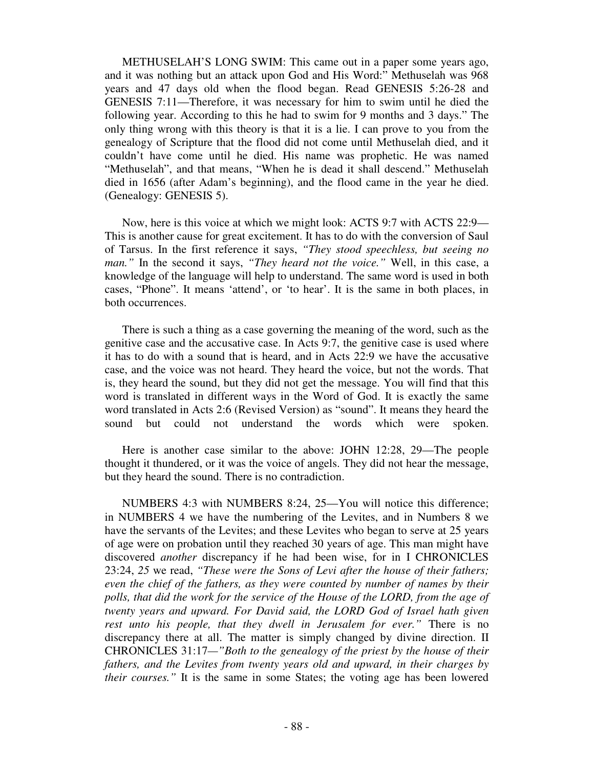METHUSELAH'S LONG SWIM: This came out in a paper some years ago, and it was nothing but an attack upon God and His Word:" Methuselah was 968 years and 47 days old when the flood began. Read GENESIS 5:26-28 and GENESIS 7:11—Therefore, it was necessary for him to swim until he died the following year. According to this he had to swim for 9 months and 3 days." The only thing wrong with this theory is that it is a lie. I can prove to you from the genealogy of Scripture that the flood did not come until Methuselah died, and it couldn't have come until he died. His name was prophetic. He was named "Methuselah", and that means, "When he is dead it shall descend." Methuselah died in 1656 (after Adam's beginning), and the flood came in the year he died. (Genealogy: GENESIS 5).

 Now, here is this voice at which we might look: ACTS 9:7 with ACTS 22:9— This is another cause for great excitement. It has to do with the conversion of Saul of Tarsus. In the first reference it says, *"They stood speechless, but seeing no man."* In the second it says, *"They heard not the voice."* Well, in this case, a knowledge of the language will help to understand. The same word is used in both cases, "Phone". It means 'attend', or 'to hear'. It is the same in both places, in both occurrences.

 There is such a thing as a case governing the meaning of the word, such as the genitive case and the accusative case. In Acts 9:7, the genitive case is used where it has to do with a sound that is heard, and in Acts 22:9 we have the accusative case, and the voice was not heard. They heard the voice, but not the words. That is, they heard the sound, but they did not get the message. You will find that this word is translated in different ways in the Word of God. It is exactly the same word translated in Acts 2:6 (Revised Version) as "sound". It means they heard the sound but could not understand the words which were spoken.

 Here is another case similar to the above: JOHN 12:28, 29—The people thought it thundered, or it was the voice of angels. They did not hear the message, but they heard the sound. There is no contradiction.

 NUMBERS 4:3 with NUMBERS 8:24, 25—You will notice this difference; in NUMBERS 4 we have the numbering of the Levites, and in Numbers 8 we have the servants of the Levites; and these Levites who began to serve at 25 years of age were on probation until they reached 30 years of age. This man might have discovered *another* discrepancy if he had been wise, for in I CHRONICLES 23:24, *25* we read, *"These were the Sons of Levi after the house of their fathers; even the chief of the fathers, as they were counted by number of names by their polls, that did the work for the service of the House of the LORD, from the age of twenty years and upward. For David said, the LORD God of Israel hath given rest unto his people, that they dwell in Jerusalem for ever."* There is no discrepancy there at all. The matter is simply changed by divine direction. II CHRONICLES 31:17*—"Both to the genealogy of the priest by the house of their fathers, and the Levites from twenty years old and upward, in their charges by their courses."* It is the same in some States; the voting age has been lowered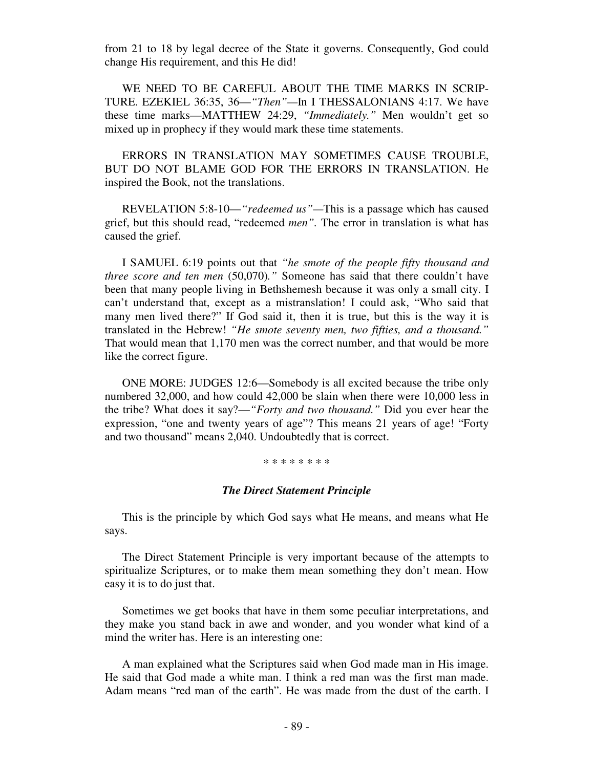from 21 to 18 by legal decree of the State it governs. Consequently, God could change His requirement, and this He did!

 WE NEED TO BE CAREFUL ABOUT THE TIME MARKS IN SCRIP-TURE. EZEKIEL 36:35, 36—*"Then"—*In I THESSALONIANS 4:17. We have these time marks—MATTHEW 24:29, *"Immediately."* Men wouldn't get so mixed up in prophecy if they would mark these time statements.

 ERRORS IN TRANSLATION MAY SOMETIMES CAUSE TROUBLE, BUT DO NOT BLAME GOD FOR THE ERRORS IN TRANSLATION. He inspired the Book, not the translations.

 REVELATION 5:8-10—*"redeemed us"—*This is a passage which has caused grief, but this should read, "redeemed *men".* The error in translation is what has caused the grief.

 I SAMUEL 6:19 points out that *"he smote of the people fifty thousand and three score and ten men* (50,070)." Someone has said that there couldn't have been that many people living in Bethshemesh because it was only a small city. I can't understand that, except as a mistranslation! I could ask, "Who said that many men lived there?" If God said it, then it is true, but this is the way it is translated in the Hebrew! *"He smote seventy men, two fifties, and a thousand."* That would mean that 1,170 men was the correct number, and that would be more like the correct figure.

 ONE MORE: JUDGES 12:6—Somebody is all excited because the tribe only numbered 32,000, and how could 42,000 be slain when there were 10,000 less in the tribe? What does it say?—*"Forty and two thousand."* Did you ever hear the expression, "one and twenty years of age"? This means 21 years of age! "Forty and two thousand" means 2,040. Undoubtedly that is correct.

### \* \* \* \* \* \* \* \*

#### *The Direct Statement Principle*

This is the principle by which God says what He means, and means what He says.

 The Direct Statement Principle is very important because of the attempts to spiritualize Scriptures, or to make them mean something they don't mean. How easy it is to do just that.

 Sometimes we get books that have in them some peculiar interpretations, and they make you stand back in awe and wonder, and you wonder what kind of a mind the writer has. Here is an interesting one:

 A man explained what the Scriptures said when God made man in His image. He said that God made a white man. I think a red man was the first man made. Adam means "red man of the earth". He was made from the dust of the earth. I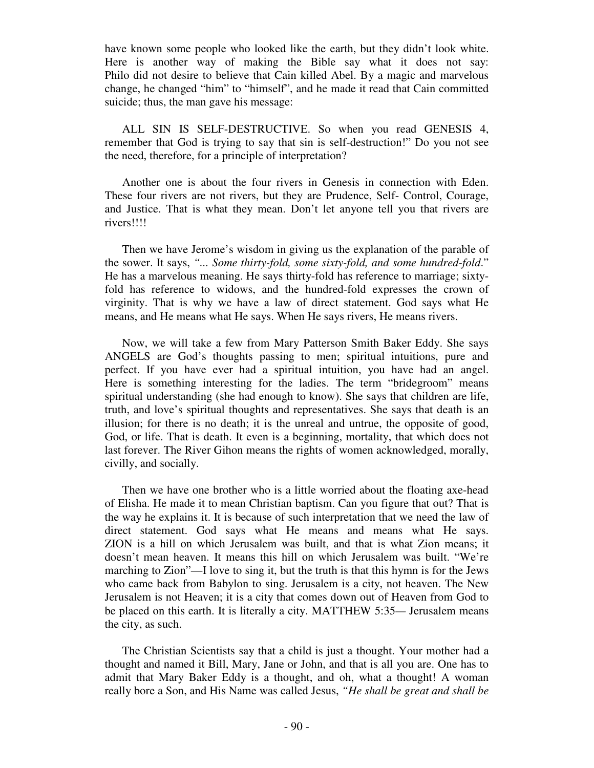have known some people who looked like the earth, but they didn't look white. Here is another way of making the Bible say what it does not say: Philo did not desire to believe that Cain killed Abel. By a magic and marvelous change, he changed "him" to "himself", and he made it read that Cain committed suicide; thus, the man gave his message:

 ALL SIN IS SELF-DESTRUCTIVE. So when you read GENESIS 4, remember that God is trying to say that sin is self-destruction!" Do you not see the need, therefore, for a principle of interpretation?

 Another one is about the four rivers in Genesis in connection with Eden. These four rivers are not rivers, but they are Prudence, Self- Control, Courage, and Justice. That is what they mean. Don't let anyone tell you that rivers are rivers!!!!

 Then we have Jerome's wisdom in giving us the explanation of the parable of the sower. It says, *"... Some thirty-fold, some sixty-fold, and some hundred-fold*." He has a marvelous meaning. He says thirty-fold has reference to marriage; sixtyfold has reference to widows, and the hundred-fold expresses the crown of virginity. That is why we have a law of direct statement. God says what He means, and He means what He says. When He says rivers, He means rivers.

 Now, we will take a few from Mary Patterson Smith Baker Eddy. She says ANGELS are God's thoughts passing to men; spiritual intuitions, pure and perfect. If you have ever had a spiritual intuition, you have had an angel. Here is something interesting for the ladies. The term "bridegroom" means spiritual understanding (she had enough to know). She says that children are life, truth, and love's spiritual thoughts and representatives. She says that death is an illusion; for there is no death; it is the unreal and untrue, the opposite of good, God, or life. That is death. It even is a beginning, mortality, that which does not last forever. The River Gihon means the rights of women acknowledged, morally, civilly, and socially.

 Then we have one brother who is a little worried about the floating axe-head of Elisha. He made it to mean Christian baptism. Can you figure that out? That is the way he explains it. It is because of such interpretation that we need the law of direct statement. God says what He means and means what He says. ZION is a hill on which Jerusalem was built, and that is what Zion means; it doesn't mean heaven. It means this hill on which Jerusalem was built. "We're marching to Zion"—I love to sing it, but the truth is that this hymn is for the Jews who came back from Babylon to sing. Jerusalem is a city, not heaven. The New Jerusalem is not Heaven; it is a city that comes down out of Heaven from God to be placed on this earth. It is literally a city. MATTHEW 5:35*—* Jerusalem means the city, as such.

 The Christian Scientists say that a child is just a thought. Your mother had a thought and named it Bill, Mary, Jane or John, and that is all you are. One has to admit that Mary Baker Eddy is a thought, and oh, what a thought! A woman really bore a Son, and His Name was called Jesus, *"He shall be great and shall be*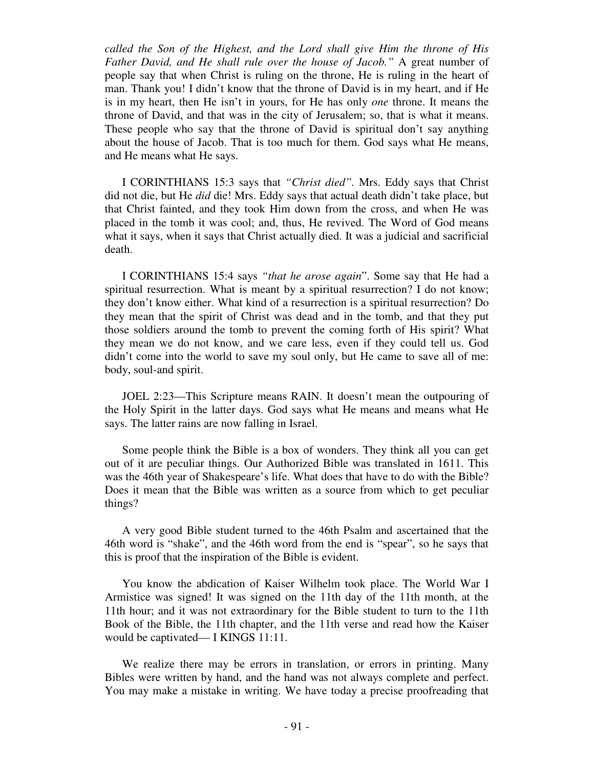*called the Son of the Highest, and the Lord shall give Him the throne of His Father David, and He shall rule over the house of Jacob."* A great number of people say that when Christ is ruling on the throne, He is ruling in the heart of man. Thank you! I didn't know that the throne of David is in my heart, and if He is in my heart, then He isn't in yours, for He has only *one* throne. It means the throne of David, and that was in the city of Jerusalem; so, that is what it means. These people who say that the throne of David is spiritual don't say anything about the house of Jacob. That is too much for them. God says what He means, and He means what He says.

 I CORINTHIANS 15:3 says that *"Christ died".* Mrs. Eddy says that Christ did not die, but He *did* die! Mrs. Eddy says that actual death didn't take place, but that Christ fainted, and they took Him down from the cross, and when He was placed in the tomb it was cool; and, thus, He revived. The Word of God means what it says, when it says that Christ actually died. It was a judicial and sacrificial death.

 I CORINTHIANS 15:4 says *"that he arose again*". Some say that He had a spiritual resurrection. What is meant by a spiritual resurrection? I do not know; they don't know either. What kind of a resurrection is a spiritual resurrection? Do they mean that the spirit of Christ was dead and in the tomb, and that they put those soldiers around the tomb to prevent the coming forth of His spirit? What they mean we do not know, and we care less, even if they could tell us. God didn't come into the world to save my soul only, but He came to save all of me: body, soul-and spirit.

 JOEL 2:23—This Scripture means RAIN. It doesn't mean the outpouring of the Holy Spirit in the latter days. God says what He means and means what He says. The latter rains are now falling in Israel.

 Some people think the Bible is a box of wonders. They think all you can get out of it are peculiar things. Our Authorized Bible was translated in 1611. This was the 46th year of Shakespeare's life. What does that have to do with the Bible? Does it mean that the Bible was written as a source from which to get peculiar things?

 A very good Bible student turned to the 46th Psalm and ascertained that the 46th word is "shake", and the 46th word from the end is "spear", so he says that this is proof that the inspiration of the Bible is evident.

 You know the abdication of Kaiser Wilhelm took place. The World War I Armistice was signed! It was signed on the 11th day of the 11th month, at the 11th hour; and it was not extraordinary for the Bible student to turn to the 11th Book of the Bible, the 11th chapter, and the 11th verse and read how the Kaiser would be captivated— I KINGS 11:11.

 We realize there may be errors in translation, or errors in printing. Many Bibles were written by hand, and the hand was not always complete and perfect. You may make a mistake in writing. We have today a precise proofreading that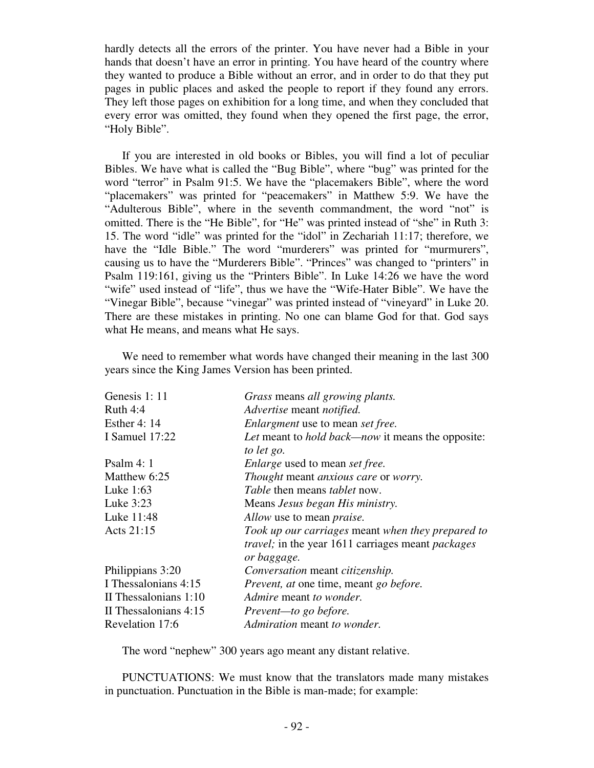hardly detects all the errors of the printer. You have never had a Bible in your hands that doesn't have an error in printing. You have heard of the country where they wanted to produce a Bible without an error, and in order to do that they put pages in public places and asked the people to report if they found any errors. They left those pages on exhibition for a long time, and when they concluded that every error was omitted, they found when they opened the first page, the error, "Holy Bible".

 If you are interested in old books or Bibles, you will find a lot of peculiar Bibles. We have what is called the "Bug Bible", where "bug" was printed for the word "terror" in Psalm 91:5. We have the "placemakers Bible", where the word "placemakers" was printed for "peacemakers" in Matthew 5:9. We have the "Adulterous Bible", where in the seventh commandment, the word "not" is omitted. There is the "He Bible", for "He" was printed instead of "she" in Ruth 3: 15. The word "idle" was printed for the "idol" in Zechariah 11:17; therefore, we have the "Idle Bible." The word "murderers" was printed for "murmurers", causing us to have the "Murderers Bible". "Princes" was changed to "printers" in Psalm 119:161, giving us the "Printers Bible". In Luke 14:26 we have the word "wife" used instead of "life", thus we have the "Wife-Hater Bible". We have the "Vinegar Bible", because "vinegar" was printed instead of "vineyard" in Luke 20. There are these mistakes in printing. No one can blame God for that. God says what He means, and means what He says.

We need to remember what words have changed their meaning in the last 300 years since the King James Version has been printed.

| Genesis 1: 11           | Grass means all growing plants.                          |
|-------------------------|----------------------------------------------------------|
| Ruth $4:4$              | Advertise meant notified.                                |
| <b>Esther 4: 14</b>     | Enlargment use to mean set free.                         |
| I Samuel 17:22          | Let meant to <i>hold back—now</i> it means the opposite: |
|                         | to let go.                                               |
| Psalm 4: 1              | <i>Enlarge</i> used to mean <i>set free.</i>             |
| Matthew 6:25            | Thought meant anxious care or worry.                     |
| Luke 1:63               | <i>Table</i> then means <i>tablet</i> now.               |
| Luke 3:23               | Means Jesus began His ministry.                          |
| Luke 11:48              | Allow use to mean <i>praise</i> .                        |
| Acts 21:15              | Took up our carriages meant when they prepared to        |
|                         | travel; in the year 1611 carriages meant packages        |
|                         | or baggage.                                              |
| Philippians 3:20        | Conversation meant citizenship.                          |
| I Thessalonians 4:15    | Prevent, at one time, meant go before.                   |
| II Thessalonians $1:10$ | Admire meant to wonder.                                  |
| II Thessalonians 4:15   | Prevent-to go before.                                    |
| Revelation 17:6         | Admiration meant to wonder.                              |

The word "nephew" 300 years ago meant any distant relative.

 PUNCTUATIONS: We must know that the translators made many mistakes in punctuation. Punctuation in the Bible is man-made; for example: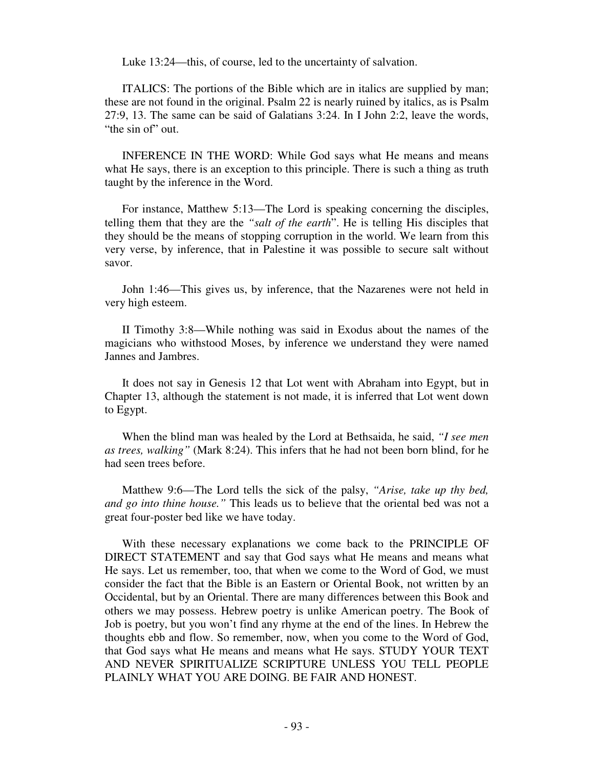Luke 13:24—this, of course, led to the uncertainty of salvation.

 ITALICS: The portions of the Bible which are in italics are supplied by man; these are not found in the original. Psalm 22 is nearly ruined by italics, as is Psalm 27:9, 13. The same can be said of Galatians 3:24. In I John 2:2, leave the words, "the sin of" out.

 INFERENCE IN THE WORD: While God says what He means and means what He says, there is an exception to this principle. There is such a thing as truth taught by the inference in the Word.

 For instance, Matthew 5:13—The Lord is speaking concerning the disciples, telling them that they are the *"salt of the earth*". He is telling His disciples that they should be the means of stopping corruption in the world. We learn from this very verse, by inference, that in Palestine it was possible to secure salt without savor.

 John 1:46—This gives us, by inference, that the Nazarenes were not held in very high esteem.

 II Timothy 3:8—While nothing was said in Exodus about the names of the magicians who withstood Moses, by inference we understand they were named Jannes and Jambres.

 It does not say in Genesis 12 that Lot went with Abraham into Egypt, but in Chapter 13, although the statement is not made, it is inferred that Lot went down to Egypt.

 When the blind man was healed by the Lord at Bethsaida, he said, *"I see men as trees, walking"* (Mark 8:24). This infers that he had not been born blind, for he had seen trees before.

 Matthew 9:6—The Lord tells the sick of the palsy, *"Arise, take up thy bed, and go into thine house."* This leads us to believe that the oriental bed was not a great four-poster bed like we have today.

 With these necessary explanations we come back to the PRINCIPLE OF DIRECT STATEMENT and say that God says what He means and means what He says. Let us remember, too, that when we come to the Word of God, we must consider the fact that the Bible is an Eastern or Oriental Book, not written by an Occidental, but by an Oriental. There are many differences between this Book and others we may possess. Hebrew poetry is unlike American poetry. The Book of Job is poetry, but you won't find any rhyme at the end of the lines. In Hebrew the thoughts ebb and flow. So remember, now, when you come to the Word of God, that God says what He means and means what He says. STUDY YOUR TEXT AND NEVER SPIRITUALIZE SCRIPTURE UNLESS YOU TELL PEOPLE PLAINLY WHAT YOU ARE DOING. BE FAIR AND HONEST.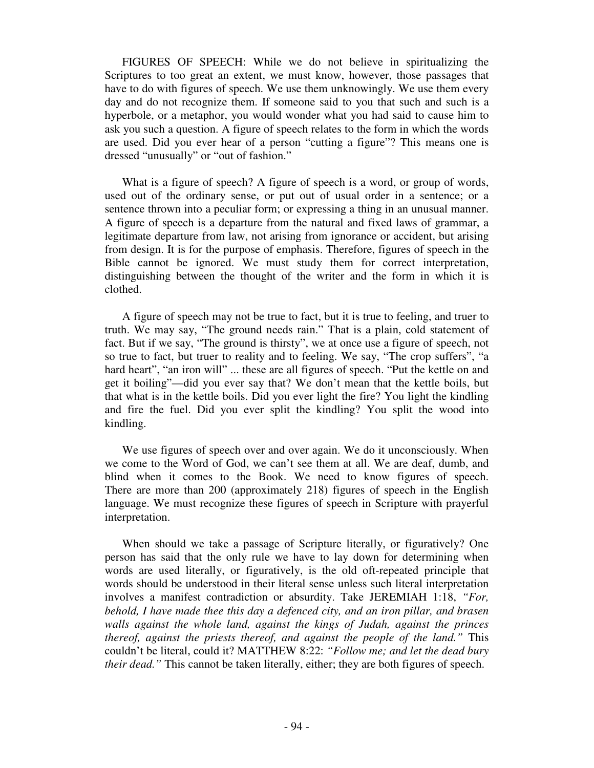FIGURES OF SPEECH: While we do not believe in spiritualizing the Scriptures to too great an extent, we must know, however, those passages that have to do with figures of speech. We use them unknowingly. We use them every day and do not recognize them. If someone said to you that such and such is a hyperbole, or a metaphor, you would wonder what you had said to cause him to ask you such a question. A figure of speech relates to the form in which the words are used. Did you ever hear of a person "cutting a figure"? This means one is dressed "unusually" or "out of fashion."

What is a figure of speech? A figure of speech is a word, or group of words, used out of the ordinary sense, or put out of usual order in a sentence; or a sentence thrown into a peculiar form; or expressing a thing in an unusual manner. A figure of speech is a departure from the natural and fixed laws of grammar, a legitimate departure from law, not arising from ignorance or accident, but arising from design. It is for the purpose of emphasis. Therefore, figures of speech in the Bible cannot be ignored. We must study them for correct interpretation, distinguishing between the thought of the writer and the form in which it is clothed.

 A figure of speech may not be true to fact, but it is true to feeling, and truer to truth. We may say, "The ground needs rain." That is a plain, cold statement of fact. But if we say, "The ground is thirsty", we at once use a figure of speech, not so true to fact, but truer to reality and to feeling. We say, "The crop suffers", "a hard heart", "an iron will" ... these are all figures of speech. "Put the kettle on and get it boiling"—did you ever say that? We don't mean that the kettle boils, but that what is in the kettle boils. Did you ever light the fire? You light the kindling and fire the fuel. Did you ever split the kindling? You split the wood into kindling.

 We use figures of speech over and over again. We do it unconsciously. When we come to the Word of God, we can't see them at all. We are deaf, dumb, and blind when it comes to the Book. We need to know figures of speech. There are more than 200 (approximately 218) figures of speech in the English language. We must recognize these figures of speech in Scripture with prayerful interpretation.

 When should we take a passage of Scripture literally, or figuratively? One person has said that the only rule we have to lay down for determining when words are used literally, or figuratively, is the old oft-repeated principle that words should be understood in their literal sense unless such literal interpretation involves a manifest contradiction or absurdity. Take JEREMIAH 1:18, *"For, behold, I have made thee this day a defenced city, and an iron pillar, and brasen walls against the whole land, against the kings of Judah, against the princes thereof, against the priests thereof, and against the people of the land."* This couldn't be literal, could it? MATTHEW 8:22: *"Follow me; and let the dead bury their dead.*" This cannot be taken literally, either; they are both figures of speech.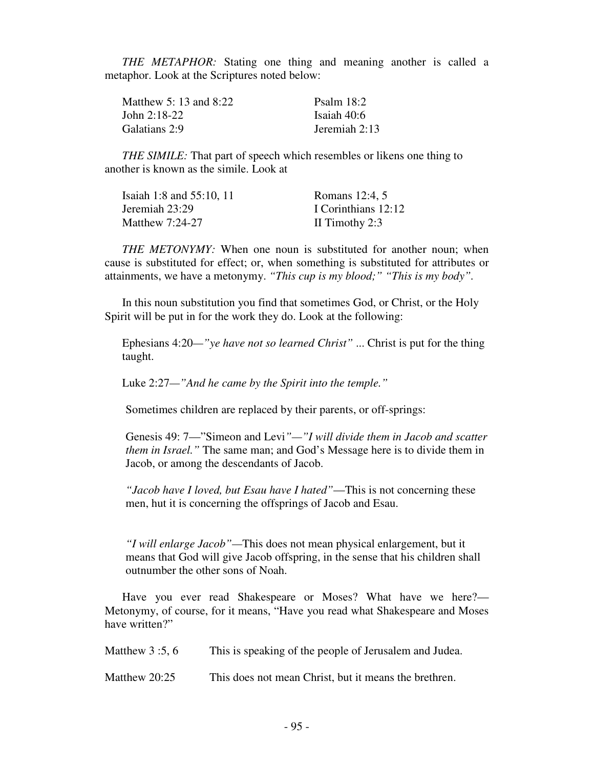*THE METAPHOR:* Stating one thing and meaning another is called a metaphor. Look at the Scriptures noted below:

| Matthew 5: 13 and $8:22$ | Psalm $18:2$    |
|--------------------------|-----------------|
| John $2:18-22$           | Isaiah 40:6     |
| Galatians 2:9            | Jeremiah $2:13$ |

 *THE SIMILE:* That part of speech which resembles or likens one thing to another is known as the simile. Look at

| Isaiah 1:8 and 55:10, 11 | Romans 12:4, 5      |
|--------------------------|---------------------|
| Jeremiah 23:29           | I Corinthians 12:12 |
| Matthew 7:24-27          | II Timothy $2:3$    |

 *THE METONYMY:* When one noun is substituted for another noun; when cause is substituted for effect; or, when something is substituted for attributes or attainments, we have a metonymy. *"This cup is my blood;" "This is my body".* 

 In this noun substitution you find that sometimes God, or Christ, or the Holy Spirit will be put in for the work they do. Look at the following:

 Ephesians 4:20*—"ye have not so learned Christ"* ... Christ is put for the thing taught.

Luke 2:27*—"And he came by the Spirit into the temple."* 

Sometimes children are replaced by their parents, or off-springs:

Genesis 49: 7—"Simeon and Levi*"—"I will divide them in Jacob and scatter them in Israel."* The same man; and God's Message here is to divide them in Jacob, or among the descendants of Jacob.

*"Jacob have I loved, but Esau have I hated"*—This is not concerning these men, hut it is concerning the offsprings of Jacob and Esau.

*"I will enlarge Jacob"—*This does not mean physical enlargement, but it means that God will give Jacob offspring, in the sense that his children shall outnumber the other sons of Noah.

Have you ever read Shakespeare or Moses? What have we here?— Metonymy, of course, for it means, "Have you read what Shakespeare and Moses have written?"

| Matthew 3 :5, 6 | This is speaking of the people of Jerusalem and Judea. |
|-----------------|--------------------------------------------------------|
|-----------------|--------------------------------------------------------|

Matthew 20:25 This does not mean Christ, but it means the brethren.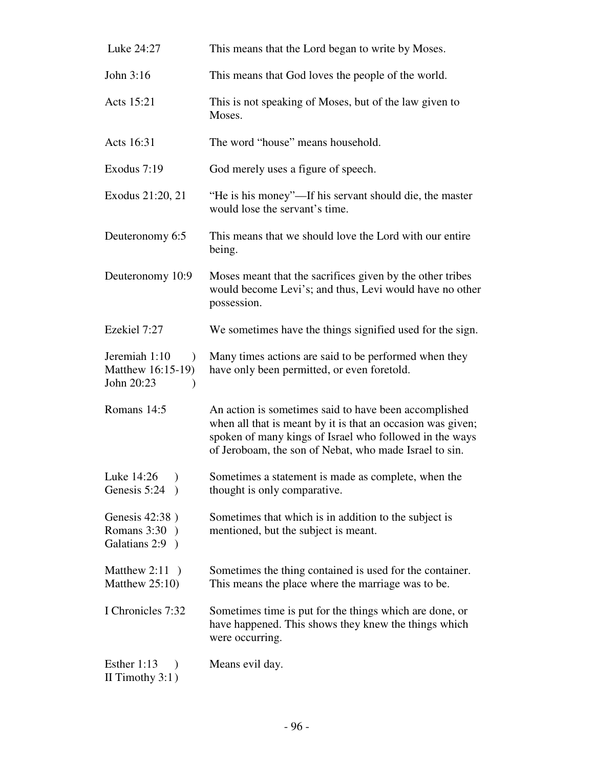| Luke 24:27                                                        | This means that the Lord began to write by Moses.                                                                                                                                                                                         |
|-------------------------------------------------------------------|-------------------------------------------------------------------------------------------------------------------------------------------------------------------------------------------------------------------------------------------|
| John 3:16                                                         | This means that God loves the people of the world.                                                                                                                                                                                        |
| Acts 15:21                                                        | This is not speaking of Moses, but of the law given to<br>Moses.                                                                                                                                                                          |
| Acts 16:31                                                        | The word "house" means household.                                                                                                                                                                                                         |
| Exodus 7:19                                                       | God merely uses a figure of speech.                                                                                                                                                                                                       |
| Exodus 21:20, 21                                                  | "He is his money"—If his servant should die, the master<br>would lose the servant's time.                                                                                                                                                 |
| Deuteronomy 6:5                                                   | This means that we should love the Lord with our entire<br>being.                                                                                                                                                                         |
| Deuteronomy 10:9                                                  | Moses meant that the sacrifices given by the other tribes<br>would become Levi's; and thus, Levi would have no other<br>possession.                                                                                                       |
| Ezekiel 7:27                                                      | We sometimes have the things signified used for the sign.                                                                                                                                                                                 |
| Jeremiah 1:10<br>$\mathcal{L}$<br>Matthew 16:15-19)<br>John 20:23 | Many times actions are said to be performed when they<br>have only been permitted, or even foretold.                                                                                                                                      |
| Romans 14:5                                                       | An action is sometimes said to have been accomplished<br>when all that is meant by it is that an occasion was given;<br>spoken of many kings of Israel who followed in the ways<br>of Jeroboam, the son of Nebat, who made Israel to sin. |
| Luke 14:26<br>Genesis 5:24                                        | Sometimes a statement is made as complete, when the<br>thought is only comparative.                                                                                                                                                       |
| Genesis 42:38)<br>Romans $3:30$ )<br>Galatians 2:9 )              | Sometimes that which is in addition to the subject is<br>mentioned, but the subject is meant.                                                                                                                                             |
| Matthew $2:11$ )<br>Matthew $25:10$ )                             | Sometimes the thing contained is used for the container.<br>This means the place where the marriage was to be.                                                                                                                            |
| I Chronicles 7:32                                                 | Sometimes time is put for the things which are done, or<br>have happened. This shows they knew the things which<br>were occurring.                                                                                                        |
| Esther 1:13<br>$\lambda$<br>II Timothy $3:1$ )                    | Means evil day.                                                                                                                                                                                                                           |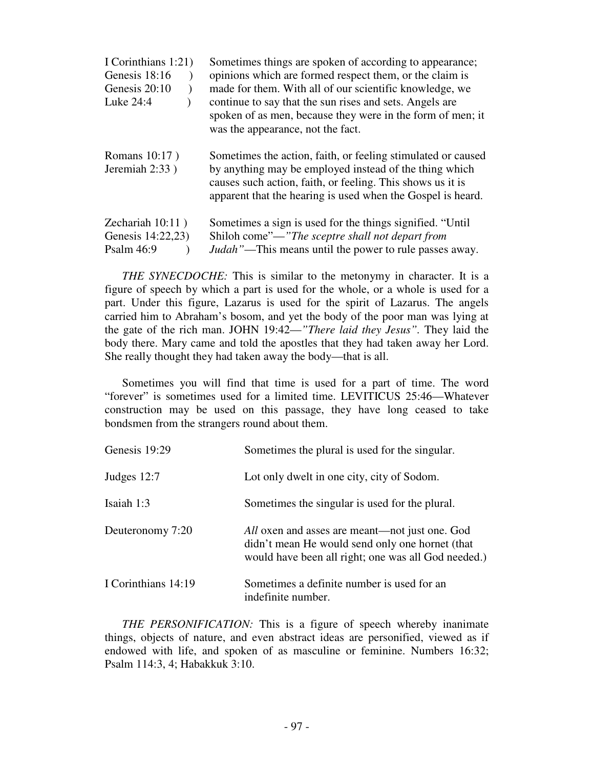| I Corinthians 1:21)<br>Genesis 18:16<br>Genesis 20:10<br>Luke 24:4 | Sometimes things are spoken of according to appearance;<br>opinions which are formed respect them, or the claim is<br>made for them. With all of our scientific knowledge, we<br>continue to say that the sun rises and sets. Angels are<br>spoken of as men, because they were in the form of men; it<br>was the appearance, not the fact. |
|--------------------------------------------------------------------|---------------------------------------------------------------------------------------------------------------------------------------------------------------------------------------------------------------------------------------------------------------------------------------------------------------------------------------------|
| Romans 10:17)<br>Jeremiah 2:33)                                    | Sometimes the action, faith, or feeling stimulated or caused<br>by anything may be employed instead of the thing which<br>causes such action, faith, or feeling. This shows us it is<br>apparent that the hearing is used when the Gospel is heard.                                                                                         |
| Zechariah $10:11$ )<br>Genesis 14:22,23)<br>Psalm 46:9             | Sometimes a sign is used for the things signified. "Until"<br>Shiloh come"—"The sceptre shall not depart from<br><i>Judah</i> "—This means until the power to rule passes away.                                                                                                                                                             |

 *THE SYNECDOCHE:* This is similar to the metonymy in character. It is a figure of speech by which a part is used for the whole, or a whole is used for a part. Under this figure, Lazarus is used for the spirit of Lazarus. The angels carried him to Abraham's bosom, and yet the body of the poor man was lying at the gate of the rich man. JOHN 19:42—*"There laid they Jesus".* They laid the body there. Mary came and told the apostles that they had taken away her Lord. She really thought they had taken away the body—that is all.

 Sometimes you will find that time is used for a part of time. The word "forever" is sometimes used for a limited time. LEVITICUS 25:46—Whatever construction may be used on this passage, they have long ceased to take bondsmen from the strangers round about them.

| Genesis 19:29       | Sometimes the plural is used for the singular.                                                                                                           |
|---------------------|----------------------------------------------------------------------------------------------------------------------------------------------------------|
| Judges $12:7$       | Lot only dwelt in one city, city of Sodom.                                                                                                               |
| Isaiah 1:3          | Sometimes the singular is used for the plural.                                                                                                           |
| Deuteronomy 7:20    | All oxen and asses are meant—not just one. God<br>didn't mean He would send only one hornet (that<br>would have been all right; one was all God needed.) |
| I Corinthians 14:19 | Sometimes a definite number is used for an<br>indefinite number.                                                                                         |

 *THE PERSONIFICATION:* This is a figure of speech whereby inanimate things, objects of nature, and even abstract ideas are personified, viewed as if endowed with life, and spoken of as masculine or feminine. Numbers 16:32; Psalm 114:3, 4; Habakkuk 3:10.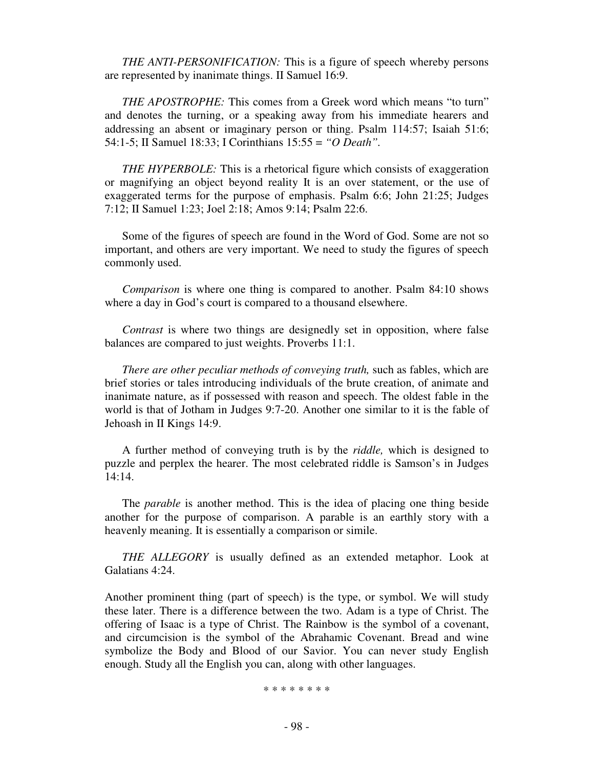*THE ANTI-PERSONIFICATION:* This is a figure of speech whereby persons are represented by inanimate things. II Samuel 16:9.

 *THE APOSTROPHE:* This comes from a Greek word which means "to turn" and denotes the turning, or a speaking away from his immediate hearers and addressing an absent or imaginary person or thing. Psalm 114:57; Isaiah 51:6; 54:1-5; II Samuel 18:33; I Corinthians 15:55 = *"O Death".*

 *THE HYPERBOLE:* This is a rhetorical figure which consists of exaggeration or magnifying an object beyond reality It is an over statement, or the use of exaggerated terms for the purpose of emphasis. Psalm 6:6; John 21:25; Judges 7:12; II Samuel 1:23; Joel 2:18; Amos 9:14; Psalm 22:6.

 Some of the figures of speech are found in the Word of God. Some are not so important, and others are very important. We need to study the figures of speech commonly used.

 *Comparison* is where one thing is compared to another. Psalm 84:10 shows where a day in God's court is compared to a thousand elsewhere.

 *Contrast* is where two things are designedly set in opposition, where false balances are compared to just weights. Proverbs 11:1.

*There are other peculiar methods of conveying truth, such as fables, which are* brief stories or tales introducing individuals of the brute creation, of animate and inanimate nature, as if possessed with reason and speech. The oldest fable in the world is that of Jotham in Judges 9:7-20. Another one similar to it is the fable of Jehoash in II Kings 14:9.

 A further method of conveying truth is by the *riddle,* which is designed to puzzle and perplex the hearer. The most celebrated riddle is Samson's in Judges 14:14.

 The *parable* is another method. This is the idea of placing one thing beside another for the purpose of comparison. A parable is an earthly story with a heavenly meaning. It is essentially a comparison or simile.

 *THE ALLEGORY* is usually defined as an extended metaphor. Look at Galatians 4:24.

Another prominent thing (part of speech) is the type, or symbol. We will study these later. There is a difference between the two. Adam is a type of Christ. The offering of Isaac is a type of Christ. The Rainbow is the symbol of a covenant, and circumcision is the symbol of the Abrahamic Covenant. Bread and wine symbolize the Body and Blood of our Savior. You can never study English enough. Study all the English you can, along with other languages.

\* \* \* \* \* \* \* \*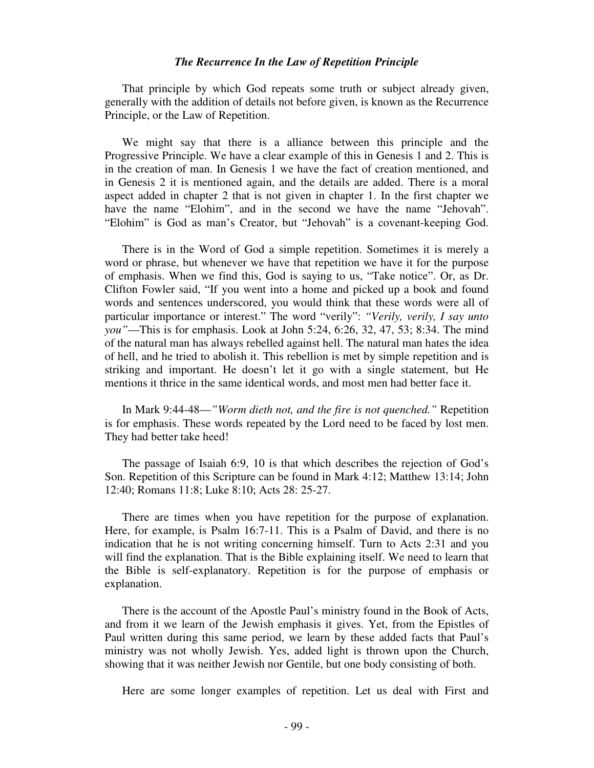#### *The Recurrence In the Law of Repetition Principle*

That principle by which God repeats some truth or subject already given, generally with the addition of details not before given, is known as the Recurrence Principle, or the Law of Repetition.

 We might say that there is a alliance between this principle and the Progressive Principle. We have a clear example of this in Genesis 1 and 2. This is in the creation of man. In Genesis 1 we have the fact of creation mentioned, and in Genesis 2 it is mentioned again, and the details are added. There is a moral aspect added in chapter 2 that is not given in chapter 1. In the first chapter we have the name "Elohim", and in the second we have the name "Jehovah". "Elohim" is God as man's Creator, but "Jehovah" is a covenant-keeping God.

 There is in the Word of God a simple repetition. Sometimes it is merely a word or phrase, but whenever we have that repetition we have it for the purpose of emphasis. When we find this, God is saying to us, "Take notice". Or, as Dr. Clifton Fowler said, "If you went into a home and picked up a book and found words and sentences underscored, you would think that these words were all of particular importance or interest." The word "verily": *"Verily, verily, I say unto you"*—This is for emphasis. Look at John 5:24, 6:26, 32, 47, 53; 8:34. The mind of the natural man has always rebelled against hell. The natural man hates the idea of hell, and he tried to abolish it. This rebellion is met by simple repetition and is striking and important. He doesn't let it go with a single statement, but He mentions it thrice in the same identical words, and most men had better face it.

 In Mark 9:44-48—*"Worm dieth not, and the fire is not quenched."* Repetition is for emphasis. These words repeated by the Lord need to be faced by lost men. They had better take heed!

 The passage of Isaiah 6:9, 10 is that which describes the rejection of God's Son. Repetition of this Scripture can be found in Mark 4:12; Matthew 13:14; John 12:40; Romans 11:8; Luke 8:10; Acts 28: 25-27.

 There are times when you have repetition for the purpose of explanation. Here, for example, is Psalm 16:7-11. This is a Psalm of David, and there is no indication that he is not writing concerning himself. Turn to Acts 2:31 and you will find the explanation. That is the Bible explaining itself. We need to learn that the Bible is self-explanatory. Repetition is for the purpose of emphasis or explanation.

 There is the account of the Apostle Paul's ministry found in the Book of Acts, and from it we learn of the Jewish emphasis it gives. Yet, from the Epistles of Paul written during this same period, we learn by these added facts that Paul's ministry was not wholly Jewish. Yes, added light is thrown upon the Church, showing that it was neither Jewish nor Gentile, but one body consisting of both.

Here are some longer examples of repetition. Let us deal with First and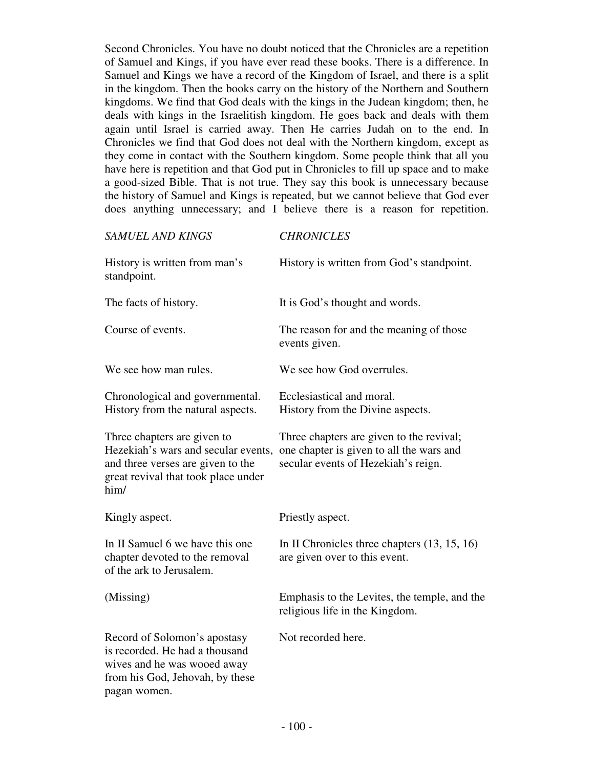Second Chronicles. You have no doubt noticed that the Chronicles are a repetition of Samuel and Kings, if you have ever read these books. There is a difference. In Samuel and Kings we have a record of the Kingdom of Israel, and there is a split in the kingdom. Then the books carry on the history of the Northern and Southern kingdoms. We find that God deals with the kings in the Judean kingdom; then, he deals with kings in the Israelitish kingdom. He goes back and deals with them again until Israel is carried away. Then He carries Judah on to the end. In Chronicles we find that God does not deal with the Northern kingdom, except as they come in contact with the Southern kingdom. Some people think that all you have here is repetition and that God put in Chronicles to fill up space and to make a good-sized Bible. That is not true. They say this book is unnecessary because the history of Samuel and Kings is repeated, but we cannot believe that God ever does anything unnecessary; and I believe there is a reason for repetition.

| <b>SAMUEL AND KINGS</b>                                                                                                                                | <b>CHRONICLES</b>                                                                                                           |
|--------------------------------------------------------------------------------------------------------------------------------------------------------|-----------------------------------------------------------------------------------------------------------------------------|
| History is written from man's<br>standpoint.                                                                                                           | History is written from God's standpoint.                                                                                   |
| The facts of history.                                                                                                                                  | It is God's thought and words.                                                                                              |
| Course of events.                                                                                                                                      | The reason for and the meaning of those<br>events given.                                                                    |
| We see how man rules.                                                                                                                                  | We see how God overrules.                                                                                                   |
| Chronological and governmental.<br>History from the natural aspects.                                                                                   | Ecclesiastical and moral.<br>History from the Divine aspects.                                                               |
| Three chapters are given to<br>Hezekiah's wars and secular events,<br>and three verses are given to the<br>great revival that took place under<br>him/ | Three chapters are given to the revival;<br>one chapter is given to all the wars and<br>secular events of Hezekiah's reign. |
| Kingly aspect.                                                                                                                                         | Priestly aspect.                                                                                                            |
| In II Samuel 6 we have this one<br>chapter devoted to the removal<br>of the ark to Jerusalem.                                                          | In II Chronicles three chapters $(13, 15, 16)$<br>are given over to this event.                                             |
| (Missing)                                                                                                                                              | Emphasis to the Levites, the temple, and the<br>religious life in the Kingdom.                                              |
| Record of Solomon's apostasy<br>is recorded. He had a thousand<br>wives and he was wooed away<br>from his God, Jehovah, by these<br>pagan women.       | Not recorded here.                                                                                                          |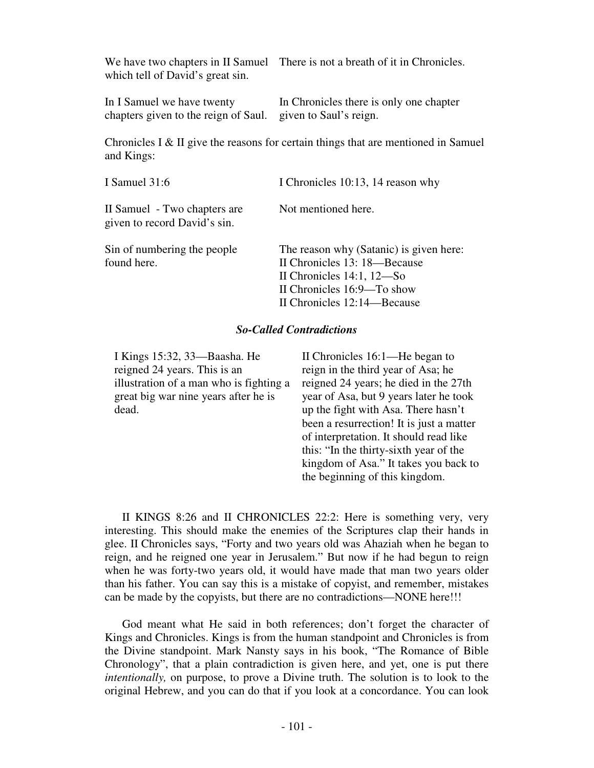which tell of David's great sin.

We have two chapters in II Samuel There is not a breath of it in Chronicles.

chapters given to the reign of Saul. given to Saul's reign.

In I Samuel we have twenty In Chronicles there is only one chapter

Chronicles I & II give the reasons for certain things that are mentioned in Samuel and Kings:

| I Samuel 31:6                                                | I Chronicles 10:13, 14 reason why                                                                                                                                    |
|--------------------------------------------------------------|----------------------------------------------------------------------------------------------------------------------------------------------------------------------|
| II Samuel - Two chapters are<br>given to record David's sin. | Not mentioned here.                                                                                                                                                  |
| Sin of numbering the people<br>found here.                   | The reason why (Satanic) is given here:<br>II Chronicles 13: 18—Because<br>II Chronicles $14:1, 12$ —So<br>II Chronicles 16:9—To show<br>II Chronicles 12:14—Because |

# *So-Called Contradictions*

I Kings 15:32, 33—Baasha. He reigned 24 years. This is an illustration of a man who is fighting a great big war nine years after he is dead.

II Chronicles 16:1—He began to reign in the third year of Asa; he reigned 24 years; he died in the 27th year of Asa, but 9 years later he took up the fight with Asa. There hasn't been a resurrection! It is just a matter of interpretation. It should read like this: "In the thirty-sixth year of the kingdom of Asa." It takes you back to the beginning of this kingdom.

II KINGS 8:26 and II CHRONICLES 22:2: Here is something very, very interesting. This should make the enemies of the Scriptures clap their hands in glee. II Chronicles says, "Forty and two years old was Ahaziah when he began to reign, and he reigned one year in Jerusalem." But now if he had begun to reign when he was forty-two years old, it would have made that man two years older than his father. You can say this is a mistake of copyist, and remember, mistakes can be made by the copyists, but there are no contradictions—NONE here!!!

 God meant what He said in both references; don't forget the character of Kings and Chronicles. Kings is from the human standpoint and Chronicles is from the Divine standpoint. Mark Nansty says in his book, "The Romance of Bible Chronology", that a plain contradiction is given here, and yet, one is put there *intentionally,* on purpose, to prove a Divine truth. The solution is to look to the original Hebrew, and you can do that if you look at a concordance. You can look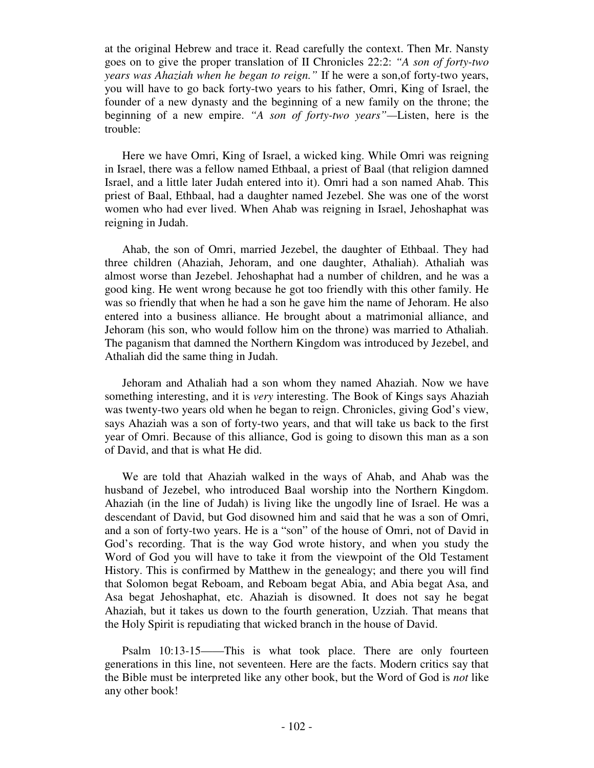at the original Hebrew and trace it. Read carefully the context. Then Mr. Nansty goes on to give the proper translation of II Chronicles 22:2: *"A son of forty-two years was Ahaziah when he began to reign."* If he were a son,of forty-two years, you will have to go back forty-two years to his father, Omri, King of Israel, the founder of a new dynasty and the beginning of a new family on the throne; the beginning of a new empire. *"A son of forty-two years"—*Listen, here is the trouble:

 Here we have Omri, King of Israel, a wicked king. While Omri was reigning in Israel, there was a fellow named Ethbaal, a priest of Baal (that religion damned Israel, and a little later Judah entered into it). Omri had a son named Ahab. This priest of Baal, Ethbaal, had a daughter named Jezebel. She was one of the worst women who had ever lived. When Ahab was reigning in Israel, Jehoshaphat was reigning in Judah.

 Ahab, the son of Omri, married Jezebel, the daughter of Ethbaal. They had three children (Ahaziah, Jehoram, and one daughter, Athaliah). Athaliah was almost worse than Jezebel. Jehoshaphat had a number of children, and he was a good king. He went wrong because he got too friendly with this other family. He was so friendly that when he had a son he gave him the name of Jehoram. He also entered into a business alliance. He brought about a matrimonial alliance, and Jehoram (his son, who would follow him on the throne) was married to Athaliah. The paganism that damned the Northern Kingdom was introduced by Jezebel, and Athaliah did the same thing in Judah.

 Jehoram and Athaliah had a son whom they named Ahaziah. Now we have something interesting, and it is *very* interesting. The Book of Kings says Ahaziah was twenty-two years old when he began to reign. Chronicles, giving God's view, says Ahaziah was a son of forty-two years, and that will take us back to the first year of Omri. Because of this alliance, God is going to disown this man as a son of David, and that is what He did.

 We are told that Ahaziah walked in the ways of Ahab, and Ahab was the husband of Jezebel, who introduced Baal worship into the Northern Kingdom. Ahaziah (in the line of Judah) is living like the ungodly line of Israel. He was a descendant of David, but God disowned him and said that he was a son of Omri, and a son of forty-two years. He is a "son" of the house of Omri, not of David in God's recording. That is the way God wrote history, and when you study the Word of God you will have to take it from the viewpoint of the Old Testament History. This is confirmed by Matthew in the genealogy; and there you will find that Solomon begat Reboam, and Reboam begat Abia, and Abia begat Asa, and Asa begat Jehoshaphat, etc. Ahaziah is disowned. It does not say he begat Ahaziah, but it takes us down to the fourth generation, Uzziah. That means that the Holy Spirit is repudiating that wicked branch in the house of David.

 Psalm 10:13-15——This is what took place. There are only fourteen generations in this line, not seventeen. Here are the facts. Modern critics say that the Bible must be interpreted like any other book, but the Word of God is *not* like any other book!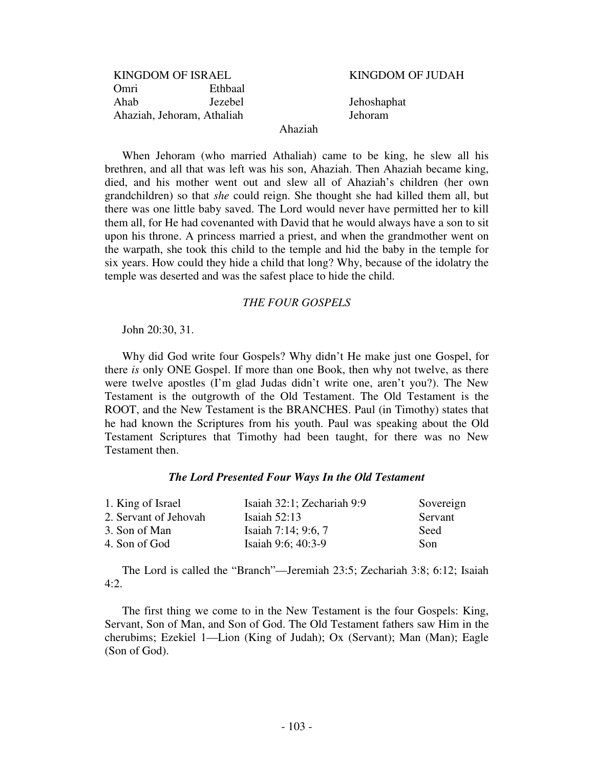| <b>KINGDOM OF ISRAEL</b>   |         |  |
|----------------------------|---------|--|
| Omri                       | Ethbaal |  |
| Ahab                       | Jezebel |  |
| Ahaziah, Jehoram, Athaliah |         |  |

KINGDOM OF JUDAH

Jehoshaphat Ahaziah, Jehoram, Athaliah Jehoram

### Ahaziah

 When Jehoram (who married Athaliah) came to be king, he slew all his brethren, and all that was left was his son, Ahaziah. Then Ahaziah became king, died, and his mother went out and slew all of Ahaziah's children (her own grandchildren) so that *she* could reign. She thought she had killed them all, but there was one little baby saved. The Lord would never have permitted her to kill them all, for He had covenanted with David that he would always have a son to sit upon his throne. A princess married a priest, and when the grandmother went on the warpath, she took this child to the temple and hid the baby in the temple for six years. How could they hide a child that long? Why, because of the idolatry the temple was deserted and was the safest place to hide the child.

### *THE FOUR GOSPELS*

John 20:30, 31.

 Why did God write four Gospels? Why didn't He make just one Gospel, for there *is* only ONE Gospel. If more than one Book, then why not twelve, as there were twelve apostles (I'm glad Judas didn't write one, aren't you?). The New Testament is the outgrowth of the Old Testament. The Old Testament is the ROOT, and the New Testament is the BRANCHES. Paul (in Timothy) states that he had known the Scriptures from his youth. Paul was speaking about the Old Testament Scriptures that Timothy had been taught, for there was no New Testament then.

# *The Lord Presented Four Ways In the Old Testament*

| 1. King of Israel     | Isaiah 32:1; Zechariah 9:9 | Sovereign |
|-----------------------|----------------------------|-----------|
| 2. Servant of Jehovah | Isaiah $52:13$             | Servant   |
| 3. Son of Man         | Isaiah 7:14; 9:6, 7        | Seed      |
| 4. Son of God         | Isaiah 9:6; 40:3-9         | Son       |

 The Lord is called the "Branch"—Jeremiah 23:5; Zechariah 3:8; 6:12; Isaiah  $4:2.$ 

 The first thing we come to in the New Testament is the four Gospels: King, Servant, Son of Man, and Son of God. The Old Testament fathers saw Him in the cherubims; Ezekiel 1—Lion (King of Judah); Ox (Servant); Man (Man); Eagle (Son of God).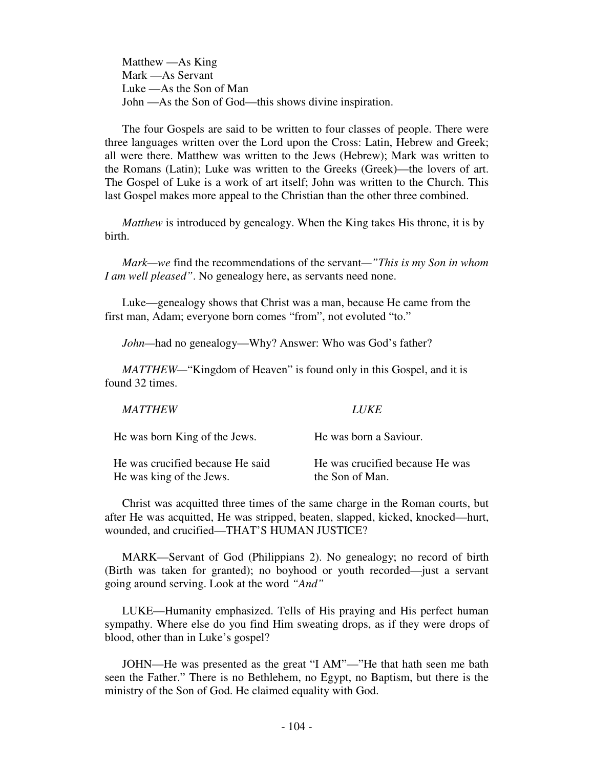Matthew —As King Mark —As Servant Luke —As the Son of Man John —As the Son of God—this shows divine inspiration.

 The four Gospels are said to be written to four classes of people. There were three languages written over the Lord upon the Cross: Latin, Hebrew and Greek; all were there. Matthew was written to the Jews (Hebrew); Mark was written to the Romans (Latin); Luke was written to the Greeks (Greek)—the lovers of art. The Gospel of Luke is a work of art itself; John was written to the Church. This last Gospel makes more appeal to the Christian than the other three combined.

 *Matthew* is introduced by genealogy. When the King takes His throne, it is by birth.

 *Mark—we* find the recommendations of the servant*—"This is my Son in whom I am well pleased"*. No genealogy here, as servants need none.

 Luke—genealogy shows that Christ was a man, because He came from the first man, Adam; everyone born comes "from", not evoluted "to."

*John—*had no genealogy—Why? Answer: Who was God's father?

*MATTHEW LUKE* 

*MATTHEW*— "Kingdom of Heaven" is found only in this Gospel, and it is found 32 times.

| He was born King of the Jews.    | He was born a Saviour.          |
|----------------------------------|---------------------------------|
| He was crucified because He said | He was crucified because He was |
| He was king of the Jews.         | the Son of Man.                 |

 Christ was acquitted three times of the same charge in the Roman courts, but after He was acquitted, He was stripped, beaten, slapped, kicked, knocked—hurt, wounded, and crucified—THAT'S HUMAN JUSTICE?

 MARK—Servant of God (Philippians 2). No genealogy; no record of birth (Birth was taken for granted); no boyhood or youth recorded—just a servant going around serving. Look at the word *"And"* 

LUKE—Humanity emphasized. Tells of His praying and His perfect human sympathy. Where else do you find Him sweating drops, as if they were drops of blood, other than in Luke's gospel?

 JOHN—He was presented as the great "I AM"—"He that hath seen me bath seen the Father." There is no Bethlehem, no Egypt, no Baptism, but there is the ministry of the Son of God. He claimed equality with God.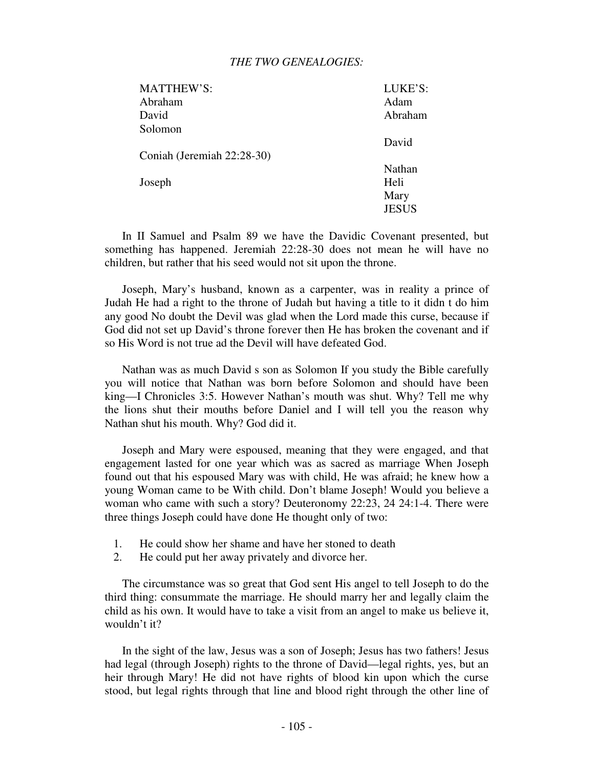# *THE TWO GENEALOGIES:*

| LUKE'S:      |
|--------------|
| Adam         |
| Abraham      |
|              |
| David        |
|              |
| Nathan       |
| Heli         |
| Mary         |
| <b>JESUS</b> |
|              |

 In II Samuel and Psalm 89 we have the Davidic Covenant presented, but something has happened. Jeremiah 22:28-30 does not mean he will have no children, but rather that his seed would not sit upon the throne.

 Joseph, Mary's husband, known as a carpenter, was in reality a prince of Judah He had a right to the throne of Judah but having a title to it didn t do him any good No doubt the Devil was glad when the Lord made this curse, because if God did not set up David's throne forever then He has broken the covenant and if so His Word is not true ad the Devil will have defeated God.

 Nathan was as much David s son as Solomon If you study the Bible carefully you will notice that Nathan was born before Solomon and should have been king—I Chronicles 3:5. However Nathan's mouth was shut. Why? Tell me why the lions shut their mouths before Daniel and I will tell you the reason why Nathan shut his mouth. Why? God did it.

 Joseph and Mary were espoused, meaning that they were engaged, and that engagement lasted for one year which was as sacred as marriage When Joseph found out that his espoused Mary was with child, He was afraid; he knew how a young Woman came to be With child. Don't blame Joseph! Would you believe a woman who came with such a story? Deuteronomy 22:23, 24 24:1-4. There were three things Joseph could have done He thought only of two:

- 1. He could show her shame and have her stoned to death
- 2. He could put her away privately and divorce her.

 The circumstance was so great that God sent His angel to tell Joseph to do the third thing: consummate the marriage. He should marry her and legally claim the child as his own. It would have to take a visit from an angel to make us believe it, wouldn't it?

 In the sight of the law, Jesus was a son of Joseph; Jesus has two fathers! Jesus had legal (through Joseph) rights to the throne of David—legal rights, yes, but an heir through Mary! He did not have rights of blood kin upon which the curse stood, but legal rights through that line and blood right through the other line of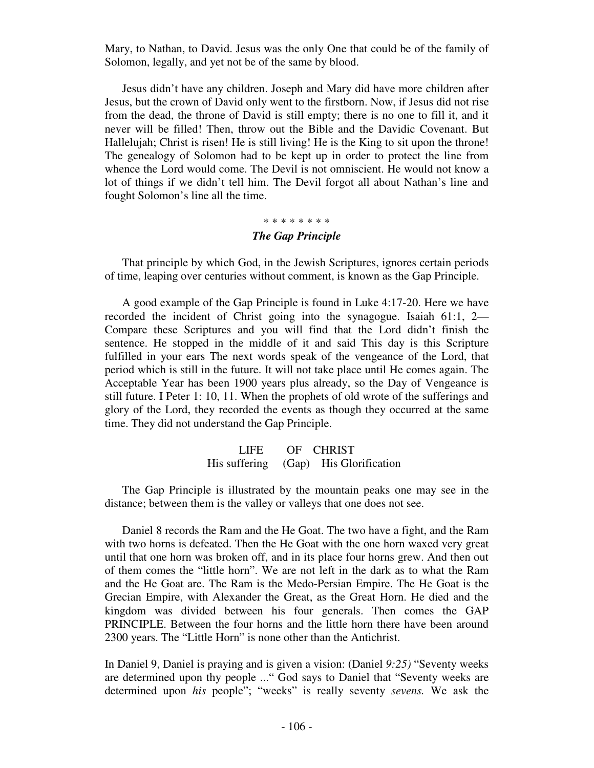Mary, to Nathan, to David. Jesus was the only One that could be of the family of Solomon, legally, and yet not be of the same by blood.

 Jesus didn't have any children. Joseph and Mary did have more children after Jesus, but the crown of David only went to the firstborn. Now, if Jesus did not rise from the dead, the throne of David is still empty; there is no one to fill it, and it never will be filled! Then, throw out the Bible and the Davidic Covenant. But Hallelujah; Christ is risen! He is still living! He is the King to sit upon the throne! The genealogy of Solomon had to be kept up in order to protect the line from whence the Lord would come. The Devil is not omniscient. He would not know a lot of things if we didn't tell him. The Devil forgot all about Nathan's line and fought Solomon's line all the time.

# \* \* \* \* \* \* \* \* *The Gap Principle*

That principle by which God, in the Jewish Scriptures, ignores certain periods of time, leaping over centuries without comment, is known as the Gap Principle.

 A good example of the Gap Principle is found in Luke 4:17-20. Here we have recorded the incident of Christ going into the synagogue. Isaiah 61:1, 2— Compare these Scriptures and you will find that the Lord didn't finish the sentence. He stopped in the middle of it and said This day is this Scripture fulfilled in your ears The next words speak of the vengeance of the Lord, that period which is still in the future. It will not take place until He comes again. The Acceptable Year has been 1900 years plus already, so the Day of Vengeance is still future. I Peter 1: 10, 11. When the prophets of old wrote of the sufferings and glory of the Lord, they recorded the events as though they occurred at the same time. They did not understand the Gap Principle.

# LIFE OF CHRIST His suffering (Gap) His Glorification

 The Gap Principle is illustrated by the mountain peaks one may see in the distance; between them is the valley or valleys that one does not see.

 Daniel 8 records the Ram and the He Goat. The two have a fight, and the Ram with two horns is defeated. Then the He Goat with the one horn waxed very great until that one horn was broken off, and in its place four horns grew. And then out of them comes the "little horn". We are not left in the dark as to what the Ram and the He Goat are. The Ram is the Medo-Persian Empire. The He Goat is the Grecian Empire, with Alexander the Great, as the Great Horn. He died and the kingdom was divided between his four generals. Then comes the GAP PRINCIPLE. Between the four horns and the little horn there have been around 2300 years. The "Little Horn" is none other than the Antichrist.

In Daniel 9, Daniel is praying and is given a vision: (Daniel *9:25)* "Seventy weeks are determined upon thy people ..." God says to Daniel that "Seventy weeks are determined upon *his* people"; "weeks" is really seventy *sevens.* We ask the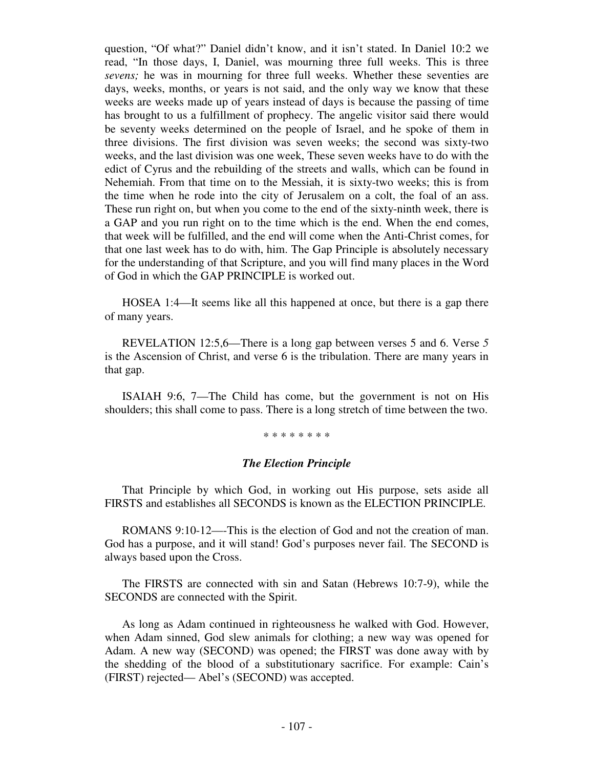question, "Of what?" Daniel didn't know, and it isn't stated. In Daniel 10:2 we read, "In those days, I, Daniel, was mourning three full weeks. This is three *sevens;* he was in mourning for three full weeks. Whether these seventies are days, weeks, months, or years is not said, and the only way we know that these weeks are weeks made up of years instead of days is because the passing of time has brought to us a fulfillment of prophecy. The angelic visitor said there would be seventy weeks determined on the people of Israel, and he spoke of them in three divisions. The first division was seven weeks; the second was sixty-two weeks, and the last division was one week, These seven weeks have to do with the edict of Cyrus and the rebuilding of the streets and walls, which can be found in Nehemiah. From that time on to the Messiah, it is sixty-two weeks; this is from the time when he rode into the city of Jerusalem on a colt, the foal of an ass. These run right on, but when you come to the end of the sixty-ninth week, there is a GAP and you run right on to the time which is the end. When the end comes, that week will be fulfilled, and the end will come when the Anti-Christ comes, for that one last week has to do with, him. The Gap Principle is absolutely necessary for the understanding of that Scripture, and you will find many places in the Word of God in which the GAP PRINCIPLE is worked out.

 HOSEA 1:4—It seems like all this happened at once, but there is a gap there of many years.

 REVELATION 12:5,6—There is a long gap between verses 5 and 6. Verse *5*  is the Ascension of Christ, and verse 6 is the tribulation. There are many years in that gap.

 ISAIAH 9:6, 7—The Child has come, but the government is not on His shoulders; this shall come to pass. There is a long stretch of time between the two.

\* \* \* \* \* \* \* \*

# *The Election Principle*

That Principle by which God, in working out His purpose, sets aside all FIRSTS and establishes all SECONDS is known as the ELECTION PRINCIPLE.

 ROMANS 9:10-12—-This is the election of God and not the creation of man. God has a purpose, and it will stand! God's purposes never fail. The SECOND is always based upon the Cross.

 The FIRSTS are connected with sin and Satan (Hebrews 10:7-9), while the SECONDS are connected with the Spirit.

 As long as Adam continued in righteousness he walked with God. However, when Adam sinned, God slew animals for clothing; a new way was opened for Adam. A new way (SECOND) was opened; the FIRST was done away with by the shedding of the blood of a substitutionary sacrifice. For example: Cain's (FIRST) rejected— Abel's (SECOND) was accepted.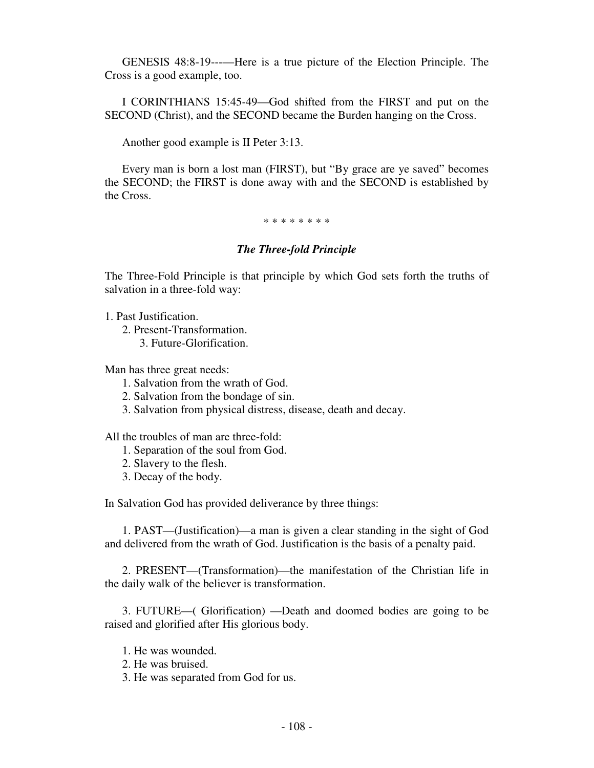GENESIS 48:8-19---—Here is a true picture of the Election Principle. The Cross is a good example, too.

 I CORINTHIANS 15:45-49—God shifted from the FIRST and put on the SECOND (Christ), and the SECOND became the Burden hanging on the Cross.

Another good example is II Peter 3:13.

 Every man is born a lost man (FIRST), but "By grace are ye saved" becomes the SECOND; the FIRST is done away with and the SECOND is established by the Cross.

\* \* \* \* \* \* \* \*

# *The Three-fold Principle*

The Three-Fold Principle is that principle by which God sets forth the truths of salvation in a three-fold way:

1. Past Justification.

- 2. Present-Transformation.
	- 3. Future-Glorification.

Man has three great needs:

- 1. Salvation from the wrath of God.
- 2. Salvation from the bondage of sin.
- 3. Salvation from physical distress, disease, death and decay.

All the troubles of man are three-fold:

- 1. Separation of the soul from God.
- 2. Slavery to the flesh.
- 3. Decay of the body.

In Salvation God has provided deliverance by three things:

 1. PAST—(Justification)—a man is given a clear standing in the sight of God and delivered from the wrath of God. Justification is the basis of a penalty paid.

 2. PRESENT—(Transformation)—the manifestation of the Christian life in the daily walk of the believer is transformation.

 3. FUTURE—( Glorification) —Death and doomed bodies are going to be raised and glorified after His glorious body.

1. He was wounded.

- 2. He was bruised.
- 3. He was separated from God for us.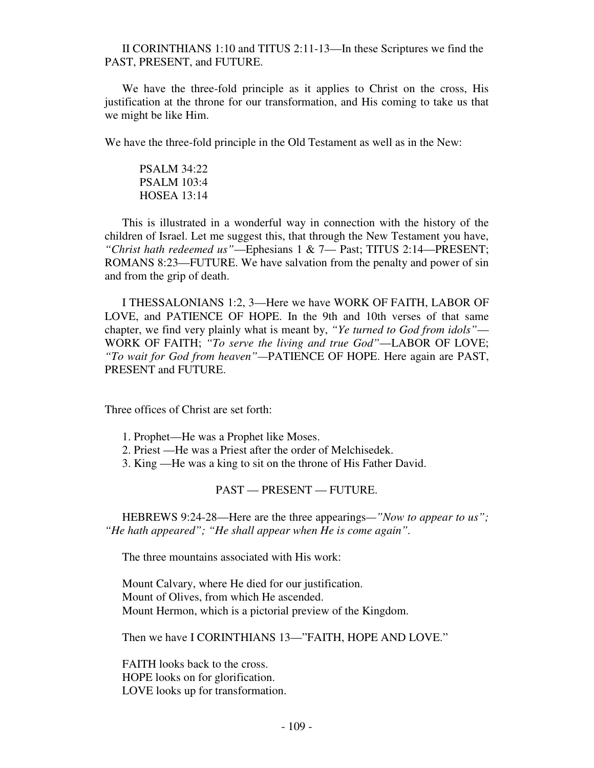## II CORINTHIANS 1:10 and TITUS 2:11-13—In these Scriptures we find the PAST, PRESENT, and FUTURE.

 We have the three-fold principle as it applies to Christ on the cross, His justification at the throne for our transformation, and His coming to take us that we might be like Him.

We have the three-fold principle in the Old Testament as well as in the New:

 PSALM 34:22 PSALM 103:4 HOSEA 13:14

 This is illustrated in a wonderful way in connection with the history of the children of Israel. Let me suggest this, that through the New Testament you have, *"Christ hath redeemed us"*—Ephesians 1 & 7— Past; TITUS 2:14—PRESENT; ROMANS 8:23—FUTURE. We have salvation from the penalty and power of sin and from the grip of death.

 I THESSALONIANS 1:2, 3—Here we have WORK OF FAITH, LABOR OF LOVE, and PATIENCE OF HOPE. In the 9th and 10th verses of that same chapter, we find very plainly what is meant by, *"Ye turned to God from idols"*— WORK OF FAITH; *"To serve the living and true God"*—LABOR OF LOVE; *"To wait for God from heaven"—*PATIENCE OF HOPE. Here again are PAST, PRESENT and FUTURE.

Three offices of Christ are set forth:

- 1. Prophet—He was a Prophet like Moses.
- 2. Priest —He was a Priest after the order of Melchisedek.
- 3. King —He was a king to sit on the throne of His Father David.

## PAST — PRESENT — FUTURE.

 HEBREWS 9:24-28—Here are the three appearings*—"Now to appear to us"; "He hath appeared"; "He shall appear when He is come again".*

The three mountains associated with His work:

 Mount Calvary, where He died for our justification. Mount of Olives, from which He ascended. Mount Hermon, which is a pictorial preview of the Kingdom.

Then we have I CORINTHIANS 13—"FAITH, HOPE AND LOVE."

 FAITH looks back to the cross. HOPE looks on for glorification. LOVE looks up for transformation.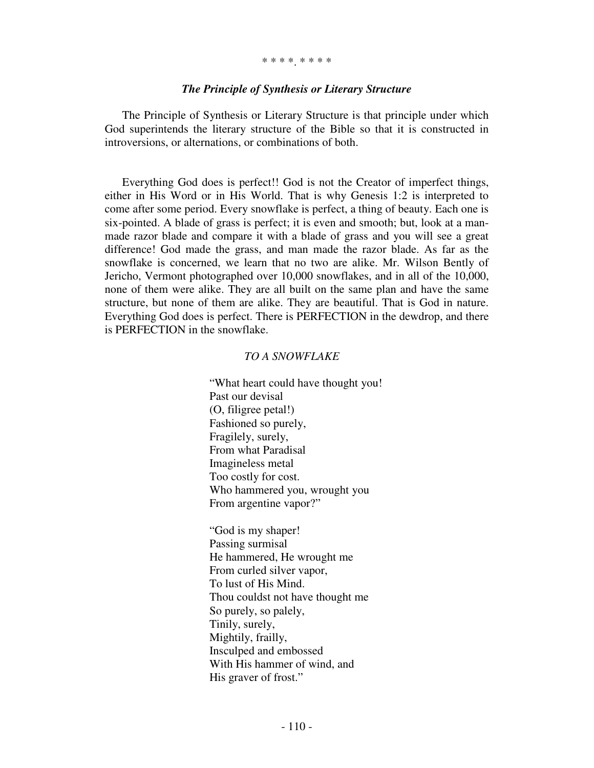#### \* \* \* \*. \* \* \* \*

#### *The Principle of Synthesis or Literary Structure*

The Principle of Synthesis or Literary Structure is that principle under which God superintends the literary structure of the Bible so that it is constructed in introversions, or alternations, or combinations of both.

 Everything God does is perfect!! God is not the Creator of imperfect things, either in His Word or in His World. That is why Genesis 1:2 is interpreted to come after some period. Every snowflake is perfect, a thing of beauty. Each one is six-pointed. A blade of grass is perfect; it is even and smooth; but, look at a manmade razor blade and compare it with a blade of grass and you will see a great difference! God made the grass, and man made the razor blade. As far as the snowflake is concerned, we learn that no two are alike. Mr. Wilson Bently of Jericho, Vermont photographed over 10,000 snowflakes, and in all of the 10,000, none of them were alike. They are all built on the same plan and have the same structure, but none of them are alike. They are beautiful. That is God in nature. Everything God does is perfect. There is PERFECTION in the dewdrop, and there is PERFECTION in the snowflake.

#### *TO A SNOWFLAKE*

"What heart could have thought you! Past our devisal (O, filigree petal!) Fashioned so purely, Fragilely, surely, From what Paradisal Imagineless metal Too costly for cost. Who hammered you, wrought you From argentine vapor?"

 "God is my shaper! Passing surmisal He hammered, He wrought me From curled silver vapor, To lust of His Mind. Thou couldst not have thought me So purely, so palely, Tinily, surely, Mightily, frailly, Insculped and embossed With His hammer of wind, and His graver of frost."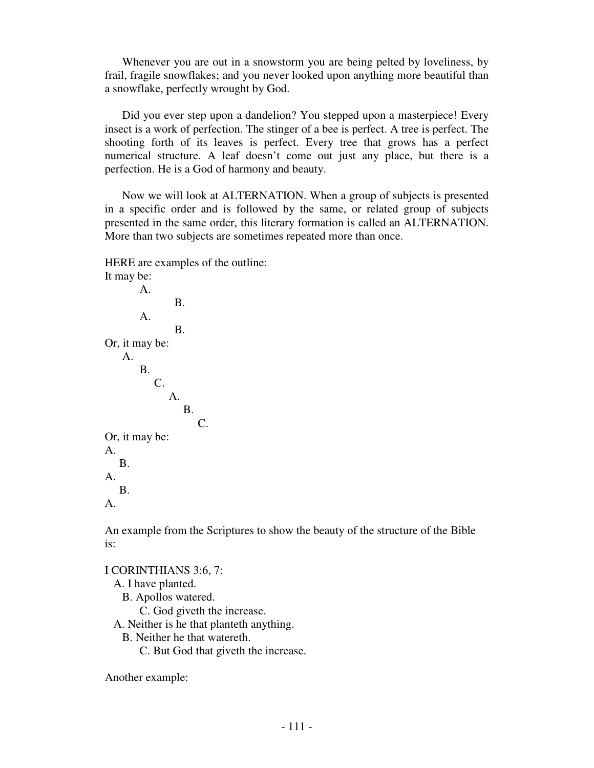Whenever you are out in a snowstorm you are being pelted by loveliness, by frail, fragile snowflakes; and you never looked upon anything more beautiful than a snowflake, perfectly wrought by God.

 Did you ever step upon a dandelion? You stepped upon a masterpiece! Every insect is a work of perfection. The stinger of a bee is perfect. A tree is perfect. The shooting forth of its leaves is perfect. Every tree that grows has a perfect numerical structure. A leaf doesn't come out just any place, but there is a perfection. He is a God of harmony and beauty.

 Now we will look at ALTERNATION. When a group of subjects is presented in a specific order and is followed by the same, or related group of subjects presented in the same order, this literary formation is called an ALTERNATION. More than two subjects are sometimes repeated more than once.

HERE are examples of the outline:



An example from the Scriptures to show the beauty of the structure of the Bible is:

I CORINTHIANS 3:6, 7: A. I have planted. B. Apollos watered.

C. God giveth the increase.

A. Neither is he that planteth anything.

B. Neither he that watereth.

C. But God that giveth the increase.

Another example: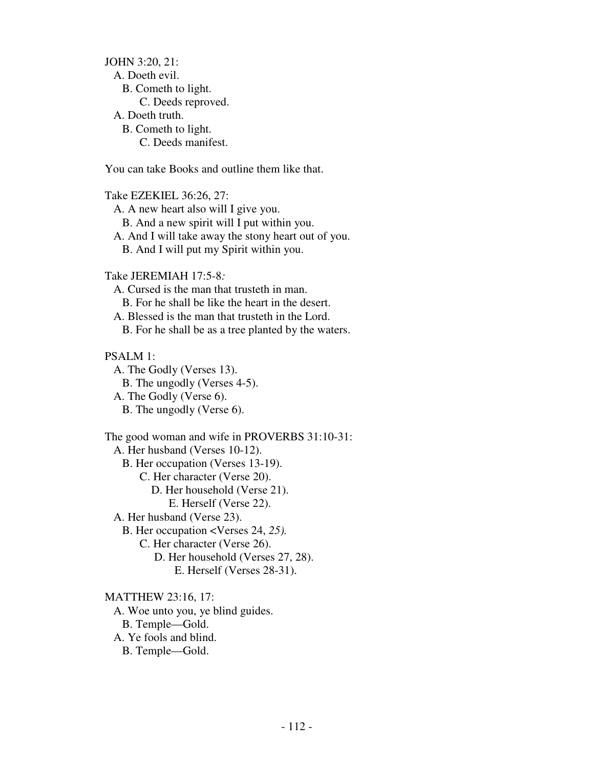JOHN 3:20, 21: A. Doeth evil. B. Cometh to light. C. Deeds reproved. A. Doeth truth. B. Cometh to light. C. Deeds manifest.

You can take Books and outline them like that.

Take EZEKIEL 36:26, 27: A. A new heart also will I give you. B. And a new spirit will I put within you. A. And I will take away the stony heart out of you. B. And I will put my Spirit within you.

Take JEREMIAH 17:5-8*:* 

A. Cursed is the man that trusteth in man. B. For he shall be like the heart in the desert. A. Blessed is the man that trusteth in the Lord. B. For he shall be as a tree planted by the waters.

PSALM 1:

 A. The Godly (Verses 13). B. The ungodly (Verses 4-5). A. The Godly (Verse 6). B. The ungodly (Verse 6).

The good woman and wife in PROVERBS 31:10-31: A. Her husband (Verses 10-12). B. Her occupation (Verses 13-19). C. Her character (Verse 20). D. Her household (Verse 21). E. Herself (Verse 22). A. Her husband (Verse 23). B. Her occupation <Verses 24, *25).*  C. Her character (Verse 26). D. Her household (Verses 27, 28). E. Herself (Verses 28-31). MATTHEW 23:16, 17:

 A. Woe unto you, ye blind guides. B. Temple—Gold. A. Ye fools and blind. B. Temple—Gold.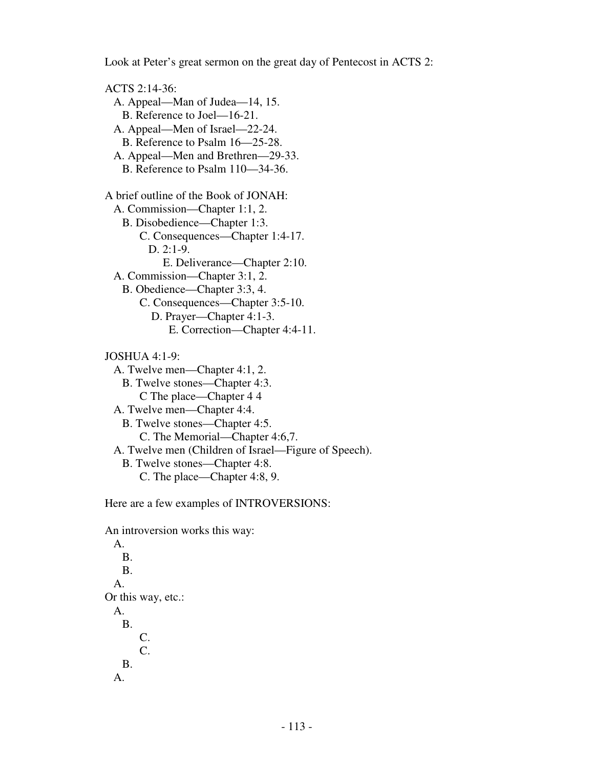Look at Peter's great sermon on the great day of Pentecost in ACTS 2:

ACTS 2:14-36: A. Appeal—Man of Judea—14, 15. **B.** Reference to Joel—16-21. A. Appeal—Men of Israel—22-24. B. Reference to Psalm 16—25-28. A. Appeal—Men and Brethren—29-33. B. Reference to Psalm 110—34-36. A brief outline of the Book of JONAH: A. Commission—Chapter 1:1, 2. B. Disobedience—Chapter 1:3. C. Consequences—Chapter 1:4-17. D. 2:1-9. E. Deliverance—Chapter 2:10. A. Commission—Chapter 3:1, 2. B. Obedience—Chapter 3:3, 4. C. Consequences—Chapter 3:5-10. D. Prayer—Chapter 4:1-3. E. Correction—Chapter 4:4-11. JOSHUA 4:1-9: A. Twelve men—Chapter 4:1, 2. B. Twelve stones—Chapter 4:3. C The place—Chapter 4 4 A. Twelve men—Chapter 4:4. B. Twelve stones—Chapter 4:5. C. The Memorial—Chapter 4:6,7. A. Twelve men (Children of Israel—Figure of Speech). B. Twelve stones—Chapter 4:8. C. The place—Chapter 4:8, 9.

Here are a few examples of INTROVERSIONS:

An introversion works this way:

 A. B. B. A. Or this way, etc.: A. B. C. C. B. A.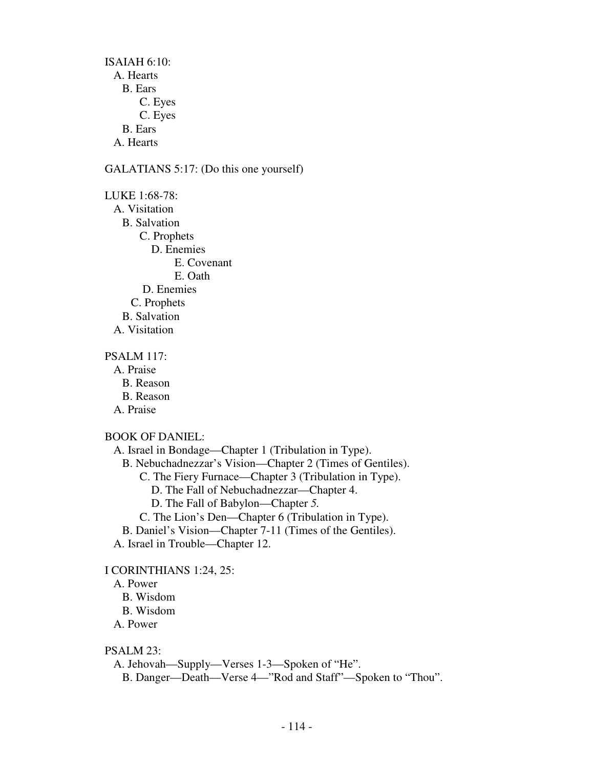ISAIAH 6:10: A. Hearts B. Ears C. Eyes C. Eyes B. Ears A. Hearts

#### GALATIANS 5:17: (Do this one yourself)

LUKE 1:68-78: A. Visitation B. Salvation C. Prophets D. Enemies E. Covenant E. Oath D. Enemies C. Prophets B. Salvation A. Visitation

PSALM 117:

A. Praise

 B. Reason B. Reason A. Praise

# BOOK OF DANIEL:

 A. Israel in Bondage—Chapter 1 (Tribulation in Type). B. Nebuchadnezzar's Vision—Chapter 2 (Times of Gentiles). C. The Fiery Furnace—Chapter 3 (Tribulation in Type). D. The Fall of Nebuchadnezzar—Chapter 4. D. The Fall of Babylon—Chapter *5.* C. The Lion's Den—Chapter 6 (Tribulation in Type). B. Daniel's Vision—Chapter 7-11 (Times of the Gentiles). A. Israel in Trouble—Chapter 12.

# I CORINTHIANS 1:24, 25:

# A. Power

B. Wisdom

B. Wisdom

A. Power

## PSALM 23:

A. Jehovah—Supply—Verses 1-3—Spoken of "He".

B. Danger—Death—Verse 4—"Rod and Staff"—Spoken to "Thou".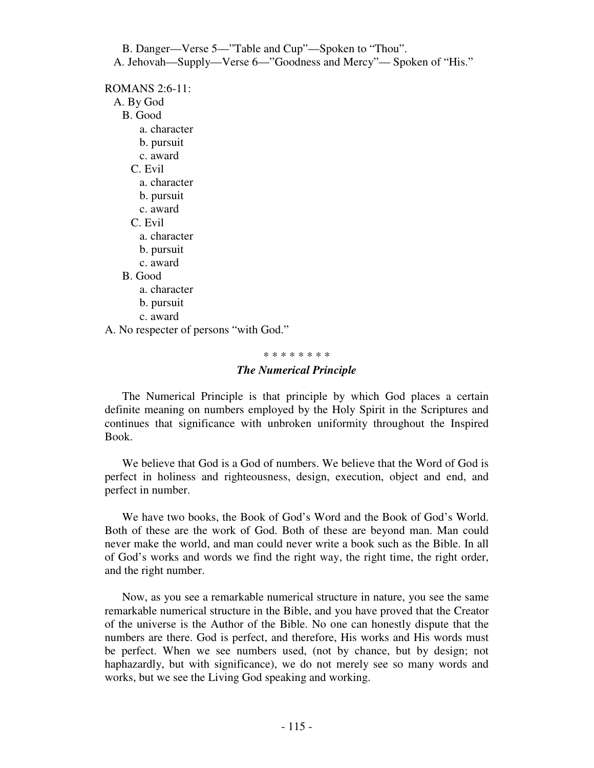B. Danger—Verse 5—"Table and Cup"—Spoken to "Thou". A. Jehovah—Supply—Verse 6—"Goodness and Mercy"— Spoken of "His."

ROMANS 2:6-11: A. By God B. Good a. character b. pursuit c. award C. Evil a. character b. pursuit c. award C. Evil a. character b. pursuit c. award B. Good a. character b. pursuit c. award

A. No respecter of persons "with God."

#### \* \* \* \* \* \* \* \*

#### *The Numerical Principle*

The Numerical Principle is that principle by which God places a certain definite meaning on numbers employed by the Holy Spirit in the Scriptures and continues that significance with unbroken uniformity throughout the Inspired Book.

We believe that God is a God of numbers. We believe that the Word of God is perfect in holiness and righteousness, design, execution, object and end, and perfect in number.

 We have two books, the Book of God's Word and the Book of God's World. Both of these are the work of God. Both of these are beyond man. Man could never make the world, and man could never write a book such as the Bible. In all of God's works and words we find the right way, the right time, the right order, and the right number.

 Now, as you see a remarkable numerical structure in nature, you see the same remarkable numerical structure in the Bible, and you have proved that the Creator of the universe is the Author of the Bible. No one can honestly dispute that the numbers are there. God is perfect, and therefore, His works and His words must be perfect. When we see numbers used, (not by chance, but by design; not haphazardly, but with significance), we do not merely see so many words and works, but we see the Living God speaking and working.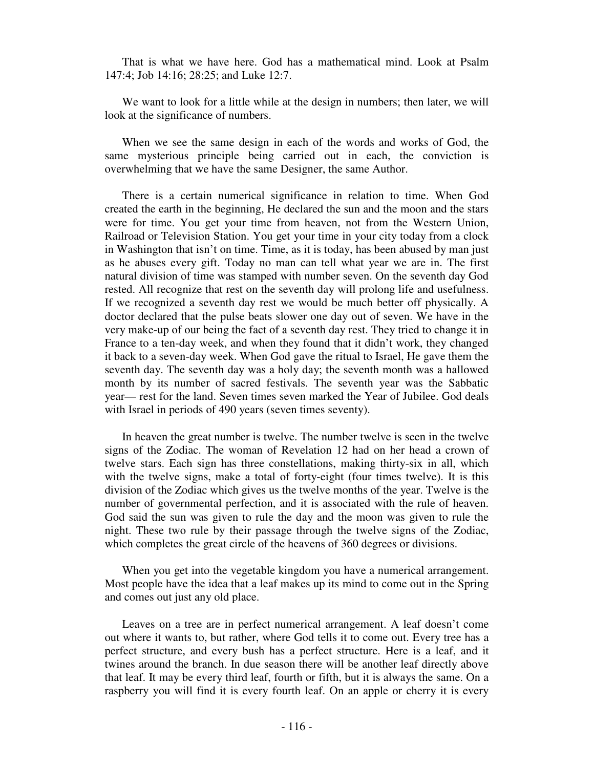That is what we have here. God has a mathematical mind. Look at Psalm 147:4; Job 14:16; 28:25; and Luke 12:7.

 We want to look for a little while at the design in numbers; then later, we will look at the significance of numbers.

 When we see the same design in each of the words and works of God, the same mysterious principle being carried out in each, the conviction is overwhelming that we have the same Designer, the same Author.

 There is a certain numerical significance in relation to time. When God created the earth in the beginning, He declared the sun and the moon and the stars were for time. You get your time from heaven, not from the Western Union, Railroad or Television Station. You get your time in your city today from a clock in Washington that isn't on time. Time, as it is today, has been abused by man just as he abuses every gift. Today no man can tell what year we are in. The first natural division of time was stamped with number seven. On the seventh day God rested. All recognize that rest on the seventh day will prolong life and usefulness. If we recognized a seventh day rest we would be much better off physically. A doctor declared that the pulse beats slower one day out of seven. We have in the very make-up of our being the fact of a seventh day rest. They tried to change it in France to a ten-day week, and when they found that it didn't work, they changed it back to a seven-day week. When God gave the ritual to Israel, He gave them the seventh day. The seventh day was a holy day; the seventh month was a hallowed month by its number of sacred festivals. The seventh year was the Sabbatic year— rest for the land. Seven times seven marked the Year of Jubilee. God deals with Israel in periods of 490 years (seven times seventy).

 In heaven the great number is twelve. The number twelve is seen in the twelve signs of the Zodiac. The woman of Revelation 12 had on her head a crown of twelve stars. Each sign has three constellations, making thirty-six in all, which with the twelve signs, make a total of forty-eight (four times twelve). It is this division of the Zodiac which gives us the twelve months of the year. Twelve is the number of governmental perfection, and it is associated with the rule of heaven. God said the sun was given to rule the day and the moon was given to rule the night. These two rule by their passage through the twelve signs of the Zodiac, which completes the great circle of the heavens of 360 degrees or divisions.

 When you get into the vegetable kingdom you have a numerical arrangement. Most people have the idea that a leaf makes up its mind to come out in the Spring and comes out just any old place.

 Leaves on a tree are in perfect numerical arrangement. A leaf doesn't come out where it wants to, but rather, where God tells it to come out. Every tree has a perfect structure, and every bush has a perfect structure. Here is a leaf, and it twines around the branch. In due season there will be another leaf directly above that leaf. It may be every third leaf, fourth or fifth, but it is always the same. On a raspberry you will find it is every fourth leaf. On an apple or cherry it is every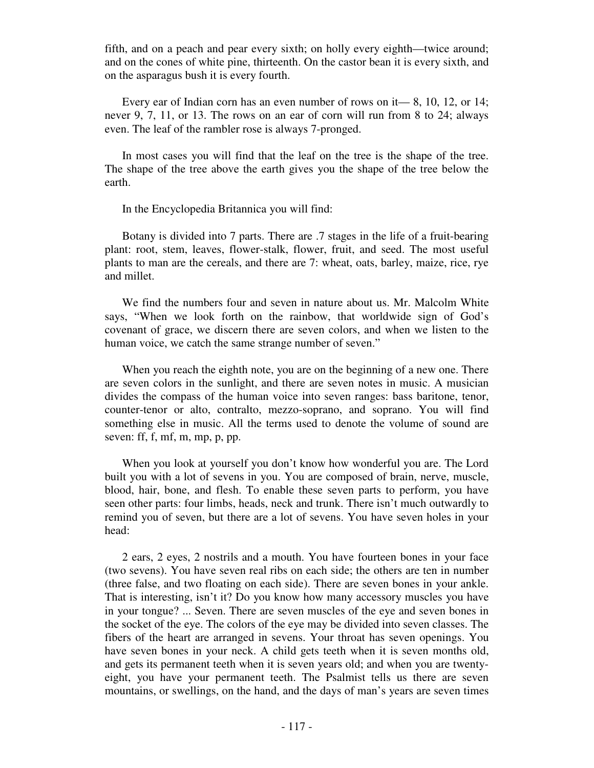fifth, and on a peach and pear every sixth; on holly every eighth—twice around; and on the cones of white pine, thirteenth. On the castor bean it is every sixth, and on the asparagus bush it is every fourth.

 Every ear of Indian corn has an even number of rows on it— 8, 10, 12, or 14; never 9, 7, 11, or 13. The rows on an ear of corn will run from 8 to 24; always even. The leaf of the rambler rose is always 7-pronged.

 In most cases you will find that the leaf on the tree is the shape of the tree. The shape of the tree above the earth gives you the shape of the tree below the earth.

In the Encyclopedia Britannica you will find:

 Botany is divided into 7 parts. There are .7 stages in the life of a fruit-bearing plant: root, stem, leaves, flower-stalk, flower, fruit, and seed. The most useful plants to man are the cereals, and there are 7: wheat, oats, barley, maize, rice, rye and millet.

 We find the numbers four and seven in nature about us. Mr. Malcolm White says, "When we look forth on the rainbow, that worldwide sign of God's covenant of grace, we discern there are seven colors, and when we listen to the human voice, we catch the same strange number of seven."

When you reach the eighth note, you are on the beginning of a new one. There are seven colors in the sunlight, and there are seven notes in music. A musician divides the compass of the human voice into seven ranges: bass baritone, tenor, counter-tenor or alto, contralto, mezzo-soprano, and soprano. You will find something else in music. All the terms used to denote the volume of sound are seven: ff, f, mf, m, mp, p, pp.

 When you look at yourself you don't know how wonderful you are. The Lord built you with a lot of sevens in you. You are composed of brain, nerve, muscle, blood, hair, bone, and flesh. To enable these seven parts to perform, you have seen other parts: four limbs, heads, neck and trunk. There isn't much outwardly to remind you of seven, but there are a lot of sevens. You have seven holes in your head:

 2 ears, 2 eyes, 2 nostrils and a mouth. You have fourteen bones in your face (two sevens). You have seven real ribs on each side; the others are ten in number (three false, and two floating on each side). There are seven bones in your ankle. That is interesting, isn't it? Do you know how many accessory muscles you have in your tongue? ... Seven. There are seven muscles of the eye and seven bones in the socket of the eye. The colors of the eye may be divided into seven classes. The fibers of the heart are arranged in sevens. Your throat has seven openings. You have seven bones in your neck. A child gets teeth when it is seven months old, and gets its permanent teeth when it is seven years old; and when you are twentyeight, you have your permanent teeth. The Psalmist tells us there are seven mountains, or swellings, on the hand, and the days of man's years are seven times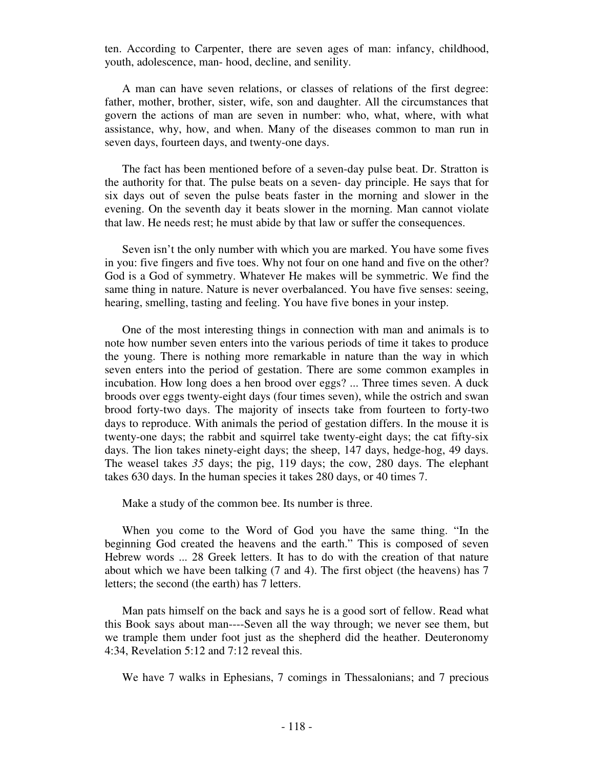ten. According to Carpenter, there are seven ages of man: infancy, childhood, youth, adolescence, man- hood, decline, and senility.

 A man can have seven relations, or classes of relations of the first degree: father, mother, brother, sister, wife, son and daughter. All the circumstances that govern the actions of man are seven in number: who, what, where, with what assistance, why, how, and when. Many of the diseases common to man run in seven days, fourteen days, and twenty-one days.

 The fact has been mentioned before of a seven-day pulse beat. Dr. Stratton is the authority for that. The pulse beats on a seven- day principle. He says that for six days out of seven the pulse beats faster in the morning and slower in the evening. On the seventh day it beats slower in the morning. Man cannot violate that law. He needs rest; he must abide by that law or suffer the consequences.

 Seven isn't the only number with which you are marked. You have some fives in you: five fingers and five toes. Why not four on one hand and five on the other? God is a God of symmetry. Whatever He makes will be symmetric. We find the same thing in nature. Nature is never overbalanced. You have five senses: seeing, hearing, smelling, tasting and feeling. You have five bones in your instep.

 One of the most interesting things in connection with man and animals is to note how number seven enters into the various periods of time it takes to produce the young. There is nothing more remarkable in nature than the way in which seven enters into the period of gestation. There are some common examples in incubation. How long does a hen brood over eggs? ... Three times seven. A duck broods over eggs twenty-eight days (four times seven), while the ostrich and swan brood forty-two days. The majority of insects take from fourteen to forty-two days to reproduce. With animals the period of gestation differs. In the mouse it is twenty-one days; the rabbit and squirrel take twenty-eight days; the cat fifty-six days. The lion takes ninety-eight days; the sheep, 147 days, hedge-hog, 49 days. The weasel takes *35* days; the pig, 119 days; the cow, 280 days. The elephant takes 630 days. In the human species it takes 280 days, or 40 times 7.

Make a study of the common bee. Its number is three.

 When you come to the Word of God you have the same thing. "In the beginning God created the heavens and the earth." This is composed of seven Hebrew words ... 28 Greek letters. It has to do with the creation of that nature about which we have been talking (7 and 4). The first object (the heavens) has 7 letters; the second (the earth) has 7 letters.

 Man pats himself on the back and says he is a good sort of fellow. Read what this Book says about man----Seven all the way through; we never see them, but we trample them under foot just as the shepherd did the heather. Deuteronomy 4:34, Revelation 5:12 and 7:12 reveal this.

We have 7 walks in Ephesians, 7 comings in Thessalonians; and 7 precious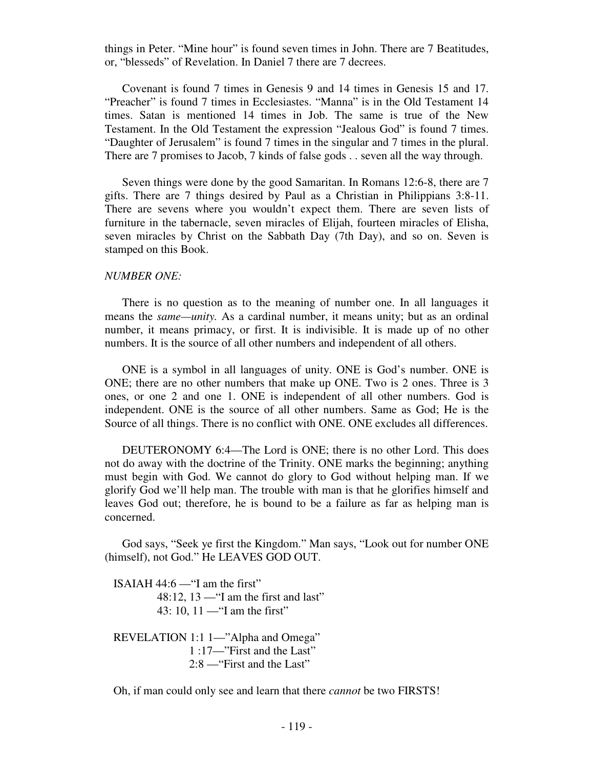things in Peter. "Mine hour" is found seven times in John. There are 7 Beatitudes, or, "blesseds" of Revelation. In Daniel 7 there are 7 decrees.

 Covenant is found 7 times in Genesis 9 and 14 times in Genesis 15 and 17. "Preacher" is found 7 times in Ecclesiastes. "Manna" is in the Old Testament 14 times. Satan is mentioned 14 times in Job. The same is true of the New Testament. In the Old Testament the expression "Jealous God" is found 7 times. "Daughter of Jerusalem" is found 7 times in the singular and 7 times in the plural. There are 7 promises to Jacob, 7 kinds of false gods . . seven all the way through.

 Seven things were done by the good Samaritan. In Romans 12:6-8, there are 7 gifts. There are 7 things desired by Paul as a Christian in Philippians 3:8-11. There are sevens where you wouldn't expect them. There are seven lists of furniture in the tabernacle, seven miracles of Elijah, fourteen miracles of Elisha, seven miracles by Christ on the Sabbath Day (7th Day), and so on. Seven is stamped on this Book.

#### *NUMBER ONE:*

There is no question as to the meaning of number one. In all languages it means the *same—unity.* As a cardinal number, it means unity; but as an ordinal number, it means primacy, or first. It is indivisible. It is made up of no other numbers. It is the source of all other numbers and independent of all others.

 ONE is a symbol in all languages of unity. ONE is God's number. ONE is ONE; there are no other numbers that make up ONE. Two is 2 ones. Three is 3 ones, or one 2 and one 1. ONE is independent of all other numbers. God is independent. ONE is the source of all other numbers. Same as God; He is the Source of all things. There is no conflict with ONE. ONE excludes all differences.

 DEUTERONOMY 6:4—The Lord is ONE; there is no other Lord. This does not do away with the doctrine of the Trinity. ONE marks the beginning; anything must begin with God. We cannot do glory to God without helping man. If we glorify God we'll help man. The trouble with man is that he glorifies himself and leaves God out; therefore, he is bound to be a failure as far as helping man is concerned.

 God says, "Seek ye first the Kingdom." Man says, "Look out for number ONE (himself), not God." He LEAVES GOD OUT.

ISAIAH  $44:6$  — "I am the first" 48:12,  $13$  — "I am the first and last" 43: 10, 11 —"I am the first"

 REVELATION 1:1 1—"Alpha and Omega" 1 :17—"First and the Last" 2:8 —"First and the Last"

Oh, if man could only see and learn that there *cannot* be two FIRSTS!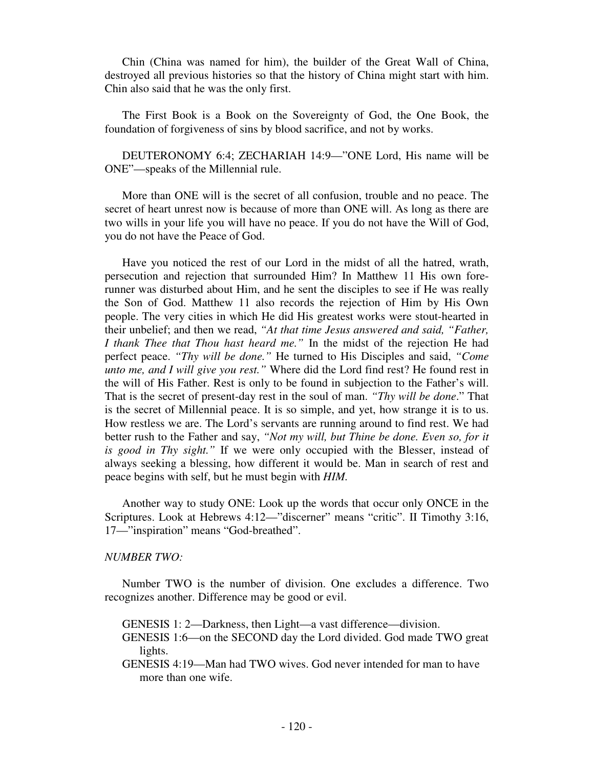Chin (China was named for him), the builder of the Great Wall of China, destroyed all previous histories so that the history of China might start with him. Chin also said that he was the only first.

 The First Book is a Book on the Sovereignty of God, the One Book, the foundation of forgiveness of sins by blood sacrifice, and not by works.

 DEUTERONOMY 6:4; ZECHARIAH 14:9—"ONE Lord, His name will be ONE"—speaks of the Millennial rule.

 More than ONE will is the secret of all confusion, trouble and no peace. The secret of heart unrest now is because of more than ONE will. As long as there are two wills in your life you will have no peace. If you do not have the Will of God, you do not have the Peace of God.

 Have you noticed the rest of our Lord in the midst of all the hatred, wrath, persecution and rejection that surrounded Him? In Matthew 11 His own forerunner was disturbed about Him, and he sent the disciples to see if He was really the Son of God. Matthew 11 also records the rejection of Him by His Own people. The very cities in which He did His greatest works were stout-hearted in their unbelief; and then we read, *"At that time Jesus answered and said, "Father, I thank Thee that Thou hast heard me."* In the midst of the rejection He had perfect peace. *"Thy will be done."* He turned to His Disciples and said, *"Come unto me, and I will give you rest."* Where did the Lord find rest? He found rest in the will of His Father. Rest is only to be found in subjection to the Father's will. That is the secret of present-day rest in the soul of man. *"Thy will be done*." That is the secret of Millennial peace. It is so simple, and yet, how strange it is to us. How restless we are. The Lord's servants are running around to find rest. We had better rush to the Father and say, *"Not my will, but Thine be done. Even so, for it is good in Thy sight."* If we were only occupied with the Blesser, instead of always seeking a blessing, how different it would be. Man in search of rest and peace begins with self, but he must begin with *HIM.* 

Another way to study ONE: Look up the words that occur only ONCE in the Scriptures. Look at Hebrews 4:12—"discerner" means "critic". II Timothy 3:16, 17—"inspiration" means "God-breathed".

## *NUMBER TWO:*

Number TWO is the number of division. One excludes a difference. Two recognizes another. Difference may be good or evil.

GENESIS 1: 2—Darkness, then Light—a vast difference—division.

- GENESIS 1:6—on the SECOND day the Lord divided. God made TWO great lights.
- GENESIS 4:19—Man had TWO wives. God never intended for man to have more than one wife.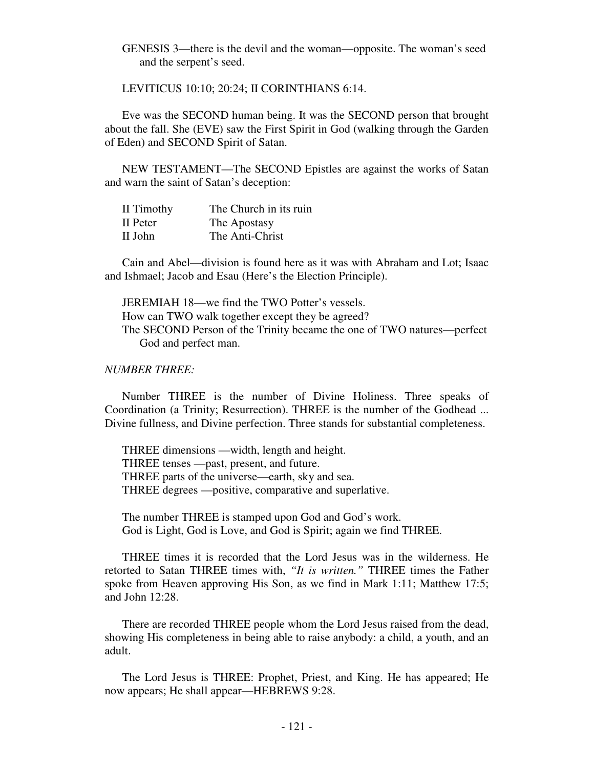GENESIS 3—there is the devil and the woman—opposite. The woman's seed and the serpent's seed.

LEVITICUS 10:10; 20:24; II CORINTHIANS 6:14.

 Eve was the SECOND human being. It was the SECOND person that brought about the fall. She (EVE) saw the First Spirit in God (walking through the Garden of Eden) and SECOND Spirit of Satan.

 NEW TESTAMENT—The SECOND Epistles are against the works of Satan and warn the saint of Satan's deception:

| II Timothy | The Church in its ruin |
|------------|------------------------|
| II Peter   | The Apostasy           |
| II John    | The Anti-Christ        |

 Cain and Abel—division is found here as it was with Abraham and Lot; Isaac and Ishmael; Jacob and Esau (Here's the Election Principle).

 JEREMIAH 18—we find the TWO Potter's vessels. How can TWO walk together except they be agreed? The SECOND Person of the Trinity became the one of TWO natures—perfect God and perfect man.

## *NUMBER THREE:*

Number THREE is the number of Divine Holiness. Three speaks of Coordination (a Trinity; Resurrection). THREE is the number of the Godhead ... Divine fullness, and Divine perfection. Three stands for substantial completeness.

 THREE dimensions —width, length and height. THREE tenses —past, present, and future. THREE parts of the universe—earth, sky and sea. THREE degrees —positive, comparative and superlative.

 The number THREE is stamped upon God and God's work. God is Light, God is Love, and God is Spirit; again we find THREE.

 THREE times it is recorded that the Lord Jesus was in the wilderness. He retorted to Satan THREE times with, *"It is written."* THREE times the Father spoke from Heaven approving His Son, as we find in Mark 1:11; Matthew 17:5; and John 12:28.

 There are recorded THREE people whom the Lord Jesus raised from the dead, showing His completeness in being able to raise anybody: a child, a youth, and an adult.

 The Lord Jesus is THREE: Prophet, Priest, and King. He has appeared; He now appears; He shall appear—HEBREWS 9:28.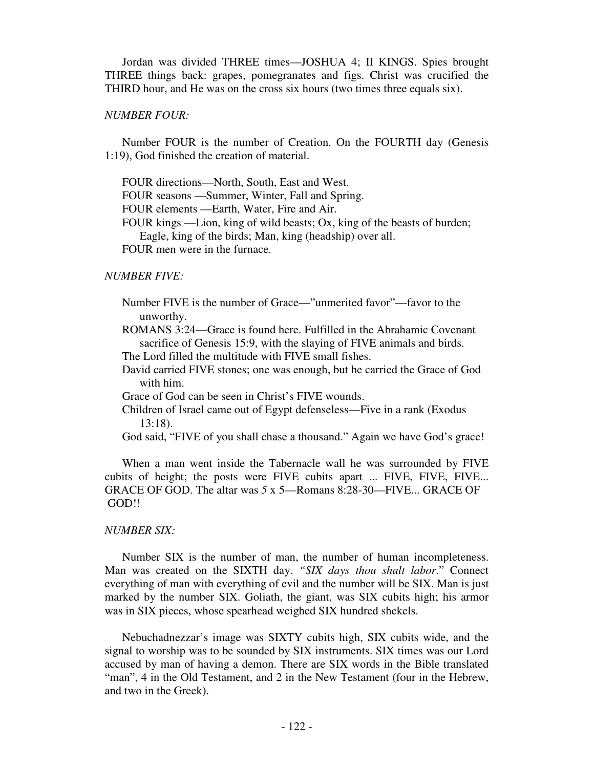Jordan was divided THREE times—JOSHUA 4; II KINGS. Spies brought THREE things back: grapes, pomegranates and figs. Christ was crucified the THIRD hour, and He was on the cross six hours (two times three equals six).

## *NUMBER FOUR:*

Number FOUR is the number of Creation. On the FOURTH day (Genesis 1:19), God finished the creation of material.

FOUR directions—North, South, East and West.

FOUR seasons —Summer, Winter, Fall and Spring.

FOUR elements —Earth, Water, Fire and Air.

 FOUR kings —Lion, king of wild beasts; Ox, king of the beasts of burden; Eagle, king of the birds; Man, king (headship) over all. FOUR men were in the furnace.

## *NUMBER FIVE:*

Number FIVE is the number of Grace—"unmerited favor"—favor to the unworthy.

 ROMANS 3:24—Grace is found here. Fulfilled in the Abrahamic Covenant sacrifice of Genesis 15:9, with the slaying of FIVE animals and birds.

The Lord filled the multitude with FIVE small fishes.

 David carried FIVE stones; one was enough, but he carried the Grace of God with him.

Grace of God can be seen in Christ's FIVE wounds.

 Children of Israel came out of Egypt defenseless—Five in a rank (Exodus 13:18).

God said, "FIVE of you shall chase a thousand." Again we have God's grace!

 When a man went inside the Tabernacle wall he was surrounded by FIVE cubits of height; the posts were FIVE cubits apart ... FIVE, FIVE, FIVE... GRACE OF GOD. The altar was *5* x 5—Romans 8:28-30—FIVE... GRACE OF GOD!!

### *NUMBER SIX:*

Number SIX is the number of man, the number of human incompleteness. Man was created on the SIXTH day. *"SIX days thou shalt labor*." Connect everything of man with everything of evil and the number will be SIX. Man is just marked by the number SIX. Goliath, the giant, was SIX cubits high; his armor was in SIX pieces, whose spearhead weighed SIX hundred shekels.

 Nebuchadnezzar's image was SIXTY cubits high, SIX cubits wide, and the signal to worship was to be sounded by SIX instruments. SIX times was our Lord accused by man of having a demon. There are SIX words in the Bible translated "man", 4 in the Old Testament, and 2 in the New Testament (four in the Hebrew, and two in the Greek).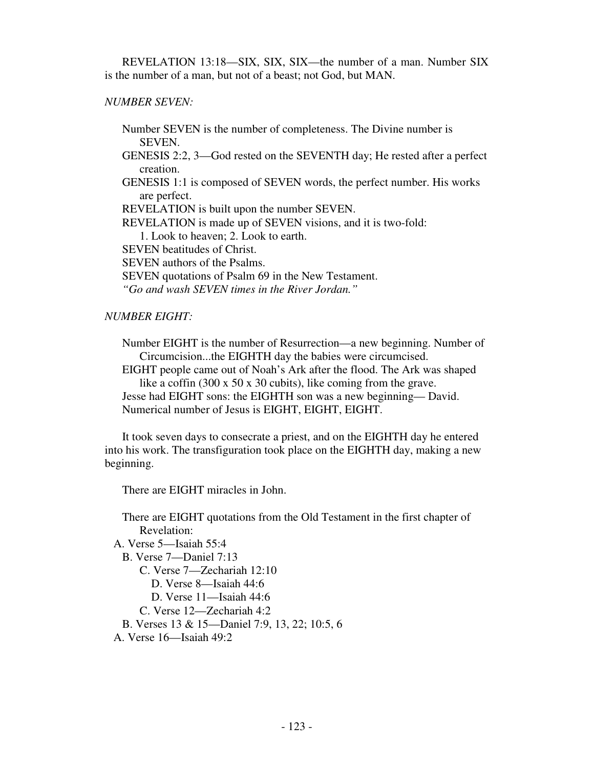REVELATION 13:18—SIX, SIX, SIX—the number of a man. Number SIX is the number of a man, but not of a beast; not God, but MAN.

# *NUMBER SEVEN:*

Number SEVEN is the number of completeness. The Divine number is SEVEN.

 GENESIS 2:2, 3—God rested on the SEVENTH day; He rested after a perfect creation.

 GENESIS 1:1 is composed of SEVEN words, the perfect number. His works are perfect.

REVELATION is built upon the number SEVEN.

REVELATION is made up of SEVEN visions, and it is two-fold:

1. Look to heaven; 2. Look to earth.

SEVEN beatitudes of Christ.

SEVEN authors of the Psalms.

SEVEN quotations of Psalm 69 in the New Testament.

*"Go and wash SEVEN times in the River Jordan."*

# *NUMBER EIGHT:*

Number EIGHT is the number of Resurrection—a new beginning. Number of Circumcision...the EIGHTH day the babies were circumcised.

 EIGHT people came out of Noah's Ark after the flood. The Ark was shaped like a coffin (300 x 50 x 30 cubits), like coming from the grave.

 Jesse had EIGHT sons: the EIGHTH son was a new beginning— David. Numerical number of Jesus is EIGHT, EIGHT, EIGHT.

 It took seven days to consecrate a priest, and on the EIGHTH day he entered into his work. The transfiguration took place on the EIGHTH day, making a new beginning.

There are EIGHT miracles in John.

 There are EIGHT quotations from the Old Testament in the first chapter of Revelation:

```
 A. Verse 5—Isaiah 55:4 
 B. Verse 7—Daniel 7:13 
     C. Verse 7—Zechariah 12:10 
       D. Verse 8—Isaiah 44:6 
       D. Verse 11—Isaiah 44:6 
     C. Verse 12—Zechariah 4:2 
 B. Verses 13 & 15—Daniel 7:9, 13, 22; 10:5, 6 
A. Verse 16—Isaiah 49:2
```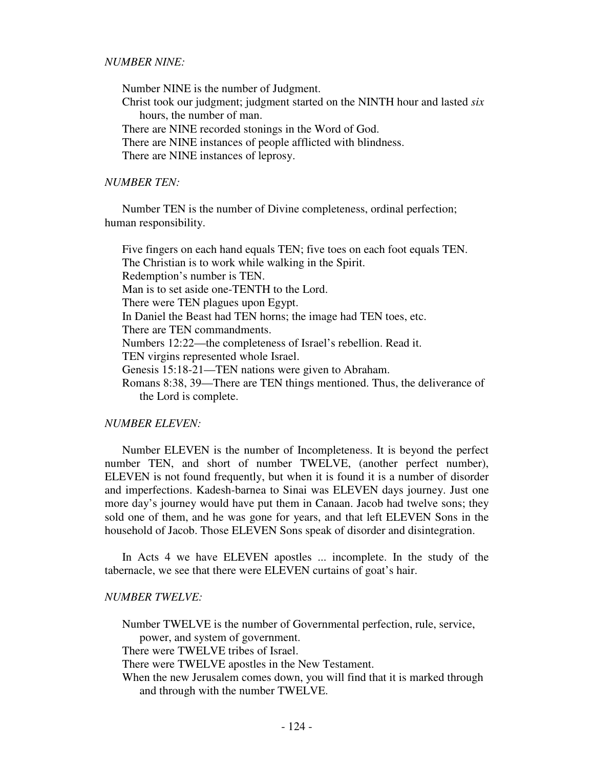Number NINE is the number of Judgment. Christ took our judgment; judgment started on the NINTH hour and lasted *six*  hours, the number of man. There are NINE recorded stonings in the Word of God. There are NINE instances of people afflicted with blindness. There are NINE instances of leprosy.

### *NUMBER TEN:*

Number TEN is the number of Divine completeness, ordinal perfection; human responsibility.

 Five fingers on each hand equals TEN; five toes on each foot equals TEN. The Christian is to work while walking in the Spirit. Redemption's number is TEN. Man is to set aside one-TENTH to the Lord. There were TEN plagues upon Egypt. In Daniel the Beast had TEN horns; the image had TEN toes, etc. There are TEN commandments. Numbers 12:22—the completeness of Israel's rebellion. Read it. TEN virgins represented whole Israel. Genesis 15:18-21—TEN nations were given to Abraham. Romans 8:38, 39—There are TEN things mentioned. Thus, the deliverance of the Lord is complete.

## *NUMBER ELEVEN:*

Number ELEVEN is the number of Incompleteness. It is beyond the perfect number TEN, and short of number TWELVE, (another perfect number), ELEVEN is not found frequently, but when it is found it is a number of disorder and imperfections. Kadesh-barnea to Sinai was ELEVEN days journey. Just one more day's journey would have put them in Canaan. Jacob had twelve sons; they sold one of them, and he was gone for years, and that left ELEVEN Sons in the household of Jacob. Those ELEVEN Sons speak of disorder and disintegration.

 In Acts 4 we have ELEVEN apostles ... incomplete. In the study of the tabernacle, we see that there were ELEVEN curtains of goat's hair.

### *NUMBER TWELVE:*

Number TWELVE is the number of Governmental perfection, rule, service,

power, and system of government.

There were TWELVE tribes of Israel.

There were TWELVE apostles in the New Testament.

When the new Jerusalem comes down, you will find that it is marked through and through with the number TWELVE.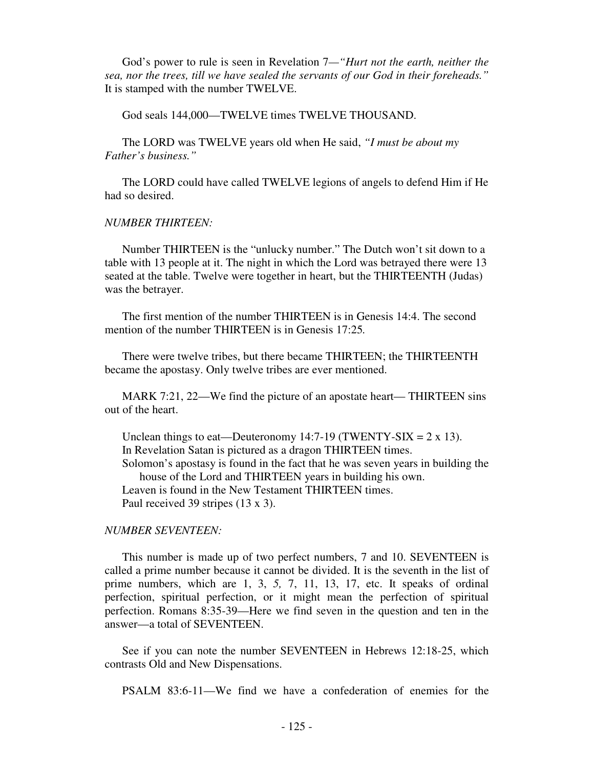God's power to rule is seen in Revelation 7*—"Hurt not the earth, neither the sea, nor the trees, till we have sealed the servants of our God in their foreheads."* It is stamped with the number TWELVE.

God seals 144,000—TWELVE times TWELVE THOUSAND.

 The LORD was TWELVE years old when He said, *"I must be about my Father's business."* 

 The LORD could have called TWELVE legions of angels to defend Him if He had so desired.

### *NUMBER THIRTEEN:*

Number THIRTEEN is the "unlucky number." The Dutch won't sit down to a table with 13 people at it. The night in which the Lord was betrayed there were 13 seated at the table. Twelve were together in heart, but the THIRTEENTH (Judas) was the betrayer.

 The first mention of the number THIRTEEN is in Genesis 14:4. The second mention of the number THIRTEEN is in Genesis 17:25*.* 

There were twelve tribes, but there became THIRTEEN; the THIRTEENTH became the apostasy. Only twelve tribes are ever mentioned.

 MARK 7:21, 22—We find the picture of an apostate heart— THIRTEEN sins out of the heart.

Unclean things to eat—Deuteronomy 14:7-19 (TWENTY-SIX =  $2 \times 13$ ). In Revelation Satan is pictured as a dragon THIRTEEN times. Solomon's apostasy is found in the fact that he was seven years in building the house of the Lord and THIRTEEN years in building his own. Leaven is found in the New Testament THIRTEEN times. Paul received 39 stripes (13 x 3).

## *NUMBER SEVENTEEN:*

This number is made up of two perfect numbers, 7 and 10. SEVENTEEN is called a prime number because it cannot be divided. It is the seventh in the list of prime numbers, which are 1, 3, *5,* 7, 11, 13, 17, etc. It speaks of ordinal perfection, spiritual perfection, or it might mean the perfection of spiritual perfection. Romans 8:35-39—Here we find seven in the question and ten in the answer—a total of SEVENTEEN.

 See if you can note the number SEVENTEEN in Hebrews 12:18-25, which contrasts Old and New Dispensations.

PSALM 83:6-11—We find we have a confederation of enemies for the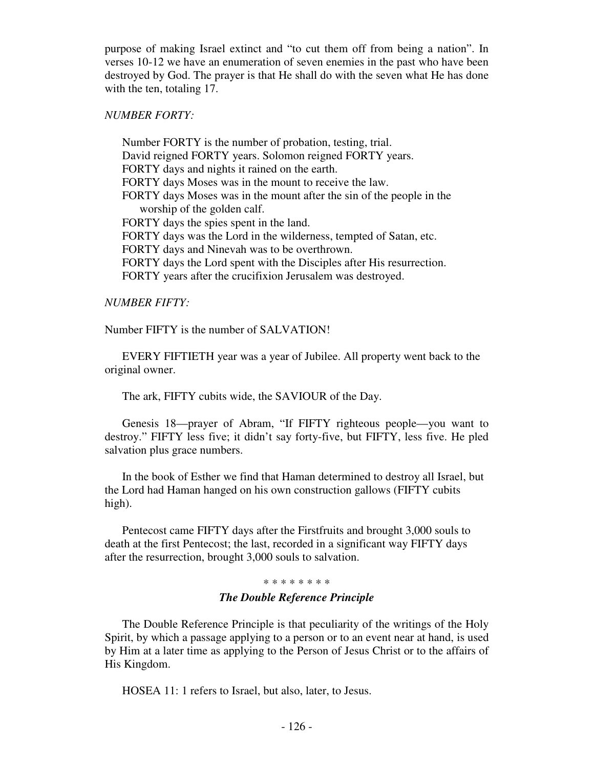purpose of making Israel extinct and "to cut them off from being a nation". In verses 10-12 we have an enumeration of seven enemies in the past who have been destroyed by God. The prayer is that He shall do with the seven what He has done with the ten, totaling 17.

## *NUMBER FORTY:*

Number FORTY is the number of probation, testing, trial. David reigned FORTY years. Solomon reigned FORTY years. FORTY days and nights it rained on the earth. FORTY days Moses was in the mount to receive the law. FORTY days Moses was in the mount after the sin of the people in the worship of the golden calf. FORTY days the spies spent in the land. FORTY days was the Lord in the wilderness, tempted of Satan, etc. FORTY days and Ninevah was to be overthrown. FORTY days the Lord spent with the Disciples after His resurrection. FORTY years after the crucifixion Jerusalem was destroyed.

## *NUMBER FIFTY:*

Number FIFTY is the number of SALVATION!

 EVERY FIFTIETH year was a year of Jubilee. All property went back to the original owner.

The ark, FIFTY cubits wide, the SAVIOUR of the Day.

 Genesis 18—prayer of Abram, "If FIFTY righteous people—you want to destroy." FIFTY less five; it didn't say forty-five, but FIFTY, less five. He pled salvation plus grace numbers.

 In the book of Esther we find that Haman determined to destroy all Israel, but the Lord had Haman hanged on his own construction gallows (FIFTY cubits high).

 Pentecost came FIFTY days after the Firstfruits and brought 3,000 souls to death at the first Pentecost; the last, recorded in a significant way FIFTY days after the resurrection, brought 3,000 souls to salvation.

### \* \* \* \* \* \* \* \*

# *The Double Reference Principle*

The Double Reference Principle is that peculiarity of the writings of the Holy Spirit, by which a passage applying to a person or to an event near at hand, is used by Him at a later time as applying to the Person of Jesus Christ or to the affairs of His Kingdom.

HOSEA 11: 1 refers to Israel, but also, later, to Jesus.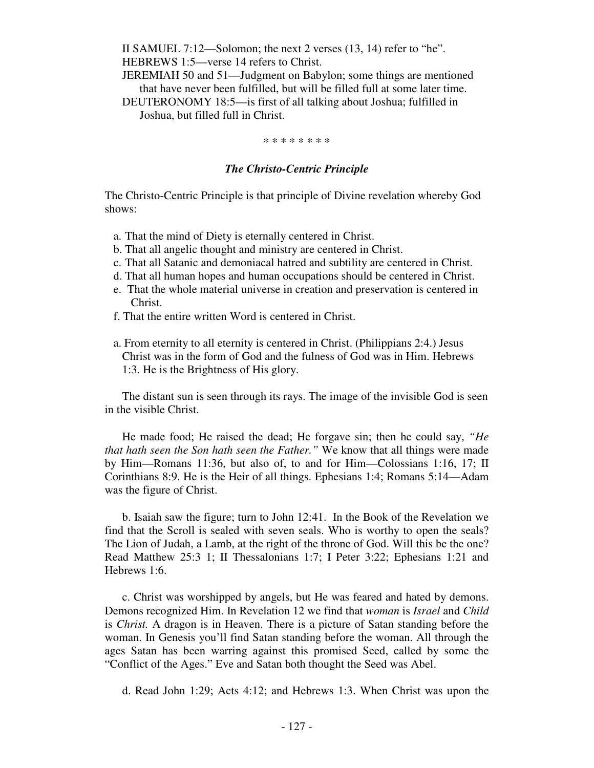II SAMUEL 7:12—Solomon; the next 2 verses (13, 14) refer to "he". HEBREWS 1:5—verse 14 refers to Christ.

 JEREMIAH 50 and 51—Judgment on Babylon; some things are mentioned that have never been fulfilled, but will be filled full at some later time.

 DEUTERONOMY 18:5—is first of all talking about Joshua; fulfilled in Joshua, but filled full in Christ.

#### \* \* \* \* \* \* \* \*

## *The Christo-Centric Principle*

The Christo-Centric Principle is that principle of Divine revelation whereby God shows:

- a. That the mind of Diety is eternally centered in Christ.
- b. That all angelic thought and ministry are centered in Christ.
- c. That all Satanic and demoniacal hatred and subtility are centered in Christ.
- d. That all human hopes and human occupations should be centered in Christ.
- e. That the whole material universe in creation and preservation is centered in Christ.
- f. That the entire written Word is centered in Christ.
- a. From eternity to all eternity is centered in Christ. (Philippians 2:4.) Jesus Christ was in the form of God and the fulness of God was in Him. Hebrews 1:3. He is the Brightness of His glory.

 The distant sun is seen through its rays. The image of the invisible God is seen in the visible Christ.

 He made food; He raised the dead; He forgave sin; then he could say, *"He that hath seen the Son hath seen the Father."* We know that all things were made by Him—Romans 11:36, but also of, to and for Him—Colossians 1:16, 17; II Corinthians 8:9. He is the Heir of all things. Ephesians 1:4; Romans 5:14—Adam was the figure of Christ.

 b. Isaiah saw the figure; turn to John 12:41. In the Book of the Revelation we find that the Scroll is sealed with seven seals. Who is worthy to open the seals? The Lion of Judah, a Lamb, at the right of the throne of God. Will this be the one? Read Matthew 25:3 1; II Thessalonians 1:7; I Peter 3:22; Ephesians 1:21 and Hebrews 1:6.

 c. Christ was worshipped by angels, but He was feared and hated by demons. Demons recognized Him. In Revelation 12 we find that *woman* is *Israel* and *Child*  is *Christ.* A dragon is in Heaven. There is a picture of Satan standing before the woman. In Genesis you'll find Satan standing before the woman. All through the ages Satan has been warring against this promised Seed, called by some the "Conflict of the Ages." Eve and Satan both thought the Seed was Abel.

d. Read John 1:29; Acts 4:12; and Hebrews 1:3. When Christ was upon the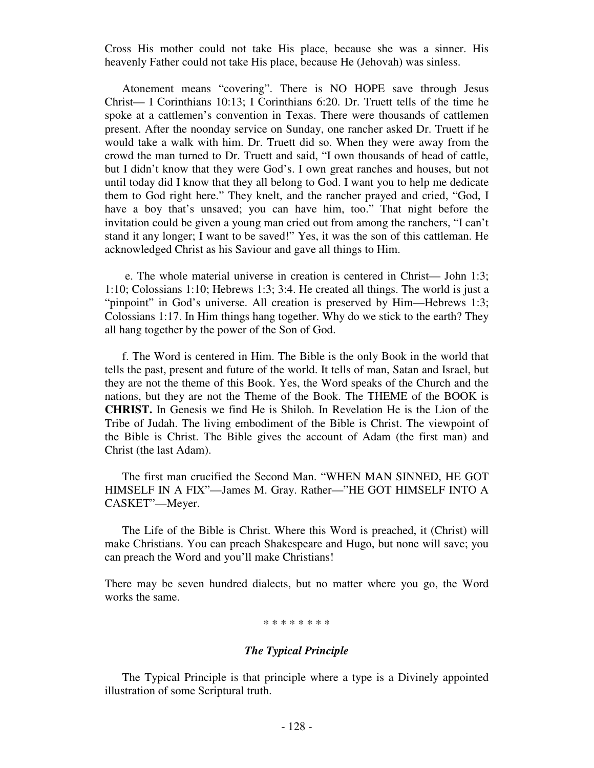Cross His mother could not take His place, because she was a sinner. His heavenly Father could not take His place, because He (Jehovah) was sinless.

 Atonement means "covering". There is NO HOPE save through Jesus Christ— I Corinthians 10:13; I Corinthians 6:20. Dr. Truett tells of the time he spoke at a cattlemen's convention in Texas. There were thousands of cattlemen present. After the noonday service on Sunday, one rancher asked Dr. Truett if he would take a walk with him. Dr. Truett did so. When they were away from the crowd the man turned to Dr. Truett and said, "I own thousands of head of cattle, but I didn't know that they were God's. I own great ranches and houses, but not until today did I know that they all belong to God. I want you to help me dedicate them to God right here." They knelt, and the rancher prayed and cried, "God, I have a boy that's unsaved; you can have him, too." That night before the invitation could be given a young man cried out from among the ranchers, "I can't stand it any longer; I want to be saved!" Yes, it was the son of this cattleman. He acknowledged Christ as his Saviour and gave all things to Him.

 e. The whole material universe in creation is centered in Christ— John 1:3; 1:10; Colossians 1:10; Hebrews 1:3; 3:4. He created all things. The world is just a "pinpoint" in God's universe. All creation is preserved by Him—Hebrews 1:3; Colossians 1:17. In Him things hang together. Why do we stick to the earth? They all hang together by the power of the Son of God.

 f. The Word is centered in Him. The Bible is the only Book in the world that tells the past, present and future of the world. It tells of man, Satan and Israel, but they are not the theme of this Book. Yes, the Word speaks of the Church and the nations, but they are not the Theme of the Book. The THEME of the BOOK is **CHRIST.** In Genesis we find He is Shiloh. In Revelation He is the Lion of the Tribe of Judah. The living embodiment of the Bible is Christ. The viewpoint of the Bible is Christ. The Bible gives the account of Adam (the first man) and Christ (the last Adam).

 The first man crucified the Second Man. "WHEN MAN SINNED, HE GOT HIMSELF IN A FIX"—James M. Gray. Rather—"HE GOT HIMSELF INTO A CASKET"—Meyer.

 The Life of the Bible is Christ. Where this Word is preached, it (Christ) will make Christians. You can preach Shakespeare and Hugo, but none will save; you can preach the Word and you'll make Christians!

There may be seven hundred dialects, but no matter where you go, the Word works the same.

#### \* \* \* \* \* \* \* \*

## *The Typical Principle*

The Typical Principle is that principle where a type is a Divinely appointed illustration of some Scriptural truth.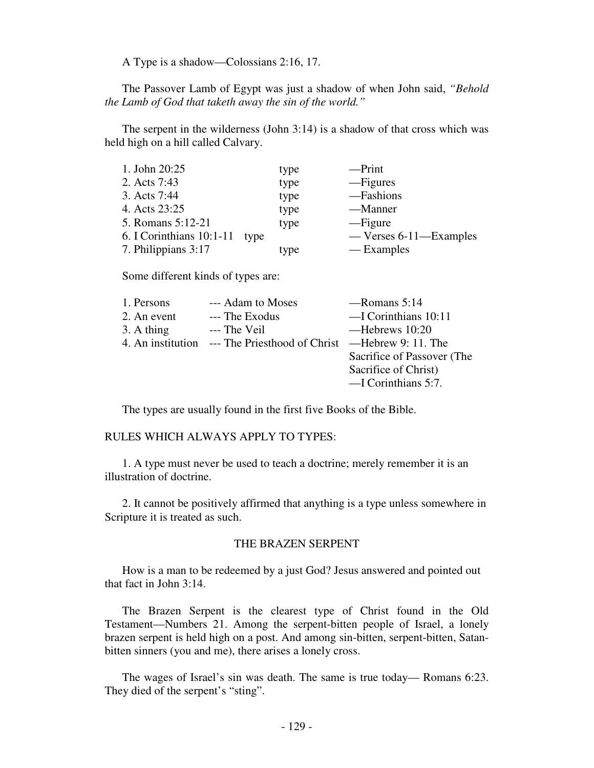A Type is a shadow—Colossians 2:16, 17.

 The Passover Lamb of Egypt was just a shadow of when John said, *"Behold the Lamb of God that taketh away the sin of the world."* 

 The serpent in the wilderness (John 3:14) is a shadow of that cross which was held high on a hill called Calvary.

| 1. John 20:25                 | type | $-$ Print                |
|-------------------------------|------|--------------------------|
| 2. Acts 7:43                  | type | — Figures                |
| 3. Acts 7:44                  | type | -Fashions                |
| 4. Acts 23:25                 | type | —Manner                  |
| 5. Romans 5:12-21             | type | — Figure                 |
| 6. I Corinthians 10:1-11 type |      | $-$ Verses 6-11-Examples |
| 7. Philippians 3:17           | type | — Examples               |

Some different kinds of types are:

| 1. Persons  | --- Adam to Moses                                                  | $-Romans 5:14$             |
|-------------|--------------------------------------------------------------------|----------------------------|
| 2. An event | --- The Exodus                                                     | $-$ I Corinthians 10:11    |
| 3. A thing  | --- The Veil                                                       | —Hebrews 10:20             |
|             | 4. An institution --- The Priesthood of Christ — Hebrew 9: 11. The |                            |
|             |                                                                    | Sacrifice of Passover (The |
|             |                                                                    | Sacrifice of Christ)       |
|             |                                                                    | $-$ I Corinthians 5:7.     |
|             |                                                                    |                            |

The types are usually found in the first five Books of the Bible.

RULES WHICH ALWAYS APPLY TO TYPES:

 1. A type must never be used to teach a doctrine; merely remember it is an illustration of doctrine.

 2. It cannot be positively affirmed that anything is a type unless somewhere in Scripture it is treated as such.

# THE BRAZEN SERPENT

 How is a man to be redeemed by a just God? Jesus answered and pointed out that fact in John 3:14.

 The Brazen Serpent is the clearest type of Christ found in the Old Testament—Numbers 21. Among the serpent-bitten people of Israel, a lonely brazen serpent is held high on a post. And among sin-bitten, serpent-bitten, Satanbitten sinners (you and me), there arises a lonely cross.

 The wages of Israel's sin was death. The same is true today— Romans 6:23. They died of the serpent's "sting".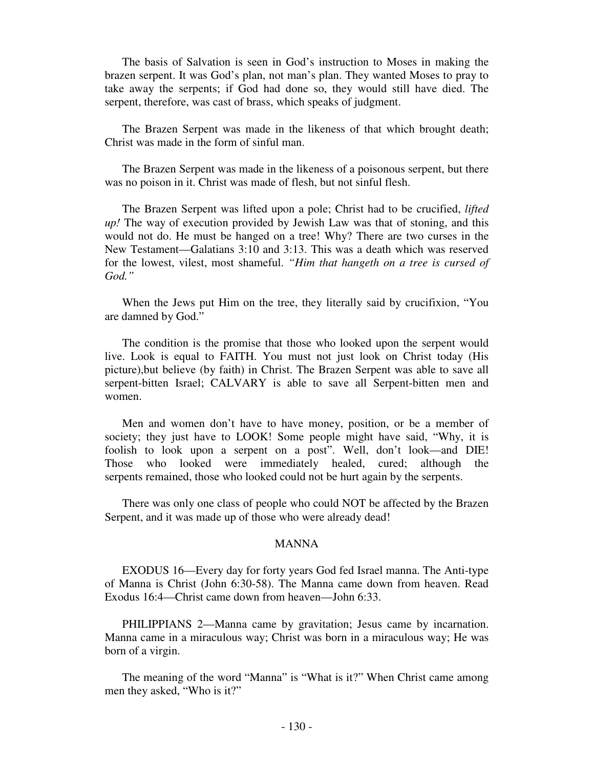The basis of Salvation is seen in God's instruction to Moses in making the brazen serpent. It was God's plan, not man's plan. They wanted Moses to pray to take away the serpents; if God had done so, they would still have died. The serpent, therefore, was cast of brass, which speaks of judgment.

 The Brazen Serpent was made in the likeness of that which brought death; Christ was made in the form of sinful man.

 The Brazen Serpent was made in the likeness of a poisonous serpent, but there was no poison in it. Christ was made of flesh, but not sinful flesh.

 The Brazen Serpent was lifted upon a pole; Christ had to be crucified, *lifted up!* The way of execution provided by Jewish Law was that of stoning, and this would not do. He must be hanged on a tree! Why? There are two curses in the New Testament—Galatians 3:10 and 3:13. This was a death which was reserved for the lowest, vilest, most shameful. *"Him that hangeth on a tree is cursed of God."* 

 When the Jews put Him on the tree, they literally said by crucifixion, "You are damned by God."

 The condition is the promise that those who looked upon the serpent would live. Look is equal to FAITH. You must not just look on Christ today (His picture),but believe (by faith) in Christ. The Brazen Serpent was able to save all serpent-bitten Israel; CALVARY is able to save all Serpent-bitten men and women.

 Men and women don't have to have money, position, or be a member of society; they just have to LOOK! Some people might have said, "Why, it is foolish to look upon a serpent on a post". Well, don't look—and DIE! Those who looked were immediately healed, cured; although the serpents remained, those who looked could not be hurt again by the serpents.

 There was only one class of people who could NOT be affected by the Brazen Serpent, and it was made up of those who were already dead!

### MANNA

 EXODUS 16—Every day for forty years God fed Israel manna. The Anti-type of Manna is Christ (John 6:30-58). The Manna came down from heaven. Read Exodus 16:4—Christ came down from heaven—John 6:33.

 PHILIPPIANS 2—Manna came by gravitation; Jesus came by incarnation. Manna came in a miraculous way; Christ was born in a miraculous way; He was born of a virgin.

 The meaning of the word "Manna" is "What is it?" When Christ came among men they asked, "Who is it?"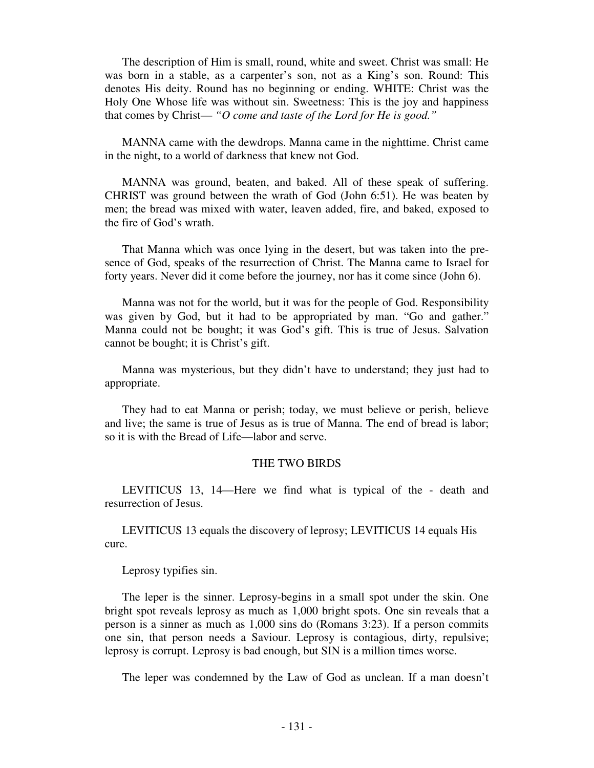The description of Him is small, round, white and sweet. Christ was small: He was born in a stable, as a carpenter's son, not as a King's son. Round: This denotes His deity. Round has no beginning or ending. WHITE: Christ was the Holy One Whose life was without sin. Sweetness: This is the joy and happiness that comes by Christ— *"O come and taste of the Lord for He is good."* 

 MANNA came with the dewdrops. Manna came in the nighttime. Christ came in the night, to a world of darkness that knew not God.

 MANNA was ground, beaten, and baked. All of these speak of suffering. CHRIST was ground between the wrath of God (John 6:51). He was beaten by men; the bread was mixed with water, leaven added, fire, and baked, exposed to the fire of God's wrath.

 That Manna which was once lying in the desert, but was taken into the presence of God, speaks of the resurrection of Christ. The Manna came to Israel for forty years. Never did it come before the journey, nor has it come since (John 6).

 Manna was not for the world, but it was for the people of God. Responsibility was given by God, but it had to be appropriated by man. "Go and gather." Manna could not be bought; it was God's gift. This is true of Jesus. Salvation cannot be bought; it is Christ's gift.

 Manna was mysterious, but they didn't have to understand; they just had to appropriate.

 They had to eat Manna or perish; today, we must believe or perish, believe and live; the same is true of Jesus as is true of Manna. The end of bread is labor; so it is with the Bread of Life—labor and serve.

### THE TWO BIRDS

 LEVITICUS 13, 14—Here we find what is typical of the - death and resurrection of Jesus.

 LEVITICUS 13 equals the discovery of leprosy; LEVITICUS 14 equals His cure.

Leprosy typifies sin.

 The leper is the sinner. Leprosy-begins in a small spot under the skin. One bright spot reveals leprosy as much as 1,000 bright spots. One sin reveals that a person is a sinner as much as 1,000 sins do (Romans 3:23). If a person commits one sin, that person needs a Saviour. Leprosy is contagious, dirty, repulsive; leprosy is corrupt. Leprosy is bad enough, but SIN is a million times worse.

The leper was condemned by the Law of God as unclean. If a man doesn't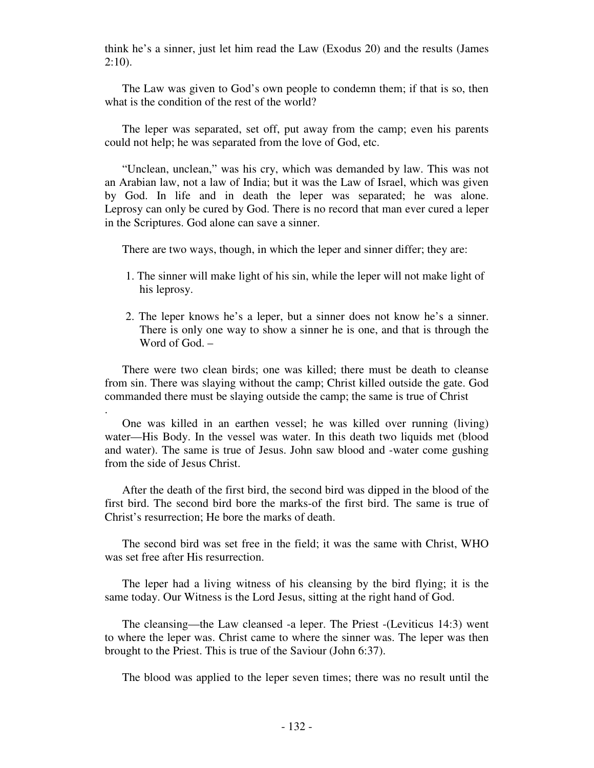think he's a sinner, just let him read the Law (Exodus 20) and the results (James  $2:10$ ).

 The Law was given to God's own people to condemn them; if that is so, then what is the condition of the rest of the world?

 The leper was separated, set off, put away from the camp; even his parents could not help; he was separated from the love of God, etc.

 "Unclean, unclean," was his cry, which was demanded by law. This was not an Arabian law, not a law of India; but it was the Law of Israel, which was given by God. In life and in death the leper was separated; he was alone. Leprosy can only be cured by God. There is no record that man ever cured a leper in the Scriptures. God alone can save a sinner.

There are two ways, though, in which the leper and sinner differ; they are:

- 1. The sinner will make light of his sin, while the leper will not make light of his leprosy.
- 2. The leper knows he's a leper, but a sinner does not know he's a sinner. There is only one way to show a sinner he is one, and that is through the Word of God. –

 There were two clean birds; one was killed; there must be death to cleanse from sin. There was slaying without the camp; Christ killed outside the gate. God commanded there must be slaying outside the camp; the same is true of Christ

.

 One was killed in an earthen vessel; he was killed over running (living) water—His Body. In the vessel was water. In this death two liquids met (blood and water). The same is true of Jesus. John saw blood and -water come gushing from the side of Jesus Christ.

 After the death of the first bird, the second bird was dipped in the blood of the first bird. The second bird bore the marks-of the first bird. The same is true of Christ's resurrection; He bore the marks of death.

 The second bird was set free in the field; it was the same with Christ, WHO was set free after His resurrection.

 The leper had a living witness of his cleansing by the bird flying; it is the same today. Our Witness is the Lord Jesus, sitting at the right hand of God.

 The cleansing—the Law cleansed -a leper. The Priest -(Leviticus 14:3) went to where the leper was. Christ came to where the sinner was. The leper was then brought to the Priest. This is true of the Saviour (John 6:37).

The blood was applied to the leper seven times; there was no result until the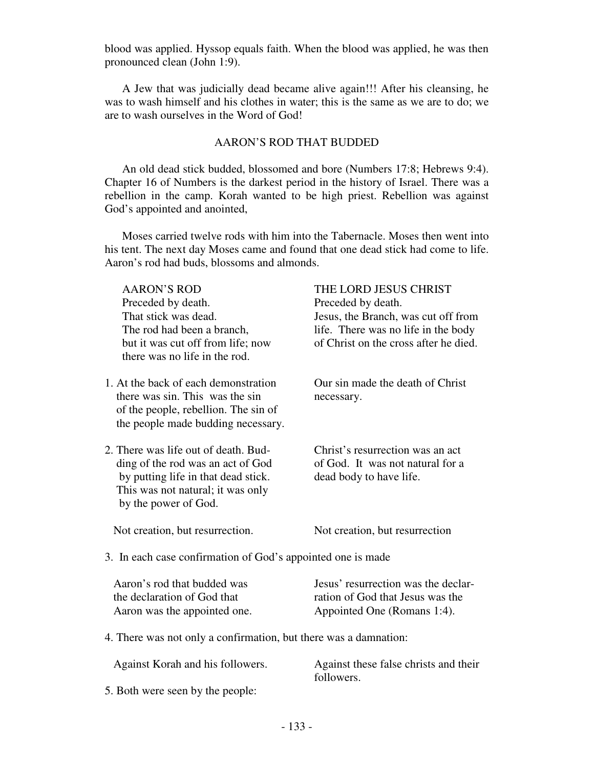blood was applied. Hyssop equals faith. When the blood was applied, he was then pronounced clean (John 1:9).

 A Jew that was judicially dead became alive again!!! After his cleansing, he was to wash himself and his clothes in water; this is the same as we are to do; we are to wash ourselves in the Word of God!

# AARON'S ROD THAT BUDDED

 An old dead stick budded, blossomed and bore (Numbers 17:8; Hebrews 9:4). Chapter 16 of Numbers is the darkest period in the history of Israel. There was a rebellion in the camp. Korah wanted to be high priest. Rebellion was against God's appointed and anointed,

 Moses carried twelve rods with him into the Tabernacle. Moses then went into his tent. The next day Moses came and found that one dead stick had come to life. Aaron's rod had buds, blossoms and almonds.

| <b>AARON'S ROD</b>                                               | THE LORD JESUS CHRIST                 |
|------------------------------------------------------------------|---------------------------------------|
| Preceded by death.                                               | Preceded by death.                    |
| That stick was dead.                                             | Jesus, the Branch, was cut off from   |
| The rod had been a branch,                                       | life. There was no life in the body   |
| but it was cut off from life; now                                | of Christ on the cross after he died. |
| there was no life in the rod.                                    |                                       |
| 1. At the back of each demonstration                             | Our sin made the death of Christ      |
| there was sin. This was the sin                                  | necessary.                            |
| of the people, rebellion. The sin of                             |                                       |
| the people made budding necessary.                               |                                       |
| 2. There was life out of death. Bud-                             | Christ's resurrection was an act      |
| ding of the rod was an act of God                                | of God. It was not natural for a      |
| by putting life in that dead stick.                              | dead body to have life.               |
| This was not natural; it was only                                |                                       |
| by the power of God.                                             |                                       |
| Not creation, but resurrection.                                  | Not creation, but resurrection        |
| 3. In each case confirmation of God's appointed one is made      |                                       |
|                                                                  |                                       |
| Aaron's rod that budded was                                      | Jesus' resurrection was the declar-   |
| the declaration of God that                                      | ration of God that Jesus was the      |
| Aaron was the appointed one.                                     | Appointed One (Romans 1:4).           |
| 4. There was not only a confirmation, but there was a damnation: |                                       |
| Against Korah and his followers.                                 | Against these false christs and their |

5. Both were seen by the people:

followers.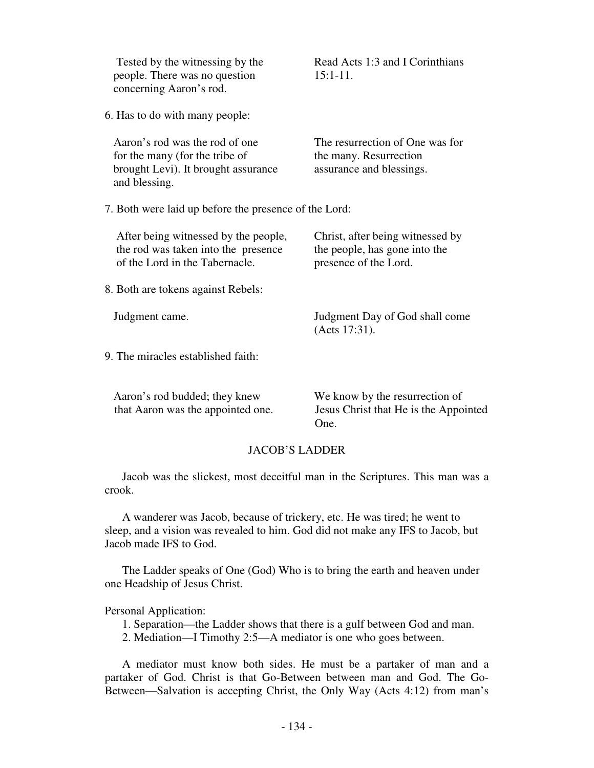| Tested by the witnessing by the<br>people. There was no question<br>concerning Aaron's rod.                              | Read Acts 1:3 and I Corinthians<br>$15:1-11.$                                              |  |  |
|--------------------------------------------------------------------------------------------------------------------------|--------------------------------------------------------------------------------------------|--|--|
| 6. Has to do with many people:                                                                                           |                                                                                            |  |  |
| Aaron's rod was the rod of one<br>for the many (for the tribe of<br>brought Levi). It brought assurance<br>and blessing. | The resurrection of One was for<br>the many. Resurrection<br>assurance and blessings.      |  |  |
| 7. Both were laid up before the presence of the Lord:                                                                    |                                                                                            |  |  |
| After being witnessed by the people,<br>the rod was taken into the presence<br>of the Lord in the Tabernacle.            | Christ, after being witnessed by<br>the people, has gone into the<br>presence of the Lord. |  |  |
| 8. Both are tokens against Rebels:                                                                                       |                                                                                            |  |  |
| Judgment came.                                                                                                           | Judgment Day of God shall come<br>(Acts 17:31).                                            |  |  |
| 9. The miracles established faith:                                                                                       |                                                                                            |  |  |
| Aaron's rod budded; they knew<br>that Aaron was the appointed one.                                                       | We know by the resurrection of<br>Jesus Christ that He is the Appointed<br>One.            |  |  |

## JACOB'S LADDER

 Jacob was the slickest, most deceitful man in the Scriptures. This man was a crook.

 A wanderer was Jacob, because of trickery, etc. He was tired; he went to sleep, and a vision was revealed to him. God did not make any IFS to Jacob, but Jacob made IFS to God.

 The Ladder speaks of One (God) Who is to bring the earth and heaven under one Headship of Jesus Christ.

Personal Application:

1. Separation—the Ladder shows that there is a gulf between God and man.

2. Mediation—I Timothy 2:5—A mediator is one who goes between.

 A mediator must know both sides. He must be a partaker of man and a partaker of God. Christ is that Go-Between between man and God. The Go-Between—Salvation is accepting Christ, the Only Way (Acts 4:12) from man's